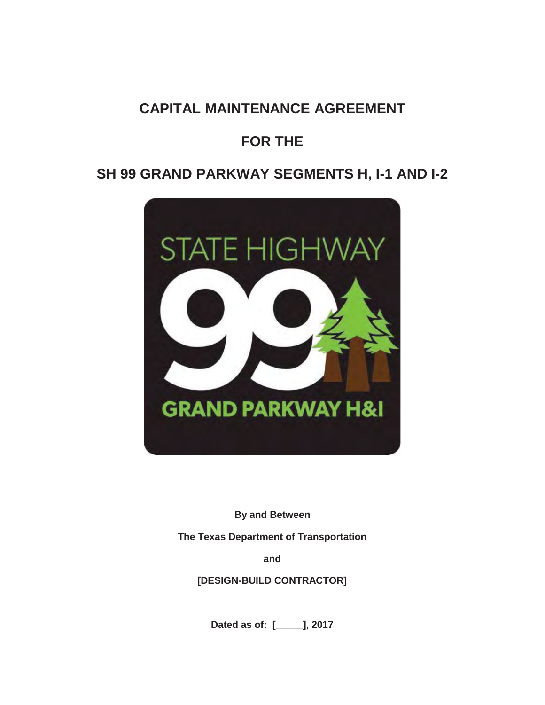# **CAPITAL MAINTENANCE AGREEMENT**

# **FOR THE**

# **SH 99 GRAND PARKWAY SEGMENTS H, I-1 AND I-2**



**By and Between** 

**The Texas Department of Transportation** 

**and**

**[DESIGN-BUILD CONTRACTOR]** 

**Dated as of: [\_\_\_\_\_], 2017**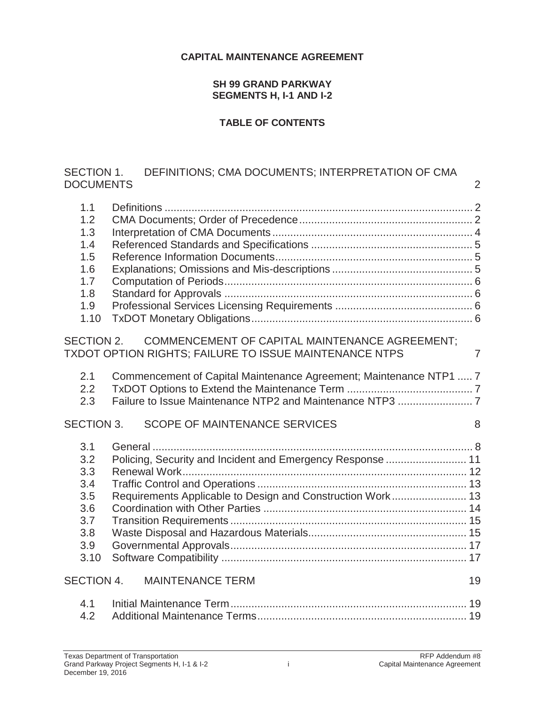#### **CAPITAL MAINTENANCE AGREEMENT**

#### **SH 99 GRAND PARKWAY SEGMENTS H, I-1 AND I-2**

#### **TABLE OF CONTENTS**

# SECTION 1. DEFINITIONS; CMA DOCUMENTS; INTERPRETATION OF CMA DOCUMENTS 2

| 1.1               |                                                                                                                 |                |
|-------------------|-----------------------------------------------------------------------------------------------------------------|----------------|
| 1.2               |                                                                                                                 |                |
| 1.3               |                                                                                                                 |                |
| 1.4               |                                                                                                                 |                |
| 1.5               |                                                                                                                 |                |
| 1.6               |                                                                                                                 |                |
| 1.7               |                                                                                                                 |                |
| 1.8               |                                                                                                                 |                |
| 1.9               |                                                                                                                 |                |
| 1.10              |                                                                                                                 |                |
| SECTION 2.        | <b>COMMENCEMENT OF CAPITAL MAINTENANCE AGREEMENT;</b><br>TXDOT OPTION RIGHTS; FAILURE TO ISSUE MAINTENANCE NTPS | $\overline{7}$ |
| 2.1<br>2.2        | Commencement of Capital Maintenance Agreement; Maintenance NTP1  7                                              |                |
| 2.3               |                                                                                                                 |                |
| <b>SECTION 3.</b> | SCOPE OF MAINTENANCE SERVICES                                                                                   | 8              |
| 3.1               |                                                                                                                 |                |
| 3.2               | Policing, Security and Incident and Emergency Response  11                                                      |                |
| 3.3               |                                                                                                                 |                |
| 3.4               |                                                                                                                 |                |
| 3.5               | Requirements Applicable to Design and Construction Work 13                                                      |                |
| 3.6               |                                                                                                                 |                |
| 3.7               |                                                                                                                 |                |
| 3.8               |                                                                                                                 |                |
| 3.9               |                                                                                                                 |                |
| 3.10              |                                                                                                                 |                |
| SECTION 4.        | <b>MAINTENANCE TERM</b>                                                                                         | 19             |
| 4.1               |                                                                                                                 |                |
| 4.2               |                                                                                                                 |                |
|                   |                                                                                                                 |                |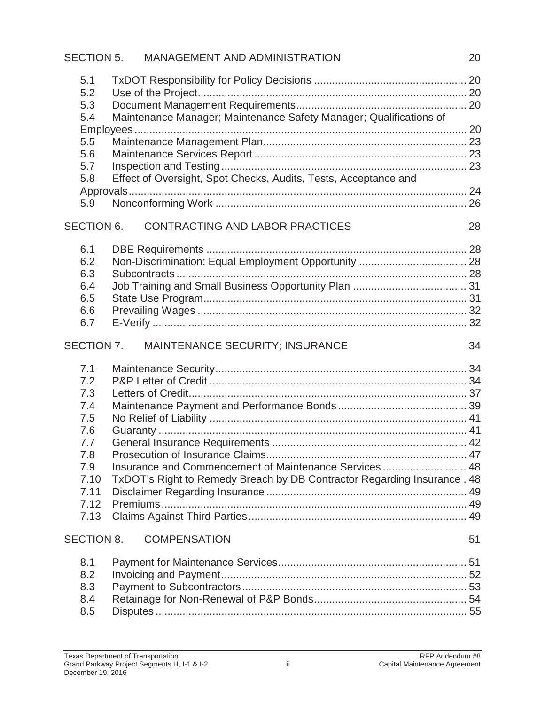|                                                                                             | SECTION 5. MANAGEMENT AND ADMINISTRATION                                                                                              | 20 |
|---------------------------------------------------------------------------------------------|---------------------------------------------------------------------------------------------------------------------------------------|----|
| 5.1<br>5.2<br>5.3<br>5.4<br>5.5<br>5.6<br>5.7<br>5.8<br>5.9                                 | Maintenance Manager; Maintenance Safety Manager; Qualifications of<br>Effect of Oversight, Spot Checks, Audits, Tests, Acceptance and |    |
| <b>SECTION 6.</b>                                                                           | <b>CONTRACTING AND LABOR PRACTICES</b>                                                                                                | 28 |
| 6.1<br>6.2<br>6.3<br>6.4<br>6.5<br>6.6<br>6.7                                               |                                                                                                                                       |    |
| SECTION 7.                                                                                  | MAINTENANCE SECURITY; INSURANCE                                                                                                       | 34 |
| 7.1<br>7.2<br>7.3<br>7.4<br>7.5<br>7.6<br>7.7<br>7.8<br>7.9<br>7.10<br>7.11<br>7.12<br>7.13 | Insurance and Commencement of Maintenance Services 48<br>TxDOT's Right to Remedy Breach by DB Contractor Regarding Insurance . 48     |    |
| <b>SECTION 8.</b>                                                                           | <b>COMPENSATION</b>                                                                                                                   | 51 |
| 8.1<br>8.2<br>8.3<br>8.4<br>8.5                                                             |                                                                                                                                       |    |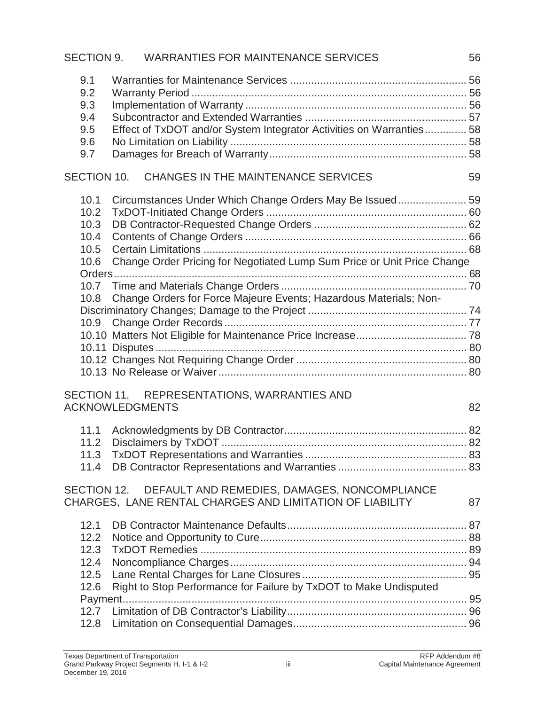# SECTION 9. WARRANTIES FOR MAINTENANCE SERVICES 56

| 9.1 |                                                                     |    |
|-----|---------------------------------------------------------------------|----|
| 9.2 |                                                                     |    |
| 9.3 |                                                                     |    |
| 9.4 |                                                                     |    |
| 9.5 | Effect of TxDOT and/or System Integrator Activities on Warranties58 |    |
| 9.6 |                                                                     |    |
| 9.7 |                                                                     |    |
|     |                                                                     |    |
|     | SECTION 10. CHANGES IN THE MAINTENANCE SERVICES                     | 59 |

| 10.1 |                                                                         |  |
|------|-------------------------------------------------------------------------|--|
| 10.2 |                                                                         |  |
| 10.3 |                                                                         |  |
| 10.4 |                                                                         |  |
| 10.5 |                                                                         |  |
| 10.6 | Change Order Pricing for Negotiated Lump Sum Price or Unit Price Change |  |
|      |                                                                         |  |
|      |                                                                         |  |
|      | 10.8 Change Orders for Force Majeure Events; Hazardous Materials; Non-  |  |
|      |                                                                         |  |
|      |                                                                         |  |
|      |                                                                         |  |
|      |                                                                         |  |
|      |                                                                         |  |
|      |                                                                         |  |

## SECTION 11. REPRESENTATIONS, WARRANTIES AND ACKNOWLEDGMENTS 82

| $11.0$ Disalaimers by $T_{V}$ DOT |  |
|-----------------------------------|--|

## SECTION 12. DEFAULT AND REMEDIES, DAMAGES, NONCOMPLIANCE CHARGES, LANE RENTAL CHARGES AND LIMITATION OF LIABILITY 87

| 12.6 Right to Stop Performance for Failure by TxDOT to Make Undisputed |  |
|------------------------------------------------------------------------|--|
|                                                                        |  |
|                                                                        |  |
|                                                                        |  |
|                                                                        |  |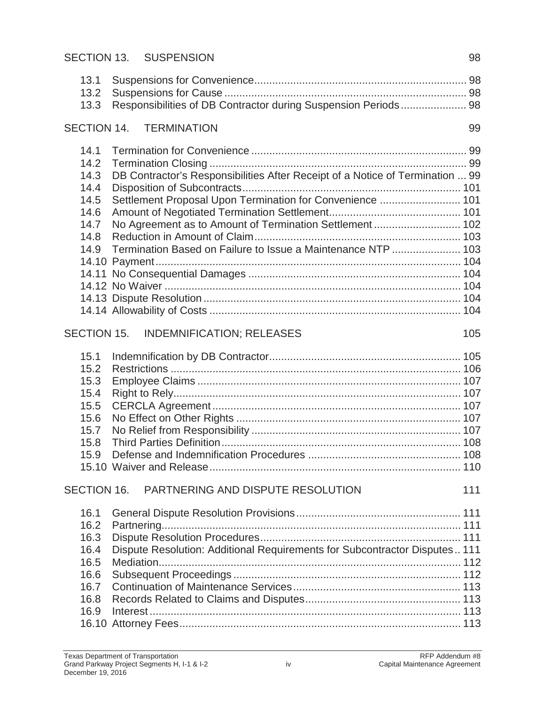# SECTION 13. SUSPENSION 98

| 13.1<br>13.2<br>13.3 | Responsibilities of DB Contractor during Suspension Periods 98                |     |
|----------------------|-------------------------------------------------------------------------------|-----|
|                      | SECTION 14. TERMINATION                                                       | 99  |
| 14.1                 |                                                                               |     |
| 14.2                 |                                                                               |     |
| 14.3                 | DB Contractor's Responsibilities After Receipt of a Notice of Termination  99 |     |
| 14.4                 |                                                                               |     |
| 14.5                 | Settlement Proposal Upon Termination for Convenience  101                     |     |
| 14.6                 |                                                                               |     |
| 14.7                 | No Agreement as to Amount of Termination Settlement 102                       |     |
| 14.8                 |                                                                               |     |
| 14.9                 | Termination Based on Failure to Issue a Maintenance NTP  103                  |     |
|                      |                                                                               |     |
|                      |                                                                               |     |
|                      |                                                                               |     |
|                      |                                                                               |     |
|                      |                                                                               |     |
|                      | SECTION 15. INDEMNIFICATION; RELEASES                                         | 105 |
| 15.1                 |                                                                               |     |
| 15.2                 |                                                                               |     |
| 15.3                 |                                                                               |     |
| 15.4                 |                                                                               |     |
| 15.5                 |                                                                               |     |
| 15.6                 |                                                                               |     |
| 15.7                 |                                                                               |     |
| 15.8                 |                                                                               |     |
| 15.9                 |                                                                               |     |
|                      |                                                                               |     |
|                      | SECTION 16. PARTNERING AND DISPUTE RESOLUTION                                 | 111 |
| 16.1                 |                                                                               |     |
| 16.2                 |                                                                               |     |
| 16.3                 |                                                                               |     |
| 16.4                 | Dispute Resolution: Additional Requirements for Subcontractor Disputes 111    |     |
| 16.5                 |                                                                               |     |
| 16.6                 |                                                                               |     |
| 16.7                 |                                                                               |     |
| 16.8                 |                                                                               |     |
| 16.9                 |                                                                               |     |
|                      |                                                                               |     |
|                      |                                                                               |     |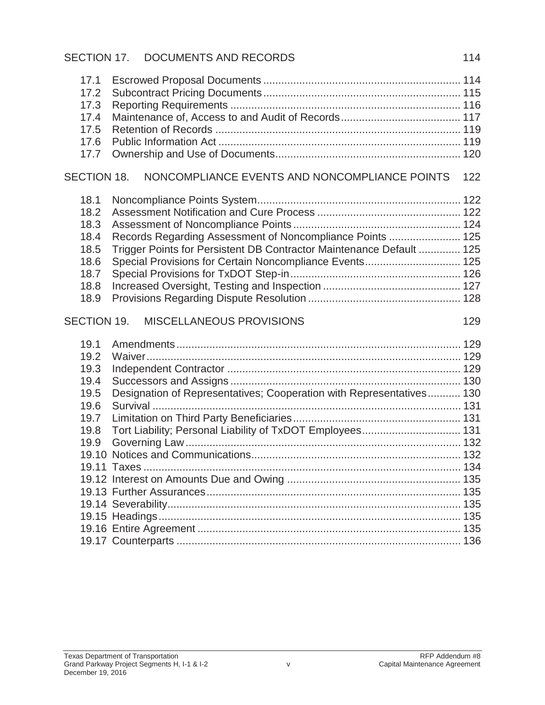# SECTION 17. DOCUMENTS AND RECORDS 114

| 17.1<br>17.2<br>17.3<br>17.4<br>17.5<br>17.6<br>17.7                                                                                                                                                                                                                 |     |
|----------------------------------------------------------------------------------------------------------------------------------------------------------------------------------------------------------------------------------------------------------------------|-----|
| NONCOMPLIANCE EVENTS AND NONCOMPLIANCE POINTS<br>SECTION 18.                                                                                                                                                                                                         | 122 |
| 18.1<br>18.2<br>18.3<br>Records Regarding Assessment of Noncompliance Points  125<br>18.4<br>Trigger Points for Persistent DB Contractor Maintenance Default  125<br>18.5<br>Special Provisions for Certain Noncompliance Events 125<br>18.6<br>18.7<br>18.8<br>18.9 |     |
| SECTION 19.<br><b>MISCELLANEOUS PROVISIONS</b>                                                                                                                                                                                                                       | 129 |
| 19.1<br>19.2<br>19.3<br>19.4<br>Designation of Representatives; Cooperation with Representatives 130<br>19.5<br>19.6<br>19.7<br>Tort Liability; Personal Liability of TxDOT Employees 131<br>19.8<br>19.9<br>19.11                                                   |     |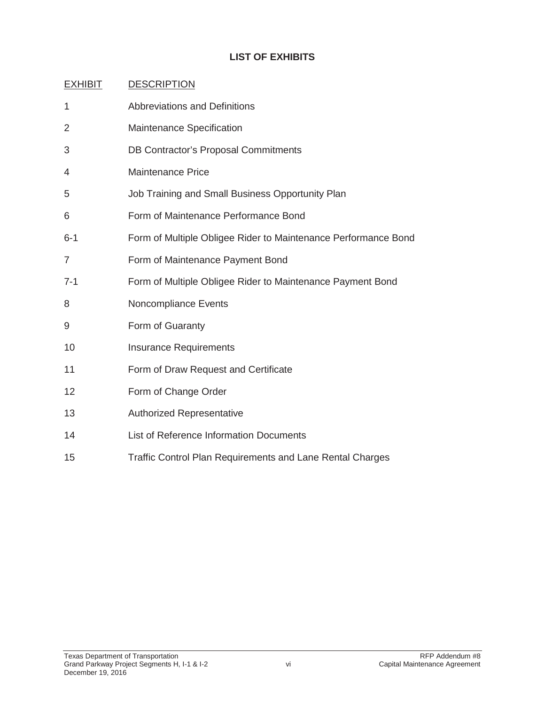# **LIST OF EXHIBITS**

| $\mathbf{1}$   | <b>Abbreviations and Definitions</b>                             |
|----------------|------------------------------------------------------------------|
| 2              | Maintenance Specification                                        |
| 3              | <b>DB Contractor's Proposal Commitments</b>                      |
| 4              | <b>Maintenance Price</b>                                         |
| 5              | Job Training and Small Business Opportunity Plan                 |
| 6              | Form of Maintenance Performance Bond                             |
| $6 - 1$        | Form of Multiple Obligee Rider to Maintenance Performance Bond   |
| $\overline{7}$ | Form of Maintenance Payment Bond                                 |
| $7 - 1$        | Form of Multiple Obligee Rider to Maintenance Payment Bond       |
| 8              | Noncompliance Events                                             |
| 9              | Form of Guaranty                                                 |
| 10             | <b>Insurance Requirements</b>                                    |
| 11             | Form of Draw Request and Certificate                             |
| 12             | Form of Change Order                                             |
| 13             | <b>Authorized Representative</b>                                 |
| 14             | List of Reference Information Documents                          |
| 15             | <b>Traffic Control Plan Requirements and Lane Rental Charges</b> |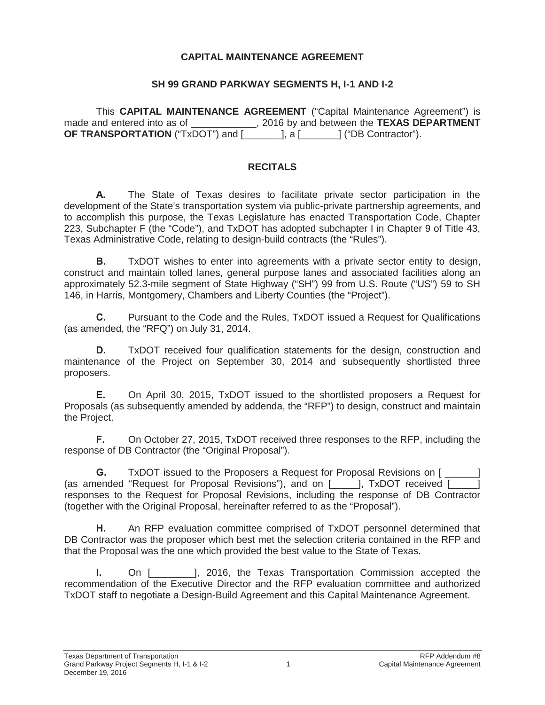#### **CAPITAL MAINTENANCE AGREEMENT**

#### **SH 99 GRAND PARKWAY SEGMENTS H, I-1 AND I-2**

This **CAPITAL MAINTENANCE AGREEMENT** ("Capital Maintenance Agreement") is made and entered into as of  $\qquad \qquad$ , 2016 by and between the **TEXAS DEPARTMENT OF TRANSPORTATION** ("TxDOT") and [\_\_\_\_\_\_\_\_], a [ \_\_\_\_\_\_\_] ("DB Contractor").

#### **RECITALS**

**A.** The State of Texas desires to facilitate private sector participation in the development of the State's transportation system via public-private partnership agreements, and to accomplish this purpose, the Texas Legislature has enacted Transportation Code, Chapter 223, Subchapter F (the "Code"), and TxDOT has adopted subchapter I in Chapter 9 of Title 43, Texas Administrative Code, relating to design-build contracts (the "Rules").

**B.** TxDOT wishes to enter into agreements with a private sector entity to design, construct and maintain tolled lanes, general purpose lanes and associated facilities along an approximately 52.3-mile segment of State Highway ("SH") 99 from U.S. Route ("US") 59 to SH 146, in Harris, Montgomery, Chambers and Liberty Counties (the "Project").

**C.** Pursuant to the Code and the Rules, TxDOT issued a Request for Qualifications (as amended, the "RFQ") on July 31, 2014.

**D.** TxDOT received four qualification statements for the design, construction and maintenance of the Project on September 30, 2014 and subsequently shortlisted three proposers.

**E.** On April 30, 2015, TxDOT issued to the shortlisted proposers a Request for Proposals (as subsequently amended by addenda, the "RFP") to design, construct and maintain the Project.

**F.** On October 27, 2015, TxDOT received three responses to the RFP, including the response of DB Contractor (the "Original Proposal").

**G.** TxDOT issued to the Proposers a Request for Proposal Revisions on [ (as amended "Request for Proposal Revisions"), and on [\_\_\_\_\_], TxDOT received [\_\_\_\_\_] responses to the Request for Proposal Revisions, including the response of DB Contractor (together with the Original Proposal, hereinafter referred to as the "Proposal").

**H.** An RFP evaluation committee comprised of TxDOT personnel determined that DB Contractor was the proposer which best met the selection criteria contained in the RFP and that the Proposal was the one which provided the best value to the State of Texas.

**I.** On [  $\qquad$  ], 2016, the Texas Transportation Commission accepted the recommendation of the Executive Director and the RFP evaluation committee and authorized TxDOT staff to negotiate a Design-Build Agreement and this Capital Maintenance Agreement.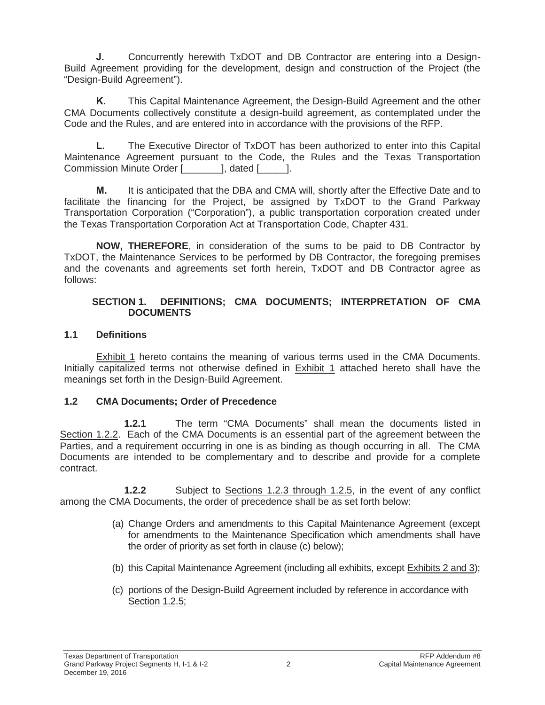**J.** Concurrently herewith TxDOT and DB Contractor are entering into a Design-Build Agreement providing for the development, design and construction of the Project (the "Design-Build Agreement").

**K.** This Capital Maintenance Agreement, the Design-Build Agreement and the other CMA Documents collectively constitute a design-build agreement, as contemplated under the Code and the Rules, and are entered into in accordance with the provisions of the RFP.

**L.** The Executive Director of TxDOT has been authorized to enter into this Capital Maintenance Agreement pursuant to the Code, the Rules and the Texas Transportation Commission Minute Order [\_\_\_\_\_\_\_], dated [\_\_\_\_\_].

**M.** It is anticipated that the DBA and CMA will, shortly after the Effective Date and to facilitate the financing for the Project, be assigned by TxDOT to the Grand Parkway Transportation Corporation ("Corporation"), a public transportation corporation created under the Texas Transportation Corporation Act at Transportation Code, Chapter 431.

**NOW, THEREFORE**, in consideration of the sums to be paid to DB Contractor by TxDOT, the Maintenance Services to be performed by DB Contractor, the foregoing premises and the covenants and agreements set forth herein, TxDOT and DB Contractor agree as follows:

#### **SECTION 1. DEFINITIONS; CMA DOCUMENTS; INTERPRETATION OF CMA DOCUMENTS**

## **1.1 Definitions**

Exhibit 1 hereto contains the meaning of various terms used in the CMA Documents. Initially capitalized terms not otherwise defined in Exhibit 1 attached hereto shall have the meanings set forth in the Design-Build Agreement.

# **1.2 CMA Documents; Order of Precedence**

**1.2.1** The term "CMA Documents" shall mean the documents listed in Section 1.2.2. Each of the CMA Documents is an essential part of the agreement between the Parties, and a requirement occurring in one is as binding as though occurring in all. The CMA Documents are intended to be complementary and to describe and provide for a complete contract.

**1.2.2** Subject to Sections 1.2.3 through 1.2.5, in the event of any conflict among the CMA Documents, the order of precedence shall be as set forth below:

- (a) Change Orders and amendments to this Capital Maintenance Agreement (except for amendments to the Maintenance Specification which amendments shall have the order of priority as set forth in clause (c) below);
- (b) this Capital Maintenance Agreement (including all exhibits, except Exhibits 2 and 3);
- (c) portions of the Design-Build Agreement included by reference in accordance with Section 1.2.5;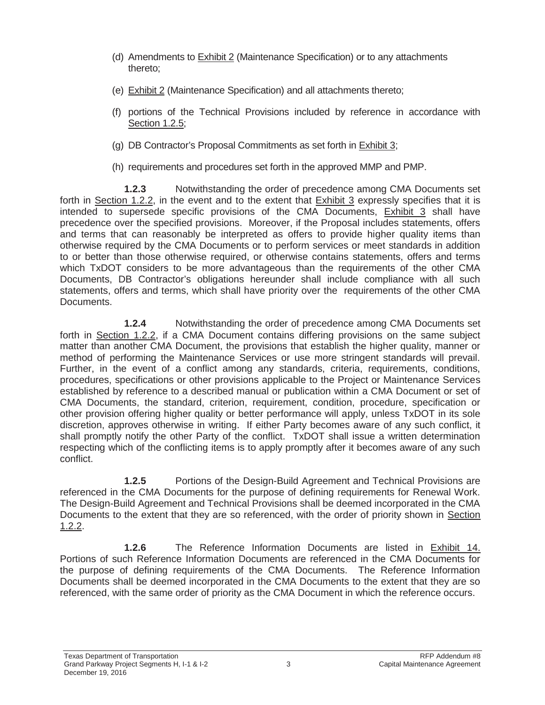- (d) Amendments to Exhibit 2 (Maintenance Specification) or to any attachments thereto;
- (e) Exhibit 2 (Maintenance Specification) and all attachments thereto;
- (f) portions of the Technical Provisions included by reference in accordance with Section 1.2.5;
- (g) DB Contractor's Proposal Commitments as set forth in Exhibit 3;
- (h) requirements and procedures set forth in the approved MMP and PMP.

**1.2.3** Notwithstanding the order of precedence among CMA Documents set forth in Section 1.2.2, in the event and to the extent that Exhibit 3 expressly specifies that it is intended to supersede specific provisions of the CMA Documents, Exhibit 3 shall have precedence over the specified provisions. Moreover, if the Proposal includes statements, offers and terms that can reasonably be interpreted as offers to provide higher quality items than otherwise required by the CMA Documents or to perform services or meet standards in addition to or better than those otherwise required, or otherwise contains statements, offers and terms which TxDOT considers to be more advantageous than the requirements of the other CMA Documents, DB Contractor's obligations hereunder shall include compliance with all such statements, offers and terms, which shall have priority over the requirements of the other CMA Documents.

**1.2.4** Notwithstanding the order of precedence among CMA Documents set forth in Section 1.2.2, if a CMA Document contains differing provisions on the same subject matter than another CMA Document, the provisions that establish the higher quality, manner or method of performing the Maintenance Services or use more stringent standards will prevail. Further, in the event of a conflict among any standards, criteria, requirements, conditions, procedures, specifications or other provisions applicable to the Project or Maintenance Services established by reference to a described manual or publication within a CMA Document or set of CMA Documents, the standard, criterion, requirement, condition, procedure, specification or other provision offering higher quality or better performance will apply, unless TxDOT in its sole discretion, approves otherwise in writing. If either Party becomes aware of any such conflict, it shall promptly notify the other Party of the conflict. TxDOT shall issue a written determination respecting which of the conflicting items is to apply promptly after it becomes aware of any such conflict.

**1.2.5** Portions of the Design-Build Agreement and Technical Provisions are referenced in the CMA Documents for the purpose of defining requirements for Renewal Work. The Design-Build Agreement and Technical Provisions shall be deemed incorporated in the CMA Documents to the extent that they are so referenced, with the order of priority shown in Section 1.2.2.

**1.2.6** The Reference Information Documents are listed in Exhibit 14. Portions of such Reference Information Documents are referenced in the CMA Documents for the purpose of defining requirements of the CMA Documents. The Reference Information Documents shall be deemed incorporated in the CMA Documents to the extent that they are so referenced, with the same order of priority as the CMA Document in which the reference occurs.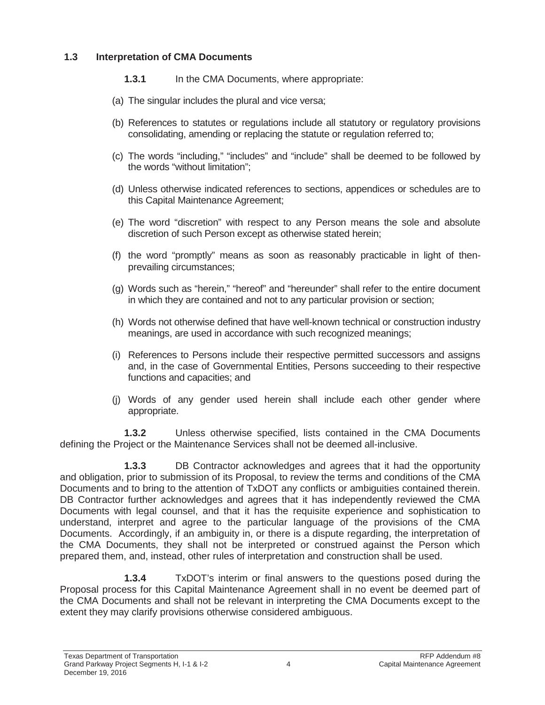## **1.3 Interpretation of CMA Documents**

- **1.3.1** In the CMA Documents, where appropriate:
- (a) The singular includes the plural and vice versa;
- (b) References to statutes or regulations include all statutory or regulatory provisions consolidating, amending or replacing the statute or regulation referred to;
- (c) The words "including," "includes" and "include" shall be deemed to be followed by the words "without limitation";
- (d) Unless otherwise indicated references to sections, appendices or schedules are to this Capital Maintenance Agreement;
- (e) The word "discretion" with respect to any Person means the sole and absolute discretion of such Person except as otherwise stated herein;
- (f) the word "promptly" means as soon as reasonably practicable in light of thenprevailing circumstances;
- (g) Words such as "herein," "hereof" and "hereunder" shall refer to the entire document in which they are contained and not to any particular provision or section;
- (h) Words not otherwise defined that have well-known technical or construction industry meanings, are used in accordance with such recognized meanings;
- (i) References to Persons include their respective permitted successors and assigns and, in the case of Governmental Entities, Persons succeeding to their respective functions and capacities; and
- (j) Words of any gender used herein shall include each other gender where appropriate.

**1.3.2** Unless otherwise specified, lists contained in the CMA Documents defining the Project or the Maintenance Services shall not be deemed all-inclusive.

**1.3.3** DB Contractor acknowledges and agrees that it had the opportunity and obligation, prior to submission of its Proposal, to review the terms and conditions of the CMA Documents and to bring to the attention of TxDOT any conflicts or ambiguities contained therein. DB Contractor further acknowledges and agrees that it has independently reviewed the CMA Documents with legal counsel, and that it has the requisite experience and sophistication to understand, interpret and agree to the particular language of the provisions of the CMA Documents. Accordingly, if an ambiguity in, or there is a dispute regarding, the interpretation of the CMA Documents, they shall not be interpreted or construed against the Person which prepared them, and, instead, other rules of interpretation and construction shall be used.

**1.3.4** TxDOT's interim or final answers to the questions posed during the Proposal process for this Capital Maintenance Agreement shall in no event be deemed part of the CMA Documents and shall not be relevant in interpreting the CMA Documents except to the extent they may clarify provisions otherwise considered ambiguous.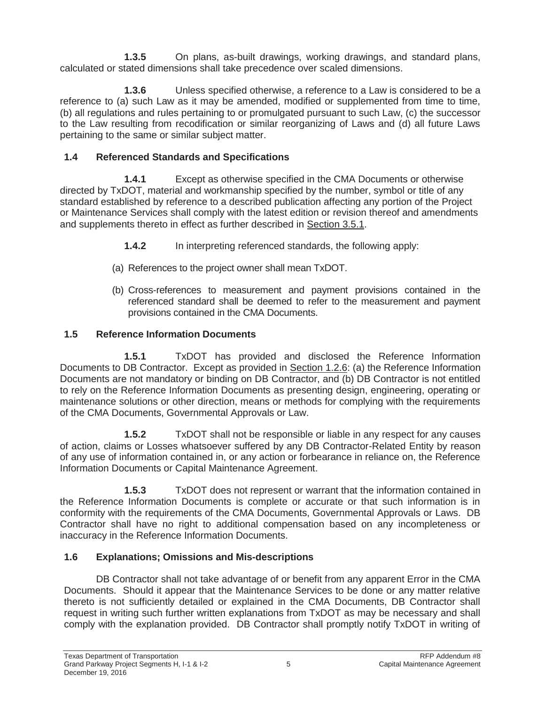**1.3.5** On plans, as-built drawings, working drawings, and standard plans, calculated or stated dimensions shall take precedence over scaled dimensions.

**1.3.6** Unless specified otherwise, a reference to a Law is considered to be a reference to (a) such Law as it may be amended, modified or supplemented from time to time, (b) all regulations and rules pertaining to or promulgated pursuant to such Law, (c) the successor to the Law resulting from recodification or similar reorganizing of Laws and (d) all future Laws pertaining to the same or similar subject matter.

# **1.4 Referenced Standards and Specifications**

**1.4.1** Except as otherwise specified in the CMA Documents or otherwise directed by TxDOT, material and workmanship specified by the number, symbol or title of any standard established by reference to a described publication affecting any portion of the Project or Maintenance Services shall comply with the latest edition or revision thereof and amendments and supplements thereto in effect as further described in Section 3.5.1.

- **1.4.2** In interpreting referenced standards, the following apply:
- (a) References to the project owner shall mean TxDOT.
- (b) Cross-references to measurement and payment provisions contained in the referenced standard shall be deemed to refer to the measurement and payment provisions contained in the CMA Documents.

# **1.5 Reference Information Documents**

**1.5.1** TxDOT has provided and disclosed the Reference Information Documents to DB Contractor. Except as provided in Section 1.2.6: (a) the Reference Information Documents are not mandatory or binding on DB Contractor, and (b) DB Contractor is not entitled to rely on the Reference Information Documents as presenting design, engineering, operating or maintenance solutions or other direction, means or methods for complying with the requirements of the CMA Documents, Governmental Approvals or Law.

**1.5.2** TxDOT shall not be responsible or liable in any respect for any causes of action, claims or Losses whatsoever suffered by any DB Contractor-Related Entity by reason of any use of information contained in, or any action or forbearance in reliance on, the Reference Information Documents or Capital Maintenance Agreement.

**1.5.3** TxDOT does not represent or warrant that the information contained in the Reference Information Documents is complete or accurate or that such information is in conformity with the requirements of the CMA Documents, Governmental Approvals or Laws. DB Contractor shall have no right to additional compensation based on any incompleteness or inaccuracy in the Reference Information Documents.

# **1.6 Explanations; Omissions and Mis-descriptions**

DB Contractor shall not take advantage of or benefit from any apparent Error in the CMA Documents. Should it appear that the Maintenance Services to be done or any matter relative thereto is not sufficiently detailed or explained in the CMA Documents, DB Contractor shall request in writing such further written explanations from TxDOT as may be necessary and shall comply with the explanation provided. DB Contractor shall promptly notify TxDOT in writing of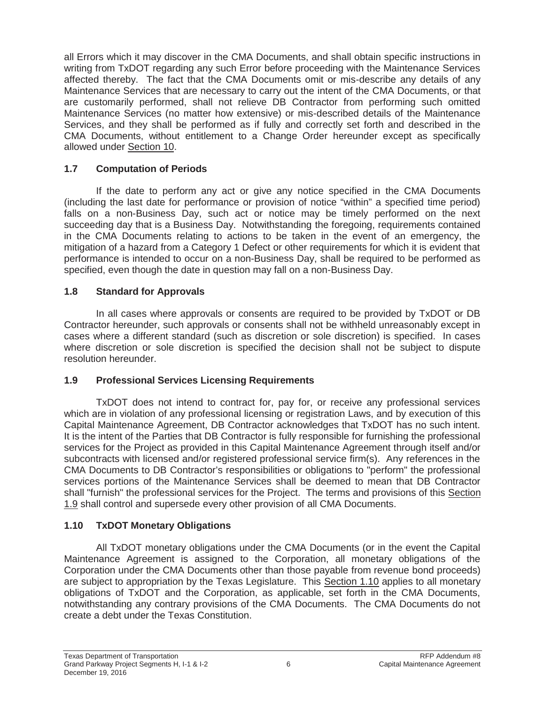all Errors which it may discover in the CMA Documents, and shall obtain specific instructions in writing from TxDOT regarding any such Error before proceeding with the Maintenance Services affected thereby. The fact that the CMA Documents omit or mis-describe any details of any Maintenance Services that are necessary to carry out the intent of the CMA Documents, or that are customarily performed, shall not relieve DB Contractor from performing such omitted Maintenance Services (no matter how extensive) or mis-described details of the Maintenance Services, and they shall be performed as if fully and correctly set forth and described in the CMA Documents, without entitlement to a Change Order hereunder except as specifically allowed under Section 10.

# **1.7 Computation of Periods**

If the date to perform any act or give any notice specified in the CMA Documents (including the last date for performance or provision of notice "within" a specified time period) falls on a non-Business Day, such act or notice may be timely performed on the next succeeding day that is a Business Day. Notwithstanding the foregoing, requirements contained in the CMA Documents relating to actions to be taken in the event of an emergency, the mitigation of a hazard from a Category 1 Defect or other requirements for which it is evident that performance is intended to occur on a non-Business Day, shall be required to be performed as specified, even though the date in question may fall on a non-Business Day.

## **1.8 Standard for Approvals**

In all cases where approvals or consents are required to be provided by TxDOT or DB Contractor hereunder, such approvals or consents shall not be withheld unreasonably except in cases where a different standard (such as discretion or sole discretion) is specified. In cases where discretion or sole discretion is specified the decision shall not be subject to dispute resolution hereunder.

## **1.9 Professional Services Licensing Requirements**

TxDOT does not intend to contract for, pay for, or receive any professional services which are in violation of any professional licensing or registration Laws, and by execution of this Capital Maintenance Agreement, DB Contractor acknowledges that TxDOT has no such intent. It is the intent of the Parties that DB Contractor is fully responsible for furnishing the professional services for the Project as provided in this Capital Maintenance Agreement through itself and/or subcontracts with licensed and/or registered professional service firm(s). Any references in the CMA Documents to DB Contractor's responsibilities or obligations to "perform" the professional services portions of the Maintenance Services shall be deemed to mean that DB Contractor shall "furnish" the professional services for the Project. The terms and provisions of this Section 1.9 shall control and supersede every other provision of all CMA Documents.

# **1.10 TxDOT Monetary Obligations**

All TxDOT monetary obligations under the CMA Documents (or in the event the Capital Maintenance Agreement is assigned to the Corporation, all monetary obligations of the Corporation under the CMA Documents other than those payable from revenue bond proceeds) are subject to appropriation by the Texas Legislature. This Section 1.10 applies to all monetary obligations of TxDOT and the Corporation, as applicable, set forth in the CMA Documents, notwithstanding any contrary provisions of the CMA Documents. The CMA Documents do not create a debt under the Texas Constitution.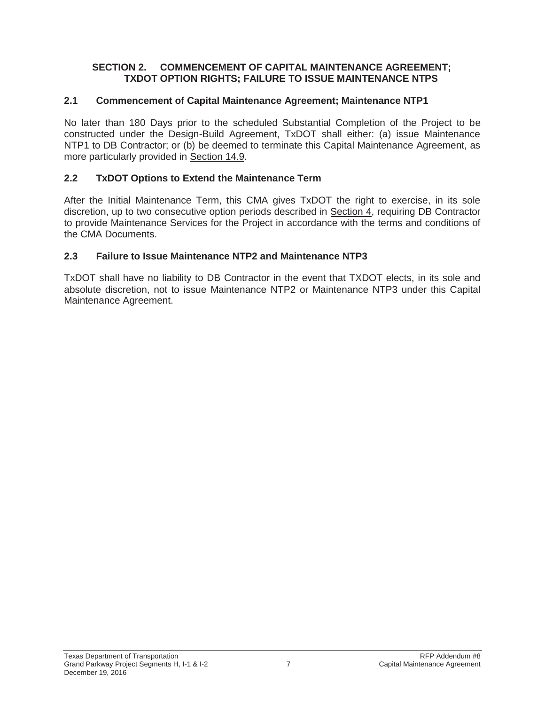#### **SECTION 2. COMMENCEMENT OF CAPITAL MAINTENANCE AGREEMENT; TXDOT OPTION RIGHTS; FAILURE TO ISSUE MAINTENANCE NTPS**

## **2.1 Commencement of Capital Maintenance Agreement; Maintenance NTP1**

No later than 180 Days prior to the scheduled Substantial Completion of the Project to be constructed under the Design-Build Agreement, TxDOT shall either: (a) issue Maintenance NTP1 to DB Contractor; or (b) be deemed to terminate this Capital Maintenance Agreement, as more particularly provided in Section 14.9.

## **2.2 TxDOT Options to Extend the Maintenance Term**

After the Initial Maintenance Term, this CMA gives TxDOT the right to exercise, in its sole discretion, up to two consecutive option periods described in Section 4, requiring DB Contractor to provide Maintenance Services for the Project in accordance with the terms and conditions of the CMA Documents.

## **2.3 Failure to Issue Maintenance NTP2 and Maintenance NTP3**

TxDOT shall have no liability to DB Contractor in the event that TXDOT elects, in its sole and absolute discretion, not to issue Maintenance NTP2 or Maintenance NTP3 under this Capital Maintenance Agreement.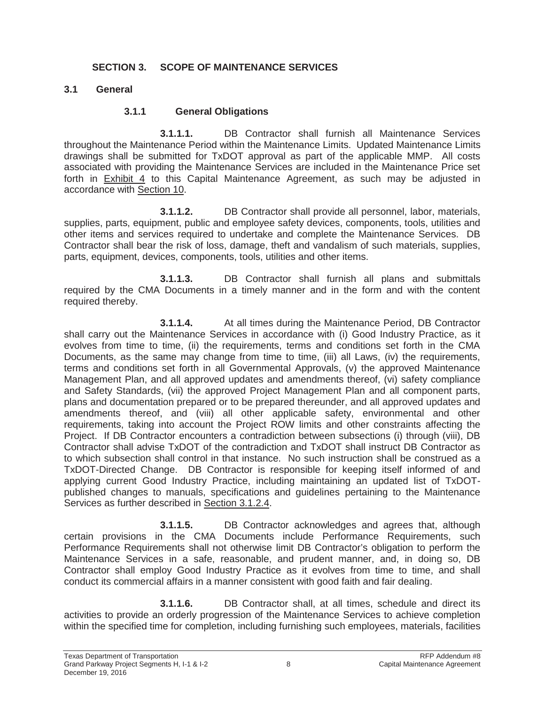#### **SECTION 3. SCOPE OF MAINTENANCE SERVICES**

#### **3.1 General**

#### **3.1.1 General Obligations**

**3.1.1.1.** DB Contractor shall furnish all Maintenance Services throughout the Maintenance Period within the Maintenance Limits. Updated Maintenance Limits drawings shall be submitted for TxDOT approval as part of the applicable MMP. All costs associated with providing the Maintenance Services are included in the Maintenance Price set forth in Exhibit 4 to this Capital Maintenance Agreement, as such may be adjusted in accordance with Section 10.

**3.1.1.2.** DB Contractor shall provide all personnel, labor, materials, supplies, parts, equipment, public and employee safety devices, components, tools, utilities and other items and services required to undertake and complete the Maintenance Services. DB Contractor shall bear the risk of loss, damage, theft and vandalism of such materials, supplies, parts, equipment, devices, components, tools, utilities and other items.

**3.1.1.3.** DB Contractor shall furnish all plans and submittals required by the CMA Documents in a timely manner and in the form and with the content required thereby.

**3.1.1.4.** At all times during the Maintenance Period, DB Contractor shall carry out the Maintenance Services in accordance with (i) Good Industry Practice, as it evolves from time to time, (ii) the requirements, terms and conditions set forth in the CMA Documents, as the same may change from time to time, (iii) all Laws, (iv) the requirements, terms and conditions set forth in all Governmental Approvals, (v) the approved Maintenance Management Plan, and all approved updates and amendments thereof, (vi) safety compliance and Safety Standards, (vii) the approved Project Management Plan and all component parts, plans and documentation prepared or to be prepared thereunder, and all approved updates and amendments thereof, and (viii) all other applicable safety, environmental and other requirements, taking into account the Project ROW limits and other constraints affecting the Project. If DB Contractor encounters a contradiction between subsections (i) through (viii), DB Contractor shall advise TxDOT of the contradiction and TxDOT shall instruct DB Contractor as to which subsection shall control in that instance. No such instruction shall be construed as a TxDOT-Directed Change. DB Contractor is responsible for keeping itself informed of and applying current Good Industry Practice, including maintaining an updated list of TxDOTpublished changes to manuals, specifications and guidelines pertaining to the Maintenance Services as further described in Section 3.1.2.4.

**3.1.1.5.** DB Contractor acknowledges and agrees that, although certain provisions in the CMA Documents include Performance Requirements, such Performance Requirements shall not otherwise limit DB Contractor's obligation to perform the Maintenance Services in a safe, reasonable, and prudent manner, and, in doing so, DB Contractor shall employ Good Industry Practice as it evolves from time to time, and shall conduct its commercial affairs in a manner consistent with good faith and fair dealing.

**3.1.1.6.** DB Contractor shall, at all times, schedule and direct its activities to provide an orderly progression of the Maintenance Services to achieve completion within the specified time for completion, including furnishing such employees, materials, facilities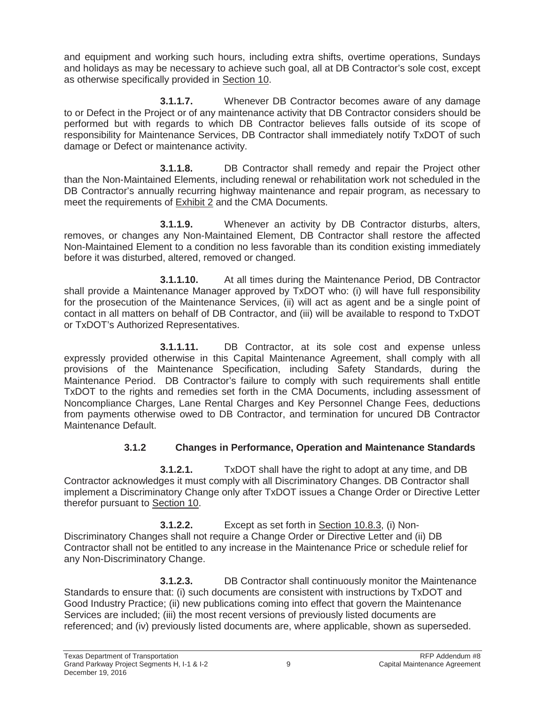and equipment and working such hours, including extra shifts, overtime operations, Sundays and holidays as may be necessary to achieve such goal, all at DB Contractor's sole cost, except as otherwise specifically provided in Section 10.

**3.1.1.7.** Whenever DB Contractor becomes aware of any damage to or Defect in the Project or of any maintenance activity that DB Contractor considers should be performed but with regards to which DB Contractor believes falls outside of its scope of responsibility for Maintenance Services, DB Contractor shall immediately notify TxDOT of such damage or Defect or maintenance activity.

**3.1.1.8.** DB Contractor shall remedy and repair the Project other than the Non-Maintained Elements, including renewal or rehabilitation work not scheduled in the DB Contractor's annually recurring highway maintenance and repair program, as necessary to meet the requirements of Exhibit 2 and the CMA Documents.

**3.1.1.9.** Whenever an activity by DB Contractor disturbs, alters, removes, or changes any Non-Maintained Element, DB Contractor shall restore the affected Non-Maintained Element to a condition no less favorable than its condition existing immediately before it was disturbed, altered, removed or changed.

**3.1.1.10.** At all times during the Maintenance Period, DB Contractor shall provide a Maintenance Manager approved by TxDOT who: (i) will have full responsibility for the prosecution of the Maintenance Services, (ii) will act as agent and be a single point of contact in all matters on behalf of DB Contractor, and (iii) will be available to respond to TxDOT or TxDOT's Authorized Representatives.

**3.1.1.11.** DB Contractor, at its sole cost and expense unless expressly provided otherwise in this Capital Maintenance Agreement, shall comply with all provisions of the Maintenance Specification, including Safety Standards, during the Maintenance Period. DB Contractor's failure to comply with such requirements shall entitle TxDOT to the rights and remedies set forth in the CMA Documents, including assessment of Noncompliance Charges, Lane Rental Charges and Key Personnel Change Fees, deductions from payments otherwise owed to DB Contractor, and termination for uncured DB Contractor Maintenance Default.

# **3.1.2 Changes in Performance, Operation and Maintenance Standards**

**3.1.2.1.** TxDOT shall have the right to adopt at any time, and DB Contractor acknowledges it must comply with all Discriminatory Changes. DB Contractor shall implement a Discriminatory Change only after TxDOT issues a Change Order or Directive Letter therefor pursuant to Section 10.

**3.1.2.2.** Except as set forth in Section 10.8.3, (i) Non-Discriminatory Changes shall not require a Change Order or Directive Letter and (ii) DB Contractor shall not be entitled to any increase in the Maintenance Price or schedule relief for any Non-Discriminatory Change.

**3.1.2.3.** DB Contractor shall continuously monitor the Maintenance Standards to ensure that: (i) such documents are consistent with instructions by TxDOT and Good Industry Practice; (ii) new publications coming into effect that govern the Maintenance Services are included; (iii) the most recent versions of previously listed documents are referenced; and (iv) previously listed documents are, where applicable, shown as superseded.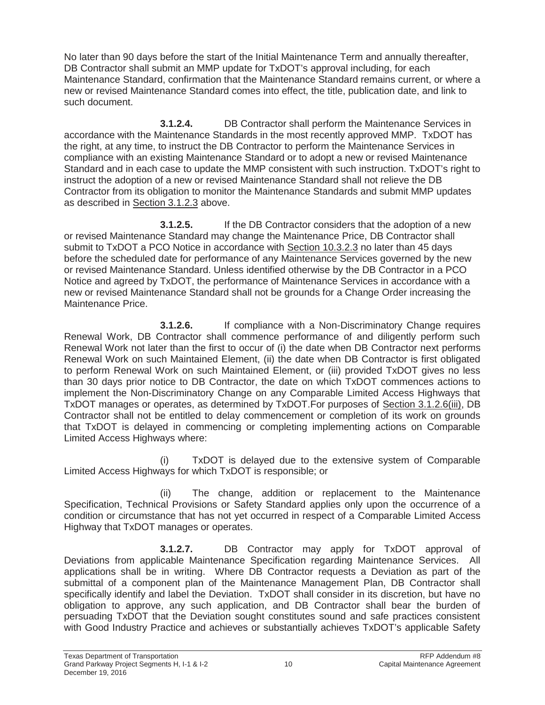No later than 90 days before the start of the Initial Maintenance Term and annually thereafter, DB Contractor shall submit an MMP update for TxDOT's approval including, for each Maintenance Standard, confirmation that the Maintenance Standard remains current, or where a new or revised Maintenance Standard comes into effect, the title, publication date, and link to such document.

**3.1.2.4.** DB Contractor shall perform the Maintenance Services in accordance with the Maintenance Standards in the most recently approved MMP. TxDOT has the right, at any time, to instruct the DB Contractor to perform the Maintenance Services in compliance with an existing Maintenance Standard or to adopt a new or revised Maintenance Standard and in each case to update the MMP consistent with such instruction. TxDOT's right to instruct the adoption of a new or revised Maintenance Standard shall not relieve the DB Contractor from its obligation to monitor the Maintenance Standards and submit MMP updates as described in Section 3.1.2.3 above.

**3.1.2.5.** If the DB Contractor considers that the adoption of a new or revised Maintenance Standard may change the Maintenance Price, DB Contractor shall submit to TxDOT a PCO Notice in accordance with Section 10.3.2.3 no later than 45 days before the scheduled date for performance of any Maintenance Services governed by the new or revised Maintenance Standard. Unless identified otherwise by the DB Contractor in a PCO Notice and agreed by TxDOT, the performance of Maintenance Services in accordance with a new or revised Maintenance Standard shall not be grounds for a Change Order increasing the Maintenance Price.

**3.1.2.6.** If compliance with a Non-Discriminatory Change requires Renewal Work, DB Contractor shall commence performance of and diligently perform such Renewal Work not later than the first to occur of (i) the date when DB Contractor next performs Renewal Work on such Maintained Element, (ii) the date when DB Contractor is first obligated to perform Renewal Work on such Maintained Element, or (iii) provided TxDOT gives no less than 30 days prior notice to DB Contractor, the date on which TxDOT commences actions to implement the Non-Discriminatory Change on any Comparable Limited Access Highways that TxDOT manages or operates, as determined by TxDOT.For purposes of Section 3.1.2.6(iii), DB Contractor shall not be entitled to delay commencement or completion of its work on grounds that TxDOT is delayed in commencing or completing implementing actions on Comparable Limited Access Highways where:

(i) TxDOT is delayed due to the extensive system of Comparable Limited Access Highways for which TxDOT is responsible; or

(ii) The change, addition or replacement to the Maintenance Specification, Technical Provisions or Safety Standard applies only upon the occurrence of a condition or circumstance that has not yet occurred in respect of a Comparable Limited Access Highway that TxDOT manages or operates.

**3.1.2.7.** DB Contractor may apply for TxDOT approval of Deviations from applicable Maintenance Specification regarding Maintenance Services. All applications shall be in writing. Where DB Contractor requests a Deviation as part of the submittal of a component plan of the Maintenance Management Plan, DB Contractor shall specifically identify and label the Deviation. TxDOT shall consider in its discretion, but have no obligation to approve, any such application, and DB Contractor shall bear the burden of persuading TxDOT that the Deviation sought constitutes sound and safe practices consistent with Good Industry Practice and achieves or substantially achieves TxDOT's applicable Safety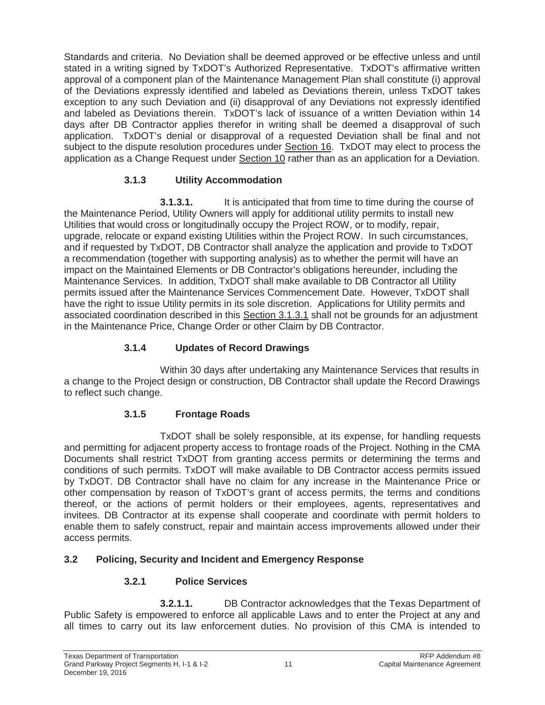Standards and criteria. No Deviation shall be deemed approved or be effective unless and until stated in a writing signed by TxDOT's Authorized Representative. TxDOT's affirmative written approval of a component plan of the Maintenance Management Plan shall constitute (i) approval of the Deviations expressly identified and labeled as Deviations therein, unless TxDOT takes exception to any such Deviation and (ii) disapproval of any Deviations not expressly identified and labeled as Deviations therein. TxDOT's lack of issuance of a written Deviation within 14 days after DB Contractor applies therefor in writing shall be deemed a disapproval of such application. TxDOT's denial or disapproval of a requested Deviation shall be final and not subject to the dispute resolution procedures under Section 16. TxDOT may elect to process the application as a Change Request under Section 10 rather than as an application for a Deviation.

# **3.1.3 Utility Accommodation**

**3.1.3.1.** It is anticipated that from time to time during the course of the Maintenance Period, Utility Owners will apply for additional utility permits to install new Utilities that would cross or longitudinally occupy the Project ROW, or to modify, repair, upgrade, relocate or expand existing Utilities within the Project ROW. In such circumstances, and if requested by TxDOT, DB Contractor shall analyze the application and provide to TxDOT a recommendation (together with supporting analysis) as to whether the permit will have an impact on the Maintained Elements or DB Contractor's obligations hereunder, including the Maintenance Services. In addition, TxDOT shall make available to DB Contractor all Utility permits issued after the Maintenance Services Commencement Date. However, TxDOT shall have the right to issue Utility permits in its sole discretion. Applications for Utility permits and associated coordination described in this Section 3.1.3.1 shall not be grounds for an adjustment in the Maintenance Price, Change Order or other Claim by DB Contractor.

## **3.1.4 Updates of Record Drawings**

Within 30 days after undertaking any Maintenance Services that results in a change to the Project design or construction, DB Contractor shall update the Record Drawings to reflect such change.

## **3.1.5 Frontage Roads**

TxDOT shall be solely responsible, at its expense, for handling requests and permitting for adjacent property access to frontage roads of the Project. Nothing in the CMA Documents shall restrict TxDOT from granting access permits or determining the terms and conditions of such permits. TxDOT will make available to DB Contractor access permits issued by TxDOT. DB Contractor shall have no claim for any increase in the Maintenance Price or other compensation by reason of TxDOT's grant of access permits, the terms and conditions thereof, or the actions of permit holders or their employees, agents, representatives and invitees. DB Contractor at its expense shall cooperate and coordinate with permit holders to enable them to safely construct, repair and maintain access improvements allowed under their access permits.

## **3.2 Policing, Security and Incident and Emergency Response**

# **3.2.1 Police Services**

**3.2.1.1.** DB Contractor acknowledges that the Texas Department of Public Safety is empowered to enforce all applicable Laws and to enter the Project at any and all times to carry out its law enforcement duties. No provision of this CMA is intended to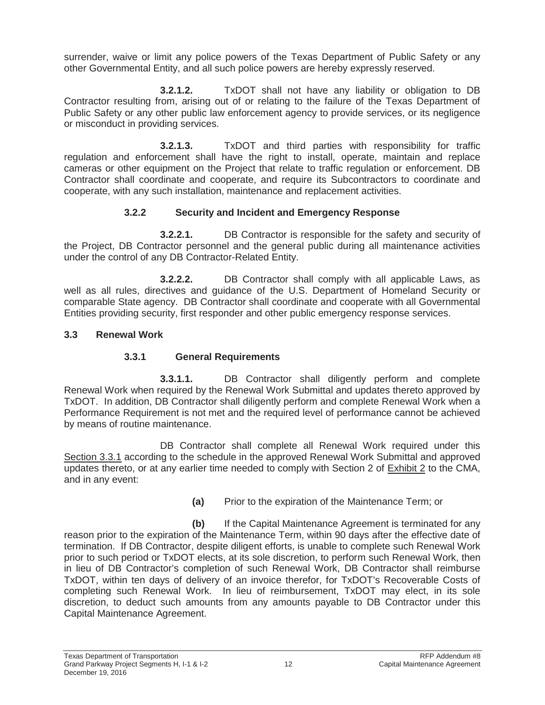surrender, waive or limit any police powers of the Texas Department of Public Safety or any other Governmental Entity, and all such police powers are hereby expressly reserved.

**3.2.1.2.** TxDOT shall not have any liability or obligation to DB Contractor resulting from, arising out of or relating to the failure of the Texas Department of Public Safety or any other public law enforcement agency to provide services, or its negligence or misconduct in providing services.

**3.2.1.3.** TxDOT and third parties with responsibility for traffic regulation and enforcement shall have the right to install, operate, maintain and replace cameras or other equipment on the Project that relate to traffic regulation or enforcement. DB Contractor shall coordinate and cooperate, and require its Subcontractors to coordinate and cooperate, with any such installation, maintenance and replacement activities.

# **3.2.2 Security and Incident and Emergency Response**

**3.2.2.1.** DB Contractor is responsible for the safety and security of the Project, DB Contractor personnel and the general public during all maintenance activities under the control of any DB Contractor-Related Entity.

**3.2.2.2.** DB Contractor shall comply with all applicable Laws, as well as all rules, directives and guidance of the U.S. Department of Homeland Security or comparable State agency. DB Contractor shall coordinate and cooperate with all Governmental Entities providing security, first responder and other public emergency response services.

# **3.3 Renewal Work**

# **3.3.1 General Requirements**

**3.3.1.1.** DB Contractor shall diligently perform and complete Renewal Work when required by the Renewal Work Submittal and updates thereto approved by TxDOT. In addition, DB Contractor shall diligently perform and complete Renewal Work when a Performance Requirement is not met and the required level of performance cannot be achieved by means of routine maintenance.

DB Contractor shall complete all Renewal Work required under this Section 3.3.1 according to the schedule in the approved Renewal Work Submittal and approved updates thereto, or at any earlier time needed to comply with Section 2 of Exhibit 2 to the CMA, and in any event:

**(a)** Prior to the expiration of the Maintenance Term; or

**(b)** If the Capital Maintenance Agreement is terminated for any reason prior to the expiration of the Maintenance Term, within 90 days after the effective date of termination. If DB Contractor, despite diligent efforts, is unable to complete such Renewal Work prior to such period or TxDOT elects, at its sole discretion, to perform such Renewal Work, then in lieu of DB Contractor's completion of such Renewal Work, DB Contractor shall reimburse TxDOT, within ten days of delivery of an invoice therefor, for TxDOT's Recoverable Costs of completing such Renewal Work. In lieu of reimbursement, TxDOT may elect, in its sole discretion, to deduct such amounts from any amounts payable to DB Contractor under this Capital Maintenance Agreement.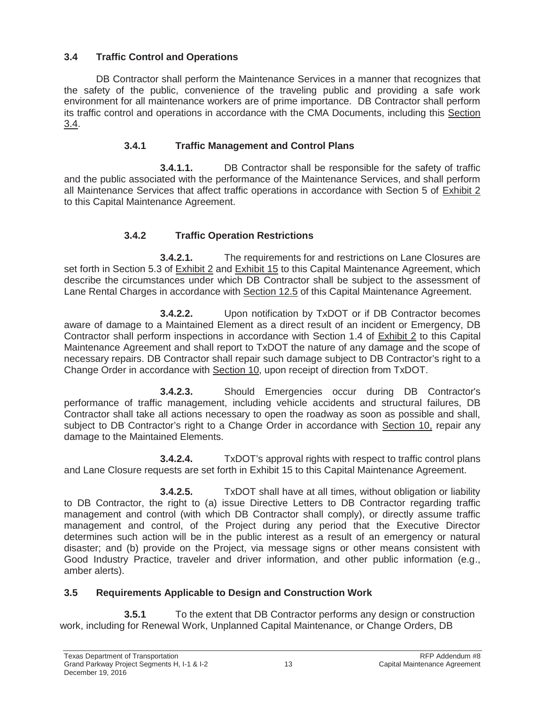# **3.4 Traffic Control and Operations**

DB Contractor shall perform the Maintenance Services in a manner that recognizes that the safety of the public, convenience of the traveling public and providing a safe work environment for all maintenance workers are of prime importance. DB Contractor shall perform its traffic control and operations in accordance with the CMA Documents, including this Section 3.4.

# **3.4.1 Traffic Management and Control Plans**

**3.4.1.1.** DB Contractor shall be responsible for the safety of traffic and the public associated with the performance of the Maintenance Services, and shall perform all Maintenance Services that affect traffic operations in accordance with Section 5 of Exhibit 2 to this Capital Maintenance Agreement.

# **3.4.2 Traffic Operation Restrictions**

**3.4.2.1.** The requirements for and restrictions on Lane Closures are set forth in Section 5.3 of Exhibit 2 and Exhibit 15 to this Capital Maintenance Agreement, which describe the circumstances under which DB Contractor shall be subject to the assessment of Lane Rental Charges in accordance with Section 12.5 of this Capital Maintenance Agreement.

**3.4.2.2.** Upon notification by TxDOT or if DB Contractor becomes aware of damage to a Maintained Element as a direct result of an incident or Emergency, DB Contractor shall perform inspections in accordance with Section 1.4 of Exhibit 2 to this Capital Maintenance Agreement and shall report to TxDOT the nature of any damage and the scope of necessary repairs. DB Contractor shall repair such damage subject to DB Contractor's right to a Change Order in accordance with Section 10, upon receipt of direction from TxDOT.

**3.4.2.3.** Should Emergencies occur during DB Contractor's performance of traffic management, including vehicle accidents and structural failures, DB Contractor shall take all actions necessary to open the roadway as soon as possible and shall, subject to DB Contractor's right to a Change Order in accordance with Section 10, repair any damage to the Maintained Elements.

**3.4.2.4.** TxDOT's approval rights with respect to traffic control plans and Lane Closure requests are set forth in Exhibit 15 to this Capital Maintenance Agreement.

**3.4.2.5.** TxDOT shall have at all times, without obligation or liability to DB Contractor, the right to (a) issue Directive Letters to DB Contractor regarding traffic management and control (with which DB Contractor shall comply), or directly assume traffic management and control, of the Project during any period that the Executive Director determines such action will be in the public interest as a result of an emergency or natural disaster; and (b) provide on the Project, via message signs or other means consistent with Good Industry Practice, traveler and driver information, and other public information (e.g., amber alerts).

# **3.5 Requirements Applicable to Design and Construction Work**

**3.5.1** To the extent that DB Contractor performs any design or construction work, including for Renewal Work, Unplanned Capital Maintenance, or Change Orders, DB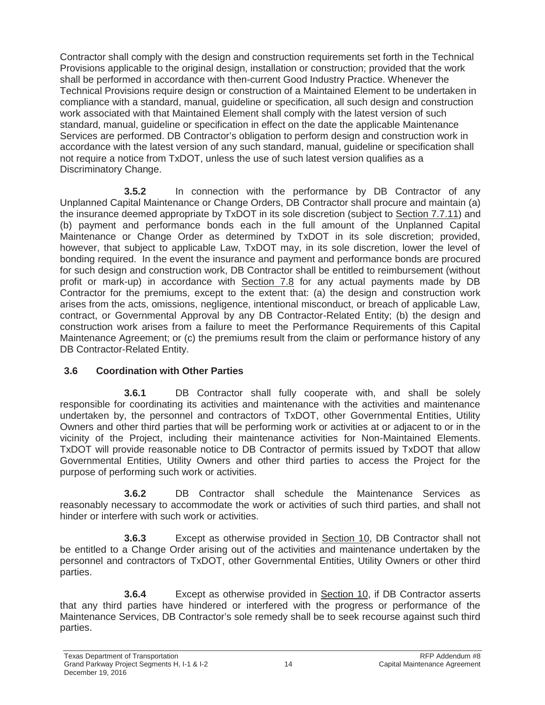Contractor shall comply with the design and construction requirements set forth in the Technical Provisions applicable to the original design, installation or construction; provided that the work shall be performed in accordance with then-current Good Industry Practice. Whenever the Technical Provisions require design or construction of a Maintained Element to be undertaken in compliance with a standard, manual, guideline or specification, all such design and construction work associated with that Maintained Element shall comply with the latest version of such standard, manual, guideline or specification in effect on the date the applicable Maintenance Services are performed. DB Contractor's obligation to perform design and construction work in accordance with the latest version of any such standard, manual, guideline or specification shall not require a notice from TxDOT, unless the use of such latest version qualifies as a Discriminatory Change.

**3.5.2** In connection with the performance by DB Contractor of any Unplanned Capital Maintenance or Change Orders, DB Contractor shall procure and maintain (a) the insurance deemed appropriate by TxDOT in its sole discretion (subject to Section 7.7.11) and (b) payment and performance bonds each in the full amount of the Unplanned Capital Maintenance or Change Order as determined by TxDOT in its sole discretion; provided, however, that subject to applicable Law, TxDOT may, in its sole discretion, lower the level of bonding required. In the event the insurance and payment and performance bonds are procured for such design and construction work, DB Contractor shall be entitled to reimbursement (without profit or mark-up) in accordance with Section 7.8 for any actual payments made by DB Contractor for the premiums, except to the extent that: (a) the design and construction work arises from the acts, omissions, negligence, intentional misconduct, or breach of applicable Law, contract, or Governmental Approval by any DB Contractor-Related Entity; (b) the design and construction work arises from a failure to meet the Performance Requirements of this Capital Maintenance Agreement; or (c) the premiums result from the claim or performance history of any DB Contractor-Related Entity.

# **3.6 Coordination with Other Parties**

**3.6.1** DB Contractor shall fully cooperate with, and shall be solely responsible for coordinating its activities and maintenance with the activities and maintenance undertaken by, the personnel and contractors of TxDOT, other Governmental Entities, Utility Owners and other third parties that will be performing work or activities at or adjacent to or in the vicinity of the Project, including their maintenance activities for Non-Maintained Elements. TxDOT will provide reasonable notice to DB Contractor of permits issued by TxDOT that allow Governmental Entities, Utility Owners and other third parties to access the Project for the purpose of performing such work or activities.

**3.6.2** DB Contractor shall schedule the Maintenance Services as reasonably necessary to accommodate the work or activities of such third parties, and shall not hinder or interfere with such work or activities.

**3.6.3** Except as otherwise provided in Section 10, DB Contractor shall not be entitled to a Change Order arising out of the activities and maintenance undertaken by the personnel and contractors of TxDOT, other Governmental Entities, Utility Owners or other third parties.

**3.6.4** Except as otherwise provided in Section 10, if DB Contractor asserts that any third parties have hindered or interfered with the progress or performance of the Maintenance Services, DB Contractor's sole remedy shall be to seek recourse against such third parties.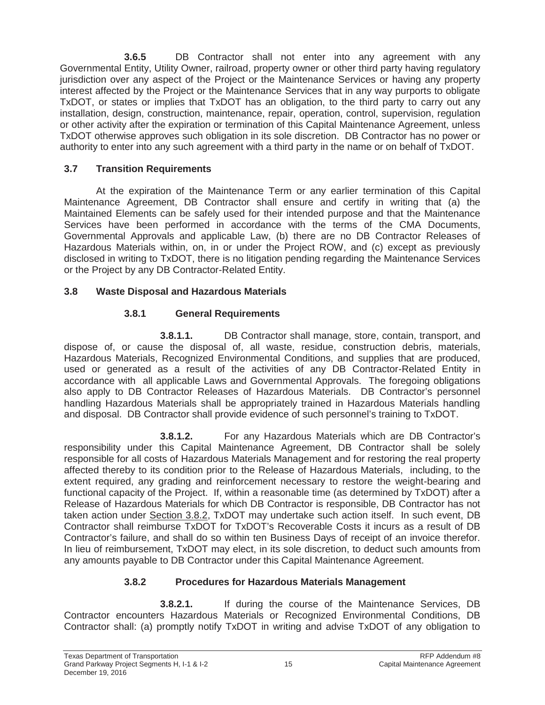**3.6.5** DB Contractor shall not enter into any agreement with any Governmental Entity, Utility Owner, railroad, property owner or other third party having regulatory jurisdiction over any aspect of the Project or the Maintenance Services or having any property interest affected by the Project or the Maintenance Services that in any way purports to obligate TxDOT, or states or implies that TxDOT has an obligation, to the third party to carry out any installation, design, construction, maintenance, repair, operation, control, supervision, regulation or other activity after the expiration or termination of this Capital Maintenance Agreement, unless TxDOT otherwise approves such obligation in its sole discretion. DB Contractor has no power or authority to enter into any such agreement with a third party in the name or on behalf of TxDOT.

# **3.7 Transition Requirements**

At the expiration of the Maintenance Term or any earlier termination of this Capital Maintenance Agreement, DB Contractor shall ensure and certify in writing that (a) the Maintained Elements can be safely used for their intended purpose and that the Maintenance Services have been performed in accordance with the terms of the CMA Documents, Governmental Approvals and applicable Law, (b) there are no DB Contractor Releases of Hazardous Materials within, on, in or under the Project ROW, and (c) except as previously disclosed in writing to TxDOT, there is no litigation pending regarding the Maintenance Services or the Project by any DB Contractor-Related Entity.

# **3.8 Waste Disposal and Hazardous Materials**

# **3.8.1 General Requirements**

**3.8.1.1.** DB Contractor shall manage, store, contain, transport, and dispose of, or cause the disposal of, all waste, residue, construction debris, materials, Hazardous Materials, Recognized Environmental Conditions, and supplies that are produced, used or generated as a result of the activities of any DB Contractor-Related Entity in accordance with all applicable Laws and Governmental Approvals. The foregoing obligations also apply to DB Contractor Releases of Hazardous Materials. DB Contractor's personnel handling Hazardous Materials shall be appropriately trained in Hazardous Materials handling and disposal. DB Contractor shall provide evidence of such personnel's training to TxDOT.

**3.8.1.2.** For any Hazardous Materials which are DB Contractor's responsibility under this Capital Maintenance Agreement, DB Contractor shall be solely responsible for all costs of Hazardous Materials Management and for restoring the real property affected thereby to its condition prior to the Release of Hazardous Materials, including, to the extent required, any grading and reinforcement necessary to restore the weight-bearing and functional capacity of the Project. If, within a reasonable time (as determined by TxDOT) after a Release of Hazardous Materials for which DB Contractor is responsible, DB Contractor has not taken action under Section 3.8.2, TxDOT may undertake such action itself. In such event, DB Contractor shall reimburse TxDOT for TxDOT's Recoverable Costs it incurs as a result of DB Contractor's failure, and shall do so within ten Business Days of receipt of an invoice therefor. In lieu of reimbursement, TxDOT may elect, in its sole discretion, to deduct such amounts from any amounts payable to DB Contractor under this Capital Maintenance Agreement.

# **3.8.2 Procedures for Hazardous Materials Management**

**3.8.2.1.** If during the course of the Maintenance Services, DB Contractor encounters Hazardous Materials or Recognized Environmental Conditions, DB Contractor shall: (a) promptly notify TxDOT in writing and advise TxDOT of any obligation to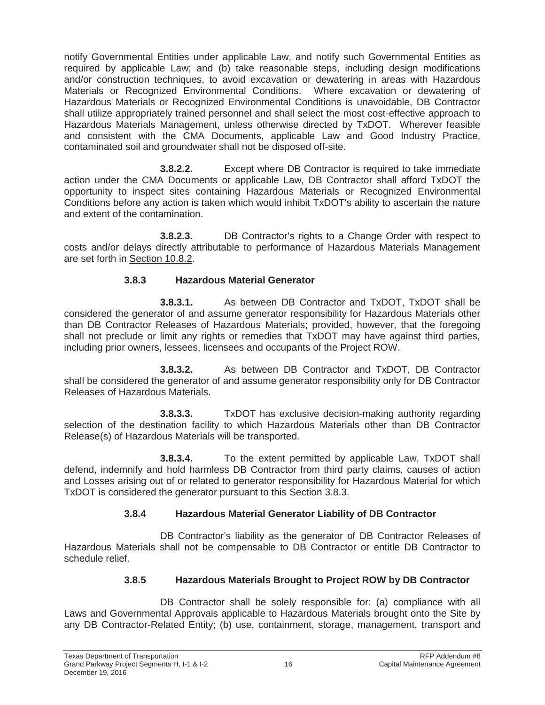notify Governmental Entities under applicable Law, and notify such Governmental Entities as required by applicable Law; and (b) take reasonable steps, including design modifications and/or construction techniques, to avoid excavation or dewatering in areas with Hazardous Materials or Recognized Environmental Conditions. Where excavation or dewatering of Hazardous Materials or Recognized Environmental Conditions is unavoidable, DB Contractor shall utilize appropriately trained personnel and shall select the most cost-effective approach to Hazardous Materials Management, unless otherwise directed by TxDOT. Wherever feasible and consistent with the CMA Documents, applicable Law and Good Industry Practice, contaminated soil and groundwater shall not be disposed off-site.

**3.8.2.2.** Except where DB Contractor is required to take immediate action under the CMA Documents or applicable Law, DB Contractor shall afford TxDOT the opportunity to inspect sites containing Hazardous Materials or Recognized Environmental Conditions before any action is taken which would inhibit TxDOT's ability to ascertain the nature and extent of the contamination.

**3.8.2.3.** DB Contractor's rights to a Change Order with respect to costs and/or delays directly attributable to performance of Hazardous Materials Management are set forth in Section 10.8.2.

# **3.8.3 Hazardous Material Generator**

**3.8.3.1.** As between DB Contractor and TxDOT, TxDOT shall be considered the generator of and assume generator responsibility for Hazardous Materials other than DB Contractor Releases of Hazardous Materials; provided, however, that the foregoing shall not preclude or limit any rights or remedies that TxDOT may have against third parties, including prior owners, lessees, licensees and occupants of the Project ROW.

**3.8.3.2.** As between DB Contractor and TxDOT, DB Contractor shall be considered the generator of and assume generator responsibility only for DB Contractor Releases of Hazardous Materials.

**3.8.3.3.** TxDOT has exclusive decision-making authority regarding selection of the destination facility to which Hazardous Materials other than DB Contractor Release(s) of Hazardous Materials will be transported.

**3.8.3.4.** To the extent permitted by applicable Law, TxDOT shall defend, indemnify and hold harmless DB Contractor from third party claims, causes of action and Losses arising out of or related to generator responsibility for Hazardous Material for which TxDOT is considered the generator pursuant to this Section 3.8.3.

# **3.8.4 Hazardous Material Generator Liability of DB Contractor**

DB Contractor's liability as the generator of DB Contractor Releases of Hazardous Materials shall not be compensable to DB Contractor or entitle DB Contractor to schedule relief.

# **3.8.5 Hazardous Materials Brought to Project ROW by DB Contractor**

DB Contractor shall be solely responsible for: (a) compliance with all Laws and Governmental Approvals applicable to Hazardous Materials brought onto the Site by any DB Contractor-Related Entity; (b) use, containment, storage, management, transport and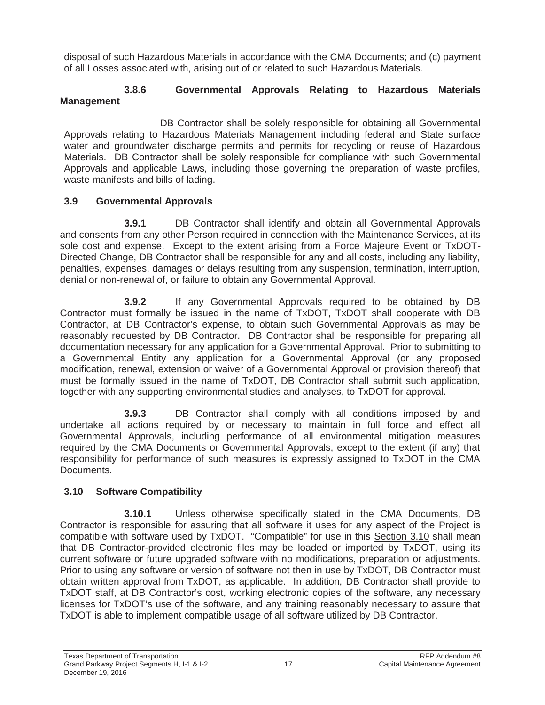disposal of such Hazardous Materials in accordance with the CMA Documents; and (c) payment of all Losses associated with, arising out of or related to such Hazardous Materials.

## **3.8.6 Governmental Approvals Relating to Hazardous Materials Management**

DB Contractor shall be solely responsible for obtaining all Governmental Approvals relating to Hazardous Materials Management including federal and State surface water and groundwater discharge permits and permits for recycling or reuse of Hazardous Materials. DB Contractor shall be solely responsible for compliance with such Governmental Approvals and applicable Laws, including those governing the preparation of waste profiles, waste manifests and bills of lading.

# **3.9 Governmental Approvals**

**3.9.1 DB Contractor shall identify and obtain all Governmental Approvals** and consents from any other Person required in connection with the Maintenance Services, at its sole cost and expense. Except to the extent arising from a Force Majeure Event or TxDOT-Directed Change, DB Contractor shall be responsible for any and all costs, including any liability, penalties, expenses, damages or delays resulting from any suspension, termination, interruption, denial or non-renewal of, or failure to obtain any Governmental Approval.

**3.9.2** If any Governmental Approvals required to be obtained by DB Contractor must formally be issued in the name of TxDOT, TxDOT shall cooperate with DB Contractor, at DB Contractor's expense, to obtain such Governmental Approvals as may be reasonably requested by DB Contractor. DB Contractor shall be responsible for preparing all documentation necessary for any application for a Governmental Approval. Prior to submitting to a Governmental Entity any application for a Governmental Approval (or any proposed modification, renewal, extension or waiver of a Governmental Approval or provision thereof) that must be formally issued in the name of TxDOT, DB Contractor shall submit such application, together with any supporting environmental studies and analyses, to TxDOT for approval.

**3.9.3** DB Contractor shall comply with all conditions imposed by and undertake all actions required by or necessary to maintain in full force and effect all Governmental Approvals, including performance of all environmental mitigation measures required by the CMA Documents or Governmental Approvals, except to the extent (if any) that responsibility for performance of such measures is expressly assigned to TxDOT in the CMA Documents.

# **3.10 Software Compatibility**

**3.10.1** Unless otherwise specifically stated in the CMA Documents, DB Contractor is responsible for assuring that all software it uses for any aspect of the Project is compatible with software used by TxDOT. "Compatible" for use in this Section 3.10 shall mean that DB Contractor-provided electronic files may be loaded or imported by TxDOT, using its current software or future upgraded software with no modifications, preparation or adjustments. Prior to using any software or version of software not then in use by TxDOT, DB Contractor must obtain written approval from TxDOT, as applicable. In addition, DB Contractor shall provide to TxDOT staff, at DB Contractor's cost, working electronic copies of the software, any necessary licenses for TxDOT's use of the software, and any training reasonably necessary to assure that TxDOT is able to implement compatible usage of all software utilized by DB Contractor.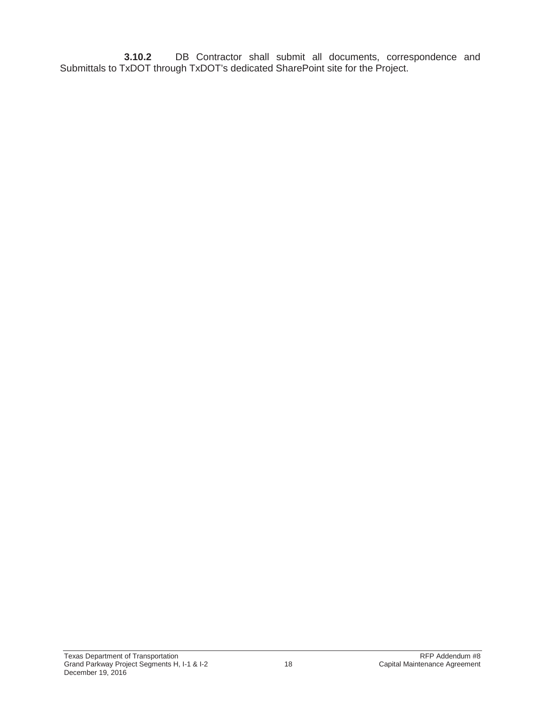**3.10.2** DB Contractor shall submit all documents, correspondence and Submittals to TxDOT through TxDOT's dedicated SharePoint site for the Project.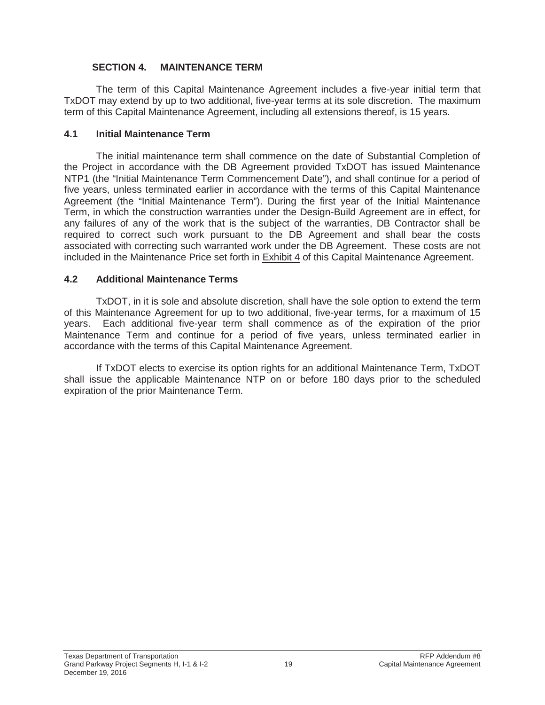#### **SECTION 4. MAINTENANCE TERM**

The term of this Capital Maintenance Agreement includes a five-year initial term that TxDOT may extend by up to two additional, five-year terms at its sole discretion. The maximum term of this Capital Maintenance Agreement, including all extensions thereof, is 15 years.

#### **4.1 Initial Maintenance Term**

The initial maintenance term shall commence on the date of Substantial Completion of the Project in accordance with the DB Agreement provided TxDOT has issued Maintenance NTP1 (the "Initial Maintenance Term Commencement Date"), and shall continue for a period of five years, unless terminated earlier in accordance with the terms of this Capital Maintenance Agreement (the "Initial Maintenance Term"). During the first year of the Initial Maintenance Term, in which the construction warranties under the Design-Build Agreement are in effect, for any failures of any of the work that is the subject of the warranties, DB Contractor shall be required to correct such work pursuant to the DB Agreement and shall bear the costs associated with correcting such warranted work under the DB Agreement. These costs are not included in the Maintenance Price set forth in Exhibit 4 of this Capital Maintenance Agreement.

#### **4.2 Additional Maintenance Terms**

TxDOT, in it is sole and absolute discretion, shall have the sole option to extend the term of this Maintenance Agreement for up to two additional, five-year terms, for a maximum of 15 years. Each additional five-year term shall commence as of the expiration of the prior Maintenance Term and continue for a period of five years, unless terminated earlier in accordance with the terms of this Capital Maintenance Agreement.

If TxDOT elects to exercise its option rights for an additional Maintenance Term, TxDOT shall issue the applicable Maintenance NTP on or before 180 days prior to the scheduled expiration of the prior Maintenance Term.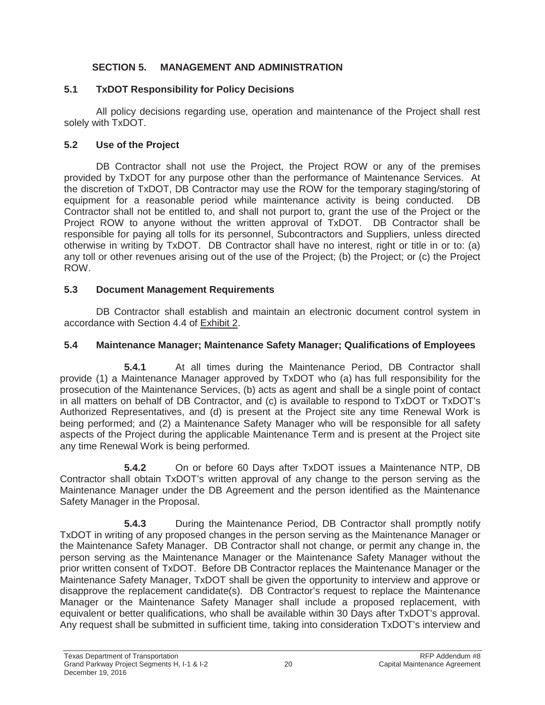## **SECTION 5. MANAGEMENT AND ADMINISTRATION**

## **5.1 TxDOT Responsibility for Policy Decisions**

All policy decisions regarding use, operation and maintenance of the Project shall rest solely with TxDOT.

## **5.2 Use of the Project**

DB Contractor shall not use the Project, the Project ROW or any of the premises provided by TxDOT for any purpose other than the performance of Maintenance Services. At the discretion of TxDOT, DB Contractor may use the ROW for the temporary staging/storing of equipment for a reasonable period while maintenance activity is being conducted. DB Contractor shall not be entitled to, and shall not purport to, grant the use of the Project or the Project ROW to anyone without the written approval of TxDOT. DB Contractor shall be responsible for paying all tolls for its personnel, Subcontractors and Suppliers, unless directed otherwise in writing by TxDOT. DB Contractor shall have no interest, right or title in or to: (a) any toll or other revenues arising out of the use of the Project; (b) the Project; or (c) the Project ROW.

# **5.3 Document Management Requirements**

DB Contractor shall establish and maintain an electronic document control system in accordance with Section 4.4 of Exhibit 2.

## **5.4 Maintenance Manager; Maintenance Safety Manager; Qualifications of Employees**

**5.4.1** At all times during the Maintenance Period, DB Contractor shall provide (1) a Maintenance Manager approved by TxDOT who (a) has full responsibility for the prosecution of the Maintenance Services, (b) acts as agent and shall be a single point of contact in all matters on behalf of DB Contractor, and (c) is available to respond to TxDOT or TxDOT's Authorized Representatives, and (d) is present at the Project site any time Renewal Work is being performed; and (2) a Maintenance Safety Manager who will be responsible for all safety aspects of the Project during the applicable Maintenance Term and is present at the Project site any time Renewal Work is being performed.

**5.4.2** On or before 60 Days after TxDOT issues a Maintenance NTP, DB Contractor shall obtain TxDOT's written approval of any change to the person serving as the Maintenance Manager under the DB Agreement and the person identified as the Maintenance Safety Manager in the Proposal.

**5.4.3 During the Maintenance Period, DB Contractor shall promptly notify** TxDOT in writing of any proposed changes in the person serving as the Maintenance Manager or the Maintenance Safety Manager. DB Contractor shall not change, or permit any change in, the person serving as the Maintenance Manager or the Maintenance Safety Manager without the prior written consent of TxDOT. Before DB Contractor replaces the Maintenance Manager or the Maintenance Safety Manager, TxDOT shall be given the opportunity to interview and approve or disapprove the replacement candidate(s). DB Contractor's request to replace the Maintenance Manager or the Maintenance Safety Manager shall include a proposed replacement, with equivalent or better qualifications, who shall be available within 30 Days after TxDOT's approval. Any request shall be submitted in sufficient time, taking into consideration TxDOT's interview and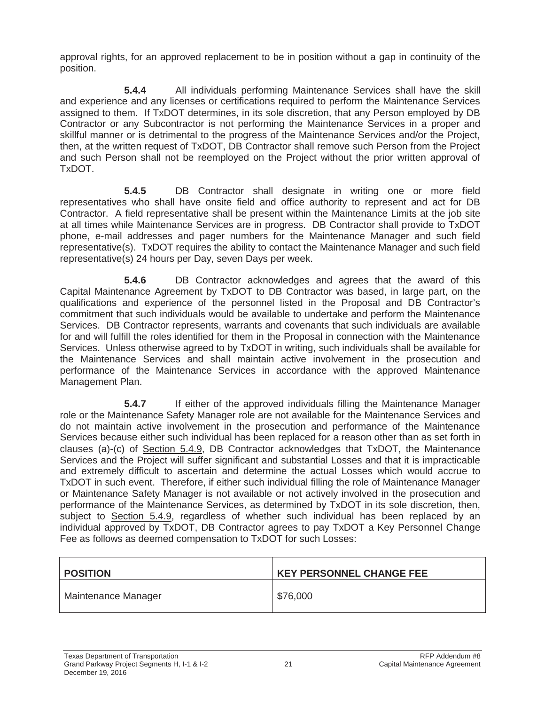approval rights, for an approved replacement to be in position without a gap in continuity of the position.

**5.4.4** All individuals performing Maintenance Services shall have the skill and experience and any licenses or certifications required to perform the Maintenance Services assigned to them. If TxDOT determines, in its sole discretion, that any Person employed by DB Contractor or any Subcontractor is not performing the Maintenance Services in a proper and skillful manner or is detrimental to the progress of the Maintenance Services and/or the Project, then, at the written request of TxDOT, DB Contractor shall remove such Person from the Project and such Person shall not be reemployed on the Project without the prior written approval of TxDOT.

**5.4.5** DB Contractor shall designate in writing one or more field representatives who shall have onsite field and office authority to represent and act for DB Contractor. A field representative shall be present within the Maintenance Limits at the job site at all times while Maintenance Services are in progress. DB Contractor shall provide to TxDOT phone, e-mail addresses and pager numbers for the Maintenance Manager and such field representative(s). TxDOT requires the ability to contact the Maintenance Manager and such field representative(s) 24 hours per Day, seven Days per week.

**5.4.6** DB Contractor acknowledges and agrees that the award of this Capital Maintenance Agreement by TxDOT to DB Contractor was based, in large part, on the qualifications and experience of the personnel listed in the Proposal and DB Contractor's commitment that such individuals would be available to undertake and perform the Maintenance Services. DB Contractor represents, warrants and covenants that such individuals are available for and will fulfill the roles identified for them in the Proposal in connection with the Maintenance Services. Unless otherwise agreed to by TxDOT in writing, such individuals shall be available for the Maintenance Services and shall maintain active involvement in the prosecution and performance of the Maintenance Services in accordance with the approved Maintenance Management Plan.

**5.4.7** If either of the approved individuals filling the Maintenance Manager role or the Maintenance Safety Manager role are not available for the Maintenance Services and do not maintain active involvement in the prosecution and performance of the Maintenance Services because either such individual has been replaced for a reason other than as set forth in clauses (a)-(c) of Section 5.4.9, DB Contractor acknowledges that TxDOT, the Maintenance Services and the Project will suffer significant and substantial Losses and that it is impracticable and extremely difficult to ascertain and determine the actual Losses which would accrue to TxDOT in such event. Therefore, if either such individual filling the role of Maintenance Manager or Maintenance Safety Manager is not available or not actively involved in the prosecution and performance of the Maintenance Services, as determined by TxDOT in its sole discretion, then, subject to Section 5.4.9, regardless of whether such individual has been replaced by an individual approved by TxDOT, DB Contractor agrees to pay TxDOT a Key Personnel Change Fee as follows as deemed compensation to TxDOT for such Losses:

| <b>POSITION</b>     | <b>KEY PERSONNEL CHANGE FEE</b> |
|---------------------|---------------------------------|
| Maintenance Manager | \$76,000                        |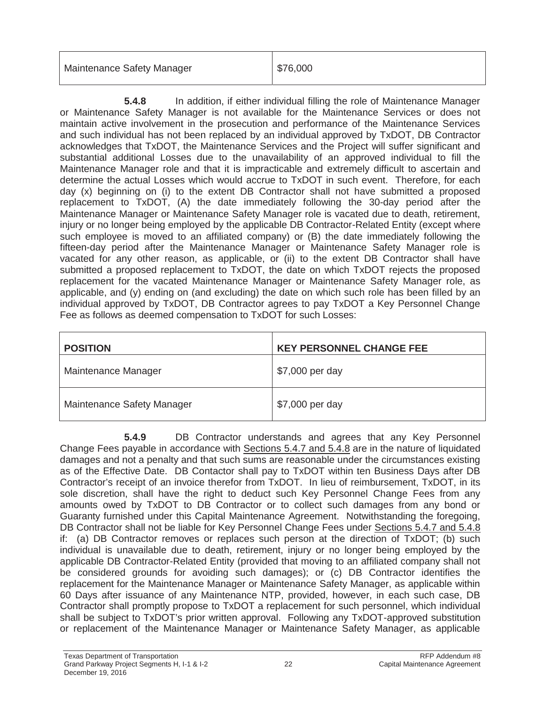| Maintenance Safety Manager | $\frac{1}{2}$ \$76,000 |
|----------------------------|------------------------|
|                            |                        |

**5.4.8** In addition, if either individual filling the role of Maintenance Manager or Maintenance Safety Manager is not available for the Maintenance Services or does not maintain active involvement in the prosecution and performance of the Maintenance Services and such individual has not been replaced by an individual approved by TxDOT, DB Contractor acknowledges that TxDOT, the Maintenance Services and the Project will suffer significant and substantial additional Losses due to the unavailability of an approved individual to fill the Maintenance Manager role and that it is impracticable and extremely difficult to ascertain and determine the actual Losses which would accrue to TxDOT in such event. Therefore, for each day (x) beginning on (i) to the extent DB Contractor shall not have submitted a proposed replacement to TxDOT, (A) the date immediately following the 30-day period after the Maintenance Manager or Maintenance Safety Manager role is vacated due to death, retirement, injury or no longer being employed by the applicable DB Contractor-Related Entity (except where such employee is moved to an affiliated company) or (B) the date immediately following the fifteen-day period after the Maintenance Manager or Maintenance Safety Manager role is vacated for any other reason, as applicable, or (ii) to the extent DB Contractor shall have submitted a proposed replacement to TxDOT, the date on which TxDOT rejects the proposed replacement for the vacated Maintenance Manager or Maintenance Safety Manager role, as applicable, and (y) ending on (and excluding) the date on which such role has been filled by an individual approved by TxDOT, DB Contractor agrees to pay TxDOT a Key Personnel Change Fee as follows as deemed compensation to TxDOT for such Losses:

| <b>POSITION</b>            | <b>KEY PERSONNEL CHANGE FEE</b> |
|----------------------------|---------------------------------|
| Maintenance Manager        | \$7,000 per day                 |
| Maintenance Safety Manager | \$7,000 per day                 |

**5.4.9** DB Contractor understands and agrees that any Key Personnel Change Fees payable in accordance with Sections 5.4.7 and 5.4.8 are in the nature of liquidated damages and not a penalty and that such sums are reasonable under the circumstances existing as of the Effective Date. DB Contactor shall pay to TxDOT within ten Business Days after DB Contractor's receipt of an invoice therefor from TxDOT. In lieu of reimbursement, TxDOT, in its sole discretion, shall have the right to deduct such Key Personnel Change Fees from any amounts owed by TxDOT to DB Contractor or to collect such damages from any bond or Guaranty furnished under this Capital Maintenance Agreement. Notwithstanding the foregoing, DB Contractor shall not be liable for Key Personnel Change Fees under Sections 5.4.7 and 5.4.8 if: (a) DB Contractor removes or replaces such person at the direction of TxDOT; (b) such individual is unavailable due to death, retirement, injury or no longer being employed by the applicable DB Contractor-Related Entity (provided that moving to an affiliated company shall not be considered grounds for avoiding such damages); or (c) DB Contractor identifies the replacement for the Maintenance Manager or Maintenance Safety Manager, as applicable within 60 Days after issuance of any Maintenance NTP, provided, however, in each such case, DB Contractor shall promptly propose to TxDOT a replacement for such personnel, which individual shall be subject to TxDOT's prior written approval. Following any TxDOT-approved substitution or replacement of the Maintenance Manager or Maintenance Safety Manager, as applicable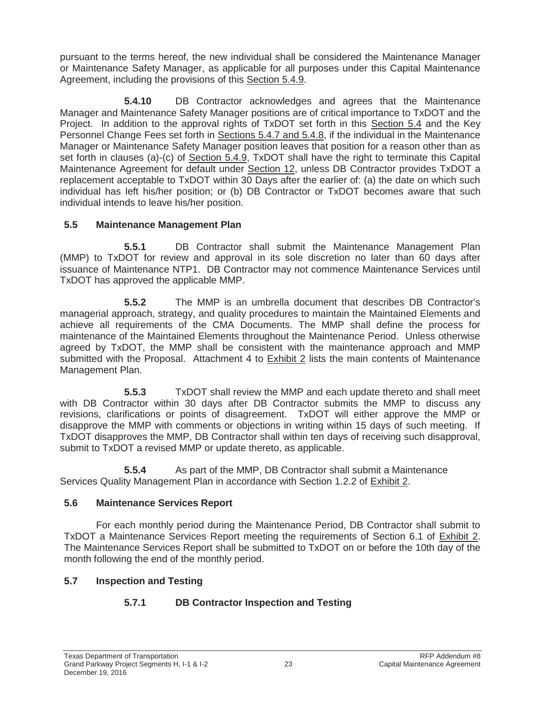pursuant to the terms hereof, the new individual shall be considered the Maintenance Manager or Maintenance Safety Manager, as applicable for all purposes under this Capital Maintenance Agreement, including the provisions of this Section 5.4.9.

**5.4.10** DB Contractor acknowledges and agrees that the Maintenance Manager and Maintenance Safety Manager positions are of critical importance to TxDOT and the Project. In addition to the approval rights of TxDOT set forth in this Section 5.4 and the Key Personnel Change Fees set forth in Sections 5.4.7 and 5.4.8, if the individual in the Maintenance Manager or Maintenance Safety Manager position leaves that position for a reason other than as set forth in clauses (a)-(c) of Section 5.4.9, TxDOT shall have the right to terminate this Capital Maintenance Agreement for default under Section 12, unless DB Contractor provides TxDOT a replacement acceptable to TxDOT within 30 Days after the earlier of: (a) the date on which such individual has left his/her position; or (b) DB Contractor or TxDOT becomes aware that such individual intends to leave his/her position.

## **5.5 Maintenance Management Plan**

**5.5.1** DB Contractor shall submit the Maintenance Management Plan (MMP) to TxDOT for review and approval in its sole discretion no later than 60 days after issuance of Maintenance NTP1. DB Contractor may not commence Maintenance Services until TxDOT has approved the applicable MMP.

**5.5.2** The MMP is an umbrella document that describes DB Contractor's managerial approach, strategy, and quality procedures to maintain the Maintained Elements and achieve all requirements of the CMA Documents. The MMP shall define the process for maintenance of the Maintained Elements throughout the Maintenance Period. Unless otherwise agreed by TxDOT, the MMP shall be consistent with the maintenance approach and MMP submitted with the Proposal. Attachment 4 to Exhibit 2 lists the main contents of Maintenance Management Plan.

**5.5.3** TxDOT shall review the MMP and each update thereto and shall meet with DB Contractor within 30 days after DB Contractor submits the MMP to discuss any revisions, clarifications or points of disagreement. TxDOT will either approve the MMP or disapprove the MMP with comments or objections in writing within 15 days of such meeting. If TxDOT disapproves the MMP, DB Contractor shall within ten days of receiving such disapproval, submit to TxDOT a revised MMP or update thereto, as applicable.

**5.5.4** As part of the MMP, DB Contractor shall submit a Maintenance Services Quality Management Plan in accordance with Section 1.2.2 of Exhibit 2.

# **5.6 Maintenance Services Report**

For each monthly period during the Maintenance Period, DB Contractor shall submit to TxDOT a Maintenance Services Report meeting the requirements of Section 6.1 of Exhibit 2. The Maintenance Services Report shall be submitted to TxDOT on or before the 10th day of the month following the end of the monthly period.

# **5.7 Inspection and Testing**

# **5.7.1 DB Contractor Inspection and Testing**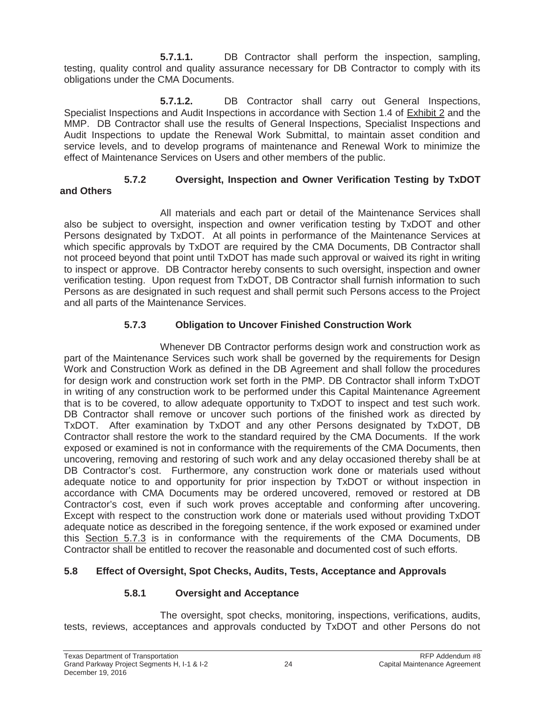**5.7.1.1.** DB Contractor shall perform the inspection, sampling, testing, quality control and quality assurance necessary for DB Contractor to comply with its obligations under the CMA Documents.

**5.7.1.2.** DB Contractor shall carry out General Inspections, Specialist Inspections and Audit Inspections in accordance with Section 1.4 of Exhibit 2 and the MMP. DB Contractor shall use the results of General Inspections, Specialist Inspections and Audit Inspections to update the Renewal Work Submittal, to maintain asset condition and service levels, and to develop programs of maintenance and Renewal Work to minimize the effect of Maintenance Services on Users and other members of the public.

#### **5.7.2 Oversight, Inspection and Owner Verification Testing by TxDOT and Others**

All materials and each part or detail of the Maintenance Services shall also be subject to oversight, inspection and owner verification testing by TxDOT and other Persons designated by TxDOT. At all points in performance of the Maintenance Services at which specific approvals by TxDOT are required by the CMA Documents, DB Contractor shall not proceed beyond that point until TxDOT has made such approval or waived its right in writing to inspect or approve. DB Contractor hereby consents to such oversight, inspection and owner verification testing. Upon request from TxDOT, DB Contractor shall furnish information to such Persons as are designated in such request and shall permit such Persons access to the Project and all parts of the Maintenance Services.

# **5.7.3 Obligation to Uncover Finished Construction Work**

Whenever DB Contractor performs design work and construction work as part of the Maintenance Services such work shall be governed by the requirements for Design Work and Construction Work as defined in the DB Agreement and shall follow the procedures for design work and construction work set forth in the PMP. DB Contractor shall inform TxDOT in writing of any construction work to be performed under this Capital Maintenance Agreement that is to be covered, to allow adequate opportunity to TxDOT to inspect and test such work. DB Contractor shall remove or uncover such portions of the finished work as directed by TxDOT. After examination by TxDOT and any other Persons designated by TxDOT, DB Contractor shall restore the work to the standard required by the CMA Documents. If the work exposed or examined is not in conformance with the requirements of the CMA Documents, then uncovering, removing and restoring of such work and any delay occasioned thereby shall be at DB Contractor's cost. Furthermore, any construction work done or materials used without adequate notice to and opportunity for prior inspection by TxDOT or without inspection in accordance with CMA Documents may be ordered uncovered, removed or restored at DB Contractor's cost, even if such work proves acceptable and conforming after uncovering. Except with respect to the construction work done or materials used without providing TxDOT adequate notice as described in the foregoing sentence, if the work exposed or examined under this Section 5.7.3 is in conformance with the requirements of the CMA Documents, DB Contractor shall be entitled to recover the reasonable and documented cost of such efforts.

# **5.8 Effect of Oversight, Spot Checks, Audits, Tests, Acceptance and Approvals**

# **5.8.1 Oversight and Acceptance**

The oversight, spot checks, monitoring, inspections, verifications, audits, tests, reviews, acceptances and approvals conducted by TxDOT and other Persons do not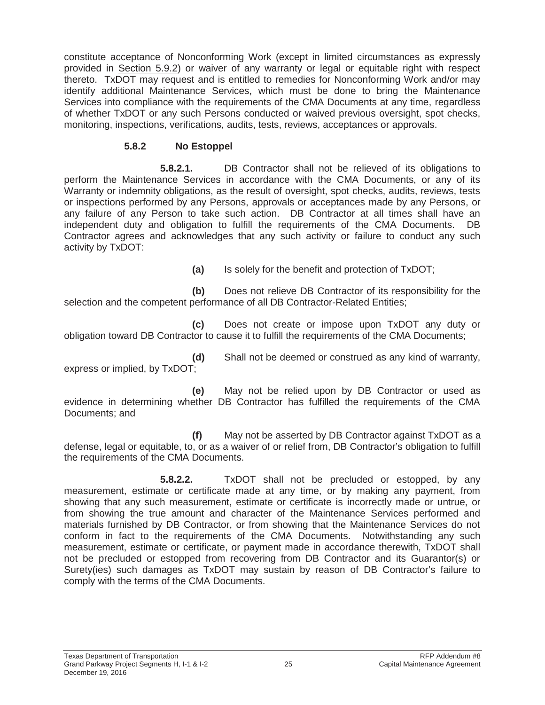constitute acceptance of Nonconforming Work (except in limited circumstances as expressly provided in Section 5.9.2) or waiver of any warranty or legal or equitable right with respect thereto. TxDOT may request and is entitled to remedies for Nonconforming Work and/or may identify additional Maintenance Services, which must be done to bring the Maintenance Services into compliance with the requirements of the CMA Documents at any time, regardless of whether TxDOT or any such Persons conducted or waived previous oversight, spot checks, monitoring, inspections, verifications, audits, tests, reviews, acceptances or approvals.

## **5.8.2 No Estoppel**

**5.8.2.1.** DB Contractor shall not be relieved of its obligations to perform the Maintenance Services in accordance with the CMA Documents, or any of its Warranty or indemnity obligations, as the result of oversight, spot checks, audits, reviews, tests or inspections performed by any Persons, approvals or acceptances made by any Persons, or any failure of any Person to take such action. DB Contractor at all times shall have an independent duty and obligation to fulfill the requirements of the CMA Documents. DB Contractor agrees and acknowledges that any such activity or failure to conduct any such activity by TxDOT:

**(a)** Is solely for the benefit and protection of TxDOT;

**(b)** Does not relieve DB Contractor of its responsibility for the selection and the competent performance of all DB Contractor-Related Entities;

**(c)** Does not create or impose upon TxDOT any duty or obligation toward DB Contractor to cause it to fulfill the requirements of the CMA Documents;

**(d)** Shall not be deemed or construed as any kind of warranty, express or implied, by TxDOT;

**(e)** May not be relied upon by DB Contractor or used as evidence in determining whether DB Contractor has fulfilled the requirements of the CMA Documents; and

**(f)** May not be asserted by DB Contractor against TxDOT as a defense, legal or equitable, to, or as a waiver of or relief from, DB Contractor's obligation to fulfill the requirements of the CMA Documents.

**5.8.2.2.** TxDOT shall not be precluded or estopped, by any measurement, estimate or certificate made at any time, or by making any payment, from showing that any such measurement, estimate or certificate is incorrectly made or untrue, or from showing the true amount and character of the Maintenance Services performed and materials furnished by DB Contractor, or from showing that the Maintenance Services do not conform in fact to the requirements of the CMA Documents. Notwithstanding any such measurement, estimate or certificate, or payment made in accordance therewith, TxDOT shall not be precluded or estopped from recovering from DB Contractor and its Guarantor(s) or Surety(ies) such damages as TxDOT may sustain by reason of DB Contractor's failure to comply with the terms of the CMA Documents.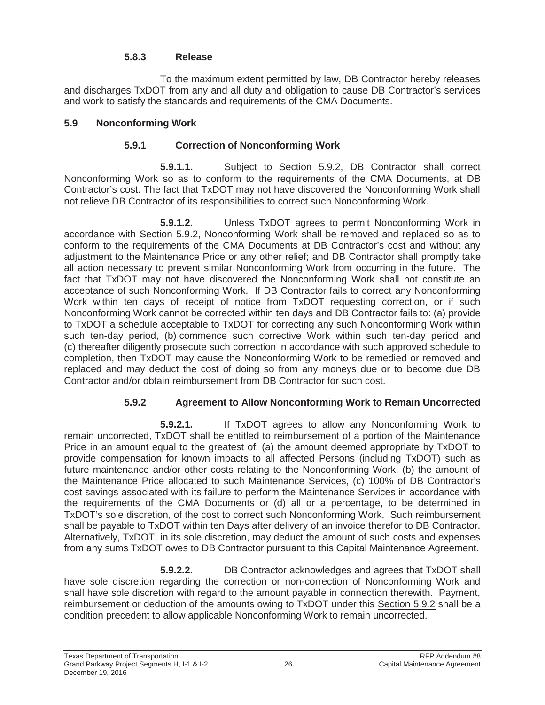## **5.8.3 Release**

To the maximum extent permitted by law, DB Contractor hereby releases and discharges TxDOT from any and all duty and obligation to cause DB Contractor's services and work to satisfy the standards and requirements of the CMA Documents.

## **5.9 Nonconforming Work**

## **5.9.1 Correction of Nonconforming Work**

**5.9.1.1.** Subject to Section 5.9.2, DB Contractor shall correct Nonconforming Work so as to conform to the requirements of the CMA Documents, at DB Contractor's cost. The fact that TxDOT may not have discovered the Nonconforming Work shall not relieve DB Contractor of its responsibilities to correct such Nonconforming Work.

**5.9.1.2.** Unless TxDOT agrees to permit Nonconforming Work in accordance with Section 5.9.2, Nonconforming Work shall be removed and replaced so as to conform to the requirements of the CMA Documents at DB Contractor's cost and without any adjustment to the Maintenance Price or any other relief; and DB Contractor shall promptly take all action necessary to prevent similar Nonconforming Work from occurring in the future. The fact that TxDOT may not have discovered the Nonconforming Work shall not constitute an acceptance of such Nonconforming Work. If DB Contractor fails to correct any Nonconforming Work within ten days of receipt of notice from TxDOT requesting correction, or if such Nonconforming Work cannot be corrected within ten days and DB Contractor fails to: (a) provide to TxDOT a schedule acceptable to TxDOT for correcting any such Nonconforming Work within such ten-day period, (b) commence such corrective Work within such ten-day period and (c) thereafter diligently prosecute such correction in accordance with such approved schedule to completion, then TxDOT may cause the Nonconforming Work to be remedied or removed and replaced and may deduct the cost of doing so from any moneys due or to become due DB Contractor and/or obtain reimbursement from DB Contractor for such cost.

# **5.9.2 Agreement to Allow Nonconforming Work to Remain Uncorrected**

**5.9.2.1.** If TxDOT agrees to allow any Nonconforming Work to remain uncorrected, TxDOT shall be entitled to reimbursement of a portion of the Maintenance Price in an amount equal to the greatest of: (a) the amount deemed appropriate by TxDOT to provide compensation for known impacts to all affected Persons (including TxDOT) such as future maintenance and/or other costs relating to the Nonconforming Work, (b) the amount of the Maintenance Price allocated to such Maintenance Services, (c) 100% of DB Contractor's cost savings associated with its failure to perform the Maintenance Services in accordance with the requirements of the CMA Documents or (d) all or a percentage, to be determined in TxDOT's sole discretion, of the cost to correct such Nonconforming Work. Such reimbursement shall be payable to TxDOT within ten Days after delivery of an invoice therefor to DB Contractor. Alternatively, TxDOT, in its sole discretion, may deduct the amount of such costs and expenses from any sums TxDOT owes to DB Contractor pursuant to this Capital Maintenance Agreement.

**5.9.2.2.** DB Contractor acknowledges and agrees that TxDOT shall have sole discretion regarding the correction or non-correction of Nonconforming Work and shall have sole discretion with regard to the amount payable in connection therewith. Payment, reimbursement or deduction of the amounts owing to TxDOT under this Section 5.9.2 shall be a condition precedent to allow applicable Nonconforming Work to remain uncorrected.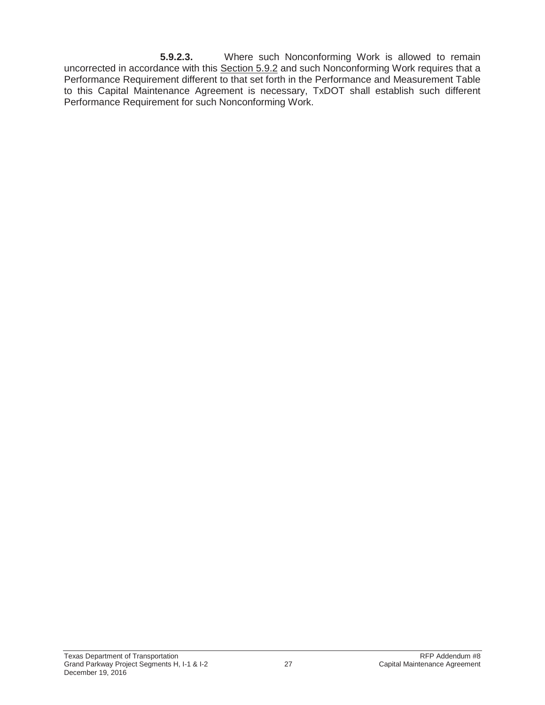**5.9.2.3.** Where such Nonconforming Work is allowed to remain uncorrected in accordance with this Section 5.9.2 and such Nonconforming Work requires that a Performance Requirement different to that set forth in the Performance and Measurement Table to this Capital Maintenance Agreement is necessary, TxDOT shall establish such different Performance Requirement for such Nonconforming Work.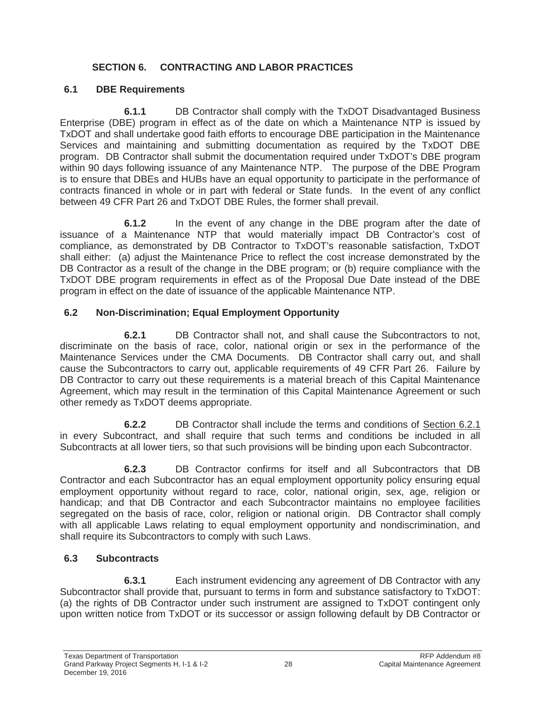# **SECTION 6. CONTRACTING AND LABOR PRACTICES**

## **6.1 DBE Requirements**

**6.1.1** DB Contractor shall comply with the TxDOT Disadvantaged Business Enterprise (DBE) program in effect as of the date on which a Maintenance NTP is issued by TxDOT and shall undertake good faith efforts to encourage DBE participation in the Maintenance Services and maintaining and submitting documentation as required by the TxDOT DBE program. DB Contractor shall submit the documentation required under TxDOT's DBE program within 90 days following issuance of any Maintenance NTP. The purpose of the DBE Program is to ensure that DBEs and HUBs have an equal opportunity to participate in the performance of contracts financed in whole or in part with federal or State funds. In the event of any conflict between 49 CFR Part 26 and TxDOT DBE Rules, the former shall prevail.

**6.1.2** In the event of any change in the DBE program after the date of issuance of a Maintenance NTP that would materially impact DB Contractor's cost of compliance, as demonstrated by DB Contractor to TxDOT's reasonable satisfaction, TxDOT shall either: (a) adjust the Maintenance Price to reflect the cost increase demonstrated by the DB Contractor as a result of the change in the DBE program; or (b) require compliance with the TxDOT DBE program requirements in effect as of the Proposal Due Date instead of the DBE program in effect on the date of issuance of the applicable Maintenance NTP.

# **6.2 Non-Discrimination; Equal Employment Opportunity**

**6.2.1** DB Contractor shall not, and shall cause the Subcontractors to not, discriminate on the basis of race, color, national origin or sex in the performance of the Maintenance Services under the CMA Documents. DB Contractor shall carry out, and shall cause the Subcontractors to carry out, applicable requirements of 49 CFR Part 26. Failure by DB Contractor to carry out these requirements is a material breach of this Capital Maintenance Agreement, which may result in the termination of this Capital Maintenance Agreement or such other remedy as TxDOT deems appropriate.

**6.2.2** DB Contractor shall include the terms and conditions of Section 6.2.1 in every Subcontract, and shall require that such terms and conditions be included in all Subcontracts at all lower tiers, so that such provisions will be binding upon each Subcontractor.

**6.2.3** DB Contractor confirms for itself and all Subcontractors that DB Contractor and each Subcontractor has an equal employment opportunity policy ensuring equal employment opportunity without regard to race, color, national origin, sex, age, religion or handicap; and that DB Contractor and each Subcontractor maintains no employee facilities segregated on the basis of race, color, religion or national origin. DB Contractor shall comply with all applicable Laws relating to equal employment opportunity and nondiscrimination, and shall require its Subcontractors to comply with such Laws.

# **6.3 Subcontracts**

**6.3.1** Each instrument evidencing any agreement of DB Contractor with any Subcontractor shall provide that, pursuant to terms in form and substance satisfactory to TxDOT: (a) the rights of DB Contractor under such instrument are assigned to TxDOT contingent only upon written notice from TxDOT or its successor or assign following default by DB Contractor or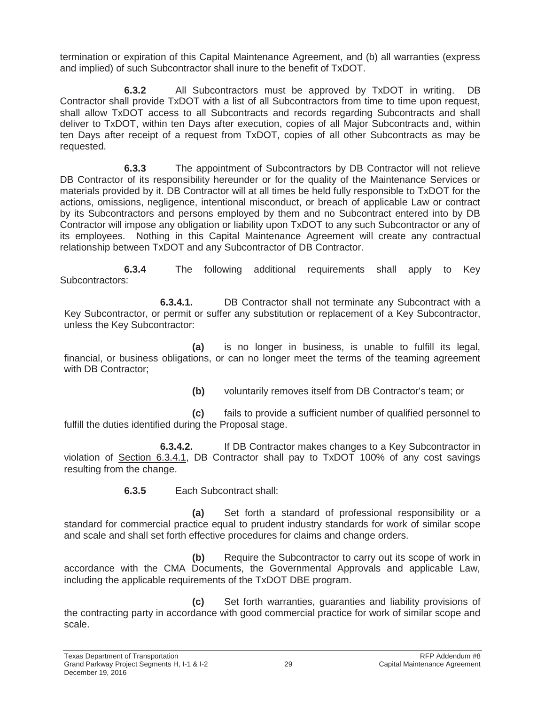termination or expiration of this Capital Maintenance Agreement, and (b) all warranties (express and implied) of such Subcontractor shall inure to the benefit of TxDOT.

**6.3.2** All Subcontractors must be approved by TxDOT in writing. DB Contractor shall provide TxDOT with a list of all Subcontractors from time to time upon request, shall allow TxDOT access to all Subcontracts and records regarding Subcontracts and shall deliver to TxDOT, within ten Days after execution, copies of all Major Subcontracts and, within ten Days after receipt of a request from TxDOT, copies of all other Subcontracts as may be requested.

**6.3.3** The appointment of Subcontractors by DB Contractor will not relieve DB Contractor of its responsibility hereunder or for the quality of the Maintenance Services or materials provided by it. DB Contractor will at all times be held fully responsible to TxDOT for the actions, omissions, negligence, intentional misconduct, or breach of applicable Law or contract by its Subcontractors and persons employed by them and no Subcontract entered into by DB Contractor will impose any obligation or liability upon TxDOT to any such Subcontractor or any of its employees. Nothing in this Capital Maintenance Agreement will create any contractual relationship between TxDOT and any Subcontractor of DB Contractor.

**6.3.4** The following additional requirements shall apply to Key Subcontractors:

**6.3.4.1.** DB Contractor shall not terminate any Subcontract with a Key Subcontractor, or permit or suffer any substitution or replacement of a Key Subcontractor, unless the Key Subcontractor:

**(a)** is no longer in business, is unable to fulfill its legal, financial, or business obligations, or can no longer meet the terms of the teaming agreement with DB Contractor:

**(b)** voluntarily removes itself from DB Contractor's team; or

**(c)** fails to provide a sufficient number of qualified personnel to fulfill the duties identified during the Proposal stage.

**6.3.4.2.** If DB Contractor makes changes to a Key Subcontractor in violation of Section 6.3.4.1, DB Contractor shall pay to TxDOT 100% of any cost savings resulting from the change.

**6.3.5** Each Subcontract shall:

**(a)** Set forth a standard of professional responsibility or a standard for commercial practice equal to prudent industry standards for work of similar scope and scale and shall set forth effective procedures for claims and change orders.

**(b)** Require the Subcontractor to carry out its scope of work in accordance with the CMA Documents, the Governmental Approvals and applicable Law, including the applicable requirements of the TxDOT DBE program.

**(c)** Set forth warranties, guaranties and liability provisions of the contracting party in accordance with good commercial practice for work of similar scope and scale.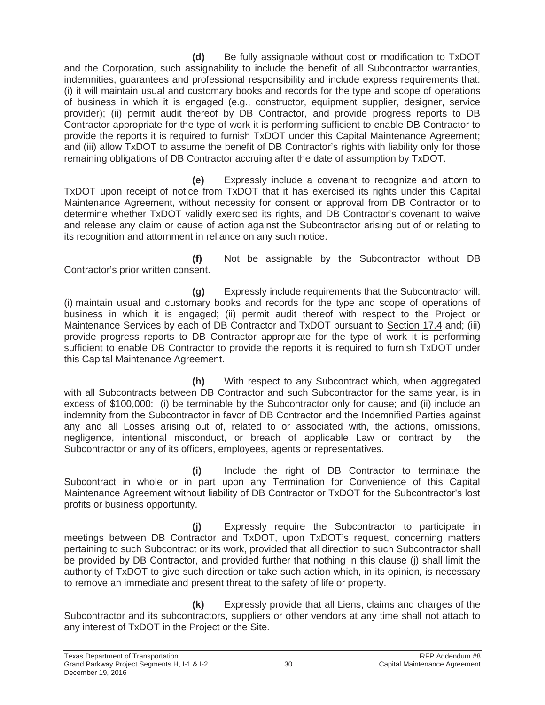**(d)** Be fully assignable without cost or modification to TxDOT and the Corporation, such assignability to include the benefit of all Subcontractor warranties, indemnities, guarantees and professional responsibility and include express requirements that: (i) it will maintain usual and customary books and records for the type and scope of operations of business in which it is engaged (e.g., constructor, equipment supplier, designer, service provider); (ii) permit audit thereof by DB Contractor, and provide progress reports to DB Contractor appropriate for the type of work it is performing sufficient to enable DB Contractor to provide the reports it is required to furnish TxDOT under this Capital Maintenance Agreement; and (iii) allow TxDOT to assume the benefit of DB Contractor's rights with liability only for those remaining obligations of DB Contractor accruing after the date of assumption by TxDOT.

**(e)** Expressly include a covenant to recognize and attorn to TxDOT upon receipt of notice from TxDOT that it has exercised its rights under this Capital Maintenance Agreement, without necessity for consent or approval from DB Contractor or to determine whether TxDOT validly exercised its rights, and DB Contractor's covenant to waive and release any claim or cause of action against the Subcontractor arising out of or relating to its recognition and attornment in reliance on any such notice.

**(f)** Not be assignable by the Subcontractor without DB Contractor's prior written consent.

**(g)** Expressly include requirements that the Subcontractor will: (i) maintain usual and customary books and records for the type and scope of operations of business in which it is engaged; (ii) permit audit thereof with respect to the Project or Maintenance Services by each of DB Contractor and TxDOT pursuant to Section 17.4 and; (iii) provide progress reports to DB Contractor appropriate for the type of work it is performing sufficient to enable DB Contractor to provide the reports it is required to furnish TxDOT under this Capital Maintenance Agreement.

**(h)** With respect to any Subcontract which, when aggregated with all Subcontracts between DB Contractor and such Subcontractor for the same year, is in excess of \$100,000: (i) be terminable by the Subcontractor only for cause; and (ii) include an indemnity from the Subcontractor in favor of DB Contractor and the Indemnified Parties against any and all Losses arising out of, related to or associated with, the actions, omissions, negligence, intentional misconduct, or breach of applicable Law or contract by the Subcontractor or any of its officers, employees, agents or representatives.

**(i)** Include the right of DB Contractor to terminate the Subcontract in whole or in part upon any Termination for Convenience of this Capital Maintenance Agreement without liability of DB Contractor or TxDOT for the Subcontractor's lost profits or business opportunity.

**(j)** Expressly require the Subcontractor to participate in meetings between DB Contractor and TxDOT, upon TxDOT's request, concerning matters pertaining to such Subcontract or its work, provided that all direction to such Subcontractor shall be provided by DB Contractor, and provided further that nothing in this clause (j) shall limit the authority of TxDOT to give such direction or take such action which, in its opinion, is necessary to remove an immediate and present threat to the safety of life or property.

**(k)** Expressly provide that all Liens, claims and charges of the Subcontractor and its subcontractors, suppliers or other vendors at any time shall not attach to any interest of TxDOT in the Project or the Site.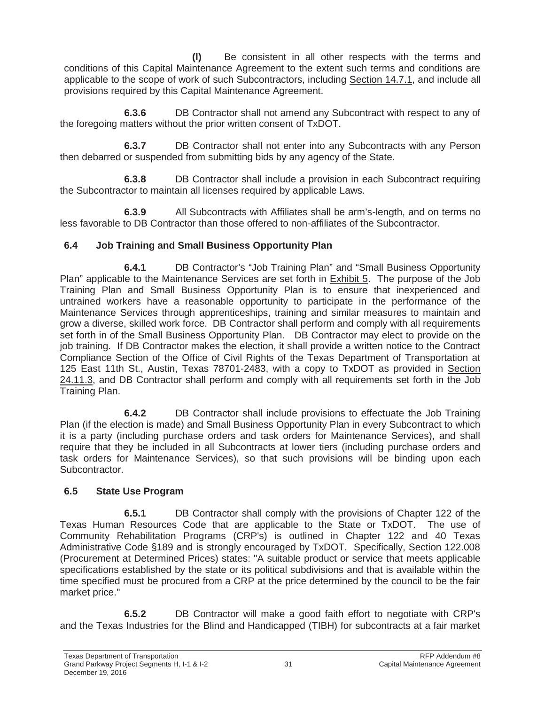**(l)** Be consistent in all other respects with the terms and conditions of this Capital Maintenance Agreement to the extent such terms and conditions are applicable to the scope of work of such Subcontractors, including Section 14.7.1, and include all provisions required by this Capital Maintenance Agreement.

**6.3.6** DB Contractor shall not amend any Subcontract with respect to any of the foregoing matters without the prior written consent of TxDOT.

**6.3.7** DB Contractor shall not enter into any Subcontracts with any Person then debarred or suspended from submitting bids by any agency of the State.

**6.3.8** DB Contractor shall include a provision in each Subcontract requiring the Subcontractor to maintain all licenses required by applicable Laws.

**6.3.9** All Subcontracts with Affiliates shall be arm's-length, and on terms no less favorable to DB Contractor than those offered to non-affiliates of the Subcontractor.

### **6.4 Job Training and Small Business Opportunity Plan**

**6.4.1** DB Contractor's "Job Training Plan" and "Small Business Opportunity Plan" applicable to the Maintenance Services are set forth in Exhibit 5. The purpose of the Job Training Plan and Small Business Opportunity Plan is to ensure that inexperienced and untrained workers have a reasonable opportunity to participate in the performance of the Maintenance Services through apprenticeships, training and similar measures to maintain and grow a diverse, skilled work force. DB Contractor shall perform and comply with all requirements set forth in of the Small Business Opportunity Plan. DB Contractor may elect to provide on the job training. If DB Contractor makes the election, it shall provide a written notice to the Contract Compliance Section of the Office of Civil Rights of the Texas Department of Transportation at 125 East 11th St., Austin, Texas 78701-2483, with a copy to TxDOT as provided in Section 24.11.3, and DB Contractor shall perform and comply with all requirements set forth in the Job Training Plan.

**6.4.2** DB Contractor shall include provisions to effectuate the Job Training Plan (if the election is made) and Small Business Opportunity Plan in every Subcontract to which it is a party (including purchase orders and task orders for Maintenance Services), and shall require that they be included in all Subcontracts at lower tiers (including purchase orders and task orders for Maintenance Services), so that such provisions will be binding upon each Subcontractor.

# **6.5 State Use Program**

**6.5.1** DB Contractor shall comply with the provisions of Chapter 122 of the Texas Human Resources Code that are applicable to the State or TxDOT. The use of Community Rehabilitation Programs (CRP's) is outlined in Chapter 122 and 40 Texas Administrative Code §189 and is strongly encouraged by TxDOT. Specifically, Section 122.008 (Procurement at Determined Prices) states: "A suitable product or service that meets applicable specifications established by the state or its political subdivisions and that is available within the time specified must be procured from a CRP at the price determined by the council to be the fair market price."

**6.5.2** DB Contractor will make a good faith effort to negotiate with CRP's and the Texas Industries for the Blind and Handicapped (TIBH) for subcontracts at a fair market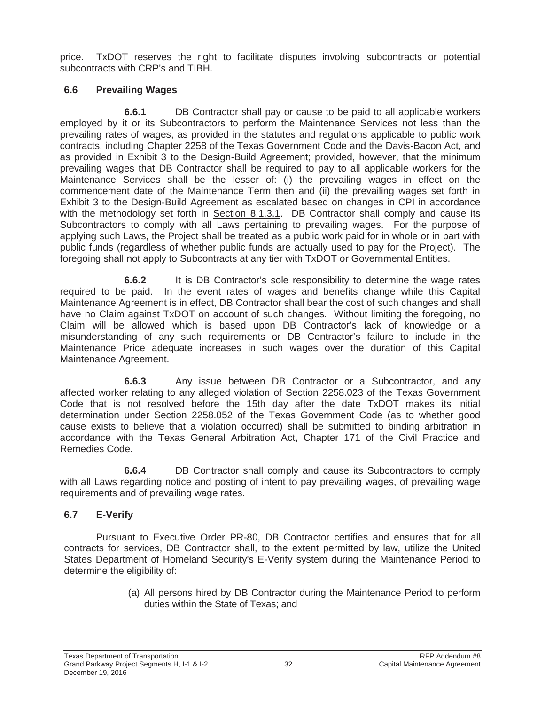price. TxDOT reserves the right to facilitate disputes involving subcontracts or potential subcontracts with CRP's and TIBH.

### **6.6 Prevailing Wages**

**6.6.1** DB Contractor shall pay or cause to be paid to all applicable workers employed by it or its Subcontractors to perform the Maintenance Services not less than the prevailing rates of wages, as provided in the statutes and regulations applicable to public work contracts, including Chapter 2258 of the Texas Government Code and the Davis-Bacon Act, and as provided in Exhibit 3 to the Design-Build Agreement; provided, however, that the minimum prevailing wages that DB Contractor shall be required to pay to all applicable workers for the Maintenance Services shall be the lesser of: (i) the prevailing wages in effect on the commencement date of the Maintenance Term then and (ii) the prevailing wages set forth in Exhibit 3 to the Design-Build Agreement as escalated based on changes in CPI in accordance with the methodology set forth in Section 8.1.3.1. DB Contractor shall comply and cause its Subcontractors to comply with all Laws pertaining to prevailing wages. For the purpose of applying such Laws, the Project shall be treated as a public work paid for in whole or in part with public funds (regardless of whether public funds are actually used to pay for the Project). The foregoing shall not apply to Subcontracts at any tier with TxDOT or Governmental Entities.

**6.6.2** It is DB Contractor's sole responsibility to determine the wage rates required to be paid. In the event rates of wages and benefits change while this Capital Maintenance Agreement is in effect, DB Contractor shall bear the cost of such changes and shall have no Claim against TxDOT on account of such changes. Without limiting the foregoing, no Claim will be allowed which is based upon DB Contractor's lack of knowledge or a misunderstanding of any such requirements or DB Contractor's failure to include in the Maintenance Price adequate increases in such wages over the duration of this Capital Maintenance Agreement.

**6.6.3** Any issue between DB Contractor or a Subcontractor, and any affected worker relating to any alleged violation of Section 2258.023 of the Texas Government Code that is not resolved before the 15th day after the date TxDOT makes its initial determination under Section 2258.052 of the Texas Government Code (as to whether good cause exists to believe that a violation occurred) shall be submitted to binding arbitration in accordance with the Texas General Arbitration Act, Chapter 171 of the Civil Practice and Remedies Code.

**6.6.4** DB Contractor shall comply and cause its Subcontractors to comply with all Laws regarding notice and posting of intent to pay prevailing wages, of prevailing wage requirements and of prevailing wage rates.

# **6.7 E-Verify**

Pursuant to Executive Order PR-80, DB Contractor certifies and ensures that for all contracts for services, DB Contractor shall, to the extent permitted by law, utilize the United States Department of Homeland Security's E-Verify system during the Maintenance Period to determine the eligibility of:

> (a) All persons hired by DB Contractor during the Maintenance Period to perform duties within the State of Texas; and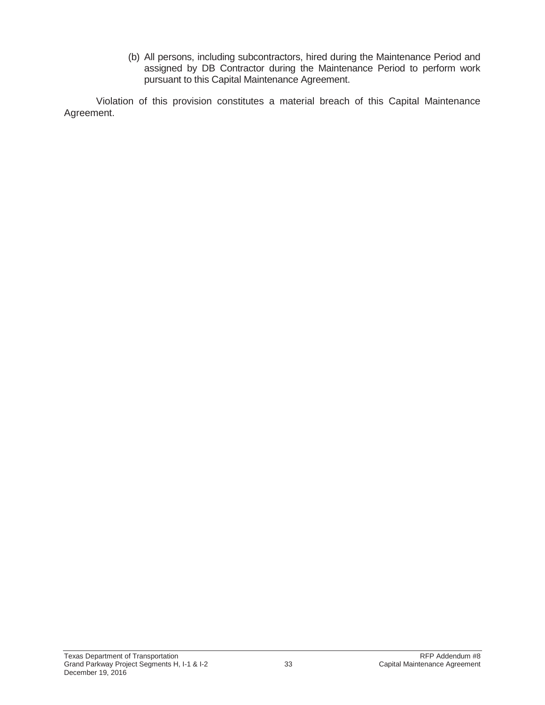(b) All persons, including subcontractors, hired during the Maintenance Period and assigned by DB Contractor during the Maintenance Period to perform work pursuant to this Capital Maintenance Agreement.

Violation of this provision constitutes a material breach of this Capital Maintenance Agreement.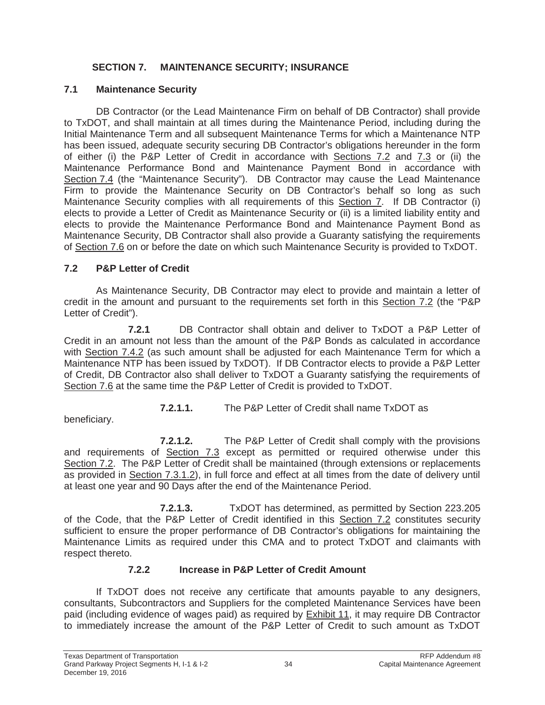### **SECTION 7. MAINTENANCE SECURITY; INSURANCE**

#### **7.1 Maintenance Security**

DB Contractor (or the Lead Maintenance Firm on behalf of DB Contractor) shall provide to TxDOT, and shall maintain at all times during the Maintenance Period, including during the Initial Maintenance Term and all subsequent Maintenance Terms for which a Maintenance NTP has been issued, adequate security securing DB Contractor's obligations hereunder in the form of either (i) the P&P Letter of Credit in accordance with Sections 7.2 and 7.3 or (ii) the Maintenance Performance Bond and Maintenance Payment Bond in accordance with Section 7.4 (the "Maintenance Security"). DB Contractor may cause the Lead Maintenance Firm to provide the Maintenance Security on DB Contractor's behalf so long as such Maintenance Security complies with all requirements of this Section 7. If DB Contractor (i) elects to provide a Letter of Credit as Maintenance Security or (ii) is a limited liability entity and elects to provide the Maintenance Performance Bond and Maintenance Payment Bond as Maintenance Security, DB Contractor shall also provide a Guaranty satisfying the requirements of Section 7.6 on or before the date on which such Maintenance Security is provided to TxDOT.

### **7.2 P&P Letter of Credit**

As Maintenance Security, DB Contractor may elect to provide and maintain a letter of credit in the amount and pursuant to the requirements set forth in this Section 7.2 (the "P&P Letter of Credit").

**7.2.1** DB Contractor shall obtain and deliver to TxDOT a P&P Letter of Credit in an amount not less than the amount of the P&P Bonds as calculated in accordance with Section 7.4.2 (as such amount shall be adjusted for each Maintenance Term for which a Maintenance NTP has been issued by TxDOT). If DB Contractor elects to provide a P&P Letter of Credit, DB Contractor also shall deliver to TxDOT a Guaranty satisfying the requirements of Section 7.6 at the same time the P&P Letter of Credit is provided to TxDOT.

**7.2.1.1.** The P&P Letter of Credit shall name TxDOT as

beneficiary.

**7.2.1.2.** The P&P Letter of Credit shall comply with the provisions and requirements of Section 7.3 except as permitted or required otherwise under this Section 7.2. The P&P Letter of Credit shall be maintained (through extensions or replacements as provided in Section 7.3.1.2), in full force and effect at all times from the date of delivery until at least one year and 90 Days after the end of the Maintenance Period.

**7.2.1.3.** TxDOT has determined, as permitted by Section 223.205 of the Code, that the P&P Letter of Credit identified in this Section 7.2 constitutes security sufficient to ensure the proper performance of DB Contractor's obligations for maintaining the Maintenance Limits as required under this CMA and to protect TxDOT and claimants with respect thereto.

# **7.2.2 Increase in P&P Letter of Credit Amount**

If TxDOT does not receive any certificate that amounts payable to any designers, consultants, Subcontractors and Suppliers for the completed Maintenance Services have been paid (including evidence of wages paid) as required by Exhibit 11, it may require DB Contractor to immediately increase the amount of the P&P Letter of Credit to such amount as TxDOT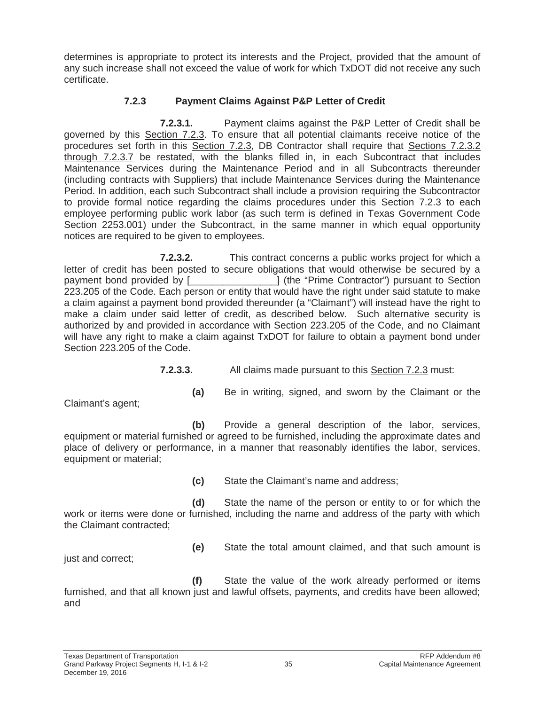determines is appropriate to protect its interests and the Project, provided that the amount of any such increase shall not exceed the value of work for which TxDOT did not receive any such certificate.

#### **7.2.3 Payment Claims Against P&P Letter of Credit**

**7.2.3.1.** Payment claims against the P&P Letter of Credit shall be governed by this Section 7.2.3. To ensure that all potential claimants receive notice of the procedures set forth in this Section 7.2.3, DB Contractor shall require that Sections 7.2.3.2 through 7.2.3.7 be restated, with the blanks filled in, in each Subcontract that includes Maintenance Services during the Maintenance Period and in all Subcontracts thereunder (including contracts with Suppliers) that include Maintenance Services during the Maintenance Period. In addition, each such Subcontract shall include a provision requiring the Subcontractor to provide formal notice regarding the claims procedures under this Section 7.2.3 to each employee performing public work labor (as such term is defined in Texas Government Code Section 2253.001) under the Subcontract, in the same manner in which equal opportunity notices are required to be given to employees.

**7.2.3.2.** This contract concerns a public works project for which a letter of credit has been posted to secure obligations that would otherwise be secured by a payment bond provided by [\_\_\_\_\_\_\_\_\_\_\_\_\_\_\_\_] (the "Prime Contractor") pursuant to Section 223.205 of the Code. Each person or entity that would have the right under said statute to make a claim against a payment bond provided thereunder (a "Claimant") will instead have the right to make a claim under said letter of credit, as described below. Such alternative security is authorized by and provided in accordance with Section 223.205 of the Code, and no Claimant will have any right to make a claim against TxDOT for failure to obtain a payment bond under Section 223.205 of the Code.

**7.2.3.3.** All claims made pursuant to this Section 7.2.3 must:

Claimant's agent;

**(a)** Be in writing, signed, and sworn by the Claimant or the

**(b)** Provide a general description of the labor, services, equipment or material furnished or agreed to be furnished, including the approximate dates and place of delivery or performance, in a manner that reasonably identifies the labor, services, equipment or material;

**(c)** State the Claimant's name and address;

**(d)** State the name of the person or entity to or for which the work or items were done or furnished, including the name and address of the party with which the Claimant contracted;

just and correct;

**(e)** State the total amount claimed, and that such amount is

**(f)** State the value of the work already performed or items furnished, and that all known just and lawful offsets, payments, and credits have been allowed; and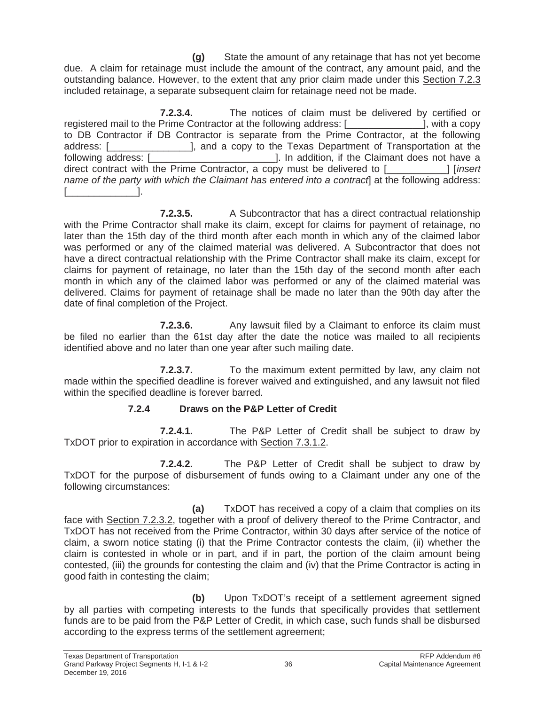**(g)** State the amount of any retainage that has not yet become due. A claim for retainage must include the amount of the contract, any amount paid, and the outstanding balance. However, to the extent that any prior claim made under this Section 7.2.3 included retainage, a separate subsequent claim for retainage need not be made.

**7.2.3.4.** The notices of claim must be delivered by certified or registered mail to the Prime Contractor at the following address: [ [ ] [ ], with a copy to DB Contractor if DB Contractor is separate from the Prime Contractor, at the following address: [\_\_\_\_\_\_\_\_\_\_\_\_\_\_\_], and a copy to the Texas Department of Transportation at the following address: [\_\_\_\_\_\_\_\_\_\_\_\_\_\_\_\_\_\_\_\_\_\_\_]. In addition, if the Claimant does not have a direct contract with the Prime Contractor, a copy must be delivered to [\_\_\_\_\_\_\_\_\_\_\_] [*insert name of the party with which the Claimant has entered into a contract* at the following address:  $\Box$ 

**7.2.3.5.** A Subcontractor that has a direct contractual relationship with the Prime Contractor shall make its claim, except for claims for payment of retainage, no later than the 15th day of the third month after each month in which any of the claimed labor was performed or any of the claimed material was delivered. A Subcontractor that does not have a direct contractual relationship with the Prime Contractor shall make its claim, except for claims for payment of retainage, no later than the 15th day of the second month after each month in which any of the claimed labor was performed or any of the claimed material was delivered. Claims for payment of retainage shall be made no later than the 90th day after the date of final completion of the Project.

**7.2.3.6.** Any lawsuit filed by a Claimant to enforce its claim must be filed no earlier than the 61st day after the date the notice was mailed to all recipients identified above and no later than one year after such mailing date.

**7.2.3.7.** To the maximum extent permitted by law, any claim not made within the specified deadline is forever waived and extinguished, and any lawsuit not filed within the specified deadline is forever barred.

# **7.2.4 Draws on the P&P Letter of Credit**

**7.2.4.1.** The P&P Letter of Credit shall be subject to draw by TxDOT prior to expiration in accordance with Section 7.3.1.2.

**7.2.4.2.** The P&P Letter of Credit shall be subject to draw by TxDOT for the purpose of disbursement of funds owing to a Claimant under any one of the following circumstances:

**(a)** TxDOT has received a copy of a claim that complies on its face with Section 7.2.3.2, together with a proof of delivery thereof to the Prime Contractor, and TxDOT has not received from the Prime Contractor, within 30 days after service of the notice of claim, a sworn notice stating (i) that the Prime Contractor contests the claim, (ii) whether the claim is contested in whole or in part, and if in part, the portion of the claim amount being contested, (iii) the grounds for contesting the claim and (iv) that the Prime Contractor is acting in good faith in contesting the claim;

**(b)** Upon TxDOT's receipt of a settlement agreement signed by all parties with competing interests to the funds that specifically provides that settlement funds are to be paid from the P&P Letter of Credit, in which case, such funds shall be disbursed according to the express terms of the settlement agreement;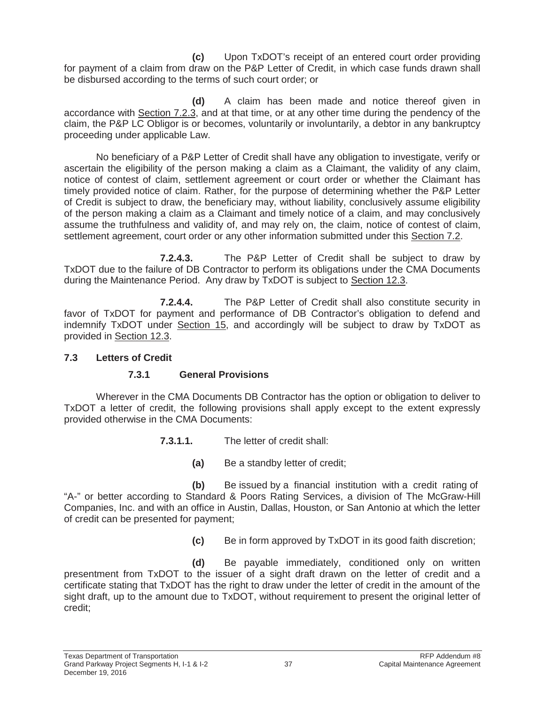**(c)** Upon TxDOT's receipt of an entered court order providing for payment of a claim from draw on the P&P Letter of Credit, in which case funds drawn shall be disbursed according to the terms of such court order; or

**(d)** A claim has been made and notice thereof given in accordance with Section 7.2.3, and at that time, or at any other time during the pendency of the claim, the P&P LC Obligor is or becomes, voluntarily or involuntarily, a debtor in any bankruptcy proceeding under applicable Law.

No beneficiary of a P&P Letter of Credit shall have any obligation to investigate, verify or ascertain the eligibility of the person making a claim as a Claimant, the validity of any claim, notice of contest of claim, settlement agreement or court order or whether the Claimant has timely provided notice of claim. Rather, for the purpose of determining whether the P&P Letter of Credit is subject to draw, the beneficiary may, without liability, conclusively assume eligibility of the person making a claim as a Claimant and timely notice of a claim, and may conclusively assume the truthfulness and validity of, and may rely on, the claim, notice of contest of claim, settlement agreement, court order or any other information submitted under this Section 7.2.

**7.2.4.3.** The P&P Letter of Credit shall be subject to draw by TxDOT due to the failure of DB Contractor to perform its obligations under the CMA Documents during the Maintenance Period. Any draw by TxDOT is subject to Section 12.3.

**7.2.4.4.** The P&P Letter of Credit shall also constitute security in favor of TxDOT for payment and performance of DB Contractor's obligation to defend and indemnify TxDOT under Section 15, and accordingly will be subject to draw by TxDOT as provided in Section 12.3.

#### **7.3 Letters of Credit**

# **7.3.1 General Provisions**

Wherever in the CMA Documents DB Contractor has the option or obligation to deliver to TxDOT a letter of credit, the following provisions shall apply except to the extent expressly provided otherwise in the CMA Documents:

- **7.3.1.1.** The letter of credit shall:
	- **(a)** Be a standby letter of credit;

**(b)** Be issued by a financial institution with a credit rating of "A-" or better according to Standard & Poors Rating Services, a division of The McGraw-Hill Companies, Inc. and with an office in Austin, Dallas, Houston, or San Antonio at which the letter of credit can be presented for payment;

**(c)** Be in form approved by TxDOT in its good faith discretion;

**(d)** Be payable immediately, conditioned only on written presentment from TxDOT to the issuer of a sight draft drawn on the letter of credit and a certificate stating that TxDOT has the right to draw under the letter of credit in the amount of the sight draft, up to the amount due to TxDOT, without requirement to present the original letter of credit;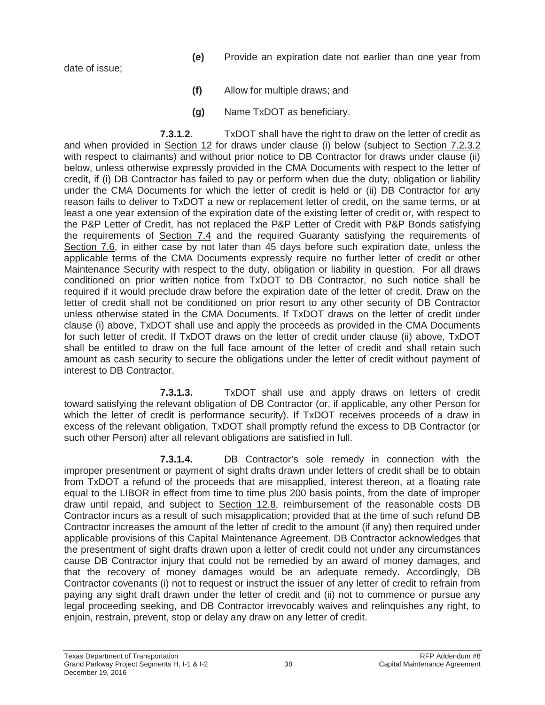date of issue;

- **(e)** Provide an expiration date not earlier than one year from
- **(f)** Allow for multiple draws; and
- **(g)** Name TxDOT as beneficiary.

**7.3.1.2.** TxDOT shall have the right to draw on the letter of credit as and when provided in Section 12 for draws under clause (i) below (subject to Section 7.2.3.2 with respect to claimants) and without prior notice to DB Contractor for draws under clause (ii) below, unless otherwise expressly provided in the CMA Documents with respect to the letter of credit, if (i) DB Contractor has failed to pay or perform when due the duty, obligation or liability under the CMA Documents for which the letter of credit is held or (ii) DB Contractor for any reason fails to deliver to TxDOT a new or replacement letter of credit, on the same terms, or at least a one year extension of the expiration date of the existing letter of credit or, with respect to the P&P Letter of Credit, has not replaced the P&P Letter of Credit with P&P Bonds satisfying the requirements of Section 7.4 and the required Guaranty satisfying the requirements of Section 7.6, in either case by not later than 45 days before such expiration date, unless the applicable terms of the CMA Documents expressly require no further letter of credit or other Maintenance Security with respect to the duty, obligation or liability in question. For all draws conditioned on prior written notice from TxDOT to DB Contractor, no such notice shall be required if it would preclude draw before the expiration date of the letter of credit. Draw on the letter of credit shall not be conditioned on prior resort to any other security of DB Contractor unless otherwise stated in the CMA Documents. If TxDOT draws on the letter of credit under clause (i) above, TxDOT shall use and apply the proceeds as provided in the CMA Documents for such letter of credit. If TxDOT draws on the letter of credit under clause (ii) above, TxDOT shall be entitled to draw on the full face amount of the letter of credit and shall retain such amount as cash security to secure the obligations under the letter of credit without payment of interest to DB Contractor.

**7.3.1.3.** TxDOT shall use and apply draws on letters of credit toward satisfying the relevant obligation of DB Contractor (or, if applicable, any other Person for which the letter of credit is performance security). If TxDOT receives proceeds of a draw in excess of the relevant obligation, TxDOT shall promptly refund the excess to DB Contractor (or such other Person) after all relevant obligations are satisfied in full.

**7.3.1.4.** DB Contractor's sole remedy in connection with the improper presentment or payment of sight drafts drawn under letters of credit shall be to obtain from TxDOT a refund of the proceeds that are misapplied, interest thereon, at a floating rate equal to the LIBOR in effect from time to time plus 200 basis points, from the date of improper draw until repaid, and subject to Section 12.8, reimbursement of the reasonable costs DB Contractor incurs as a result of such misapplication; provided that at the time of such refund DB Contractor increases the amount of the letter of credit to the amount (if any) then required under applicable provisions of this Capital Maintenance Agreement. DB Contractor acknowledges that the presentment of sight drafts drawn upon a letter of credit could not under any circumstances cause DB Contractor injury that could not be remedied by an award of money damages, and that the recovery of money damages would be an adequate remedy. Accordingly, DB Contractor covenants (i) not to request or instruct the issuer of any letter of credit to refrain from paying any sight draft drawn under the letter of credit and (ii) not to commence or pursue any legal proceeding seeking, and DB Contractor irrevocably waives and relinquishes any right, to enjoin, restrain, prevent, stop or delay any draw on any letter of credit.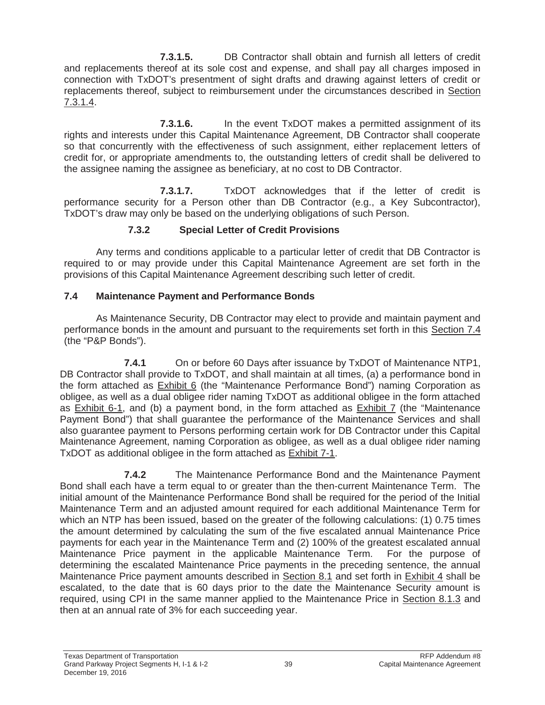**7.3.1.5.** DB Contractor shall obtain and furnish all letters of credit and replacements thereof at its sole cost and expense, and shall pay all charges imposed in connection with TxDOT's presentment of sight drafts and drawing against letters of credit or replacements thereof, subject to reimbursement under the circumstances described in Section 7.3.1.4.

**7.3.1.6.** In the event TxDOT makes a permitted assignment of its rights and interests under this Capital Maintenance Agreement, DB Contractor shall cooperate so that concurrently with the effectiveness of such assignment, either replacement letters of credit for, or appropriate amendments to, the outstanding letters of credit shall be delivered to the assignee naming the assignee as beneficiary, at no cost to DB Contractor.

**7.3.1.7.** TxDOT acknowledges that if the letter of credit is performance security for a Person other than DB Contractor (e.g., a Key Subcontractor), TxDOT's draw may only be based on the underlying obligations of such Person.

# **7.3.2 Special Letter of Credit Provisions**

Any terms and conditions applicable to a particular letter of credit that DB Contractor is required to or may provide under this Capital Maintenance Agreement are set forth in the provisions of this Capital Maintenance Agreement describing such letter of credit.

# **7.4 Maintenance Payment and Performance Bonds**

As Maintenance Security, DB Contractor may elect to provide and maintain payment and performance bonds in the amount and pursuant to the requirements set forth in this Section 7.4 (the "P&P Bonds").

**7.4.1** On or before 60 Days after issuance by TxDOT of Maintenance NTP1, DB Contractor shall provide to TxDOT, and shall maintain at all times, (a) a performance bond in the form attached as **Exhibit 6** (the "Maintenance Performance Bond") naming Corporation as obligee, as well as a dual obligee rider naming TxDOT as additional obligee in the form attached as Exhibit 6-1, and (b) a payment bond, in the form attached as Exhibit 7 (the "Maintenance Payment Bond") that shall guarantee the performance of the Maintenance Services and shall also guarantee payment to Persons performing certain work for DB Contractor under this Capital Maintenance Agreement, naming Corporation as obligee, as well as a dual obligee rider naming TxDOT as additional obligee in the form attached as Exhibit 7-1.

**7.4.2** The Maintenance Performance Bond and the Maintenance Payment Bond shall each have a term equal to or greater than the then-current Maintenance Term. The initial amount of the Maintenance Performance Bond shall be required for the period of the Initial Maintenance Term and an adjusted amount required for each additional Maintenance Term for which an NTP has been issued, based on the greater of the following calculations: (1) 0.75 times the amount determined by calculating the sum of the five escalated annual Maintenance Price payments for each year in the Maintenance Term and (2) 100% of the greatest escalated annual Maintenance Price payment in the applicable Maintenance Term. For the purpose of determining the escalated Maintenance Price payments in the preceding sentence, the annual Maintenance Price payment amounts described in Section 8.1 and set forth in Exhibit 4 shall be escalated, to the date that is 60 days prior to the date the Maintenance Security amount is required, using CPI in the same manner applied to the Maintenance Price in Section 8.1.3 and then at an annual rate of 3% for each succeeding year.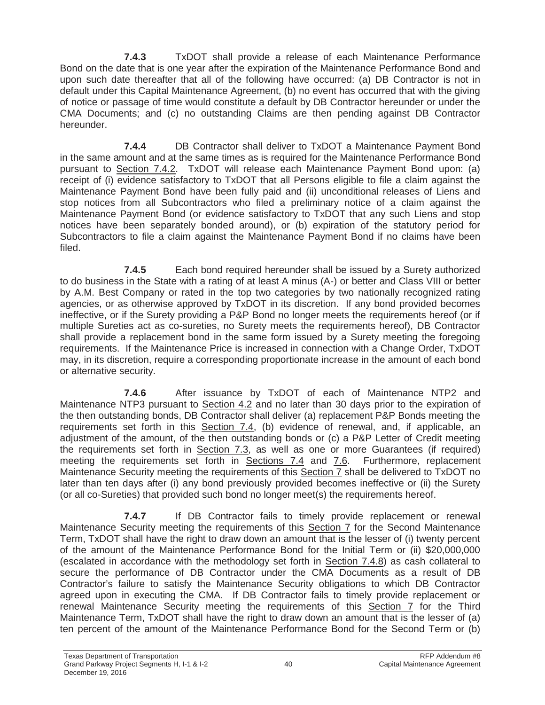**7.4.3** TxDOT shall provide a release of each Maintenance Performance Bond on the date that is one year after the expiration of the Maintenance Performance Bond and upon such date thereafter that all of the following have occurred: (a) DB Contractor is not in default under this Capital Maintenance Agreement, (b) no event has occurred that with the giving of notice or passage of time would constitute a default by DB Contractor hereunder or under the CMA Documents; and (c) no outstanding Claims are then pending against DB Contractor hereunder.

**7.4.4** DB Contractor shall deliver to TxDOT a Maintenance Payment Bond in the same amount and at the same times as is required for the Maintenance Performance Bond pursuant to Section 7.4.2. TxDOT will release each Maintenance Payment Bond upon: (a) receipt of (i) evidence satisfactory to TxDOT that all Persons eligible to file a claim against the Maintenance Payment Bond have been fully paid and (ii) unconditional releases of Liens and stop notices from all Subcontractors who filed a preliminary notice of a claim against the Maintenance Payment Bond (or evidence satisfactory to TxDOT that any such Liens and stop notices have been separately bonded around), or (b) expiration of the statutory period for Subcontractors to file a claim against the Maintenance Payment Bond if no claims have been filed.

**7.4.5** Each bond required hereunder shall be issued by a Surety authorized to do business in the State with a rating of at least A minus (A-) or better and Class VIII or better by A.M. Best Company or rated in the top two categories by two nationally recognized rating agencies, or as otherwise approved by TxDOT in its discretion. If any bond provided becomes ineffective, or if the Surety providing a P&P Bond no longer meets the requirements hereof (or if multiple Sureties act as co-sureties, no Surety meets the requirements hereof), DB Contractor shall provide a replacement bond in the same form issued by a Surety meeting the foregoing requirements. If the Maintenance Price is increased in connection with a Change Order, TxDOT may, in its discretion, require a corresponding proportionate increase in the amount of each bond or alternative security.

**7.4.6** After issuance by TxDOT of each of Maintenance NTP2 and Maintenance NTP3 pursuant to Section 4.2 and no later than 30 days prior to the expiration of the then outstanding bonds, DB Contractor shall deliver (a) replacement P&P Bonds meeting the requirements set forth in this Section 7.4, (b) evidence of renewal, and, if applicable, an adjustment of the amount, of the then outstanding bonds or (c) a P&P Letter of Credit meeting the requirements set forth in Section 7.3, as well as one or more Guarantees (if required) meeting the requirements set forth in Sections  $7.4$  and  $7.6$ . Furthermore, replacement Maintenance Security meeting the requirements of this Section 7 shall be delivered to TxDOT no later than ten days after (i) any bond previously provided becomes ineffective or (ii) the Surety (or all co-Sureties) that provided such bond no longer meet(s) the requirements hereof.

**7.4.7** If DB Contractor fails to timely provide replacement or renewal Maintenance Security meeting the requirements of this Section 7 for the Second Maintenance Term, TxDOT shall have the right to draw down an amount that is the lesser of (i) twenty percent of the amount of the Maintenance Performance Bond for the Initial Term or (ii) \$20,000,000 (escalated in accordance with the methodology set forth in Section 7.4.8) as cash collateral to secure the performance of DB Contractor under the CMA Documents as a result of DB Contractor's failure to satisfy the Maintenance Security obligations to which DB Contractor agreed upon in executing the CMA. If DB Contractor fails to timely provide replacement or renewal Maintenance Security meeting the requirements of this Section 7 for the Third Maintenance Term, TxDOT shall have the right to draw down an amount that is the lesser of (a) ten percent of the amount of the Maintenance Performance Bond for the Second Term or (b)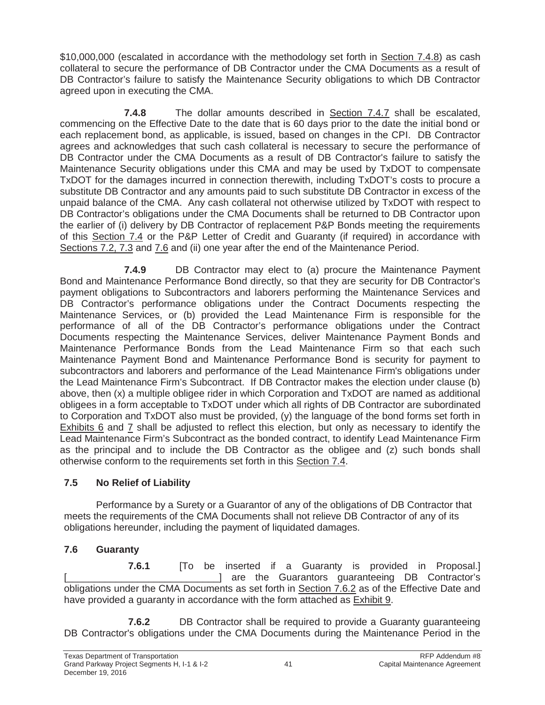\$10,000,000 (escalated in accordance with the methodology set forth in Section 7.4.8) as cash collateral to secure the performance of DB Contractor under the CMA Documents as a result of DB Contractor's failure to satisfy the Maintenance Security obligations to which DB Contractor agreed upon in executing the CMA.

**7.4.8** The dollar amounts described in Section 7.4.7 shall be escalated, commencing on the Effective Date to the date that is 60 days prior to the date the initial bond or each replacement bond, as applicable, is issued, based on changes in the CPI. DB Contractor agrees and acknowledges that such cash collateral is necessary to secure the performance of DB Contractor under the CMA Documents as a result of DB Contractor's failure to satisfy the Maintenance Security obligations under this CMA and may be used by TxDOT to compensate TxDOT for the damages incurred in connection therewith, including TxDOT's costs to procure a substitute DB Contractor and any amounts paid to such substitute DB Contractor in excess of the unpaid balance of the CMA. Any cash collateral not otherwise utilized by TxDOT with respect to DB Contractor's obligations under the CMA Documents shall be returned to DB Contractor upon the earlier of (i) delivery by DB Contractor of replacement P&P Bonds meeting the requirements of this Section 7.4 or the P&P Letter of Credit and Guaranty (if required) in accordance with Sections 7.2, 7.3 and 7.6 and (ii) one year after the end of the Maintenance Period.

**7.4.9** DB Contractor may elect to (a) procure the Maintenance Payment Bond and Maintenance Performance Bond directly, so that they are security for DB Contractor's payment obligations to Subcontractors and laborers performing the Maintenance Services and DB Contractor's performance obligations under the Contract Documents respecting the Maintenance Services, or (b) provided the Lead Maintenance Firm is responsible for the performance of all of the DB Contractor's performance obligations under the Contract Documents respecting the Maintenance Services, deliver Maintenance Payment Bonds and Maintenance Performance Bonds from the Lead Maintenance Firm so that each such Maintenance Payment Bond and Maintenance Performance Bond is security for payment to subcontractors and laborers and performance of the Lead Maintenance Firm's obligations under the Lead Maintenance Firm's Subcontract. If DB Contractor makes the election under clause (b) above, then (x) a multiple obligee rider in which Corporation and TxDOT are named as additional obligees in a form acceptable to TxDOT under which all rights of DB Contractor are subordinated to Corporation and TxDOT also must be provided, (y) the language of the bond forms set forth in Exhibits 6 and 7 shall be adjusted to reflect this election, but only as necessary to identify the Lead Maintenance Firm's Subcontract as the bonded contract, to identify Lead Maintenance Firm as the principal and to include the DB Contractor as the obligee and (z) such bonds shall otherwise conform to the requirements set forth in this Section 7.4.

# **7.5 No Relief of Liability**

Performance by a Surety or a Guarantor of any of the obligations of DB Contractor that meets the requirements of the CMA Documents shall not relieve DB Contractor of any of its obligations hereunder, including the payment of liquidated damages.

# **7.6 Guaranty**

**7.6.1** [To be inserted if a Guaranty is provided in Proposal.] [\_\_\_\_\_\_\_\_\_\_\_\_\_\_\_\_\_\_\_\_\_\_\_\_\_\_\_\_] are the Guarantors guaranteeing DB Contractor's obligations under the CMA Documents as set forth in Section 7.6.2 as of the Effective Date and have provided a guaranty in accordance with the form attached as Exhibit 9.

**7.6.2 DB Contractor shall be required to provide a Guaranty guaranteeing** DB Contractor's obligations under the CMA Documents during the Maintenance Period in the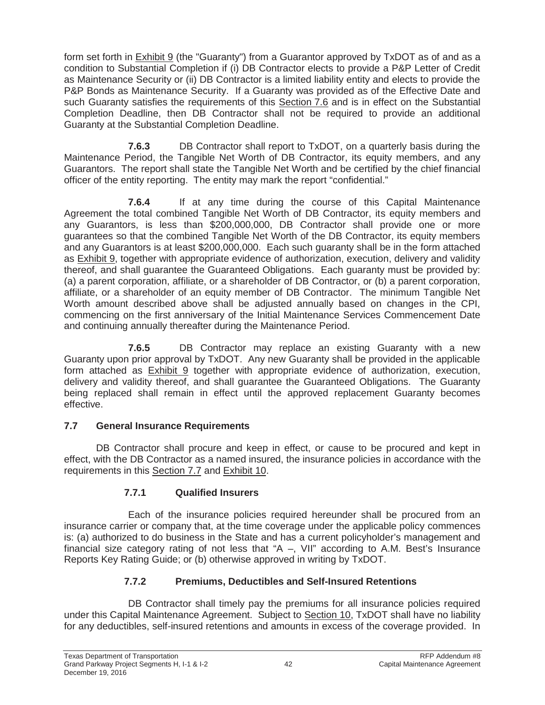form set forth in Exhibit 9 (the "Guaranty") from a Guarantor approved by TxDOT as of and as a condition to Substantial Completion if (i) DB Contractor elects to provide a P&P Letter of Credit as Maintenance Security or (ii) DB Contractor is a limited liability entity and elects to provide the P&P Bonds as Maintenance Security. If a Guaranty was provided as of the Effective Date and such Guaranty satisfies the requirements of this Section 7.6 and is in effect on the Substantial Completion Deadline, then DB Contractor shall not be required to provide an additional Guaranty at the Substantial Completion Deadline.

**7.6.3** DB Contractor shall report to TxDOT, on a quarterly basis during the Maintenance Period, the Tangible Net Worth of DB Contractor, its equity members, and any Guarantors. The report shall state the Tangible Net Worth and be certified by the chief financial officer of the entity reporting. The entity may mark the report "confidential."

**7.6.4** If at any time during the course of this Capital Maintenance Agreement the total combined Tangible Net Worth of DB Contractor, its equity members and any Guarantors, is less than \$200,000,000, DB Contractor shall provide one or more guarantees so that the combined Tangible Net Worth of the DB Contractor, its equity members and any Guarantors is at least \$200,000,000. Each such guaranty shall be in the form attached as Exhibit 9, together with appropriate evidence of authorization, execution, delivery and validity thereof, and shall guarantee the Guaranteed Obligations. Each guaranty must be provided by: (a) a parent corporation, affiliate, or a shareholder of DB Contractor, or (b) a parent corporation, affiliate, or a shareholder of an equity member of DB Contractor. The minimum Tangible Net Worth amount described above shall be adjusted annually based on changes in the CPI, commencing on the first anniversary of the Initial Maintenance Services Commencement Date and continuing annually thereafter during the Maintenance Period.

**7.6.5** DB Contractor may replace an existing Guaranty with a new Guaranty upon prior approval by TxDOT. Any new Guaranty shall be provided in the applicable form attached as Exhibit 9 together with appropriate evidence of authorization, execution, delivery and validity thereof, and shall guarantee the Guaranteed Obligations. The Guaranty being replaced shall remain in effect until the approved replacement Guaranty becomes effective.

# **7.7 General Insurance Requirements**

DB Contractor shall procure and keep in effect, or cause to be procured and kept in effect, with the DB Contractor as a named insured, the insurance policies in accordance with the requirements in this Section 7.7 and Exhibit 10.

# **7.7.1 Qualified Insurers**

Each of the insurance policies required hereunder shall be procured from an insurance carrier or company that, at the time coverage under the applicable policy commences is: (a) authorized to do business in the State and has a current policyholder's management and financial size category rating of not less that "A  $-$ , VII" according to A.M. Best's Insurance Reports Key Rating Guide; or (b) otherwise approved in writing by TxDOT.

# **7.7.2 Premiums, Deductibles and Self-Insured Retentions**

DB Contractor shall timely pay the premiums for all insurance policies required under this Capital Maintenance Agreement. Subject to Section 10, TxDOT shall have no liability for any deductibles, self-insured retentions and amounts in excess of the coverage provided. In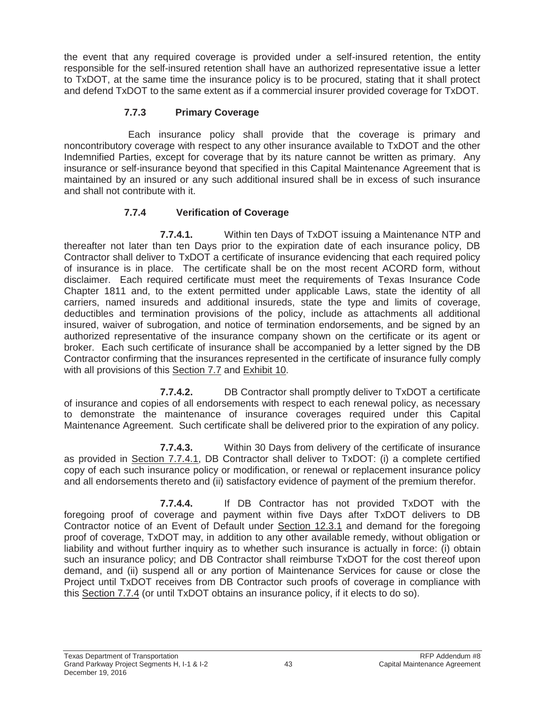the event that any required coverage is provided under a self-insured retention, the entity responsible for the self-insured retention shall have an authorized representative issue a letter to TxDOT, at the same time the insurance policy is to be procured, stating that it shall protect and defend TxDOT to the same extent as if a commercial insurer provided coverage for TxDOT.

### **7.7.3 Primary Coverage**

Each insurance policy shall provide that the coverage is primary and noncontributory coverage with respect to any other insurance available to TxDOT and the other Indemnified Parties, except for coverage that by its nature cannot be written as primary. Any insurance or self-insurance beyond that specified in this Capital Maintenance Agreement that is maintained by an insured or any such additional insured shall be in excess of such insurance and shall not contribute with it.

### **7.7.4 Verification of Coverage**

**7.7.4.1.** Within ten Days of TxDOT issuing a Maintenance NTP and thereafter not later than ten Days prior to the expiration date of each insurance policy, DB Contractor shall deliver to TxDOT a certificate of insurance evidencing that each required policy of insurance is in place. The certificate shall be on the most recent ACORD form, without disclaimer. Each required certificate must meet the requirements of Texas Insurance Code Chapter 1811 and, to the extent permitted under applicable Laws, state the identity of all carriers, named insureds and additional insureds, state the type and limits of coverage, deductibles and termination provisions of the policy, include as attachments all additional insured, waiver of subrogation, and notice of termination endorsements, and be signed by an authorized representative of the insurance company shown on the certificate or its agent or broker. Each such certificate of insurance shall be accompanied by a letter signed by the DB Contractor confirming that the insurances represented in the certificate of insurance fully comply with all provisions of this Section 7.7 and Exhibit 10.

**7.7.4.2.** DB Contractor shall promptly deliver to TxDOT a certificate of insurance and copies of all endorsements with respect to each renewal policy, as necessary to demonstrate the maintenance of insurance coverages required under this Capital Maintenance Agreement. Such certificate shall be delivered prior to the expiration of any policy.

**7.7.4.3.** Within 30 Days from delivery of the certificate of insurance as provided in Section 7.7.4.1, DB Contractor shall deliver to TxDOT: (i) a complete certified copy of each such insurance policy or modification, or renewal or replacement insurance policy and all endorsements thereto and (ii) satisfactory evidence of payment of the premium therefor.

**7.7.4.4.** If DB Contractor has not provided TxDOT with the foregoing proof of coverage and payment within five Days after TxDOT delivers to DB Contractor notice of an Event of Default under Section 12.3.1 and demand for the foregoing proof of coverage, TxDOT may, in addition to any other available remedy, without obligation or liability and without further inquiry as to whether such insurance is actually in force: (i) obtain such an insurance policy; and DB Contractor shall reimburse TxDOT for the cost thereof upon demand, and (ii) suspend all or any portion of Maintenance Services for cause or close the Project until TxDOT receives from DB Contractor such proofs of coverage in compliance with this Section 7.7.4 (or until TxDOT obtains an insurance policy, if it elects to do so).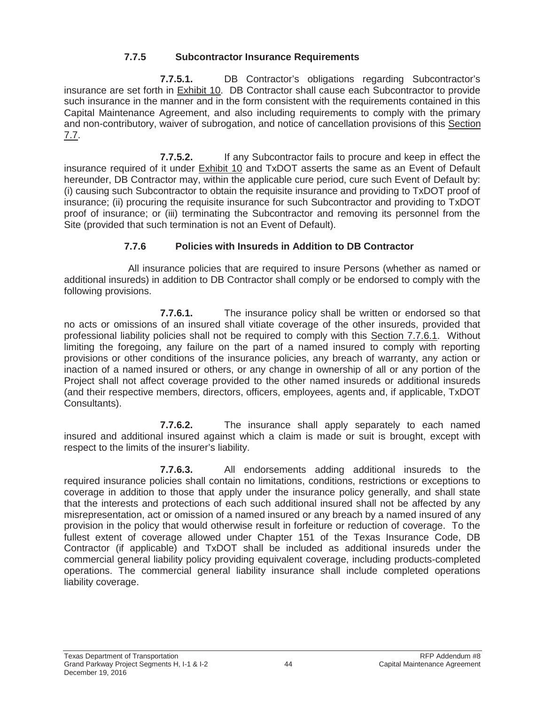# **7.7.5 Subcontractor Insurance Requirements**

**7.7.5.1.** DB Contractor's obligations regarding Subcontractor's insurance are set forth in Exhibit 10. DB Contractor shall cause each Subcontractor to provide such insurance in the manner and in the form consistent with the requirements contained in this Capital Maintenance Agreement, and also including requirements to comply with the primary and non-contributory, waiver of subrogation, and notice of cancellation provisions of this Section 7.7.

**7.7.5.2.** If any Subcontractor fails to procure and keep in effect the insurance required of it under Exhibit 10 and TxDOT asserts the same as an Event of Default hereunder, DB Contractor may, within the applicable cure period, cure such Event of Default by: (i) causing such Subcontractor to obtain the requisite insurance and providing to TxDOT proof of insurance; (ii) procuring the requisite insurance for such Subcontractor and providing to TxDOT proof of insurance; or (iii) terminating the Subcontractor and removing its personnel from the Site (provided that such termination is not an Event of Default).

### **7.7.6 Policies with Insureds in Addition to DB Contractor**

All insurance policies that are required to insure Persons (whether as named or additional insureds) in addition to DB Contractor shall comply or be endorsed to comply with the following provisions.

**7.7.6.1.** The insurance policy shall be written or endorsed so that no acts or omissions of an insured shall vitiate coverage of the other insureds, provided that professional liability policies shall not be required to comply with this Section 7.7.6.1. Without limiting the foregoing, any failure on the part of a named insured to comply with reporting provisions or other conditions of the insurance policies, any breach of warranty, any action or inaction of a named insured or others, or any change in ownership of all or any portion of the Project shall not affect coverage provided to the other named insureds or additional insureds (and their respective members, directors, officers, employees, agents and, if applicable, TxDOT Consultants).

**7.7.6.2.** The insurance shall apply separately to each named insured and additional insured against which a claim is made or suit is brought, except with respect to the limits of the insurer's liability.

**7.7.6.3.** All endorsements adding additional insureds to the required insurance policies shall contain no limitations, conditions, restrictions or exceptions to coverage in addition to those that apply under the insurance policy generally, and shall state that the interests and protections of each such additional insured shall not be affected by any misrepresentation, act or omission of a named insured or any breach by a named insured of any provision in the policy that would otherwise result in forfeiture or reduction of coverage. To the fullest extent of coverage allowed under Chapter 151 of the Texas Insurance Code, DB Contractor (if applicable) and TxDOT shall be included as additional insureds under the commercial general liability policy providing equivalent coverage, including products-completed operations. The commercial general liability insurance shall include completed operations liability coverage.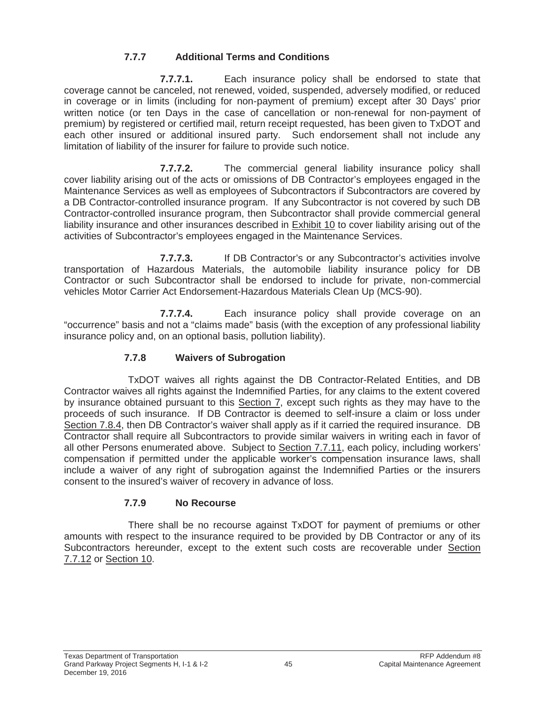# **7.7.7 Additional Terms and Conditions**

**7.7.7.1.** Each insurance policy shall be endorsed to state that coverage cannot be canceled, not renewed, voided, suspended, adversely modified, or reduced in coverage or in limits (including for non-payment of premium) except after 30 Days' prior written notice (or ten Days in the case of cancellation or non-renewal for non-payment of premium) by registered or certified mail, return receipt requested, has been given to TxDOT and each other insured or additional insured party. Such endorsement shall not include any limitation of liability of the insurer for failure to provide such notice.

**7.7.7.2.** The commercial general liability insurance policy shall cover liability arising out of the acts or omissions of DB Contractor's employees engaged in the Maintenance Services as well as employees of Subcontractors if Subcontractors are covered by a DB Contractor-controlled insurance program. If any Subcontractor is not covered by such DB Contractor-controlled insurance program, then Subcontractor shall provide commercial general liability insurance and other insurances described in Exhibit 10 to cover liability arising out of the activities of Subcontractor's employees engaged in the Maintenance Services.

**7.7.7.3.** If DB Contractor's or any Subcontractor's activities involve transportation of Hazardous Materials, the automobile liability insurance policy for DB Contractor or such Subcontractor shall be endorsed to include for private, non-commercial vehicles Motor Carrier Act Endorsement-Hazardous Materials Clean Up (MCS-90).

**7.7.7.4.** Each insurance policy shall provide coverage on an "occurrence" basis and not a "claims made" basis (with the exception of any professional liability insurance policy and, on an optional basis, pollution liability).

# **7.7.8 Waivers of Subrogation**

TxDOT waives all rights against the DB Contractor-Related Entities, and DB Contractor waives all rights against the Indemnified Parties, for any claims to the extent covered by insurance obtained pursuant to this Section 7, except such rights as they may have to the proceeds of such insurance. If DB Contractor is deemed to self-insure a claim or loss under Section 7.8.4, then DB Contractor's waiver shall apply as if it carried the required insurance. DB Contractor shall require all Subcontractors to provide similar waivers in writing each in favor of all other Persons enumerated above. Subject to Section 7.7.11, each policy, including workers' compensation if permitted under the applicable worker's compensation insurance laws, shall include a waiver of any right of subrogation against the Indemnified Parties or the insurers consent to the insured's waiver of recovery in advance of loss.

# **7.7.9 No Recourse**

There shall be no recourse against TxDOT for payment of premiums or other amounts with respect to the insurance required to be provided by DB Contractor or any of its Subcontractors hereunder, except to the extent such costs are recoverable under Section 7.7.12 or Section 10.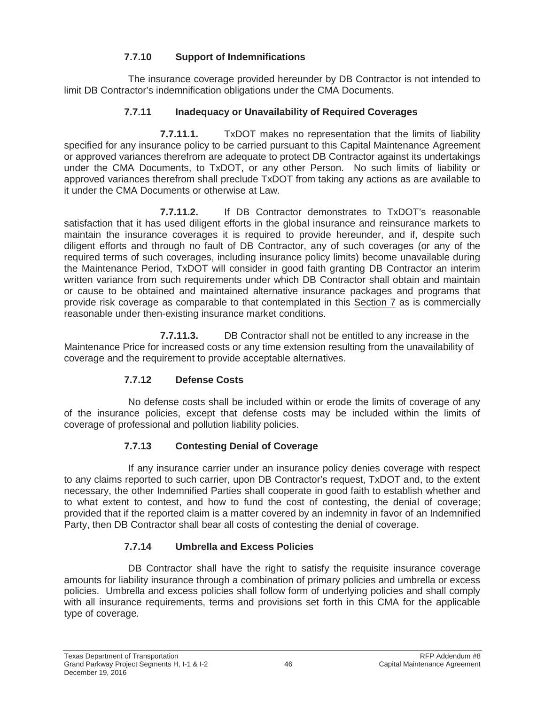# **7.7.10 Support of Indemnifications**

The insurance coverage provided hereunder by DB Contractor is not intended to limit DB Contractor's indemnification obligations under the CMA Documents.

# **7.7.11 Inadequacy or Unavailability of Required Coverages**

**7.7.11.1.** TxDOT makes no representation that the limits of liability specified for any insurance policy to be carried pursuant to this Capital Maintenance Agreement or approved variances therefrom are adequate to protect DB Contractor against its undertakings under the CMA Documents, to TxDOT, or any other Person. No such limits of liability or approved variances therefrom shall preclude TxDOT from taking any actions as are available to it under the CMA Documents or otherwise at Law.

**7.7.11.2.** If DB Contractor demonstrates to TxDOT's reasonable satisfaction that it has used diligent efforts in the global insurance and reinsurance markets to maintain the insurance coverages it is required to provide hereunder, and if, despite such diligent efforts and through no fault of DB Contractor, any of such coverages (or any of the required terms of such coverages, including insurance policy limits) become unavailable during the Maintenance Period, TxDOT will consider in good faith granting DB Contractor an interim written variance from such requirements under which DB Contractor shall obtain and maintain or cause to be obtained and maintained alternative insurance packages and programs that provide risk coverage as comparable to that contemplated in this Section 7 as is commercially reasonable under then-existing insurance market conditions.

**7.7.11.3.** DB Contractor shall not be entitled to any increase in the Maintenance Price for increased costs or any time extension resulting from the unavailability of coverage and the requirement to provide acceptable alternatives.

# **7.7.12 Defense Costs**

No defense costs shall be included within or erode the limits of coverage of any of the insurance policies, except that defense costs may be included within the limits of coverage of professional and pollution liability policies.

# **7.7.13 Contesting Denial of Coverage**

If any insurance carrier under an insurance policy denies coverage with respect to any claims reported to such carrier, upon DB Contractor's request, TxDOT and, to the extent necessary, the other Indemnified Parties shall cooperate in good faith to establish whether and to what extent to contest, and how to fund the cost of contesting, the denial of coverage; provided that if the reported claim is a matter covered by an indemnity in favor of an Indemnified Party, then DB Contractor shall bear all costs of contesting the denial of coverage.

# **7.7.14 Umbrella and Excess Policies**

DB Contractor shall have the right to satisfy the requisite insurance coverage amounts for liability insurance through a combination of primary policies and umbrella or excess policies. Umbrella and excess policies shall follow form of underlying policies and shall comply with all insurance requirements, terms and provisions set forth in this CMA for the applicable type of coverage.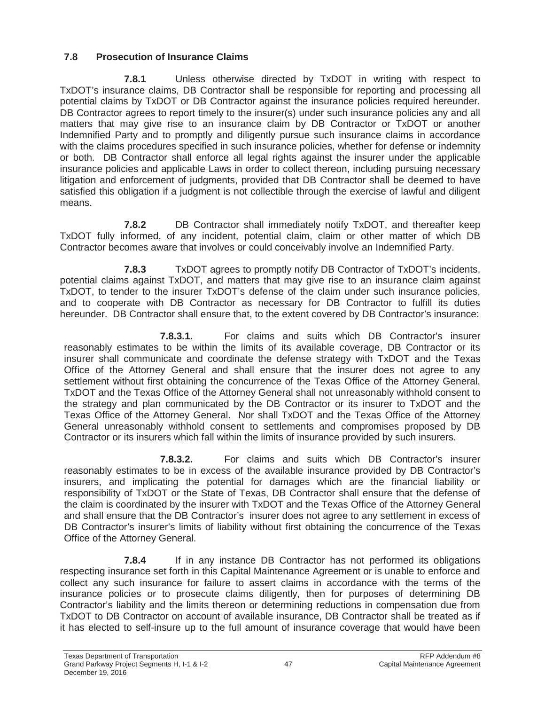# **7.8 Prosecution of Insurance Claims**

**7.8.1** Unless otherwise directed by TxDOT in writing with respect to TxDOT's insurance claims, DB Contractor shall be responsible for reporting and processing all potential claims by TxDOT or DB Contractor against the insurance policies required hereunder. DB Contractor agrees to report timely to the insurer(s) under such insurance policies any and all matters that may give rise to an insurance claim by DB Contractor or TxDOT or another Indemnified Party and to promptly and diligently pursue such insurance claims in accordance with the claims procedures specified in such insurance policies, whether for defense or indemnity or both. DB Contractor shall enforce all legal rights against the insurer under the applicable insurance policies and applicable Laws in order to collect thereon, including pursuing necessary litigation and enforcement of judgments, provided that DB Contractor shall be deemed to have satisfied this obligation if a judgment is not collectible through the exercise of lawful and diligent means.

**7.8.2** DB Contractor shall immediately notify TxDOT, and thereafter keep TxDOT fully informed, of any incident, potential claim, claim or other matter of which DB Contractor becomes aware that involves or could conceivably involve an Indemnified Party.

**7.8.3** TxDOT agrees to promptly notify DB Contractor of TxDOT's incidents, potential claims against TxDOT, and matters that may give rise to an insurance claim against TxDOT, to tender to the insurer TxDOT's defense of the claim under such insurance policies, and to cooperate with DB Contractor as necessary for DB Contractor to fulfill its duties hereunder. DB Contractor shall ensure that, to the extent covered by DB Contractor's insurance:

**7.8.3.1.** For claims and suits which DB Contractor's insurer reasonably estimates to be within the limits of its available coverage, DB Contractor or its insurer shall communicate and coordinate the defense strategy with TxDOT and the Texas Office of the Attorney General and shall ensure that the insurer does not agree to any settlement without first obtaining the concurrence of the Texas Office of the Attorney General. TxDOT and the Texas Office of the Attorney General shall not unreasonably withhold consent to the strategy and plan communicated by the DB Contractor or its insurer to TxDOT and the Texas Office of the Attorney General. Nor shall TxDOT and the Texas Office of the Attorney General unreasonably withhold consent to settlements and compromises proposed by DB Contractor or its insurers which fall within the limits of insurance provided by such insurers.

**7.8.3.2.** For claims and suits which DB Contractor's insurer reasonably estimates to be in excess of the available insurance provided by DB Contractor's insurers, and implicating the potential for damages which are the financial liability or responsibility of TxDOT or the State of Texas, DB Contractor shall ensure that the defense of the claim is coordinated by the insurer with TxDOT and the Texas Office of the Attorney General and shall ensure that the DB Contractor's insurer does not agree to any settlement in excess of DB Contractor's insurer's limits of liability without first obtaining the concurrence of the Texas Office of the Attorney General.

**7.8.4** If in any instance DB Contractor has not performed its obligations respecting insurance set forth in this Capital Maintenance Agreement or is unable to enforce and collect any such insurance for failure to assert claims in accordance with the terms of the insurance policies or to prosecute claims diligently, then for purposes of determining DB Contractor's liability and the limits thereon or determining reductions in compensation due from TxDOT to DB Contractor on account of available insurance, DB Contractor shall be treated as if it has elected to self-insure up to the full amount of insurance coverage that would have been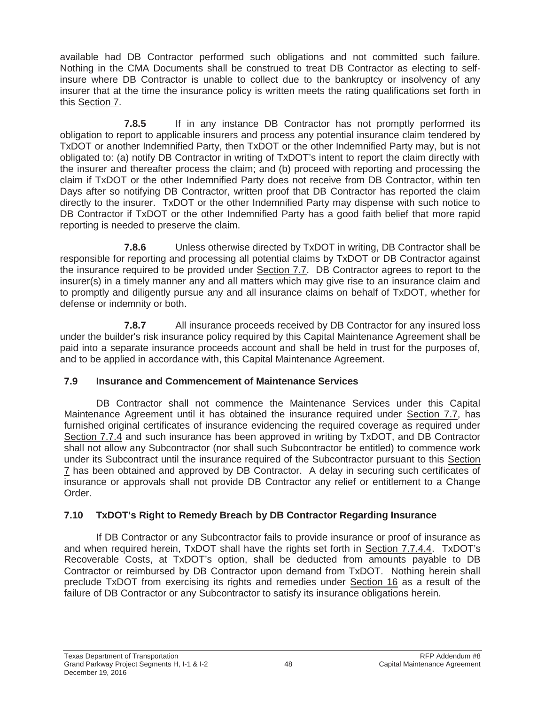available had DB Contractor performed such obligations and not committed such failure. Nothing in the CMA Documents shall be construed to treat DB Contractor as electing to selfinsure where DB Contractor is unable to collect due to the bankruptcy or insolvency of any insurer that at the time the insurance policy is written meets the rating qualifications set forth in this Section 7.

**7.8.5** If in any instance DB Contractor has not promptly performed its obligation to report to applicable insurers and process any potential insurance claim tendered by TxDOT or another Indemnified Party, then TxDOT or the other Indemnified Party may, but is not obligated to: (a) notify DB Contractor in writing of TxDOT's intent to report the claim directly with the insurer and thereafter process the claim; and (b) proceed with reporting and processing the claim if TxDOT or the other Indemnified Party does not receive from DB Contractor, within ten Days after so notifying DB Contractor, written proof that DB Contractor has reported the claim directly to the insurer. TxDOT or the other Indemnified Party may dispense with such notice to DB Contractor if TxDOT or the other Indemnified Party has a good faith belief that more rapid reporting is needed to preserve the claim.

**7.8.6** Unless otherwise directed by TxDOT in writing, DB Contractor shall be responsible for reporting and processing all potential claims by TxDOT or DB Contractor against the insurance required to be provided under Section 7.7. DB Contractor agrees to report to the insurer(s) in a timely manner any and all matters which may give rise to an insurance claim and to promptly and diligently pursue any and all insurance claims on behalf of TxDOT, whether for defense or indemnity or both.

**7.8.7** All insurance proceeds received by DB Contractor for any insured loss under the builder's risk insurance policy required by this Capital Maintenance Agreement shall be paid into a separate insurance proceeds account and shall be held in trust for the purposes of, and to be applied in accordance with, this Capital Maintenance Agreement.

#### **7.9 Insurance and Commencement of Maintenance Services**

DB Contractor shall not commence the Maintenance Services under this Capital Maintenance Agreement until it has obtained the insurance required under Section 7.7, has furnished original certificates of insurance evidencing the required coverage as required under Section 7.7.4 and such insurance has been approved in writing by TxDOT, and DB Contractor shall not allow any Subcontractor (nor shall such Subcontractor be entitled) to commence work under its Subcontract until the insurance required of the Subcontractor pursuant to this Section 7 has been obtained and approved by DB Contractor. A delay in securing such certificates of insurance or approvals shall not provide DB Contractor any relief or entitlement to a Change Order.

# **7.10 TxDOT's Right to Remedy Breach by DB Contractor Regarding Insurance**

If DB Contractor or any Subcontractor fails to provide insurance or proof of insurance as and when required herein, TxDOT shall have the rights set forth in Section 7.7.4.4. TxDOT's Recoverable Costs, at TxDOT's option, shall be deducted from amounts payable to DB Contractor or reimbursed by DB Contractor upon demand from TxDOT. Nothing herein shall preclude TxDOT from exercising its rights and remedies under Section 16 as a result of the failure of DB Contractor or any Subcontractor to satisfy its insurance obligations herein.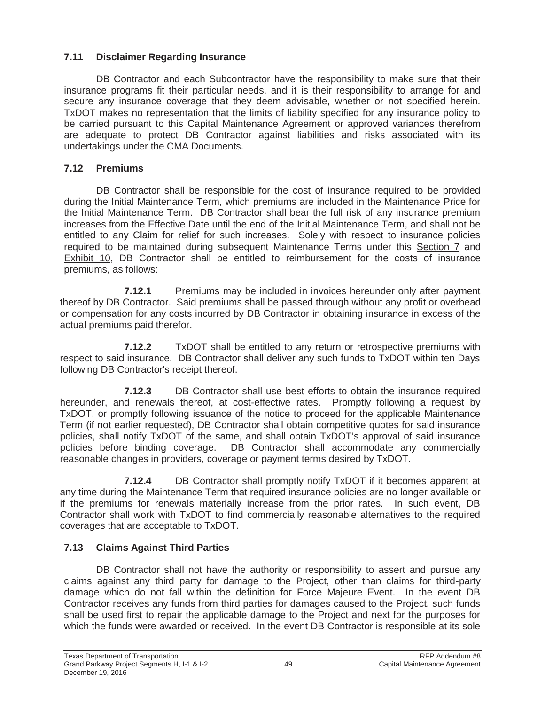# **7.11 Disclaimer Regarding Insurance**

DB Contractor and each Subcontractor have the responsibility to make sure that their insurance programs fit their particular needs, and it is their responsibility to arrange for and secure any insurance coverage that they deem advisable, whether or not specified herein. TxDOT makes no representation that the limits of liability specified for any insurance policy to be carried pursuant to this Capital Maintenance Agreement or approved variances therefrom are adequate to protect DB Contractor against liabilities and risks associated with its undertakings under the CMA Documents.

# **7.12 Premiums**

DB Contractor shall be responsible for the cost of insurance required to be provided during the Initial Maintenance Term, which premiums are included in the Maintenance Price for the Initial Maintenance Term. DB Contractor shall bear the full risk of any insurance premium increases from the Effective Date until the end of the Initial Maintenance Term, and shall not be entitled to any Claim for relief for such increases. Solely with respect to insurance policies required to be maintained during subsequent Maintenance Terms under this Section 7 and Exhibit 10, DB Contractor shall be entitled to reimbursement for the costs of insurance premiums, as follows:

**7.12.1** Premiums may be included in invoices hereunder only after payment thereof by DB Contractor. Said premiums shall be passed through without any profit or overhead or compensation for any costs incurred by DB Contractor in obtaining insurance in excess of the actual premiums paid therefor.

**7.12.2** TxDOT shall be entitled to any return or retrospective premiums with respect to said insurance. DB Contractor shall deliver any such funds to TxDOT within ten Days following DB Contractor's receipt thereof.

**7.12.3** DB Contractor shall use best efforts to obtain the insurance required hereunder, and renewals thereof, at cost-effective rates. Promptly following a request by TxDOT, or promptly following issuance of the notice to proceed for the applicable Maintenance Term (if not earlier requested), DB Contractor shall obtain competitive quotes for said insurance policies, shall notify TxDOT of the same, and shall obtain TxDOT's approval of said insurance policies before binding coverage. DB Contractor shall accommodate any commercially reasonable changes in providers, coverage or payment terms desired by TxDOT.

**7.12.4** DB Contractor shall promptly notify TxDOT if it becomes apparent at any time during the Maintenance Term that required insurance policies are no longer available or if the premiums for renewals materially increase from the prior rates. In such event, DB Contractor shall work with TxDOT to find commercially reasonable alternatives to the required coverages that are acceptable to TxDOT.

# **7.13 Claims Against Third Parties**

DB Contractor shall not have the authority or responsibility to assert and pursue any claims against any third party for damage to the Project, other than claims for third-party damage which do not fall within the definition for Force Majeure Event. In the event DB Contractor receives any funds from third parties for damages caused to the Project, such funds shall be used first to repair the applicable damage to the Project and next for the purposes for which the funds were awarded or received. In the event DB Contractor is responsible at its sole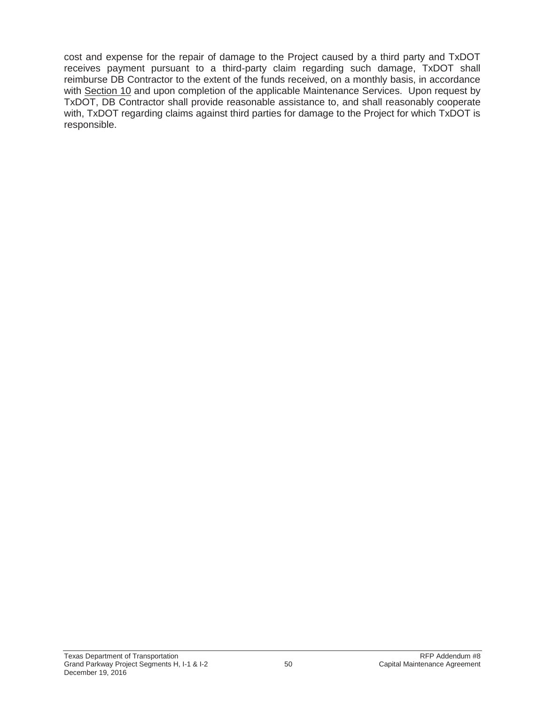cost and expense for the repair of damage to the Project caused by a third party and TxDOT receives payment pursuant to a third-party claim regarding such damage, TxDOT shall reimburse DB Contractor to the extent of the funds received, on a monthly basis, in accordance with Section 10 and upon completion of the applicable Maintenance Services. Upon request by TxDOT, DB Contractor shall provide reasonable assistance to, and shall reasonably cooperate with, TxDOT regarding claims against third parties for damage to the Project for which TxDOT is responsible.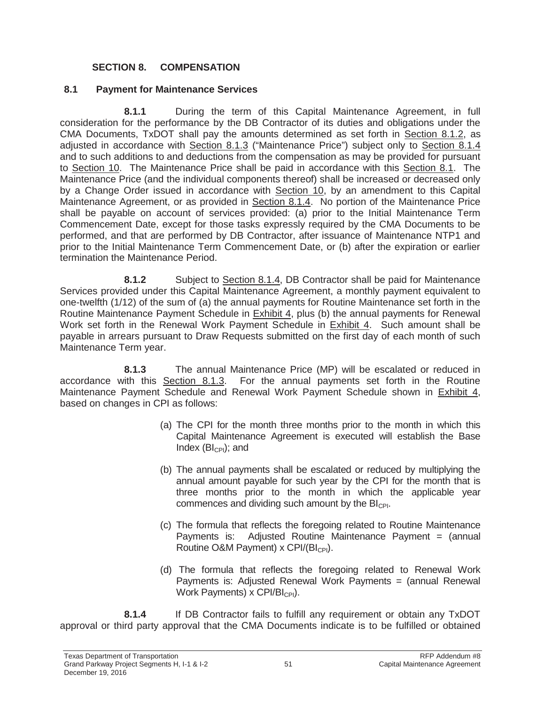#### **SECTION 8. COMPENSATION**

#### **8.1 Payment for Maintenance Services**

**8.1.1** During the term of this Capital Maintenance Agreement, in full consideration for the performance by the DB Contractor of its duties and obligations under the CMA Documents, TxDOT shall pay the amounts determined as set forth in Section 8.1.2, as adjusted in accordance with Section 8.1.3 ("Maintenance Price") subject only to Section 8.1.4 and to such additions to and deductions from the compensation as may be provided for pursuant to Section 10. The Maintenance Price shall be paid in accordance with this Section 8.1. The Maintenance Price (and the individual components thereof) shall be increased or decreased only by a Change Order issued in accordance with Section 10, by an amendment to this Capital Maintenance Agreement, or as provided in Section 8.1.4. No portion of the Maintenance Price shall be payable on account of services provided: (a) prior to the Initial Maintenance Term Commencement Date, except for those tasks expressly required by the CMA Documents to be performed, and that are performed by DB Contractor, after issuance of Maintenance NTP1 and prior to the Initial Maintenance Term Commencement Date, or (b) after the expiration or earlier termination the Maintenance Period.

**8.1.2** Subject to Section 8.1.4, DB Contractor shall be paid for Maintenance Services provided under this Capital Maintenance Agreement, a monthly payment equivalent to one-twelfth (1/12) of the sum of (a) the annual payments for Routine Maintenance set forth in the Routine Maintenance Payment Schedule in Exhibit 4, plus (b) the annual payments for Renewal Work set forth in the Renewal Work Payment Schedule in Exhibit 4. Such amount shall be payable in arrears pursuant to Draw Requests submitted on the first day of each month of such Maintenance Term year.

**8.1.3** The annual Maintenance Price (MP) will be escalated or reduced in accordance with this Section 8.1.3. For the annual payments set forth in the Routine Maintenance Payment Schedule and Renewal Work Payment Schedule shown in Exhibit 4, based on changes in CPI as follows:

- (a) The CPI for the month three months prior to the month in which this Capital Maintenance Agreement is executed will establish the Base Index  $(Bl_{\mathbb{C}Pl})$ ; and
- (b) The annual payments shall be escalated or reduced by multiplying the annual amount payable for such year by the CPI for the month that is three months prior to the month in which the applicable year commences and dividing such amount by the  $Bl_{\text{CPI}}$ .
- (c) The formula that reflects the foregoing related to Routine Maintenance Payments is: Adjusted Routine Maintenance Payment = (annual Routine O&M Payment) x  $CPI/(Bl_{CPI})$ .
- (d) The formula that reflects the foregoing related to Renewal Work Payments is: Adjusted Renewal Work Payments = (annual Renewal Work Payments)  $\times$  CPI/BI<sub>CPI</sub>).

**8.1.4** If DB Contractor fails to fulfill any requirement or obtain any TxDOT approval or third party approval that the CMA Documents indicate is to be fulfilled or obtained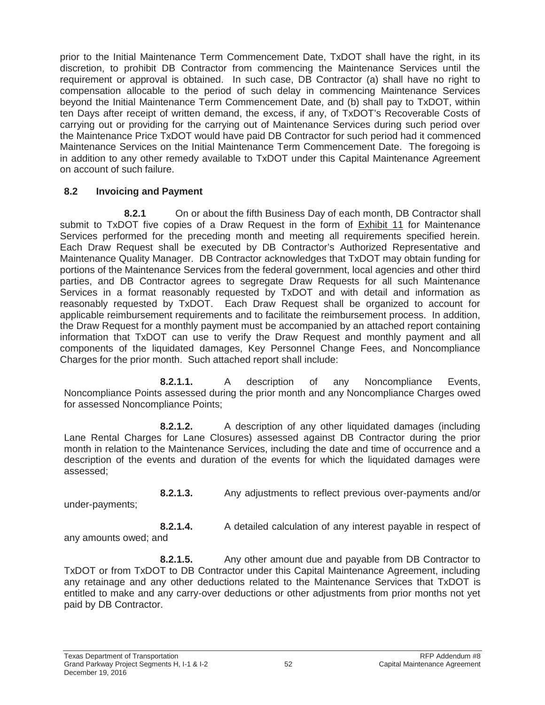prior to the Initial Maintenance Term Commencement Date, TxDOT shall have the right, in its discretion, to prohibit DB Contractor from commencing the Maintenance Services until the requirement or approval is obtained. In such case, DB Contractor (a) shall have no right to compensation allocable to the period of such delay in commencing Maintenance Services beyond the Initial Maintenance Term Commencement Date, and (b) shall pay to TxDOT, within ten Days after receipt of written demand, the excess, if any, of TxDOT's Recoverable Costs of carrying out or providing for the carrying out of Maintenance Services during such period over the Maintenance Price TxDOT would have paid DB Contractor for such period had it commenced Maintenance Services on the Initial Maintenance Term Commencement Date. The foregoing is in addition to any other remedy available to TxDOT under this Capital Maintenance Agreement on account of such failure.

### **8.2 Invoicing and Payment**

**8.2.1** On or about the fifth Business Day of each month, DB Contractor shall submit to TxDOT five copies of a Draw Request in the form of Exhibit 11 for Maintenance Services performed for the preceding month and meeting all requirements specified herein. Each Draw Request shall be executed by DB Contractor's Authorized Representative and Maintenance Quality Manager. DB Contractor acknowledges that TxDOT may obtain funding for portions of the Maintenance Services from the federal government, local agencies and other third parties, and DB Contractor agrees to segregate Draw Requests for all such Maintenance Services in a format reasonably requested by TxDOT and with detail and information as reasonably requested by TxDOT. Each Draw Request shall be organized to account for applicable reimbursement requirements and to facilitate the reimbursement process. In addition, the Draw Request for a monthly payment must be accompanied by an attached report containing information that TxDOT can use to verify the Draw Request and monthly payment and all components of the liquidated damages, Key Personnel Change Fees, and Noncompliance Charges for the prior month. Such attached report shall include:

**8.2.1.1.** A description of any Noncompliance Events, Noncompliance Points assessed during the prior month and any Noncompliance Charges owed for assessed Noncompliance Points;

**8.2.1.2.** A description of any other liquidated damages (including Lane Rental Charges for Lane Closures) assessed against DB Contractor during the prior month in relation to the Maintenance Services, including the date and time of occurrence and a description of the events and duration of the events for which the liquidated damages were assessed;

**8.2.1.3.** Any adjustments to reflect previous over-payments and/or

under-payments;

**8.2.1.4.** A detailed calculation of any interest payable in respect of any amounts owed; and

**8.2.1.5.** Any other amount due and payable from DB Contractor to TxDOT or from TxDOT to DB Contractor under this Capital Maintenance Agreement, including any retainage and any other deductions related to the Maintenance Services that TxDOT is entitled to make and any carry-over deductions or other adjustments from prior months not yet paid by DB Contractor.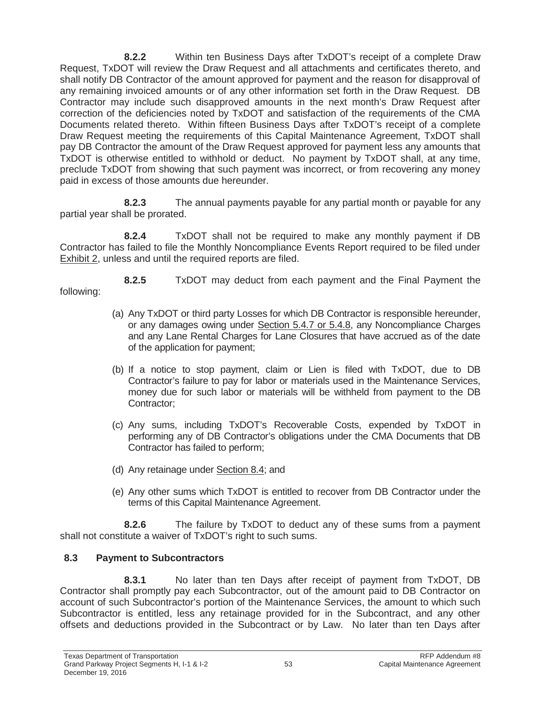**8.2.2** Within ten Business Days after TxDOT's receipt of a complete Draw Request, TxDOT will review the Draw Request and all attachments and certificates thereto, and shall notify DB Contractor of the amount approved for payment and the reason for disapproval of any remaining invoiced amounts or of any other information set forth in the Draw Request. DB Contractor may include such disapproved amounts in the next month's Draw Request after correction of the deficiencies noted by TxDOT and satisfaction of the requirements of the CMA Documents related thereto. Within fifteen Business Days after TxDOT's receipt of a complete Draw Request meeting the requirements of this Capital Maintenance Agreement, TxDOT shall pay DB Contractor the amount of the Draw Request approved for payment less any amounts that TxDOT is otherwise entitled to withhold or deduct. No payment by TxDOT shall, at any time, preclude TxDOT from showing that such payment was incorrect, or from recovering any money paid in excess of those amounts due hereunder.

**8.2.3** The annual payments payable for any partial month or payable for any partial year shall be prorated.

**8.2.4** TxDOT shall not be required to make any monthly payment if DB Contractor has failed to file the Monthly Noncompliance Events Report required to be filed under Exhibit 2, unless and until the required reports are filed.

**8.2.5** TxDOT may deduct from each payment and the Final Payment the following:

- (a) Any TxDOT or third party Losses for which DB Contractor is responsible hereunder, or any damages owing under Section 5.4.7 or 5.4.8, any Noncompliance Charges and any Lane Rental Charges for Lane Closures that have accrued as of the date of the application for payment;
- (b) If a notice to stop payment, claim or Lien is filed with TxDOT, due to DB Contractor's failure to pay for labor or materials used in the Maintenance Services, money due for such labor or materials will be withheld from payment to the DB Contractor;
- (c) Any sums, including TxDOT's Recoverable Costs, expended by TxDOT in performing any of DB Contractor's obligations under the CMA Documents that DB Contractor has failed to perform;
- (d) Any retainage under Section 8.4; and
- (e) Any other sums which TxDOT is entitled to recover from DB Contractor under the terms of this Capital Maintenance Agreement.

**8.2.6** The failure by TxDOT to deduct any of these sums from a payment shall not constitute a waiver of TxDOT's right to such sums.

# **8.3 Payment to Subcontractors**

**8.3.1** No later than ten Days after receipt of payment from TxDOT, DB Contractor shall promptly pay each Subcontractor, out of the amount paid to DB Contractor on account of such Subcontractor's portion of the Maintenance Services, the amount to which such Subcontractor is entitled, less any retainage provided for in the Subcontract, and any other offsets and deductions provided in the Subcontract or by Law. No later than ten Days after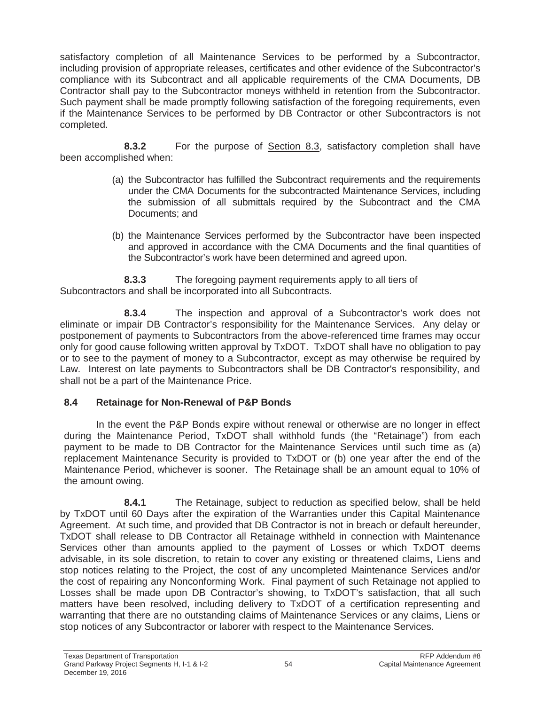satisfactory completion of all Maintenance Services to be performed by a Subcontractor, including provision of appropriate releases, certificates and other evidence of the Subcontractor's compliance with its Subcontract and all applicable requirements of the CMA Documents, DB Contractor shall pay to the Subcontractor moneys withheld in retention from the Subcontractor. Such payment shall be made promptly following satisfaction of the foregoing requirements, even if the Maintenance Services to be performed by DB Contractor or other Subcontractors is not completed.

**8.3.2** For the purpose of Section 8.3, satisfactory completion shall have been accomplished when:

- (a) the Subcontractor has fulfilled the Subcontract requirements and the requirements under the CMA Documents for the subcontracted Maintenance Services, including the submission of all submittals required by the Subcontract and the CMA Documents; and
- (b) the Maintenance Services performed by the Subcontractor have been inspected and approved in accordance with the CMA Documents and the final quantities of the Subcontractor's work have been determined and agreed upon.

**8.3.3** The foregoing payment requirements apply to all tiers of Subcontractors and shall be incorporated into all Subcontracts.

**8.3.4** The inspection and approval of a Subcontractor's work does not eliminate or impair DB Contractor's responsibility for the Maintenance Services. Any delay or postponement of payments to Subcontractors from the above-referenced time frames may occur only for good cause following written approval by TxDOT. TxDOT shall have no obligation to pay or to see to the payment of money to a Subcontractor, except as may otherwise be required by Law. Interest on late payments to Subcontractors shall be DB Contractor's responsibility, and shall not be a part of the Maintenance Price.

#### **8.4 Retainage for Non-Renewal of P&P Bonds**

In the event the P&P Bonds expire without renewal or otherwise are no longer in effect during the Maintenance Period, TxDOT shall withhold funds (the "Retainage") from each payment to be made to DB Contractor for the Maintenance Services until such time as (a) replacement Maintenance Security is provided to TxDOT or (b) one year after the end of the Maintenance Period, whichever is sooner. The Retainage shall be an amount equal to 10% of the amount owing.

**8.4.1** The Retainage, subject to reduction as specified below, shall be held by TxDOT until 60 Days after the expiration of the Warranties under this Capital Maintenance Agreement. At such time, and provided that DB Contractor is not in breach or default hereunder, TxDOT shall release to DB Contractor all Retainage withheld in connection with Maintenance Services other than amounts applied to the payment of Losses or which TxDOT deems advisable, in its sole discretion, to retain to cover any existing or threatened claims, Liens and stop notices relating to the Project, the cost of any uncompleted Maintenance Services and/or the cost of repairing any Nonconforming Work. Final payment of such Retainage not applied to Losses shall be made upon DB Contractor's showing, to TxDOT's satisfaction, that all such matters have been resolved, including delivery to TxDOT of a certification representing and warranting that there are no outstanding claims of Maintenance Services or any claims, Liens or stop notices of any Subcontractor or laborer with respect to the Maintenance Services.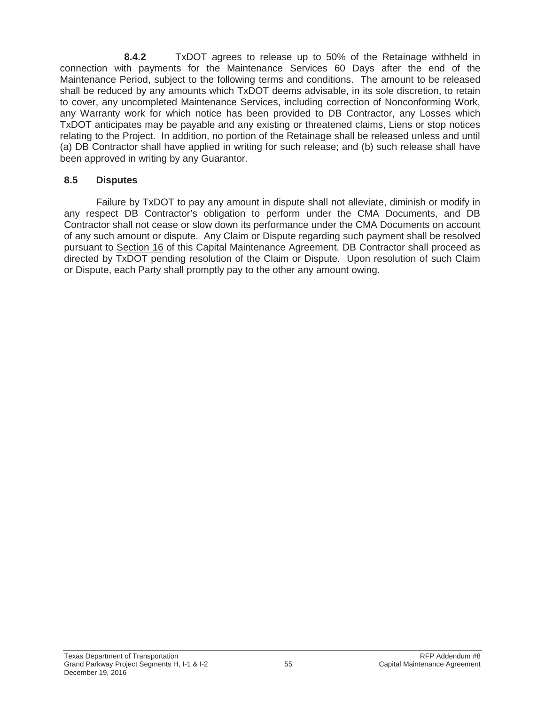**8.4.2** TxDOT agrees to release up to 50% of the Retainage withheld in connection with payments for the Maintenance Services 60 Days after the end of the Maintenance Period, subject to the following terms and conditions. The amount to be released shall be reduced by any amounts which TxDOT deems advisable, in its sole discretion, to retain to cover, any uncompleted Maintenance Services, including correction of Nonconforming Work, any Warranty work for which notice has been provided to DB Contractor, any Losses which TxDOT anticipates may be payable and any existing or threatened claims, Liens or stop notices relating to the Project. In addition, no portion of the Retainage shall be released unless and until (a) DB Contractor shall have applied in writing for such release; and (b) such release shall have been approved in writing by any Guarantor.

#### **8.5 Disputes**

Failure by TxDOT to pay any amount in dispute shall not alleviate, diminish or modify in any respect DB Contractor's obligation to perform under the CMA Documents, and DB Contractor shall not cease or slow down its performance under the CMA Documents on account of any such amount or dispute. Any Claim or Dispute regarding such payment shall be resolved pursuant to Section 16 of this Capital Maintenance Agreement. DB Contractor shall proceed as directed by TxDOT pending resolution of the Claim or Dispute. Upon resolution of such Claim or Dispute, each Party shall promptly pay to the other any amount owing.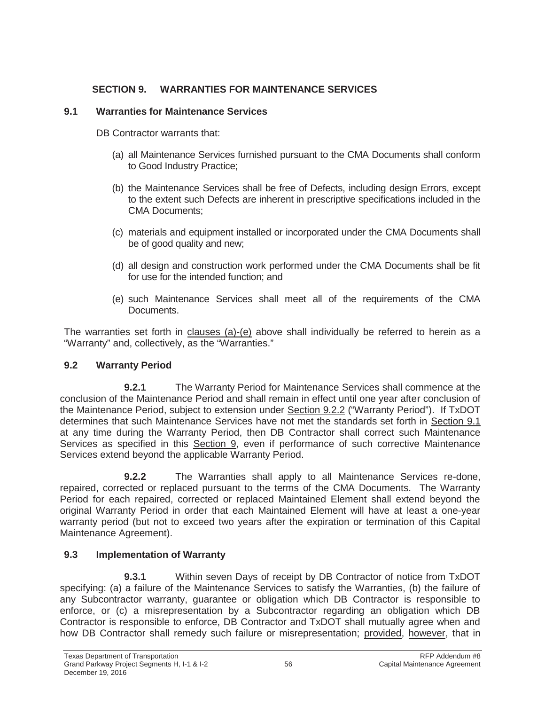### **SECTION 9. WARRANTIES FOR MAINTENANCE SERVICES**

#### **9.1 Warranties for Maintenance Services**

DB Contractor warrants that:

- (a) all Maintenance Services furnished pursuant to the CMA Documents shall conform to Good Industry Practice;
- (b) the Maintenance Services shall be free of Defects, including design Errors, except to the extent such Defects are inherent in prescriptive specifications included in the CMA Documents;
- (c) materials and equipment installed or incorporated under the CMA Documents shall be of good quality and new;
- (d) all design and construction work performed under the CMA Documents shall be fit for use for the intended function; and
- (e) such Maintenance Services shall meet all of the requirements of the CMA Documents.

The warranties set forth in clauses (a)-(e) above shall individually be referred to herein as a "Warranty" and, collectively, as the "Warranties."

# **9.2 Warranty Period**

**9.2.1** The Warranty Period for Maintenance Services shall commence at the conclusion of the Maintenance Period and shall remain in effect until one year after conclusion of the Maintenance Period, subject to extension under Section 9.2.2 ("Warranty Period"). If TxDOT determines that such Maintenance Services have not met the standards set forth in Section 9.1 at any time during the Warranty Period, then DB Contractor shall correct such Maintenance Services as specified in this Section 9, even if performance of such corrective Maintenance Services extend beyond the applicable Warranty Period.

**9.2.2** The Warranties shall apply to all Maintenance Services re-done, repaired, corrected or replaced pursuant to the terms of the CMA Documents. The Warranty Period for each repaired, corrected or replaced Maintained Element shall extend beyond the original Warranty Period in order that each Maintained Element will have at least a one-year warranty period (but not to exceed two years after the expiration or termination of this Capital Maintenance Agreement).

# **9.3 Implementation of Warranty**

**9.3.1** Within seven Days of receipt by DB Contractor of notice from TxDOT specifying: (a) a failure of the Maintenance Services to satisfy the Warranties, (b) the failure of any Subcontractor warranty, guarantee or obligation which DB Contractor is responsible to enforce, or (c) a misrepresentation by a Subcontractor regarding an obligation which DB Contractor is responsible to enforce, DB Contractor and TxDOT shall mutually agree when and how DB Contractor shall remedy such failure or misrepresentation; provided, however, that in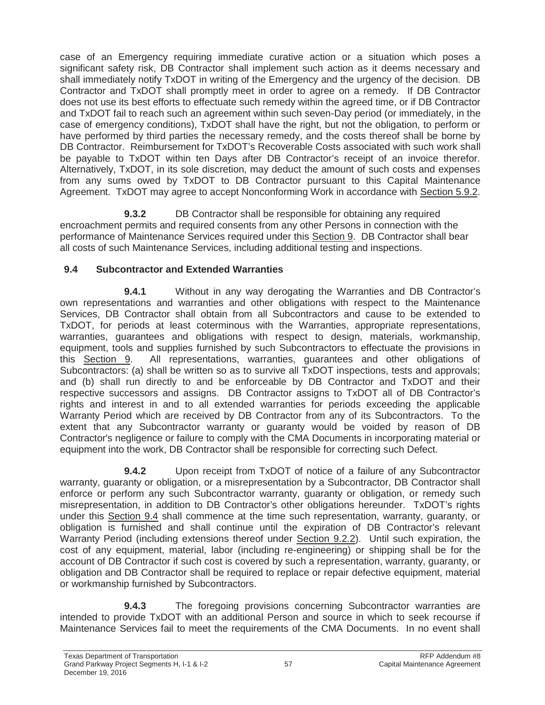case of an Emergency requiring immediate curative action or a situation which poses a significant safety risk, DB Contractor shall implement such action as it deems necessary and shall immediately notify TxDOT in writing of the Emergency and the urgency of the decision. DB Contractor and TxDOT shall promptly meet in order to agree on a remedy. If DB Contractor does not use its best efforts to effectuate such remedy within the agreed time, or if DB Contractor and TxDOT fail to reach such an agreement within such seven-Day period (or immediately, in the case of emergency conditions), TxDOT shall have the right, but not the obligation, to perform or have performed by third parties the necessary remedy, and the costs thereof shall be borne by DB Contractor. Reimbursement for TxDOT's Recoverable Costs associated with such work shall be payable to TxDOT within ten Days after DB Contractor's receipt of an invoice therefor. Alternatively, TxDOT, in its sole discretion, may deduct the amount of such costs and expenses from any sums owed by TxDOT to DB Contractor pursuant to this Capital Maintenance Agreement. TxDOT may agree to accept Nonconforming Work in accordance with Section 5.9.2.

**9.3.2** DB Contractor shall be responsible for obtaining any required encroachment permits and required consents from any other Persons in connection with the performance of Maintenance Services required under this Section 9. DB Contractor shall bear all costs of such Maintenance Services, including additional testing and inspections.

### **9.4 Subcontractor and Extended Warranties**

**9.4.1** Without in any way derogating the Warranties and DB Contractor's own representations and warranties and other obligations with respect to the Maintenance Services, DB Contractor shall obtain from all Subcontractors and cause to be extended to TxDOT, for periods at least coterminous with the Warranties, appropriate representations, warranties, guarantees and obligations with respect to design, materials, workmanship, equipment, tools and supplies furnished by such Subcontractors to effectuate the provisions in this Section 9. All representations, warranties, guarantees and other obligations of Subcontractors: (a) shall be written so as to survive all TxDOT inspections, tests and approvals; and (b) shall run directly to and be enforceable by DB Contractor and TxDOT and their respective successors and assigns. DB Contractor assigns to TxDOT all of DB Contractor's rights and interest in and to all extended warranties for periods exceeding the applicable Warranty Period which are received by DB Contractor from any of its Subcontractors. To the extent that any Subcontractor warranty or guaranty would be voided by reason of DB Contractor's negligence or failure to comply with the CMA Documents in incorporating material or equipment into the work, DB Contractor shall be responsible for correcting such Defect.

**9.4.2** Upon receipt from TxDOT of notice of a failure of any Subcontractor warranty, guaranty or obligation, or a misrepresentation by a Subcontractor, DB Contractor shall enforce or perform any such Subcontractor warranty, guaranty or obligation, or remedy such misrepresentation, in addition to DB Contractor's other obligations hereunder. TxDOT's rights under this Section 9.4 shall commence at the time such representation, warranty, guaranty, or obligation is furnished and shall continue until the expiration of DB Contractor's relevant Warranty Period (including extensions thereof under Section 9.2.2). Until such expiration, the cost of any equipment, material, labor (including re-engineering) or shipping shall be for the account of DB Contractor if such cost is covered by such a representation, warranty, guaranty, or obligation and DB Contractor shall be required to replace or repair defective equipment, material or workmanship furnished by Subcontractors.

**9.4.3** The foregoing provisions concerning Subcontractor warranties are intended to provide TxDOT with an additional Person and source in which to seek recourse if Maintenance Services fail to meet the requirements of the CMA Documents. In no event shall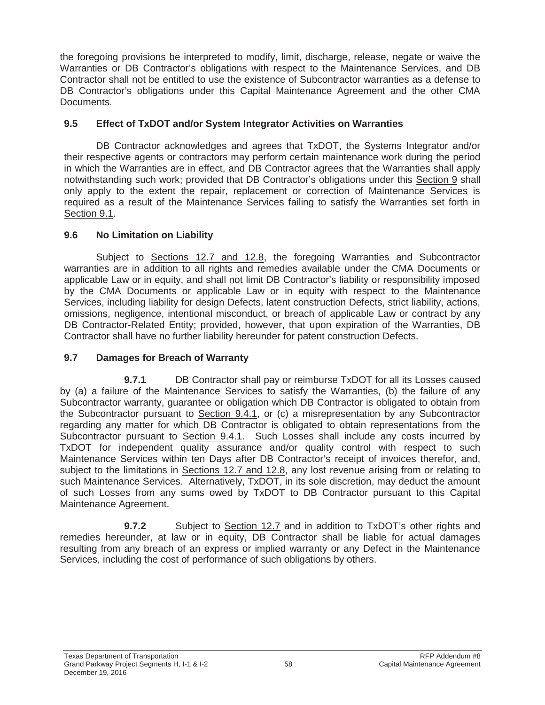the foregoing provisions be interpreted to modify, limit, discharge, release, negate or waive the Warranties or DB Contractor's obligations with respect to the Maintenance Services, and DB Contractor shall not be entitled to use the existence of Subcontractor warranties as a defense to DB Contractor's obligations under this Capital Maintenance Agreement and the other CMA Documents.

#### **9.5 Effect of TxDOT and/or System Integrator Activities on Warranties**

DB Contractor acknowledges and agrees that TxDOT, the Systems Integrator and/or their respective agents or contractors may perform certain maintenance work during the period in which the Warranties are in effect, and DB Contractor agrees that the Warranties shall apply notwithstanding such work; provided that DB Contractor's obligations under this Section 9 shall only apply to the extent the repair, replacement or correction of Maintenance Services is required as a result of the Maintenance Services failing to satisfy the Warranties set forth in Section 9.1.

#### **9.6 No Limitation on Liability**

Subject to Sections 12.7 and 12.8, the foregoing Warranties and Subcontractor warranties are in addition to all rights and remedies available under the CMA Documents or applicable Law or in equity, and shall not limit DB Contractor's liability or responsibility imposed by the CMA Documents or applicable Law or in equity with respect to the Maintenance Services, including liability for design Defects, latent construction Defects, strict liability, actions, omissions, negligence, intentional misconduct, or breach of applicable Law or contract by any DB Contractor-Related Entity; provided, however, that upon expiration of the Warranties, DB Contractor shall have no further liability hereunder for patent construction Defects.

#### **9.7 Damages for Breach of Warranty**

**9.7.1** DB Contractor shall pay or reimburse TxDOT for all its Losses caused by (a) a failure of the Maintenance Services to satisfy the Warranties, (b) the failure of any Subcontractor warranty, guarantee or obligation which DB Contractor is obligated to obtain from the Subcontractor pursuant to Section 9.4.1, or (c) a misrepresentation by any Subcontractor regarding any matter for which DB Contractor is obligated to obtain representations from the Subcontractor pursuant to Section 9.4.1. Such Losses shall include any costs incurred by TxDOT for independent quality assurance and/or quality control with respect to such Maintenance Services within ten Days after DB Contractor's receipt of invoices therefor, and, subject to the limitations in Sections 12.7 and 12.8, any lost revenue arising from or relating to such Maintenance Services. Alternatively, TxDOT, in its sole discretion, may deduct the amount of such Losses from any sums owed by TxDOT to DB Contractor pursuant to this Capital Maintenance Agreement.

**9.7.2** Subject to Section 12.7 and in addition to TxDOT's other rights and remedies hereunder, at law or in equity, DB Contractor shall be liable for actual damages resulting from any breach of an express or implied warranty or any Defect in the Maintenance Services, including the cost of performance of such obligations by others.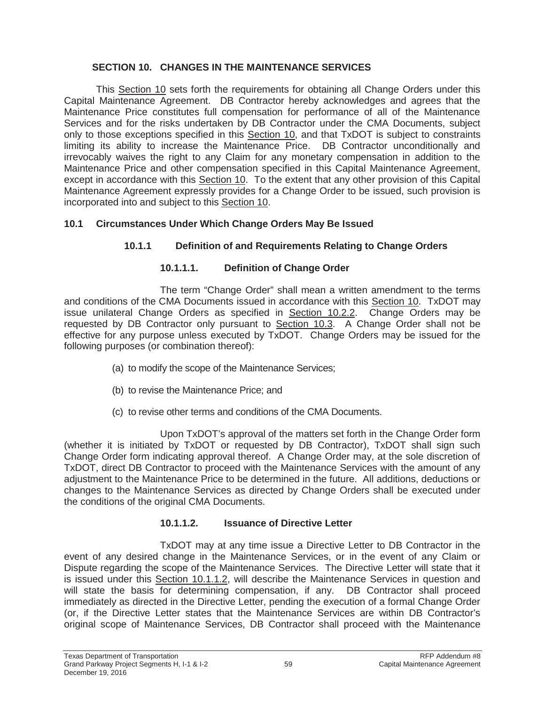### **SECTION 10. CHANGES IN THE MAINTENANCE SERVICES**

This Section 10 sets forth the requirements for obtaining all Change Orders under this Capital Maintenance Agreement. DB Contractor hereby acknowledges and agrees that the Maintenance Price constitutes full compensation for performance of all of the Maintenance Services and for the risks undertaken by DB Contractor under the CMA Documents, subject only to those exceptions specified in this Section 10, and that TxDOT is subject to constraints limiting its ability to increase the Maintenance Price. DB Contractor unconditionally and irrevocably waives the right to any Claim for any monetary compensation in addition to the Maintenance Price and other compensation specified in this Capital Maintenance Agreement, except in accordance with this Section 10. To the extent that any other provision of this Capital Maintenance Agreement expressly provides for a Change Order to be issued, such provision is incorporated into and subject to this Section 10.

### **10.1 Circumstances Under Which Change Orders May Be Issued**

# **10.1.1 Definition of and Requirements Relating to Change Orders**

### **10.1.1.1. Definition of Change Order**

The term "Change Order" shall mean a written amendment to the terms and conditions of the CMA Documents issued in accordance with this Section 10. TxDOT may issue unilateral Change Orders as specified in Section 10.2.2. Change Orders may be requested by DB Contractor only pursuant to Section 10.3. A Change Order shall not be effective for any purpose unless executed by TxDOT. Change Orders may be issued for the following purposes (or combination thereof):

- (a) to modify the scope of the Maintenance Services;
- (b) to revise the Maintenance Price; and
- (c) to revise other terms and conditions of the CMA Documents.

Upon TxDOT's approval of the matters set forth in the Change Order form (whether it is initiated by TxDOT or requested by DB Contractor), TxDOT shall sign such Change Order form indicating approval thereof. A Change Order may, at the sole discretion of TxDOT, direct DB Contractor to proceed with the Maintenance Services with the amount of any adjustment to the Maintenance Price to be determined in the future. All additions, deductions or changes to the Maintenance Services as directed by Change Orders shall be executed under the conditions of the original CMA Documents.

#### **10.1.1.2. Issuance of Directive Letter**

TxDOT may at any time issue a Directive Letter to DB Contractor in the event of any desired change in the Maintenance Services, or in the event of any Claim or Dispute regarding the scope of the Maintenance Services. The Directive Letter will state that it is issued under this Section 10.1.1.2, will describe the Maintenance Services in question and will state the basis for determining compensation, if any. DB Contractor shall proceed immediately as directed in the Directive Letter, pending the execution of a formal Change Order (or, if the Directive Letter states that the Maintenance Services are within DB Contractor's original scope of Maintenance Services, DB Contractor shall proceed with the Maintenance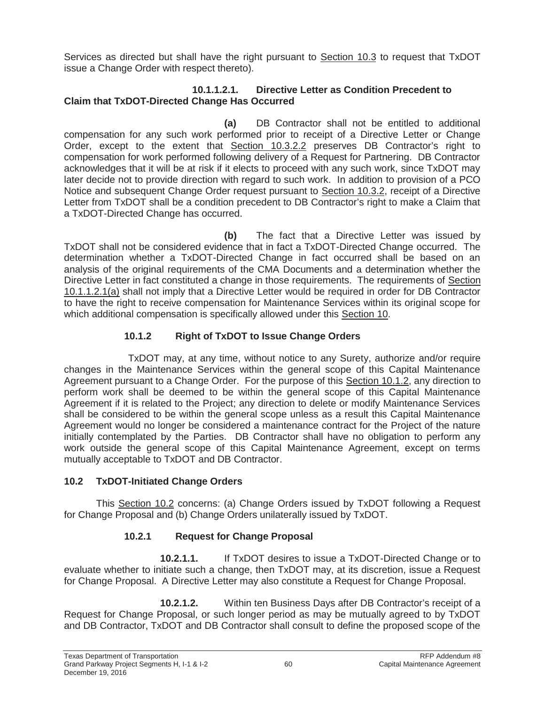Services as directed but shall have the right pursuant to Section 10.3 to request that TxDOT issue a Change Order with respect thereto).

#### **10.1.1.2.1. Directive Letter as Condition Precedent to Claim that TxDOT-Directed Change Has Occurred**

**(a)** DB Contractor shall not be entitled to additional compensation for any such work performed prior to receipt of a Directive Letter or Change Order, except to the extent that Section 10.3.2.2 preserves DB Contractor's right to compensation for work performed following delivery of a Request for Partnering. DB Contractor acknowledges that it will be at risk if it elects to proceed with any such work, since TxDOT may later decide not to provide direction with regard to such work. In addition to provision of a PCO Notice and subsequent Change Order request pursuant to Section 10.3.2, receipt of a Directive Letter from TxDOT shall be a condition precedent to DB Contractor's right to make a Claim that a TxDOT-Directed Change has occurred.

**(b)** The fact that a Directive Letter was issued by TxDOT shall not be considered evidence that in fact a TxDOT-Directed Change occurred. The determination whether a TxDOT-Directed Change in fact occurred shall be based on an analysis of the original requirements of the CMA Documents and a determination whether the Directive Letter in fact constituted a change in those requirements. The requirements of Section 10.1.1.2.1(a) shall not imply that a Directive Letter would be required in order for DB Contractor to have the right to receive compensation for Maintenance Services within its original scope for which additional compensation is specifically allowed under this Section 10.

# **10.1.2 Right of TxDOT to Issue Change Orders**

TxDOT may, at any time, without notice to any Surety, authorize and/or require changes in the Maintenance Services within the general scope of this Capital Maintenance Agreement pursuant to a Change Order. For the purpose of this Section 10.1.2, any direction to perform work shall be deemed to be within the general scope of this Capital Maintenance Agreement if it is related to the Project; any direction to delete or modify Maintenance Services shall be considered to be within the general scope unless as a result this Capital Maintenance Agreement would no longer be considered a maintenance contract for the Project of the nature initially contemplated by the Parties. DB Contractor shall have no obligation to perform any work outside the general scope of this Capital Maintenance Agreement, except on terms mutually acceptable to TxDOT and DB Contractor.

# **10.2 TxDOT-Initiated Change Orders**

This Section 10.2 concerns: (a) Change Orders issued by TxDOT following a Request for Change Proposal and (b) Change Orders unilaterally issued by TxDOT.

# **10.2.1 Request for Change Proposal**

**10.2.1.1.** If TxDOT desires to issue a TxDOT-Directed Change or to evaluate whether to initiate such a change, then TxDOT may, at its discretion, issue a Request for Change Proposal. A Directive Letter may also constitute a Request for Change Proposal.

**10.2.1.2.** Within ten Business Days after DB Contractor's receipt of a Request for Change Proposal, or such longer period as may be mutually agreed to by TxDOT and DB Contractor, TxDOT and DB Contractor shall consult to define the proposed scope of the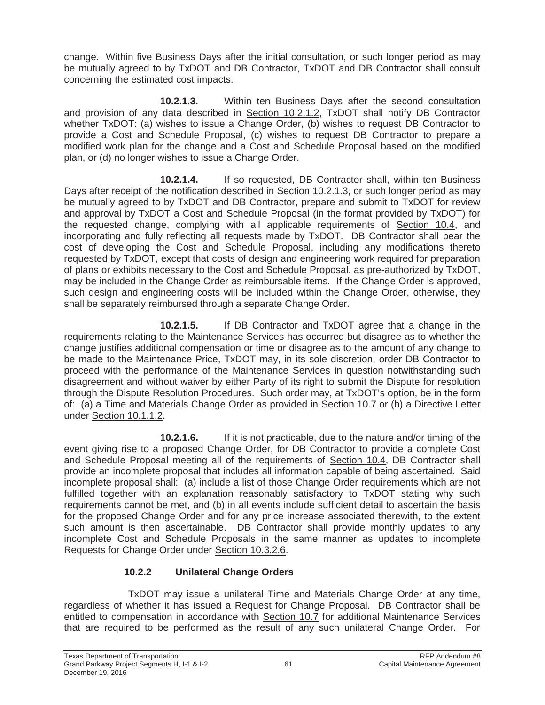change. Within five Business Days after the initial consultation, or such longer period as may be mutually agreed to by TxDOT and DB Contractor, TxDOT and DB Contractor shall consult concerning the estimated cost impacts.

**10.2.1.3.** Within ten Business Days after the second consultation and provision of any data described in Section 10.2.1.2, TxDOT shall notify DB Contractor whether TxDOT: (a) wishes to issue a Change Order, (b) wishes to request DB Contractor to provide a Cost and Schedule Proposal, (c) wishes to request DB Contractor to prepare a modified work plan for the change and a Cost and Schedule Proposal based on the modified plan, or (d) no longer wishes to issue a Change Order.

**10.2.1.4.** If so requested, DB Contractor shall, within ten Business Days after receipt of the notification described in Section 10.2.1.3, or such longer period as may be mutually agreed to by TxDOT and DB Contractor, prepare and submit to TxDOT for review and approval by TxDOT a Cost and Schedule Proposal (in the format provided by TxDOT) for the requested change, complying with all applicable requirements of Section 10.4, and incorporating and fully reflecting all requests made by TxDOT. DB Contractor shall bear the cost of developing the Cost and Schedule Proposal, including any modifications thereto requested by TxDOT, except that costs of design and engineering work required for preparation of plans or exhibits necessary to the Cost and Schedule Proposal, as pre-authorized by TxDOT, may be included in the Change Order as reimbursable items. If the Change Order is approved, such design and engineering costs will be included within the Change Order, otherwise, they shall be separately reimbursed through a separate Change Order.

**10.2.1.5.** If DB Contractor and TxDOT agree that a change in the requirements relating to the Maintenance Services has occurred but disagree as to whether the change justifies additional compensation or time or disagree as to the amount of any change to be made to the Maintenance Price, TxDOT may, in its sole discretion, order DB Contractor to proceed with the performance of the Maintenance Services in question notwithstanding such disagreement and without waiver by either Party of its right to submit the Dispute for resolution through the Dispute Resolution Procedures. Such order may, at TxDOT's option, be in the form of: (a) a Time and Materials Change Order as provided in Section 10.7 or (b) a Directive Letter under Section 10.1.1.2.

**10.2.1.6.** If it is not practicable, due to the nature and/or timing of the event giving rise to a proposed Change Order, for DB Contractor to provide a complete Cost and Schedule Proposal meeting all of the requirements of Section 10.4, DB Contractor shall provide an incomplete proposal that includes all information capable of being ascertained. Said incomplete proposal shall: (a) include a list of those Change Order requirements which are not fulfilled together with an explanation reasonably satisfactory to TxDOT stating why such requirements cannot be met, and (b) in all events include sufficient detail to ascertain the basis for the proposed Change Order and for any price increase associated therewith, to the extent such amount is then ascertainable. DB Contractor shall provide monthly updates to any incomplete Cost and Schedule Proposals in the same manner as updates to incomplete Requests for Change Order under Section 10.3.2.6.

# **10.2.2 Unilateral Change Orders**

TxDOT may issue a unilateral Time and Materials Change Order at any time, regardless of whether it has issued a Request for Change Proposal. DB Contractor shall be entitled to compensation in accordance with Section 10.7 for additional Maintenance Services that are required to be performed as the result of any such unilateral Change Order. For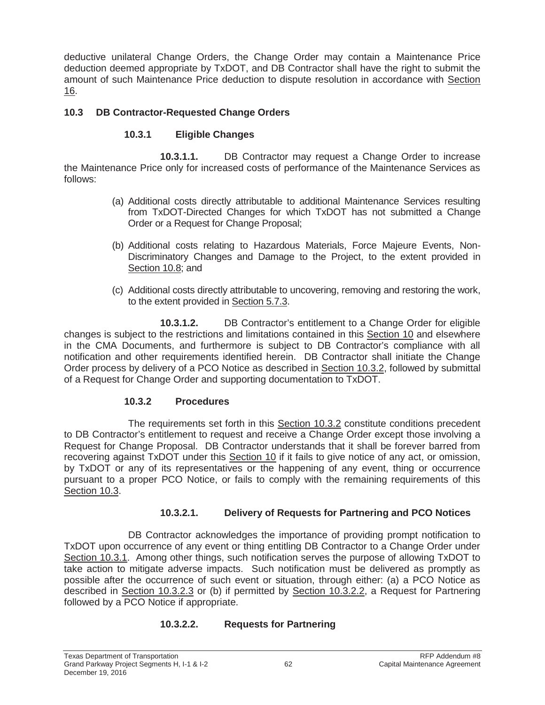deductive unilateral Change Orders, the Change Order may contain a Maintenance Price deduction deemed appropriate by TxDOT, and DB Contractor shall have the right to submit the amount of such Maintenance Price deduction to dispute resolution in accordance with Section 16.

#### **10.3 DB Contractor-Requested Change Orders**

#### **10.3.1 Eligible Changes**

**10.3.1.1.** DB Contractor may request a Change Order to increase the Maintenance Price only for increased costs of performance of the Maintenance Services as follows:

- (a) Additional costs directly attributable to additional Maintenance Services resulting from TxDOT-Directed Changes for which TxDOT has not submitted a Change Order or a Request for Change Proposal;
- (b) Additional costs relating to Hazardous Materials, Force Majeure Events, Non-Discriminatory Changes and Damage to the Project, to the extent provided in Section 10.8; and
- (c) Additional costs directly attributable to uncovering, removing and restoring the work, to the extent provided in Section 5.7.3.

**10.3.1.2.** DB Contractor's entitlement to a Change Order for eligible changes is subject to the restrictions and limitations contained in this Section 10 and elsewhere in the CMA Documents, and furthermore is subject to DB Contractor's compliance with all notification and other requirements identified herein. DB Contractor shall initiate the Change Order process by delivery of a PCO Notice as described in Section 10.3.2, followed by submittal of a Request for Change Order and supporting documentation to TxDOT.

#### **10.3.2 Procedures**

The requirements set forth in this Section 10.3.2 constitute conditions precedent to DB Contractor's entitlement to request and receive a Change Order except those involving a Request for Change Proposal. DB Contractor understands that it shall be forever barred from recovering against TxDOT under this Section 10 if it fails to give notice of any act, or omission, by TxDOT or any of its representatives or the happening of any event, thing or occurrence pursuant to a proper PCO Notice, or fails to comply with the remaining requirements of this Section 10.3.

#### **10.3.2.1. Delivery of Requests for Partnering and PCO Notices**

DB Contractor acknowledges the importance of providing prompt notification to TxDOT upon occurrence of any event or thing entitling DB Contractor to a Change Order under Section 10.3.1. Among other things, such notification serves the purpose of allowing TxDOT to take action to mitigate adverse impacts. Such notification must be delivered as promptly as possible after the occurrence of such event or situation, through either: (a) a PCO Notice as described in Section 10.3.2.3 or (b) if permitted by Section 10.3.2.2, a Request for Partnering followed by a PCO Notice if appropriate.

#### **10.3.2.2. Requests for Partnering**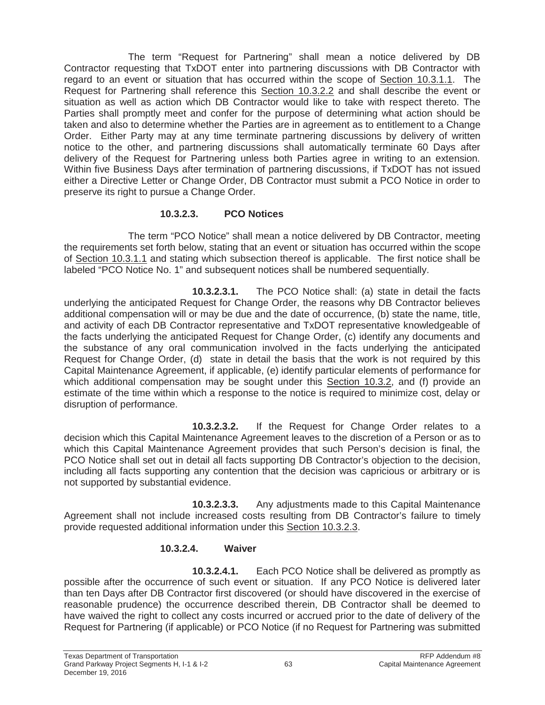The term "Request for Partnering" shall mean a notice delivered by DB Contractor requesting that TxDOT enter into partnering discussions with DB Contractor with regard to an event or situation that has occurred within the scope of Section 10.3.1.1. The Request for Partnering shall reference this Section 10.3.2.2 and shall describe the event or situation as well as action which DB Contractor would like to take with respect thereto. The Parties shall promptly meet and confer for the purpose of determining what action should be taken and also to determine whether the Parties are in agreement as to entitlement to a Change Order. Either Party may at any time terminate partnering discussions by delivery of written notice to the other, and partnering discussions shall automatically terminate 60 Days after delivery of the Request for Partnering unless both Parties agree in writing to an extension. Within five Business Days after termination of partnering discussions, if TxDOT has not issued either a Directive Letter or Change Order, DB Contractor must submit a PCO Notice in order to preserve its right to pursue a Change Order.

### **10.3.2.3. PCO Notices**

The term "PCO Notice" shall mean a notice delivered by DB Contractor, meeting the requirements set forth below, stating that an event or situation has occurred within the scope of Section 10.3.1.1 and stating which subsection thereof is applicable. The first notice shall be labeled "PCO Notice No. 1" and subsequent notices shall be numbered sequentially.

**10.3.2.3.1.** The PCO Notice shall: (a) state in detail the facts underlying the anticipated Request for Change Order, the reasons why DB Contractor believes additional compensation will or may be due and the date of occurrence, (b) state the name, title, and activity of each DB Contractor representative and TxDOT representative knowledgeable of the facts underlying the anticipated Request for Change Order, (c) identify any documents and the substance of any oral communication involved in the facts underlying the anticipated Request for Change Order, (d) state in detail the basis that the work is not required by this Capital Maintenance Agreement, if applicable, (e) identify particular elements of performance for which additional compensation may be sought under this Section 10.3.2, and (f) provide an estimate of the time within which a response to the notice is required to minimize cost, delay or disruption of performance.

**10.3.2.3.2.** If the Request for Change Order relates to a decision which this Capital Maintenance Agreement leaves to the discretion of a Person or as to which this Capital Maintenance Agreement provides that such Person's decision is final, the PCO Notice shall set out in detail all facts supporting DB Contractor's objection to the decision, including all facts supporting any contention that the decision was capricious or arbitrary or is not supported by substantial evidence.

**10.3.2.3.3.** Any adjustments made to this Capital Maintenance Agreement shall not include increased costs resulting from DB Contractor's failure to timely provide requested additional information under this Section 10.3.2.3.

# **10.3.2.4. Waiver**

**10.3.2.4.1.** Each PCO Notice shall be delivered as promptly as possible after the occurrence of such event or situation. If any PCO Notice is delivered later than ten Days after DB Contractor first discovered (or should have discovered in the exercise of reasonable prudence) the occurrence described therein, DB Contractor shall be deemed to have waived the right to collect any costs incurred or accrued prior to the date of delivery of the Request for Partnering (if applicable) or PCO Notice (if no Request for Partnering was submitted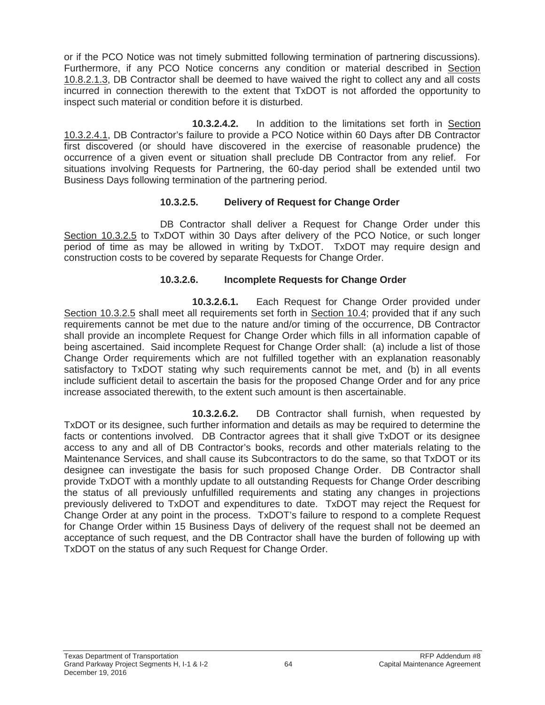or if the PCO Notice was not timely submitted following termination of partnering discussions). Furthermore, if any PCO Notice concerns any condition or material described in Section 10.8.2.1.3, DB Contractor shall be deemed to have waived the right to collect any and all costs incurred in connection therewith to the extent that TxDOT is not afforded the opportunity to inspect such material or condition before it is disturbed.

**10.3.2.4.2.** In addition to the limitations set forth in Section 10.3.2.4.1, DB Contractor's failure to provide a PCO Notice within 60 Days after DB Contractor first discovered (or should have discovered in the exercise of reasonable prudence) the occurrence of a given event or situation shall preclude DB Contractor from any relief. For situations involving Requests for Partnering, the 60-day period shall be extended until two Business Days following termination of the partnering period.

#### **10.3.2.5. Delivery of Request for Change Order**

DB Contractor shall deliver a Request for Change Order under this Section 10.3.2.5 to TxDOT within 30 Days after delivery of the PCO Notice, or such longer period of time as may be allowed in writing by TxDOT. TxDOT may require design and construction costs to be covered by separate Requests for Change Order.

#### **10.3.2.6. Incomplete Requests for Change Order**

**10.3.2.6.1.** Each Request for Change Order provided under Section 10.3.2.5 shall meet all requirements set forth in Section 10.4; provided that if any such requirements cannot be met due to the nature and/or timing of the occurrence, DB Contractor shall provide an incomplete Request for Change Order which fills in all information capable of being ascertained. Said incomplete Request for Change Order shall: (a) include a list of those Change Order requirements which are not fulfilled together with an explanation reasonably satisfactory to TxDOT stating why such requirements cannot be met, and (b) in all events include sufficient detail to ascertain the basis for the proposed Change Order and for any price increase associated therewith, to the extent such amount is then ascertainable.

**10.3.2.6.2.** DB Contractor shall furnish, when requested by TxDOT or its designee, such further information and details as may be required to determine the facts or contentions involved. DB Contractor agrees that it shall give TxDOT or its designee access to any and all of DB Contractor's books, records and other materials relating to the Maintenance Services, and shall cause its Subcontractors to do the same, so that TxDOT or its designee can investigate the basis for such proposed Change Order. DB Contractor shall provide TxDOT with a monthly update to all outstanding Requests for Change Order describing the status of all previously unfulfilled requirements and stating any changes in projections previously delivered to TxDOT and expenditures to date. TxDOT may reject the Request for Change Order at any point in the process. TxDOT's failure to respond to a complete Request for Change Order within 15 Business Days of delivery of the request shall not be deemed an acceptance of such request, and the DB Contractor shall have the burden of following up with TxDOT on the status of any such Request for Change Order.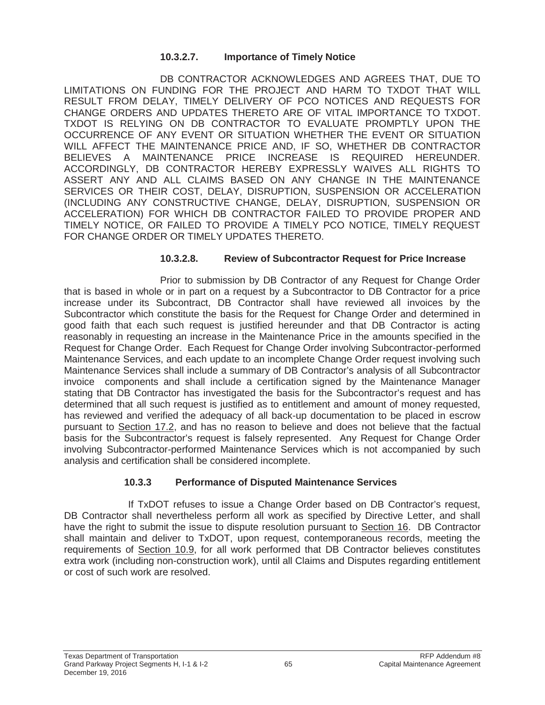#### **10.3.2.7. Importance of Timely Notice**

DB CONTRACTOR ACKNOWLEDGES AND AGREES THAT, DUE TO LIMITATIONS ON FUNDING FOR THE PROJECT AND HARM TO TXDOT THAT WILL RESULT FROM DELAY, TIMELY DELIVERY OF PCO NOTICES AND REQUESTS FOR CHANGE ORDERS AND UPDATES THERETO ARE OF VITAL IMPORTANCE TO TXDOT. TXDOT IS RELYING ON DB CONTRACTOR TO EVALUATE PROMPTLY UPON THE OCCURRENCE OF ANY EVENT OR SITUATION WHETHER THE EVENT OR SITUATION WILL AFFECT THE MAINTENANCE PRICE AND, IF SO, WHETHER DB CONTRACTOR BELIEVES A MAINTENANCE PRICE INCREASE IS REQUIRED HEREUNDER. ACCORDINGLY, DB CONTRACTOR HEREBY EXPRESSLY WAIVES ALL RIGHTS TO ASSERT ANY AND ALL CLAIMS BASED ON ANY CHANGE IN THE MAINTENANCE SERVICES OR THEIR COST, DELAY, DISRUPTION, SUSPENSION OR ACCELERATION (INCLUDING ANY CONSTRUCTIVE CHANGE, DELAY, DISRUPTION, SUSPENSION OR ACCELERATION) FOR WHICH DB CONTRACTOR FAILED TO PROVIDE PROPER AND TIMELY NOTICE, OR FAILED TO PROVIDE A TIMELY PCO NOTICE, TIMELY REQUEST FOR CHANGE ORDER OR TIMELY UPDATES THERETO.

#### **10.3.2.8. Review of Subcontractor Request for Price Increase**

Prior to submission by DB Contractor of any Request for Change Order that is based in whole or in part on a request by a Subcontractor to DB Contractor for a price increase under its Subcontract, DB Contractor shall have reviewed all invoices by the Subcontractor which constitute the basis for the Request for Change Order and determined in good faith that each such request is justified hereunder and that DB Contractor is acting reasonably in requesting an increase in the Maintenance Price in the amounts specified in the Request for Change Order. Each Request for Change Order involving Subcontractor-performed Maintenance Services, and each update to an incomplete Change Order request involving such Maintenance Services shall include a summary of DB Contractor's analysis of all Subcontractor invoice components and shall include a certification signed by the Maintenance Manager stating that DB Contractor has investigated the basis for the Subcontractor's request and has determined that all such request is justified as to entitlement and amount of money requested, has reviewed and verified the adequacy of all back-up documentation to be placed in escrow pursuant to Section 17.2, and has no reason to believe and does not believe that the factual basis for the Subcontractor's request is falsely represented. Any Request for Change Order involving Subcontractor-performed Maintenance Services which is not accompanied by such analysis and certification shall be considered incomplete.

#### **10.3.3 Performance of Disputed Maintenance Services**

If TxDOT refuses to issue a Change Order based on DB Contractor's request, DB Contractor shall nevertheless perform all work as specified by Directive Letter, and shall have the right to submit the issue to dispute resolution pursuant to Section 16. DB Contractor shall maintain and deliver to TxDOT, upon request, contemporaneous records, meeting the requirements of Section 10.9, for all work performed that DB Contractor believes constitutes extra work (including non-construction work), until all Claims and Disputes regarding entitlement or cost of such work are resolved.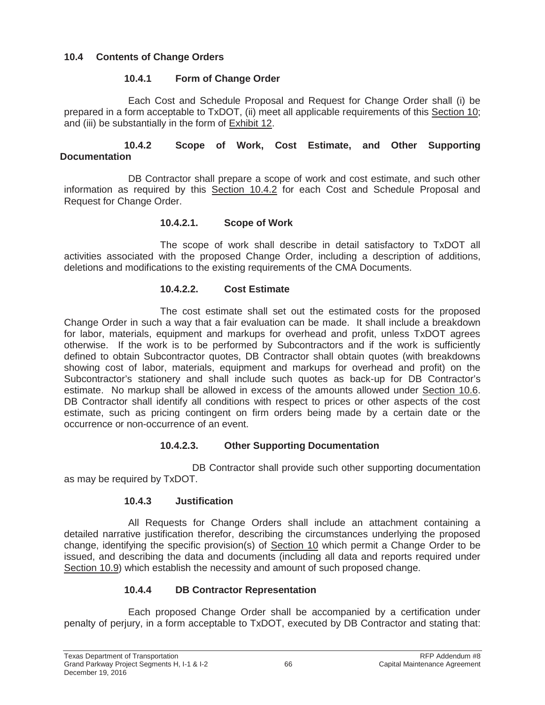## **10.4 Contents of Change Orders**

## **10.4.1 Form of Change Order**

Each Cost and Schedule Proposal and Request for Change Order shall (i) be prepared in a form acceptable to TxDOT, (ii) meet all applicable requirements of this Section 10; and (iii) be substantially in the form of Exhibit 12.

### **10.4.2 Scope of Work, Cost Estimate, and Other Supporting Documentation**

DB Contractor shall prepare a scope of work and cost estimate, and such other information as required by this Section 10.4.2 for each Cost and Schedule Proposal and Request for Change Order.

## **10.4.2.1. Scope of Work**

The scope of work shall describe in detail satisfactory to TxDOT all activities associated with the proposed Change Order, including a description of additions, deletions and modifications to the existing requirements of the CMA Documents.

### **10.4.2.2. Cost Estimate**

The cost estimate shall set out the estimated costs for the proposed Change Order in such a way that a fair evaluation can be made. It shall include a breakdown for labor, materials, equipment and markups for overhead and profit, unless TxDOT agrees otherwise. If the work is to be performed by Subcontractors and if the work is sufficiently defined to obtain Subcontractor quotes, DB Contractor shall obtain quotes (with breakdowns showing cost of labor, materials, equipment and markups for overhead and profit) on the Subcontractor's stationery and shall include such quotes as back-up for DB Contractor's estimate. No markup shall be allowed in excess of the amounts allowed under Section 10.6. DB Contractor shall identify all conditions with respect to prices or other aspects of the cost estimate, such as pricing contingent on firm orders being made by a certain date or the occurrence or non-occurrence of an event.

# **10.4.2.3. Other Supporting Documentation**

DB Contractor shall provide such other supporting documentation as may be required by TxDOT.

### **10.4.3 Justification**

All Requests for Change Orders shall include an attachment containing a detailed narrative justification therefor, describing the circumstances underlying the proposed change, identifying the specific provision(s) of Section 10 which permit a Change Order to be issued, and describing the data and documents (including all data and reports required under Section 10.9) which establish the necessity and amount of such proposed change.

# **10.4.4 DB Contractor Representation**

Each proposed Change Order shall be accompanied by a certification under penalty of perjury, in a form acceptable to TxDOT, executed by DB Contractor and stating that: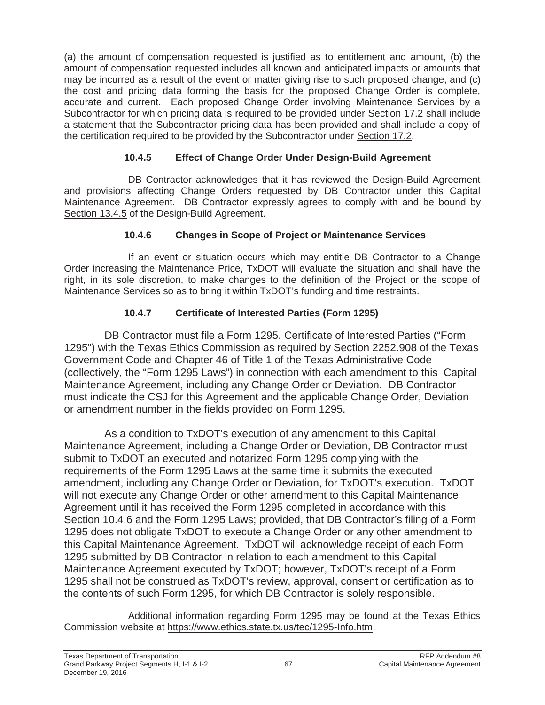(a) the amount of compensation requested is justified as to entitlement and amount, (b) the amount of compensation requested includes all known and anticipated impacts or amounts that may be incurred as a result of the event or matter giving rise to such proposed change, and (c) the cost and pricing data forming the basis for the proposed Change Order is complete, accurate and current. Each proposed Change Order involving Maintenance Services by a Subcontractor for which pricing data is required to be provided under Section 17.2 shall include a statement that the Subcontractor pricing data has been provided and shall include a copy of the certification required to be provided by the Subcontractor under Section 17.2.

# **10.4.5 Effect of Change Order Under Design-Build Agreement**

DB Contractor acknowledges that it has reviewed the Design-Build Agreement and provisions affecting Change Orders requested by DB Contractor under this Capital Maintenance Agreement. DB Contractor expressly agrees to comply with and be bound by Section 13.4.5 of the Design-Build Agreement.

# **10.4.6 Changes in Scope of Project or Maintenance Services**

If an event or situation occurs which may entitle DB Contractor to a Change Order increasing the Maintenance Price, TxDOT will evaluate the situation and shall have the right, in its sole discretion, to make changes to the definition of the Project or the scope of Maintenance Services so as to bring it within TxDOT's funding and time restraints.

# **10.4.7 Certificate of Interested Parties (Form 1295)**

DB Contractor must file a Form 1295, Certificate of Interested Parties ("Form 1295") with the Texas Ethics Commission as required by Section 2252.908 of the Texas Government Code and Chapter 46 of Title 1 of the Texas Administrative Code (collectively, the "Form 1295 Laws") in connection with each amendment to this Capital Maintenance Agreement, including any Change Order or Deviation. DB Contractor must indicate the CSJ for this Agreement and the applicable Change Order, Deviation or amendment number in the fields provided on Form 1295.

As a condition to TxDOT's execution of any amendment to this Capital Maintenance Agreement, including a Change Order or Deviation, DB Contractor must submit to TxDOT an executed and notarized Form 1295 complying with the requirements of the Form 1295 Laws at the same time it submits the executed amendment, including any Change Order or Deviation, for TxDOT's execution. TxDOT will not execute any Change Order or other amendment to this Capital Maintenance Agreement until it has received the Form 1295 completed in accordance with this Section 10.4.6 and the Form 1295 Laws; provided, that DB Contractor's filing of a Form 1295 does not obligate TxDOT to execute a Change Order or any other amendment to this Capital Maintenance Agreement. TxDOT will acknowledge receipt of each Form 1295 submitted by DB Contractor in relation to each amendment to this Capital Maintenance Agreement executed by TxDOT; however, TxDOT's receipt of a Form 1295 shall not be construed as TxDOT's review, approval, consent or certification as to the contents of such Form 1295, for which DB Contractor is solely responsible.

Additional information regarding Form 1295 may be found at the Texas Ethics Commission website at https://www.ethics.state.tx.us/tec/1295-Info.htm.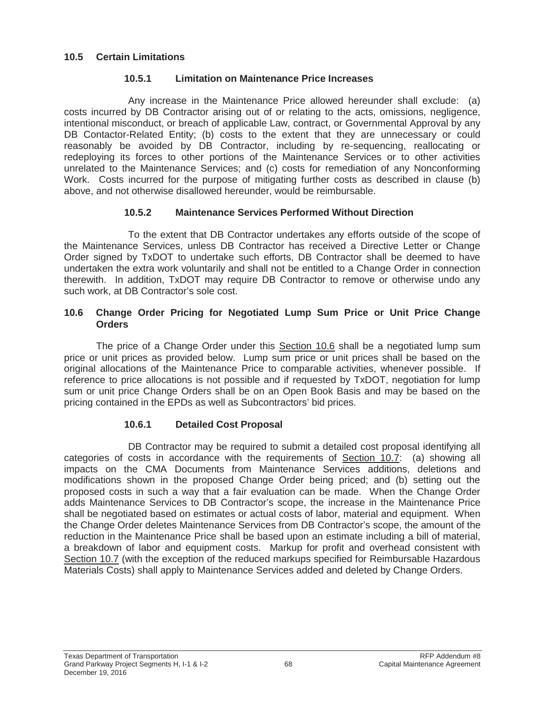### **10.5 Certain Limitations**

### **10.5.1 Limitation on Maintenance Price Increases**

Any increase in the Maintenance Price allowed hereunder shall exclude: (a) costs incurred by DB Contractor arising out of or relating to the acts, omissions, negligence, intentional misconduct, or breach of applicable Law, contract, or Governmental Approval by any DB Contactor-Related Entity; (b) costs to the extent that they are unnecessary or could reasonably be avoided by DB Contractor, including by re-sequencing, reallocating or redeploying its forces to other portions of the Maintenance Services or to other activities unrelated to the Maintenance Services; and (c) costs for remediation of any Nonconforming Work. Costs incurred for the purpose of mitigating further costs as described in clause (b) above, and not otherwise disallowed hereunder, would be reimbursable.

## **10.5.2 Maintenance Services Performed Without Direction**

To the extent that DB Contractor undertakes any efforts outside of the scope of the Maintenance Services, unless DB Contractor has received a Directive Letter or Change Order signed by TxDOT to undertake such efforts, DB Contractor shall be deemed to have undertaken the extra work voluntarily and shall not be entitled to a Change Order in connection therewith. In addition, TxDOT may require DB Contractor to remove or otherwise undo any such work, at DB Contractor's sole cost.

### **10.6 Change Order Pricing for Negotiated Lump Sum Price or Unit Price Change Orders**

The price of a Change Order under this Section 10.6 shall be a negotiated lump sum price or unit prices as provided below. Lump sum price or unit prices shall be based on the original allocations of the Maintenance Price to comparable activities, whenever possible. If reference to price allocations is not possible and if requested by TxDOT, negotiation for lump sum or unit price Change Orders shall be on an Open Book Basis and may be based on the pricing contained in the EPDs as well as Subcontractors' bid prices.

# **10.6.1 Detailed Cost Proposal**

DB Contractor may be required to submit a detailed cost proposal identifying all categories of costs in accordance with the requirements of Section 10.7: (a) showing all impacts on the CMA Documents from Maintenance Services additions, deletions and modifications shown in the proposed Change Order being priced; and (b) setting out the proposed costs in such a way that a fair evaluation can be made. When the Change Order adds Maintenance Services to DB Contractor's scope, the increase in the Maintenance Price shall be negotiated based on estimates or actual costs of labor, material and equipment. When the Change Order deletes Maintenance Services from DB Contractor's scope, the amount of the reduction in the Maintenance Price shall be based upon an estimate including a bill of material, a breakdown of labor and equipment costs. Markup for profit and overhead consistent with Section 10.7 (with the exception of the reduced markups specified for Reimbursable Hazardous Materials Costs) shall apply to Maintenance Services added and deleted by Change Orders.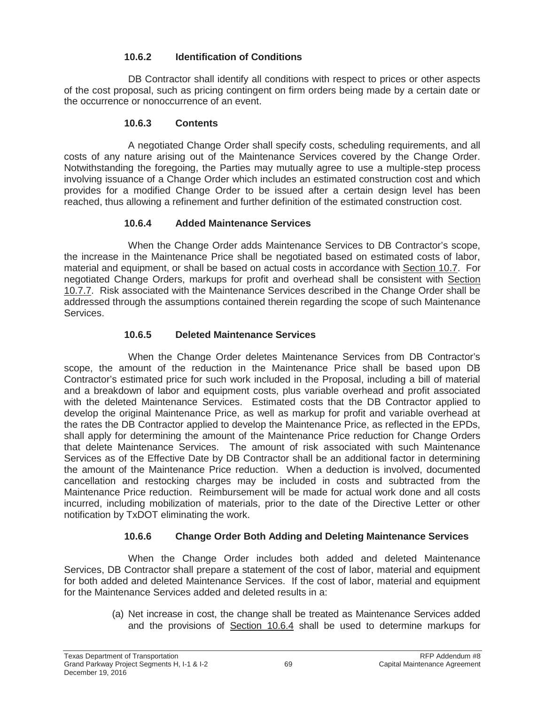## **10.6.2 Identification of Conditions**

DB Contractor shall identify all conditions with respect to prices or other aspects of the cost proposal, such as pricing contingent on firm orders being made by a certain date or the occurrence or nonoccurrence of an event.

### **10.6.3 Contents**

A negotiated Change Order shall specify costs, scheduling requirements, and all costs of any nature arising out of the Maintenance Services covered by the Change Order. Notwithstanding the foregoing, the Parties may mutually agree to use a multiple-step process involving issuance of a Change Order which includes an estimated construction cost and which provides for a modified Change Order to be issued after a certain design level has been reached, thus allowing a refinement and further definition of the estimated construction cost.

# **10.6.4 Added Maintenance Services**

When the Change Order adds Maintenance Services to DB Contractor's scope, the increase in the Maintenance Price shall be negotiated based on estimated costs of labor, material and equipment, or shall be based on actual costs in accordance with Section 10.7. For negotiated Change Orders, markups for profit and overhead shall be consistent with Section 10.7.7. Risk associated with the Maintenance Services described in the Change Order shall be addressed through the assumptions contained therein regarding the scope of such Maintenance Services.

# **10.6.5 Deleted Maintenance Services**

When the Change Order deletes Maintenance Services from DB Contractor's scope, the amount of the reduction in the Maintenance Price shall be based upon DB Contractor's estimated price for such work included in the Proposal, including a bill of material and a breakdown of labor and equipment costs, plus variable overhead and profit associated with the deleted Maintenance Services. Estimated costs that the DB Contractor applied to develop the original Maintenance Price, as well as markup for profit and variable overhead at the rates the DB Contractor applied to develop the Maintenance Price, as reflected in the EPDs, shall apply for determining the amount of the Maintenance Price reduction for Change Orders that delete Maintenance Services. The amount of risk associated with such Maintenance Services as of the Effective Date by DB Contractor shall be an additional factor in determining the amount of the Maintenance Price reduction. When a deduction is involved, documented cancellation and restocking charges may be included in costs and subtracted from the Maintenance Price reduction. Reimbursement will be made for actual work done and all costs incurred, including mobilization of materials, prior to the date of the Directive Letter or other notification by TxDOT eliminating the work.

# **10.6.6 Change Order Both Adding and Deleting Maintenance Services**

When the Change Order includes both added and deleted Maintenance Services, DB Contractor shall prepare a statement of the cost of labor, material and equipment for both added and deleted Maintenance Services. If the cost of labor, material and equipment for the Maintenance Services added and deleted results in a:

> (a) Net increase in cost, the change shall be treated as Maintenance Services added and the provisions of Section 10.6.4 shall be used to determine markups for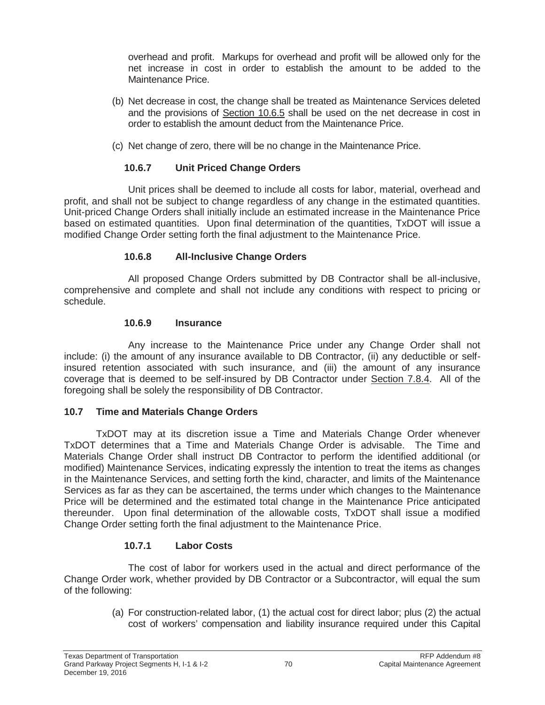overhead and profit. Markups for overhead and profit will be allowed only for the net increase in cost in order to establish the amount to be added to the Maintenance Price.

- (b) Net decrease in cost, the change shall be treated as Maintenance Services deleted and the provisions of Section 10.6.5 shall be used on the net decrease in cost in order to establish the amount deduct from the Maintenance Price.
- (c) Net change of zero, there will be no change in the Maintenance Price.

# **10.6.7 Unit Priced Change Orders**

Unit prices shall be deemed to include all costs for labor, material, overhead and profit, and shall not be subject to change regardless of any change in the estimated quantities. Unit-priced Change Orders shall initially include an estimated increase in the Maintenance Price based on estimated quantities. Upon final determination of the quantities, TxDOT will issue a modified Change Order setting forth the final adjustment to the Maintenance Price.

# **10.6.8 All-Inclusive Change Orders**

All proposed Change Orders submitted by DB Contractor shall be all-inclusive, comprehensive and complete and shall not include any conditions with respect to pricing or schedule.

# **10.6.9 Insurance**

Any increase to the Maintenance Price under any Change Order shall not include: (i) the amount of any insurance available to DB Contractor, (ii) any deductible or selfinsured retention associated with such insurance, and (iii) the amount of any insurance coverage that is deemed to be self-insured by DB Contractor under Section 7.8.4. All of the foregoing shall be solely the responsibility of DB Contractor.

# **10.7 Time and Materials Change Orders**

TxDOT may at its discretion issue a Time and Materials Change Order whenever TxDOT determines that a Time and Materials Change Order is advisable. The Time and Materials Change Order shall instruct DB Contractor to perform the identified additional (or modified) Maintenance Services, indicating expressly the intention to treat the items as changes in the Maintenance Services, and setting forth the kind, character, and limits of the Maintenance Services as far as they can be ascertained, the terms under which changes to the Maintenance Price will be determined and the estimated total change in the Maintenance Price anticipated thereunder. Upon final determination of the allowable costs, TxDOT shall issue a modified Change Order setting forth the final adjustment to the Maintenance Price.

# **10.7.1 Labor Costs**

The cost of labor for workers used in the actual and direct performance of the Change Order work, whether provided by DB Contractor or a Subcontractor, will equal the sum of the following:

> (a) For construction-related labor, (1) the actual cost for direct labor; plus (2) the actual cost of workers' compensation and liability insurance required under this Capital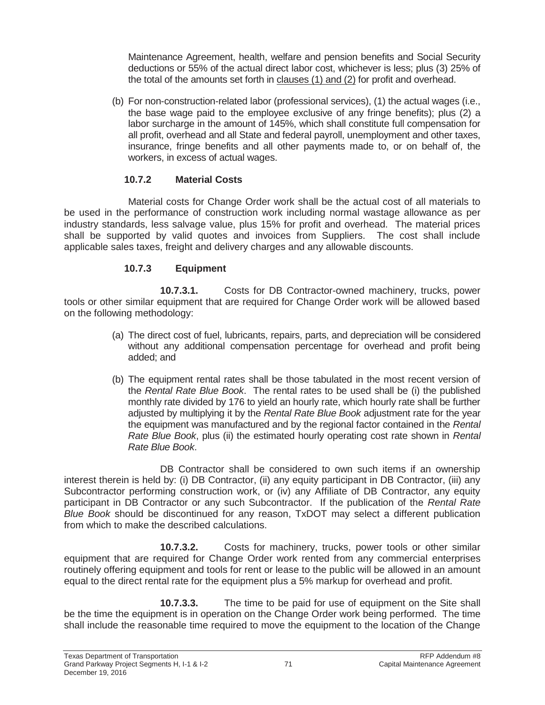Maintenance Agreement, health, welfare and pension benefits and Social Security deductions or 55% of the actual direct labor cost, whichever is less; plus (3) 25% of the total of the amounts set forth in clauses (1) and (2) for profit and overhead.

(b) For non-construction-related labor (professional services), (1) the actual wages (i.e., the base wage paid to the employee exclusive of any fringe benefits); plus (2) a labor surcharge in the amount of 145%, which shall constitute full compensation for all profit, overhead and all State and federal payroll, unemployment and other taxes, insurance, fringe benefits and all other payments made to, or on behalf of, the workers, in excess of actual wages.

### **10.7.2 Material Costs**

Material costs for Change Order work shall be the actual cost of all materials to be used in the performance of construction work including normal wastage allowance as per industry standards, less salvage value, plus 15% for profit and overhead. The material prices shall be supported by valid quotes and invoices from Suppliers. The cost shall include applicable sales taxes, freight and delivery charges and any allowable discounts.

# **10.7.3 Equipment**

**10.7.3.1.** Costs for DB Contractor-owned machinery, trucks, power tools or other similar equipment that are required for Change Order work will be allowed based on the following methodology:

- (a) The direct cost of fuel, lubricants, repairs, parts, and depreciation will be considered without any additional compensation percentage for overhead and profit being added; and
- (b) The equipment rental rates shall be those tabulated in the most recent version of the *Rental Rate Blue Book*. The rental rates to be used shall be (i) the published monthly rate divided by 176 to yield an hourly rate, which hourly rate shall be further adjusted by multiplying it by the *Rental Rate Blue Book* adjustment rate for the year the equipment was manufactured and by the regional factor contained in the *Rental Rate Blue Book*, plus (ii) the estimated hourly operating cost rate shown in *Rental Rate Blue Book*.

DB Contractor shall be considered to own such items if an ownership interest therein is held by: (i) DB Contractor, (ii) any equity participant in DB Contractor, (iii) any Subcontractor performing construction work, or (iv) any Affiliate of DB Contractor, any equity participant in DB Contractor or any such Subcontractor. If the publication of the *Rental Rate Blue Book* should be discontinued for any reason, TxDOT may select a different publication from which to make the described calculations.

**10.7.3.2.** Costs for machinery, trucks, power tools or other similar equipment that are required for Change Order work rented from any commercial enterprises routinely offering equipment and tools for rent or lease to the public will be allowed in an amount equal to the direct rental rate for the equipment plus a 5% markup for overhead and profit.

**10.7.3.3.** The time to be paid for use of equipment on the Site shall be the time the equipment is in operation on the Change Order work being performed. The time shall include the reasonable time required to move the equipment to the location of the Change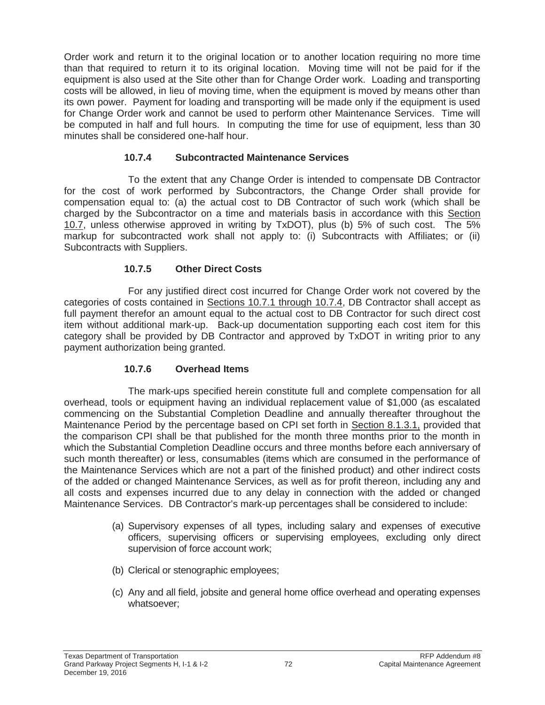Order work and return it to the original location or to another location requiring no more time than that required to return it to its original location. Moving time will not be paid for if the equipment is also used at the Site other than for Change Order work. Loading and transporting costs will be allowed, in lieu of moving time, when the equipment is moved by means other than its own power. Payment for loading and transporting will be made only if the equipment is used for Change Order work and cannot be used to perform other Maintenance Services. Time will be computed in half and full hours. In computing the time for use of equipment, less than 30 minutes shall be considered one-half hour.

## **10.7.4 Subcontracted Maintenance Services**

To the extent that any Change Order is intended to compensate DB Contractor for the cost of work performed by Subcontractors, the Change Order shall provide for compensation equal to: (a) the actual cost to DB Contractor of such work (which shall be charged by the Subcontractor on a time and materials basis in accordance with this Section 10.7, unless otherwise approved in writing by TxDOT), plus (b) 5% of such cost. The 5% markup for subcontracted work shall not apply to: (i) Subcontracts with Affiliates; or (ii) Subcontracts with Suppliers.

## **10.7.5 Other Direct Costs**

For any justified direct cost incurred for Change Order work not covered by the categories of costs contained in Sections 10.7.1 through 10.7.4, DB Contractor shall accept as full payment therefor an amount equal to the actual cost to DB Contractor for such direct cost item without additional mark-up. Back-up documentation supporting each cost item for this category shall be provided by DB Contractor and approved by TxDOT in writing prior to any payment authorization being granted.

# **10.7.6 Overhead Items**

The mark-ups specified herein constitute full and complete compensation for all overhead, tools or equipment having an individual replacement value of \$1,000 (as escalated commencing on the Substantial Completion Deadline and annually thereafter throughout the Maintenance Period by the percentage based on CPI set forth in Section 8.1.3.1, provided that the comparison CPI shall be that published for the month three months prior to the month in which the Substantial Completion Deadline occurs and three months before each anniversary of such month thereafter) or less, consumables (items which are consumed in the performance of the Maintenance Services which are not a part of the finished product) and other indirect costs of the added or changed Maintenance Services, as well as for profit thereon, including any and all costs and expenses incurred due to any delay in connection with the added or changed Maintenance Services. DB Contractor's mark-up percentages shall be considered to include:

- (a) Supervisory expenses of all types, including salary and expenses of executive officers, supervising officers or supervising employees, excluding only direct supervision of force account work;
- (b) Clerical or stenographic employees;
- (c) Any and all field, jobsite and general home office overhead and operating expenses whatsoever;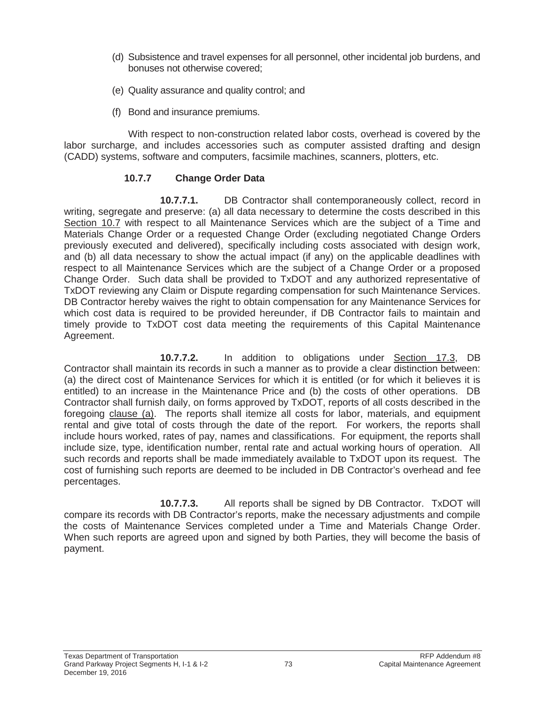- (d) Subsistence and travel expenses for all personnel, other incidental job burdens, and bonuses not otherwise covered;
- (e) Quality assurance and quality control; and
- (f) Bond and insurance premiums.

With respect to non-construction related labor costs, overhead is covered by the labor surcharge, and includes accessories such as computer assisted drafting and design (CADD) systems, software and computers, facsimile machines, scanners, plotters, etc.

### **10.7.7 Change Order Data**

**10.7.7.1.** DB Contractor shall contemporaneously collect, record in writing, segregate and preserve: (a) all data necessary to determine the costs described in this Section 10.7 with respect to all Maintenance Services which are the subject of a Time and Materials Change Order or a requested Change Order (excluding negotiated Change Orders previously executed and delivered), specifically including costs associated with design work, and (b) all data necessary to show the actual impact (if any) on the applicable deadlines with respect to all Maintenance Services which are the subject of a Change Order or a proposed Change Order. Such data shall be provided to TxDOT and any authorized representative of TxDOT reviewing any Claim or Dispute regarding compensation for such Maintenance Services. DB Contractor hereby waives the right to obtain compensation for any Maintenance Services for which cost data is required to be provided hereunder, if DB Contractor fails to maintain and timely provide to TxDOT cost data meeting the requirements of this Capital Maintenance Agreement.

**10.7.7.2.** In addition to obligations under Section 17.3, DB Contractor shall maintain its records in such a manner as to provide a clear distinction between: (a) the direct cost of Maintenance Services for which it is entitled (or for which it believes it is entitled) to an increase in the Maintenance Price and (b) the costs of other operations. DB Contractor shall furnish daily, on forms approved by TxDOT, reports of all costs described in the foregoing clause (a). The reports shall itemize all costs for labor, materials, and equipment rental and give total of costs through the date of the report. For workers, the reports shall include hours worked, rates of pay, names and classifications. For equipment, the reports shall include size, type, identification number, rental rate and actual working hours of operation. All such records and reports shall be made immediately available to TxDOT upon its request. The cost of furnishing such reports are deemed to be included in DB Contractor's overhead and fee percentages.

**10.7.7.3.** All reports shall be signed by DB Contractor. TxDOT will compare its records with DB Contractor's reports, make the necessary adjustments and compile the costs of Maintenance Services completed under a Time and Materials Change Order. When such reports are agreed upon and signed by both Parties, they will become the basis of payment.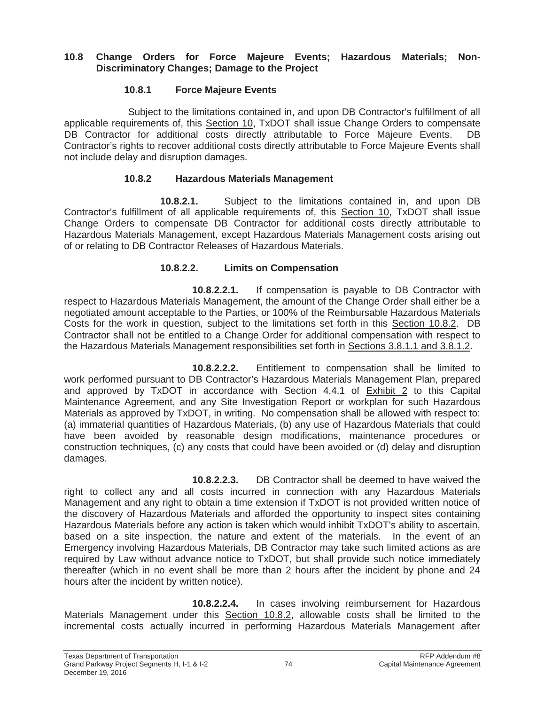### **10.8 Change Orders for Force Majeure Events; Hazardous Materials; Non-Discriminatory Changes; Damage to the Project**

### **10.8.1 Force Majeure Events**

Subject to the limitations contained in, and upon DB Contractor's fulfillment of all applicable requirements of, this Section 10, TxDOT shall issue Change Orders to compensate DB Contractor for additional costs directly attributable to Force Majeure Events. DB Contractor's rights to recover additional costs directly attributable to Force Majeure Events shall not include delay and disruption damages.

### **10.8.2 Hazardous Materials Management**

**10.8.2.1.** Subject to the limitations contained in, and upon DB Contractor's fulfillment of all applicable requirements of, this Section 10, TxDOT shall issue Change Orders to compensate DB Contractor for additional costs directly attributable to Hazardous Materials Management, except Hazardous Materials Management costs arising out of or relating to DB Contractor Releases of Hazardous Materials.

### **10.8.2.2. Limits on Compensation**

**10.8.2.2.1.** If compensation is payable to DB Contractor with respect to Hazardous Materials Management, the amount of the Change Order shall either be a negotiated amount acceptable to the Parties, or 100% of the Reimbursable Hazardous Materials Costs for the work in question, subject to the limitations set forth in this Section 10.8.2. DB Contractor shall not be entitled to a Change Order for additional compensation with respect to the Hazardous Materials Management responsibilities set forth in Sections 3.8.1.1 and 3.8.1.2.

**10.8.2.2.2.** Entitlement to compensation shall be limited to work performed pursuant to DB Contractor's Hazardous Materials Management Plan, prepared and approved by TxDOT in accordance with Section 4.4.1 of Exhibit 2 to this Capital Maintenance Agreement, and any Site Investigation Report or workplan for such Hazardous Materials as approved by TxDOT, in writing. No compensation shall be allowed with respect to: (a) immaterial quantities of Hazardous Materials, (b) any use of Hazardous Materials that could have been avoided by reasonable design modifications, maintenance procedures or construction techniques, (c) any costs that could have been avoided or (d) delay and disruption damages.

**10.8.2.2.3.** DB Contractor shall be deemed to have waived the right to collect any and all costs incurred in connection with any Hazardous Materials Management and any right to obtain a time extension if TxDOT is not provided written notice of the discovery of Hazardous Materials and afforded the opportunity to inspect sites containing Hazardous Materials before any action is taken which would inhibit TxDOT's ability to ascertain, based on a site inspection, the nature and extent of the materials. In the event of an Emergency involving Hazardous Materials, DB Contractor may take such limited actions as are required by Law without advance notice to TxDOT, but shall provide such notice immediately thereafter (which in no event shall be more than 2 hours after the incident by phone and 24 hours after the incident by written notice).

**10.8.2.2.4.** In cases involving reimbursement for Hazardous Materials Management under this Section 10.8.2, allowable costs shall be limited to the incremental costs actually incurred in performing Hazardous Materials Management after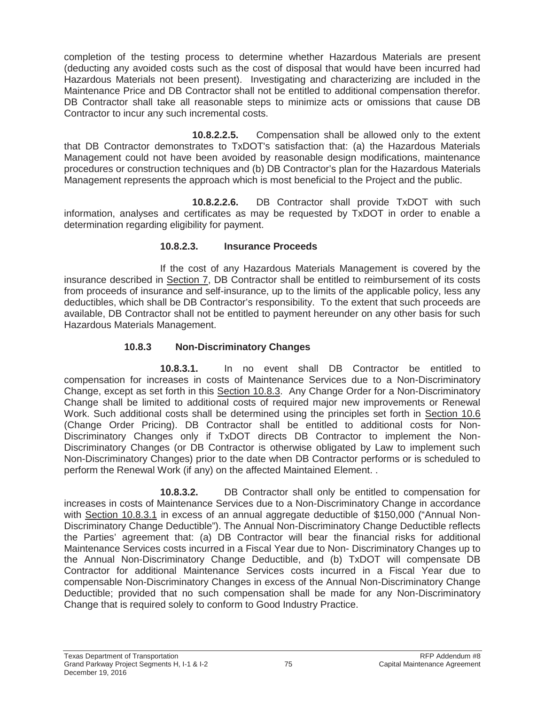completion of the testing process to determine whether Hazardous Materials are present (deducting any avoided costs such as the cost of disposal that would have been incurred had Hazardous Materials not been present). Investigating and characterizing are included in the Maintenance Price and DB Contractor shall not be entitled to additional compensation therefor. DB Contractor shall take all reasonable steps to minimize acts or omissions that cause DB Contractor to incur any such incremental costs.

**10.8.2.2.5.** Compensation shall be allowed only to the extent that DB Contractor demonstrates to TxDOT's satisfaction that: (a) the Hazardous Materials Management could not have been avoided by reasonable design modifications, maintenance procedures or construction techniques and (b) DB Contractor's plan for the Hazardous Materials Management represents the approach which is most beneficial to the Project and the public.

**10.8.2.2.6.** DB Contractor shall provide TxDOT with such information, analyses and certificates as may be requested by TxDOT in order to enable a determination regarding eligibility for payment.

## **10.8.2.3. Insurance Proceeds**

If the cost of any Hazardous Materials Management is covered by the insurance described in Section 7, DB Contractor shall be entitled to reimbursement of its costs from proceeds of insurance and self-insurance, up to the limits of the applicable policy, less any deductibles, which shall be DB Contractor's responsibility. To the extent that such proceeds are available, DB Contractor shall not be entitled to payment hereunder on any other basis for such Hazardous Materials Management.

# **10.8.3 Non-Discriminatory Changes**

**10.8.3.1.** In no event shall DB Contractor be entitled to compensation for increases in costs of Maintenance Services due to a Non-Discriminatory Change, except as set forth in this Section 10.8.3. Any Change Order for a Non-Discriminatory Change shall be limited to additional costs of required major new improvements or Renewal Work. Such additional costs shall be determined using the principles set forth in Section 10.6 (Change Order Pricing). DB Contractor shall be entitled to additional costs for Non-Discriminatory Changes only if TxDOT directs DB Contractor to implement the Non-Discriminatory Changes (or DB Contractor is otherwise obligated by Law to implement such Non-Discriminatory Changes) prior to the date when DB Contractor performs or is scheduled to perform the Renewal Work (if any) on the affected Maintained Element. .

**10.8.3.2.** DB Contractor shall only be entitled to compensation for increases in costs of Maintenance Services due to a Non-Discriminatory Change in accordance with Section 10.8.3.1 in excess of an annual aggregate deductible of \$150,000 ("Annual Non-Discriminatory Change Deductible"). The Annual Non-Discriminatory Change Deductible reflects the Parties' agreement that: (a) DB Contractor will bear the financial risks for additional Maintenance Services costs incurred in a Fiscal Year due to Non- Discriminatory Changes up to the Annual Non-Discriminatory Change Deductible, and (b) TxDOT will compensate DB Contractor for additional Maintenance Services costs incurred in a Fiscal Year due to compensable Non-Discriminatory Changes in excess of the Annual Non-Discriminatory Change Deductible; provided that no such compensation shall be made for any Non-Discriminatory Change that is required solely to conform to Good Industry Practice.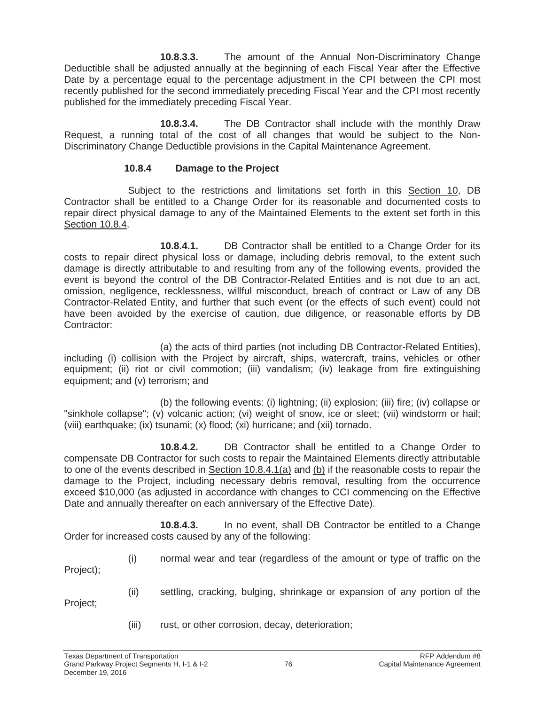**10.8.3.3.** The amount of the Annual Non-Discriminatory Change Deductible shall be adjusted annually at the beginning of each Fiscal Year after the Effective Date by a percentage equal to the percentage adjustment in the CPI between the CPI most recently published for the second immediately preceding Fiscal Year and the CPI most recently published for the immediately preceding Fiscal Year.

**10.8.3.4.** The DB Contractor shall include with the monthly Draw Request, a running total of the cost of all changes that would be subject to the Non-Discriminatory Change Deductible provisions in the Capital Maintenance Agreement.

### **10.8.4 Damage to the Project**

Subject to the restrictions and limitations set forth in this Section 10, DB Contractor shall be entitled to a Change Order for its reasonable and documented costs to repair direct physical damage to any of the Maintained Elements to the extent set forth in this Section 10.8.4.

**10.8.4.1.** DB Contractor shall be entitled to a Change Order for its costs to repair direct physical loss or damage, including debris removal, to the extent such damage is directly attributable to and resulting from any of the following events, provided the event is beyond the control of the DB Contractor-Related Entities and is not due to an act, omission, negligence, recklessness, willful misconduct, breach of contract or Law of any DB Contractor-Related Entity, and further that such event (or the effects of such event) could not have been avoided by the exercise of caution, due diligence, or reasonable efforts by DB Contractor:

(a) the acts of third parties (not including DB Contractor-Related Entities), including (i) collision with the Project by aircraft, ships, watercraft, trains, vehicles or other equipment; (ii) riot or civil commotion; (iii) vandalism; (iv) leakage from fire extinguishing equipment; and (v) terrorism; and

(b) the following events: (i) lightning; (ii) explosion; (iii) fire; (iv) collapse or "sinkhole collapse"; (v) volcanic action; (vi) weight of snow, ice or sleet; (vii) windstorm or hail; (viii) earthquake; (ix) tsunami; (x) flood; (xi) hurricane; and (xii) tornado.

**10.8.4.2.** DB Contractor shall be entitled to a Change Order to compensate DB Contractor for such costs to repair the Maintained Elements directly attributable to one of the events described in Section 10.8.4.1(a) and (b) if the reasonable costs to repair the damage to the Project, including necessary debris removal, resulting from the occurrence exceed \$10,000 (as adjusted in accordance with changes to CCI commencing on the Effective Date and annually thereafter on each anniversary of the Effective Date).

**10.8.4.3.** In no event, shall DB Contractor be entitled to a Change Order for increased costs caused by any of the following:

(i) normal wear and tear (regardless of the amount or type of traffic on the Project);

(ii) settling, cracking, bulging, shrinkage or expansion of any portion of the Project;

(iii) rust, or other corrosion, decay, deterioration;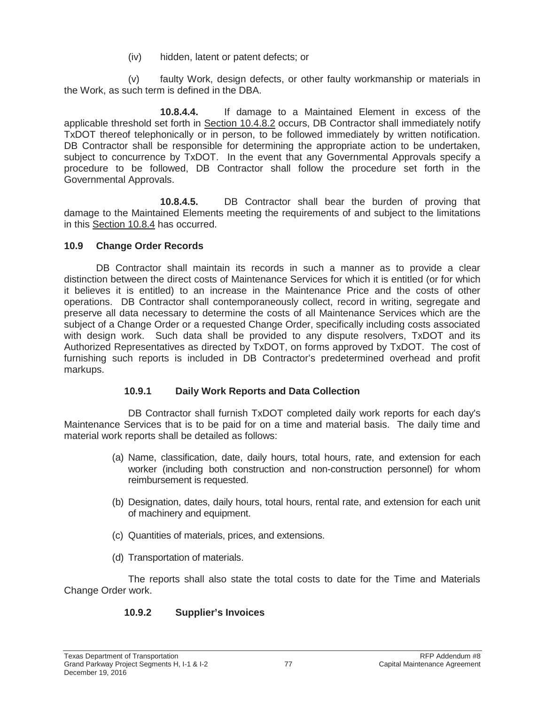(iv) hidden, latent or patent defects; or

(v) faulty Work, design defects, or other faulty workmanship or materials in the Work, as such term is defined in the DBA.

**10.8.4.4.** If damage to a Maintained Element in excess of the applicable threshold set forth in Section 10.4.8.2 occurs, DB Contractor shall immediately notify TxDOT thereof telephonically or in person, to be followed immediately by written notification. DB Contractor shall be responsible for determining the appropriate action to be undertaken, subject to concurrence by TxDOT. In the event that any Governmental Approvals specify a procedure to be followed, DB Contractor shall follow the procedure set forth in the Governmental Approvals.

**10.8.4.5.** DB Contractor shall bear the burden of proving that damage to the Maintained Elements meeting the requirements of and subject to the limitations in this Section 10.8.4 has occurred.

# **10.9 Change Order Records**

DB Contractor shall maintain its records in such a manner as to provide a clear distinction between the direct costs of Maintenance Services for which it is entitled (or for which it believes it is entitled) to an increase in the Maintenance Price and the costs of other operations. DB Contractor shall contemporaneously collect, record in writing, segregate and preserve all data necessary to determine the costs of all Maintenance Services which are the subject of a Change Order or a requested Change Order, specifically including costs associated with design work. Such data shall be provided to any dispute resolvers, TxDOT and its Authorized Representatives as directed by TxDOT, on forms approved by TxDOT. The cost of furnishing such reports is included in DB Contractor's predetermined overhead and profit markups.

# **10.9.1 Daily Work Reports and Data Collection**

DB Contractor shall furnish TxDOT completed daily work reports for each day's Maintenance Services that is to be paid for on a time and material basis. The daily time and material work reports shall be detailed as follows:

- (a) Name, classification, date, daily hours, total hours, rate, and extension for each worker (including both construction and non-construction personnel) for whom reimbursement is requested.
- (b) Designation, dates, daily hours, total hours, rental rate, and extension for each unit of machinery and equipment.
- (c) Quantities of materials, prices, and extensions.
- (d) Transportation of materials.

The reports shall also state the total costs to date for the Time and Materials Change Order work.

# **10.9.2 Supplier's Invoices**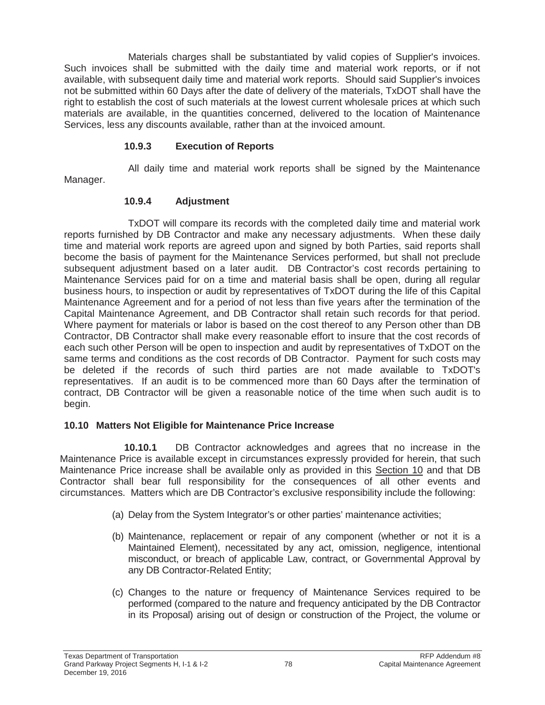Materials charges shall be substantiated by valid copies of Supplier's invoices. Such invoices shall be submitted with the daily time and material work reports, or if not available, with subsequent daily time and material work reports. Should said Supplier's invoices not be submitted within 60 Days after the date of delivery of the materials, TxDOT shall have the right to establish the cost of such materials at the lowest current wholesale prices at which such materials are available, in the quantities concerned, delivered to the location of Maintenance Services, less any discounts available, rather than at the invoiced amount.

## **10.9.3 Execution of Reports**

All daily time and material work reports shall be signed by the Maintenance

Manager.

## **10.9.4 Adjustment**

TxDOT will compare its records with the completed daily time and material work reports furnished by DB Contractor and make any necessary adjustments. When these daily time and material work reports are agreed upon and signed by both Parties, said reports shall become the basis of payment for the Maintenance Services performed, but shall not preclude subsequent adjustment based on a later audit. DB Contractor's cost records pertaining to Maintenance Services paid for on a time and material basis shall be open, during all regular business hours, to inspection or audit by representatives of TxDOT during the life of this Capital Maintenance Agreement and for a period of not less than five years after the termination of the Capital Maintenance Agreement, and DB Contractor shall retain such records for that period. Where payment for materials or labor is based on the cost thereof to any Person other than DB Contractor, DB Contractor shall make every reasonable effort to insure that the cost records of each such other Person will be open to inspection and audit by representatives of TxDOT on the same terms and conditions as the cost records of DB Contractor. Payment for such costs may be deleted if the records of such third parties are not made available to TxDOT's representatives. If an audit is to be commenced more than 60 Days after the termination of contract, DB Contractor will be given a reasonable notice of the time when such audit is to begin.

# **10.10 Matters Not Eligible for Maintenance Price Increase**

**10.10.1** DB Contractor acknowledges and agrees that no increase in the Maintenance Price is available except in circumstances expressly provided for herein, that such Maintenance Price increase shall be available only as provided in this Section 10 and that DB Contractor shall bear full responsibility for the consequences of all other events and circumstances. Matters which are DB Contractor's exclusive responsibility include the following:

- (a) Delay from the System Integrator's or other parties' maintenance activities;
- (b) Maintenance, replacement or repair of any component (whether or not it is a Maintained Element), necessitated by any act, omission, negligence, intentional misconduct, or breach of applicable Law, contract, or Governmental Approval by any DB Contractor-Related Entity;
- (c) Changes to the nature or frequency of Maintenance Services required to be performed (compared to the nature and frequency anticipated by the DB Contractor in its Proposal) arising out of design or construction of the Project, the volume or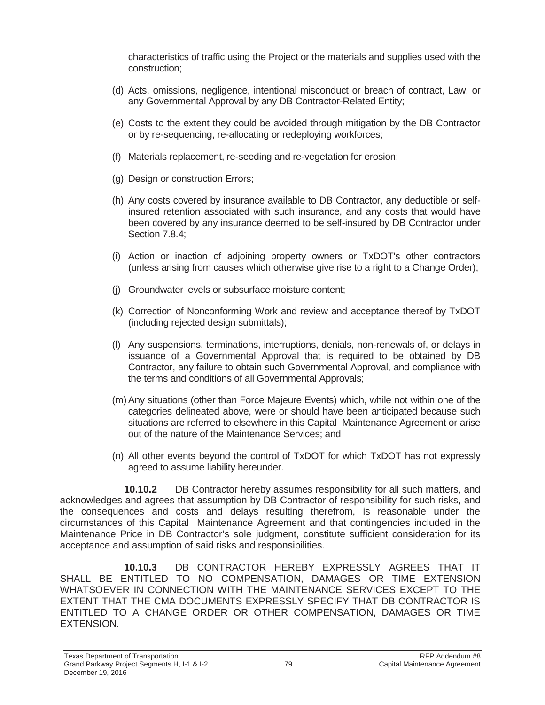characteristics of traffic using the Project or the materials and supplies used with the construction;

- (d) Acts, omissions, negligence, intentional misconduct or breach of contract, Law, or any Governmental Approval by any DB Contractor-Related Entity;
- (e) Costs to the extent they could be avoided through mitigation by the DB Contractor or by re-sequencing, re-allocating or redeploying workforces;
- (f) Materials replacement, re-seeding and re-vegetation for erosion;
- (g) Design or construction Errors;
- (h) Any costs covered by insurance available to DB Contractor, any deductible or selfinsured retention associated with such insurance, and any costs that would have been covered by any insurance deemed to be self-insured by DB Contractor under Section 7.8.4;
- (i) Action or inaction of adjoining property owners or TxDOT's other contractors (unless arising from causes which otherwise give rise to a right to a Change Order);
- (j) Groundwater levels or subsurface moisture content;
- (k) Correction of Nonconforming Work and review and acceptance thereof by TxDOT (including rejected design submittals);
- (l) Any suspensions, terminations, interruptions, denials, non-renewals of, or delays in issuance of a Governmental Approval that is required to be obtained by DB Contractor, any failure to obtain such Governmental Approval, and compliance with the terms and conditions of all Governmental Approvals;
- (m) Any situations (other than Force Majeure Events) which, while not within one of the categories delineated above, were or should have been anticipated because such situations are referred to elsewhere in this Capital Maintenance Agreement or arise out of the nature of the Maintenance Services; and
- (n) All other events beyond the control of TxDOT for which TxDOT has not expressly agreed to assume liability hereunder.

**10.10.2** DB Contractor hereby assumes responsibility for all such matters, and acknowledges and agrees that assumption by DB Contractor of responsibility for such risks, and the consequences and costs and delays resulting therefrom, is reasonable under the circumstances of this Capital Maintenance Agreement and that contingencies included in the Maintenance Price in DB Contractor's sole judgment, constitute sufficient consideration for its acceptance and assumption of said risks and responsibilities.

**10.10.3** DB CONTRACTOR HEREBY EXPRESSLY AGREES THAT IT SHALL BE ENTITLED TO NO COMPENSATION, DAMAGES OR TIME EXTENSION WHATSOEVER IN CONNECTION WITH THE MAINTENANCE SERVICES EXCEPT TO THE EXTENT THAT THE CMA DOCUMENTS EXPRESSLY SPECIFY THAT DB CONTRACTOR IS ENTITLED TO A CHANGE ORDER OR OTHER COMPENSATION, DAMAGES OR TIME EXTENSION.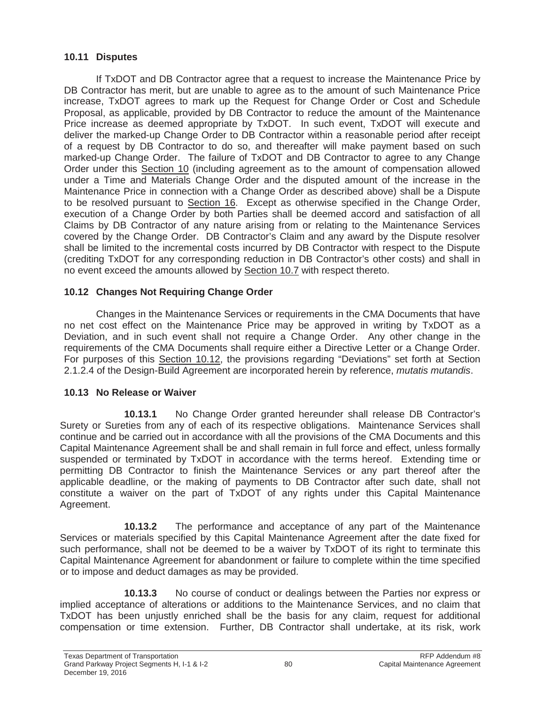### **10.11 Disputes**

If TxDOT and DB Contractor agree that a request to increase the Maintenance Price by DB Contractor has merit, but are unable to agree as to the amount of such Maintenance Price increase, TxDOT agrees to mark up the Request for Change Order or Cost and Schedule Proposal, as applicable, provided by DB Contractor to reduce the amount of the Maintenance Price increase as deemed appropriate by TxDOT. In such event, TxDOT will execute and deliver the marked-up Change Order to DB Contractor within a reasonable period after receipt of a request by DB Contractor to do so, and thereafter will make payment based on such marked-up Change Order. The failure of TxDOT and DB Contractor to agree to any Change Order under this Section 10 (including agreement as to the amount of compensation allowed under a Time and Materials Change Order and the disputed amount of the increase in the Maintenance Price in connection with a Change Order as described above) shall be a Dispute to be resolved pursuant to Section 16. Except as otherwise specified in the Change Order, execution of a Change Order by both Parties shall be deemed accord and satisfaction of all Claims by DB Contractor of any nature arising from or relating to the Maintenance Services covered by the Change Order. DB Contractor's Claim and any award by the Dispute resolver shall be limited to the incremental costs incurred by DB Contractor with respect to the Dispute (crediting TxDOT for any corresponding reduction in DB Contractor's other costs) and shall in no event exceed the amounts allowed by Section 10.7 with respect thereto.

### **10.12 Changes Not Requiring Change Order**

Changes in the Maintenance Services or requirements in the CMA Documents that have no net cost effect on the Maintenance Price may be approved in writing by TxDOT as a Deviation, and in such event shall not require a Change Order. Any other change in the requirements of the CMA Documents shall require either a Directive Letter or a Change Order. For purposes of this Section 10.12, the provisions regarding "Deviations" set forth at Section 2.1.2.4 of the Design-Build Agreement are incorporated herein by reference, *mutatis mutandis*.

### **10.13 No Release or Waiver**

**10.13.1** No Change Order granted hereunder shall release DB Contractor's Surety or Sureties from any of each of its respective obligations. Maintenance Services shall continue and be carried out in accordance with all the provisions of the CMA Documents and this Capital Maintenance Agreement shall be and shall remain in full force and effect, unless formally suspended or terminated by TxDOT in accordance with the terms hereof. Extending time or permitting DB Contractor to finish the Maintenance Services or any part thereof after the applicable deadline, or the making of payments to DB Contractor after such date, shall not constitute a waiver on the part of TxDOT of any rights under this Capital Maintenance Agreement.

**10.13.2** The performance and acceptance of any part of the Maintenance Services or materials specified by this Capital Maintenance Agreement after the date fixed for such performance, shall not be deemed to be a waiver by TxDOT of its right to terminate this Capital Maintenance Agreement for abandonment or failure to complete within the time specified or to impose and deduct damages as may be provided.

**10.13.3** No course of conduct or dealings between the Parties nor express or implied acceptance of alterations or additions to the Maintenance Services, and no claim that TxDOT has been unjustly enriched shall be the basis for any claim, request for additional compensation or time extension. Further, DB Contractor shall undertake, at its risk, work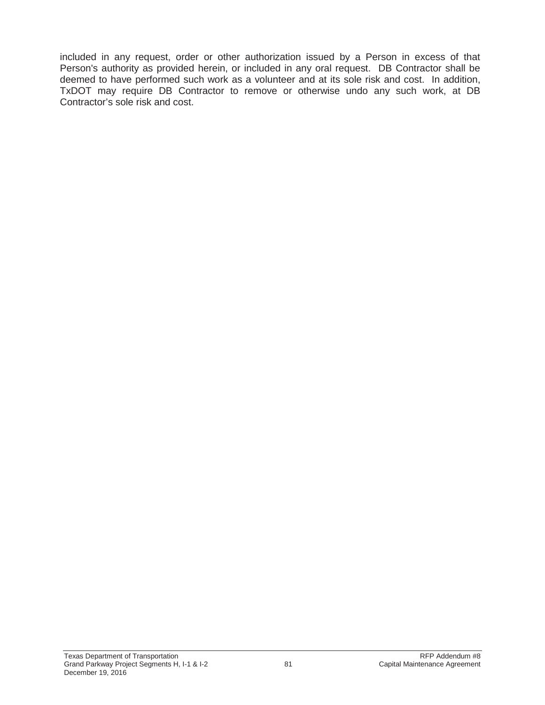included in any request, order or other authorization issued by a Person in excess of that Person's authority as provided herein, or included in any oral request. DB Contractor shall be deemed to have performed such work as a volunteer and at its sole risk and cost. In addition, TxDOT may require DB Contractor to remove or otherwise undo any such work, at DB Contractor's sole risk and cost.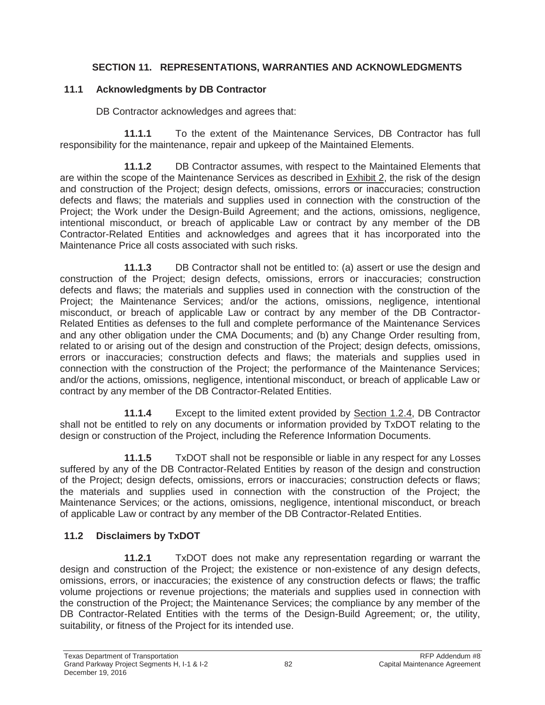## **SECTION 11. REPRESENTATIONS, WARRANTIES AND ACKNOWLEDGMENTS**

### **11.1 Acknowledgments by DB Contractor**

DB Contractor acknowledges and agrees that:

**11.1.1** To the extent of the Maintenance Services, DB Contractor has full responsibility for the maintenance, repair and upkeep of the Maintained Elements.

**11.1.2** DB Contractor assumes, with respect to the Maintained Elements that are within the scope of the Maintenance Services as described in Exhibit 2, the risk of the design and construction of the Project; design defects, omissions, errors or inaccuracies; construction defects and flaws; the materials and supplies used in connection with the construction of the Proiect: the Work under the Design-Build Agreement; and the actions, omissions, negligence, intentional misconduct, or breach of applicable Law or contract by any member of the DB Contractor-Related Entities and acknowledges and agrees that it has incorporated into the Maintenance Price all costs associated with such risks.

**11.1.3** DB Contractor shall not be entitled to: (a) assert or use the design and construction of the Project; design defects, omissions, errors or inaccuracies; construction defects and flaws; the materials and supplies used in connection with the construction of the Project; the Maintenance Services; and/or the actions, omissions, negligence, intentional misconduct, or breach of applicable Law or contract by any member of the DB Contractor-Related Entities as defenses to the full and complete performance of the Maintenance Services and any other obligation under the CMA Documents; and (b) any Change Order resulting from, related to or arising out of the design and construction of the Project; design defects, omissions, errors or inaccuracies; construction defects and flaws; the materials and supplies used in connection with the construction of the Project; the performance of the Maintenance Services; and/or the actions, omissions, negligence, intentional misconduct, or breach of applicable Law or contract by any member of the DB Contractor-Related Entities.

**11.1.4** Except to the limited extent provided by Section 1.2.4, DB Contractor shall not be entitled to rely on any documents or information provided by TxDOT relating to the design or construction of the Project, including the Reference Information Documents.

**11.1.5** TxDOT shall not be responsible or liable in any respect for any Losses suffered by any of the DB Contractor-Related Entities by reason of the design and construction of the Project; design defects, omissions, errors or inaccuracies; construction defects or flaws; the materials and supplies used in connection with the construction of the Project; the Maintenance Services; or the actions, omissions, negligence, intentional misconduct, or breach of applicable Law or contract by any member of the DB Contractor-Related Entities.

# **11.2 Disclaimers by TxDOT**

**11.2.1** TxDOT does not make any representation regarding or warrant the design and construction of the Project; the existence or non-existence of any design defects, omissions, errors, or inaccuracies; the existence of any construction defects or flaws; the traffic volume projections or revenue projections; the materials and supplies used in connection with the construction of the Project; the Maintenance Services; the compliance by any member of the DB Contractor-Related Entities with the terms of the Design-Build Agreement; or, the utility, suitability, or fitness of the Project for its intended use.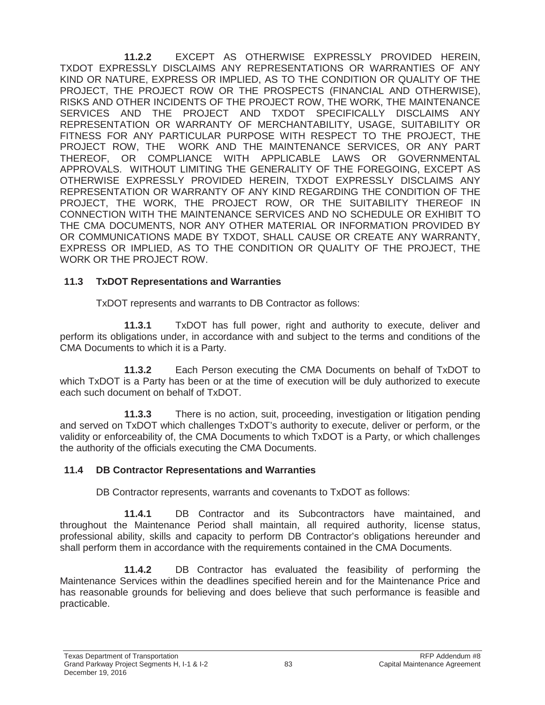**11.2.2** EXCEPT AS OTHERWISE EXPRESSLY PROVIDED HEREIN, TXDOT EXPRESSLY DISCLAIMS ANY REPRESENTATIONS OR WARRANTIES OF ANY KIND OR NATURE, EXPRESS OR IMPLIED, AS TO THE CONDITION OR QUALITY OF THE PROJECT, THE PROJECT ROW OR THE PROSPECTS (FINANCIAL AND OTHERWISE), RISKS AND OTHER INCIDENTS OF THE PROJECT ROW, THE WORK, THE MAINTENANCE SERVICES AND THE PROJECT AND TXDOT SPECIFICALLY DISCLAIMS ANY REPRESENTATION OR WARRANTY OF MERCHANTABILITY, USAGE, SUITABILITY OR FITNESS FOR ANY PARTICULAR PURPOSE WITH RESPECT TO THE PROJECT, THE PROJECT ROW, THE WORK AND THE MAINTENANCE SERVICES, OR ANY PART THEREOF, OR COMPLIANCE WITH APPLICABLE LAWS OR GOVERNMENTAL APPROVALS. WITHOUT LIMITING THE GENERALITY OF THE FOREGOING, EXCEPT AS OTHERWISE EXPRESSLY PROVIDED HEREIN, TXDOT EXPRESSLY DISCLAIMS ANY REPRESENTATION OR WARRANTY OF ANY KIND REGARDING THE CONDITION OF THE PROJECT, THE WORK, THE PROJECT ROW, OR THE SUITABILITY THEREOF IN CONNECTION WITH THE MAINTENANCE SERVICES AND NO SCHEDULE OR EXHIBIT TO THE CMA DOCUMENTS, NOR ANY OTHER MATERIAL OR INFORMATION PROVIDED BY OR COMMUNICATIONS MADE BY TXDOT, SHALL CAUSE OR CREATE ANY WARRANTY, EXPRESS OR IMPLIED, AS TO THE CONDITION OR QUALITY OF THE PROJECT, THE WORK OR THE PROJECT ROW.

## **11.3 TxDOT Representations and Warranties**

TxDOT represents and warrants to DB Contractor as follows:

**11.3.1** TxDOT has full power, right and authority to execute, deliver and perform its obligations under, in accordance with and subject to the terms and conditions of the CMA Documents to which it is a Party.

**11.3.2** Each Person executing the CMA Documents on behalf of TxDOT to which TxDOT is a Party has been or at the time of execution will be duly authorized to execute each such document on behalf of TxDOT.

**11.3.3** There is no action, suit, proceeding, investigation or litigation pending and served on TxDOT which challenges TxDOT's authority to execute, deliver or perform, or the validity or enforceability of, the CMA Documents to which TxDOT is a Party, or which challenges the authority of the officials executing the CMA Documents.

# **11.4 DB Contractor Representations and Warranties**

DB Contractor represents, warrants and covenants to TxDOT as follows:

**11.4.1** DB Contractor and its Subcontractors have maintained, and throughout the Maintenance Period shall maintain, all required authority, license status, professional ability, skills and capacity to perform DB Contractor's obligations hereunder and shall perform them in accordance with the requirements contained in the CMA Documents.

**11.4.2** DB Contractor has evaluated the feasibility of performing the Maintenance Services within the deadlines specified herein and for the Maintenance Price and has reasonable grounds for believing and does believe that such performance is feasible and practicable.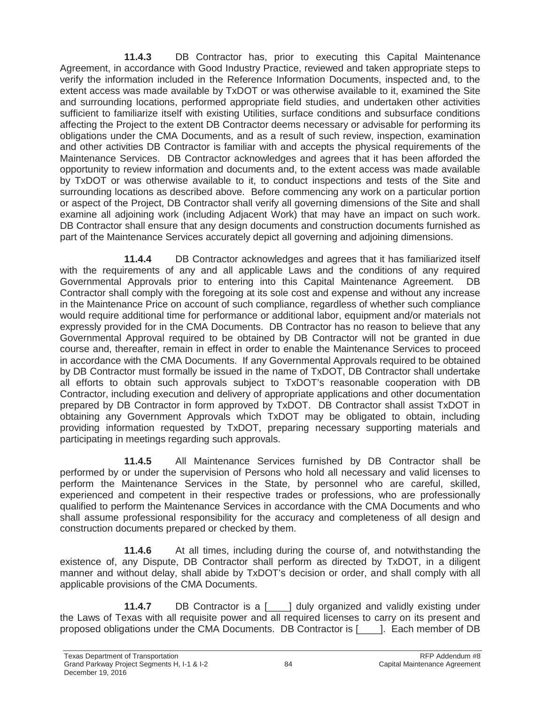**11.4.3** DB Contractor has, prior to executing this Capital Maintenance Agreement, in accordance with Good Industry Practice, reviewed and taken appropriate steps to verify the information included in the Reference Information Documents, inspected and, to the extent access was made available by TxDOT or was otherwise available to it, examined the Site and surrounding locations, performed appropriate field studies, and undertaken other activities sufficient to familiarize itself with existing Utilities, surface conditions and subsurface conditions affecting the Project to the extent DB Contractor deems necessary or advisable for performing its obligations under the CMA Documents, and as a result of such review, inspection, examination and other activities DB Contractor is familiar with and accepts the physical requirements of the Maintenance Services. DB Contractor acknowledges and agrees that it has been afforded the opportunity to review information and documents and, to the extent access was made available by TxDOT or was otherwise available to it, to conduct inspections and tests of the Site and surrounding locations as described above. Before commencing any work on a particular portion or aspect of the Project, DB Contractor shall verify all governing dimensions of the Site and shall examine all adjoining work (including Adjacent Work) that may have an impact on such work. DB Contractor shall ensure that any design documents and construction documents furnished as part of the Maintenance Services accurately depict all governing and adjoining dimensions.

**11.4.4** DB Contractor acknowledges and agrees that it has familiarized itself with the requirements of any and all applicable Laws and the conditions of any required Governmental Approvals prior to entering into this Capital Maintenance Agreement. DB Contractor shall comply with the foregoing at its sole cost and expense and without any increase in the Maintenance Price on account of such compliance, regardless of whether such compliance would require additional time for performance or additional labor, equipment and/or materials not expressly provided for in the CMA Documents. DB Contractor has no reason to believe that any Governmental Approval required to be obtained by DB Contractor will not be granted in due course and, thereafter, remain in effect in order to enable the Maintenance Services to proceed in accordance with the CMA Documents. If any Governmental Approvals required to be obtained by DB Contractor must formally be issued in the name of TxDOT, DB Contractor shall undertake all efforts to obtain such approvals subject to TxDOT's reasonable cooperation with DB Contractor, including execution and delivery of appropriate applications and other documentation prepared by DB Contractor in form approved by TxDOT. DB Contractor shall assist TxDOT in obtaining any Government Approvals which TxDOT may be obligated to obtain, including providing information requested by TxDOT, preparing necessary supporting materials and participating in meetings regarding such approvals.

**11.4.5** All Maintenance Services furnished by DB Contractor shall be performed by or under the supervision of Persons who hold all necessary and valid licenses to perform the Maintenance Services in the State, by personnel who are careful, skilled, experienced and competent in their respective trades or professions, who are professionally qualified to perform the Maintenance Services in accordance with the CMA Documents and who shall assume professional responsibility for the accuracy and completeness of all design and construction documents prepared or checked by them.

**11.4.6** At all times, including during the course of, and notwithstanding the existence of, any Dispute, DB Contractor shall perform as directed by TxDOT, in a diligent manner and without delay, shall abide by TxDOT's decision or order, and shall comply with all applicable provisions of the CMA Documents.

**11.4.7** DB Contractor is a [\_\_\_\_] duly organized and validly existing under the Laws of Texas with all requisite power and all required licenses to carry on its present and proposed obligations under the CMA Documents. DB Contractor is [\_\_\_\_]. Each member of DB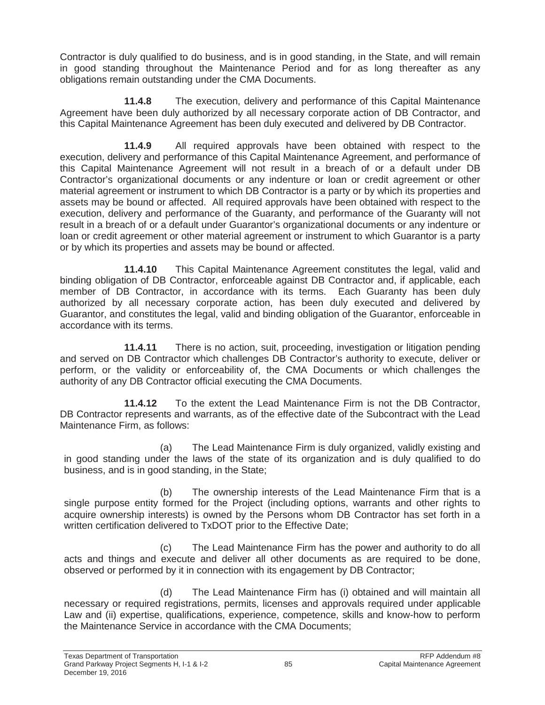Contractor is duly qualified to do business, and is in good standing, in the State, and will remain in good standing throughout the Maintenance Period and for as long thereafter as any obligations remain outstanding under the CMA Documents.

**11.4.8** The execution, delivery and performance of this Capital Maintenance Agreement have been duly authorized by all necessary corporate action of DB Contractor, and this Capital Maintenance Agreement has been duly executed and delivered by DB Contractor.

**11.4.9** All required approvals have been obtained with respect to the execution, delivery and performance of this Capital Maintenance Agreement, and performance of this Capital Maintenance Agreement will not result in a breach of or a default under DB Contractor's organizational documents or any indenture or loan or credit agreement or other material agreement or instrument to which DB Contractor is a party or by which its properties and assets may be bound or affected. All required approvals have been obtained with respect to the execution, delivery and performance of the Guaranty, and performance of the Guaranty will not result in a breach of or a default under Guarantor's organizational documents or any indenture or loan or credit agreement or other material agreement or instrument to which Guarantor is a party or by which its properties and assets may be bound or affected.

**11.4.10** This Capital Maintenance Agreement constitutes the legal, valid and binding obligation of DB Contractor, enforceable against DB Contractor and, if applicable, each member of DB Contractor, in accordance with its terms. Each Guaranty has been duly authorized by all necessary corporate action, has been duly executed and delivered by Guarantor, and constitutes the legal, valid and binding obligation of the Guarantor, enforceable in accordance with its terms.

**11.4.11** There is no action, suit, proceeding, investigation or litigation pending and served on DB Contractor which challenges DB Contractor's authority to execute, deliver or perform, or the validity or enforceability of, the CMA Documents or which challenges the authority of any DB Contractor official executing the CMA Documents.

**11.4.12** To the extent the Lead Maintenance Firm is not the DB Contractor, DB Contractor represents and warrants, as of the effective date of the Subcontract with the Lead Maintenance Firm, as follows:

(a) The Lead Maintenance Firm is duly organized, validly existing and in good standing under the laws of the state of its organization and is duly qualified to do business, and is in good standing, in the State;

(b) The ownership interests of the Lead Maintenance Firm that is a single purpose entity formed for the Project (including options, warrants and other rights to acquire ownership interests) is owned by the Persons whom DB Contractor has set forth in a written certification delivered to TxDOT prior to the Effective Date;

(c) The Lead Maintenance Firm has the power and authority to do all acts and things and execute and deliver all other documents as are required to be done, observed or performed by it in connection with its engagement by DB Contractor;

(d) The Lead Maintenance Firm has (i) obtained and will maintain all necessary or required registrations, permits, licenses and approvals required under applicable Law and (ii) expertise, qualifications, experience, competence, skills and know-how to perform the Maintenance Service in accordance with the CMA Documents;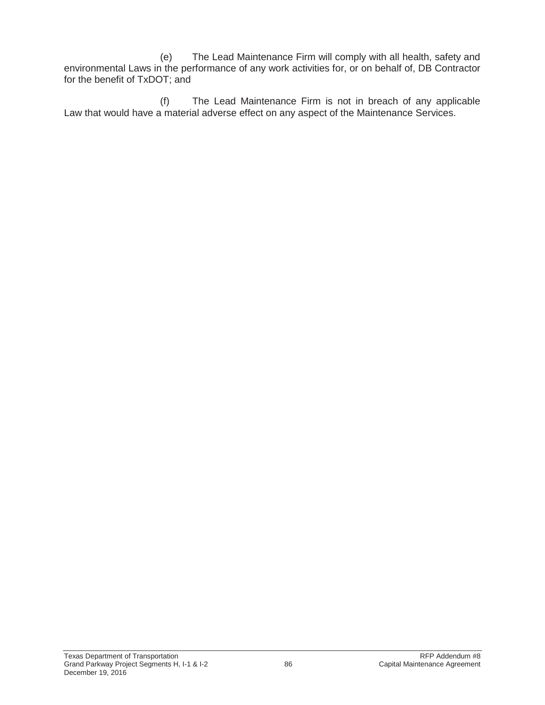(e) The Lead Maintenance Firm will comply with all health, safety and environmental Laws in the performance of any work activities for, or on behalf of, DB Contractor for the benefit of TxDOT; and

(f) The Lead Maintenance Firm is not in breach of any applicable Law that would have a material adverse effect on any aspect of the Maintenance Services.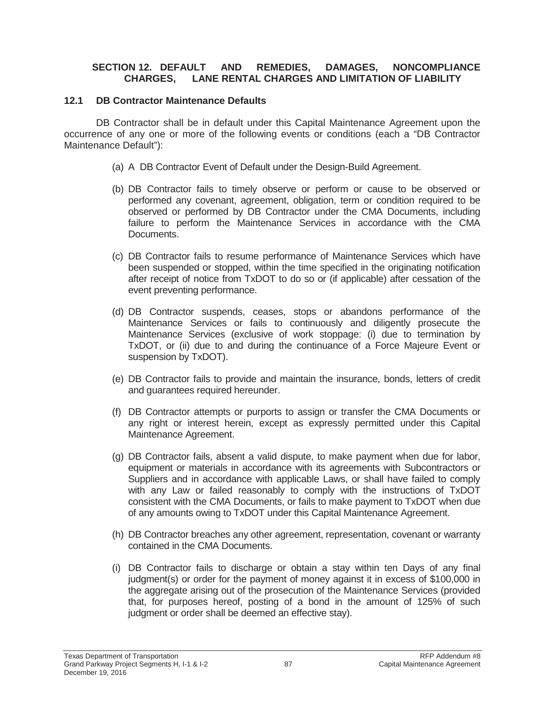### **SECTION 12. DEFAULT AND REMEDIES, DAMAGES, NONCOMPLIANCE CHARGES, LANE RENTAL CHARGES AND LIMITATION OF LIABILITY**

### **12.1 DB Contractor Maintenance Defaults**

DB Contractor shall be in default under this Capital Maintenance Agreement upon the occurrence of any one or more of the following events or conditions (each a "DB Contractor Maintenance Default"):

- (a) A DB Contractor Event of Default under the Design-Build Agreement.
- (b) DB Contractor fails to timely observe or perform or cause to be observed or performed any covenant, agreement, obligation, term or condition required to be observed or performed by DB Contractor under the CMA Documents, including failure to perform the Maintenance Services in accordance with the CMA Documents.
- (c) DB Contractor fails to resume performance of Maintenance Services which have been suspended or stopped, within the time specified in the originating notification after receipt of notice from TxDOT to do so or (if applicable) after cessation of the event preventing performance.
- (d) DB Contractor suspends, ceases, stops or abandons performance of the Maintenance Services or fails to continuously and diligently prosecute the Maintenance Services (exclusive of work stoppage: (i) due to termination by TxDOT, or (ii) due to and during the continuance of a Force Majeure Event or suspension by TxDOT).
- (e) DB Contractor fails to provide and maintain the insurance, bonds, letters of credit and guarantees required hereunder.
- (f) DB Contractor attempts or purports to assign or transfer the CMA Documents or any right or interest herein, except as expressly permitted under this Capital Maintenance Agreement.
- (g) DB Contractor fails, absent a valid dispute, to make payment when due for labor, equipment or materials in accordance with its agreements with Subcontractors or Suppliers and in accordance with applicable Laws, or shall have failed to comply with any Law or failed reasonably to comply with the instructions of TxDOT consistent with the CMA Documents, or fails to make payment to TxDOT when due of any amounts owing to TxDOT under this Capital Maintenance Agreement.
- (h) DB Contractor breaches any other agreement, representation, covenant or warranty contained in the CMA Documents.
- (i) DB Contractor fails to discharge or obtain a stay within ten Days of any final judgment(s) or order for the payment of money against it in excess of \$100,000 in the aggregate arising out of the prosecution of the Maintenance Services (provided that, for purposes hereof, posting of a bond in the amount of 125% of such judgment or order shall be deemed an effective stay).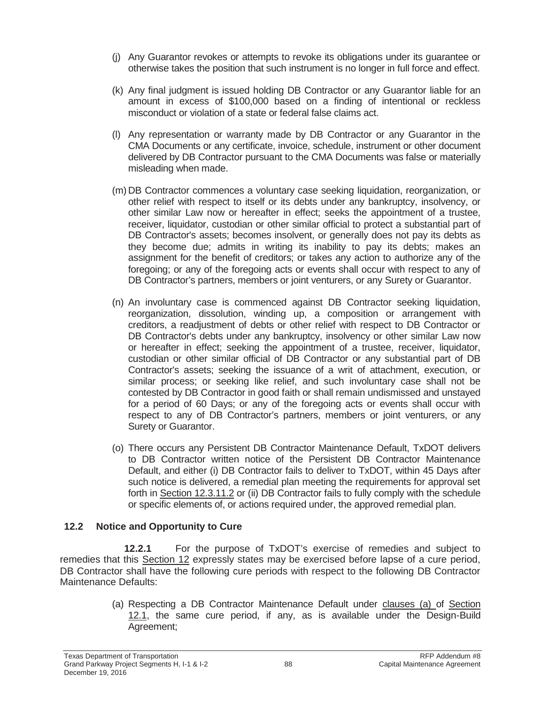- (j) Any Guarantor revokes or attempts to revoke its obligations under its guarantee or otherwise takes the position that such instrument is no longer in full force and effect.
- (k) Any final judgment is issued holding DB Contractor or any Guarantor liable for an amount in excess of \$100,000 based on a finding of intentional or reckless misconduct or violation of a state or federal false claims act.
- (l) Any representation or warranty made by DB Contractor or any Guarantor in the CMA Documents or any certificate, invoice, schedule, instrument or other document delivered by DB Contractor pursuant to the CMA Documents was false or materially misleading when made.
- (m) DB Contractor commences a voluntary case seeking liquidation, reorganization, or other relief with respect to itself or its debts under any bankruptcy, insolvency, or other similar Law now or hereafter in effect; seeks the appointment of a trustee, receiver, liquidator, custodian or other similar official to protect a substantial part of DB Contractor's assets; becomes insolvent, or generally does not pay its debts as they become due; admits in writing its inability to pay its debts; makes an assignment for the benefit of creditors; or takes any action to authorize any of the foregoing; or any of the foregoing acts or events shall occur with respect to any of DB Contractor's partners, members or joint venturers, or any Surety or Guarantor.
- (n) An involuntary case is commenced against DB Contractor seeking liquidation, reorganization, dissolution, winding up, a composition or arrangement with creditors, a readjustment of debts or other relief with respect to DB Contractor or DB Contractor's debts under any bankruptcy, insolvency or other similar Law now or hereafter in effect; seeking the appointment of a trustee, receiver, liquidator, custodian or other similar official of DB Contractor or any substantial part of DB Contractor's assets; seeking the issuance of a writ of attachment, execution, or similar process; or seeking like relief, and such involuntary case shall not be contested by DB Contractor in good faith or shall remain undismissed and unstayed for a period of 60 Days; or any of the foregoing acts or events shall occur with respect to any of DB Contractor's partners, members or joint venturers, or any Surety or Guarantor.
- (o) There occurs any Persistent DB Contractor Maintenance Default, TxDOT delivers to DB Contractor written notice of the Persistent DB Contractor Maintenance Default, and either (i) DB Contractor fails to deliver to TxDOT, within 45 Days after such notice is delivered, a remedial plan meeting the requirements for approval set forth in Section 12.3.11.2 or (ii) DB Contractor fails to fully comply with the schedule or specific elements of, or actions required under, the approved remedial plan.

# **12.2 Notice and Opportunity to Cure**

**12.2.1** For the purpose of TxDOT's exercise of remedies and subject to remedies that this Section 12 expressly states may be exercised before lapse of a cure period, DB Contractor shall have the following cure periods with respect to the following DB Contractor Maintenance Defaults:

> (a) Respecting a DB Contractor Maintenance Default under clauses (a) of Section 12.1, the same cure period, if any, as is available under the Design-Build Agreement;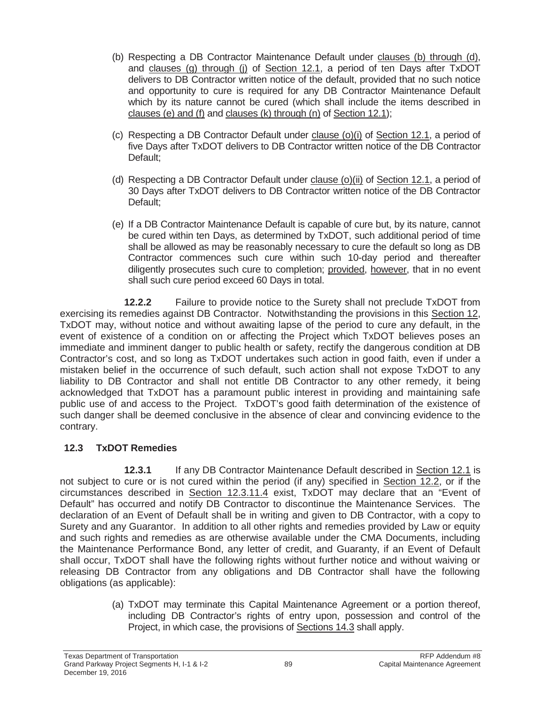- (b) Respecting a DB Contractor Maintenance Default under clauses (b) through (d), and clauses (g) through (j) of Section 12.1, a period of ten Days after TxDOT delivers to DB Contractor written notice of the default, provided that no such notice and opportunity to cure is required for any DB Contractor Maintenance Default which by its nature cannot be cured (which shall include the items described in clauses (e) and (f) and clauses (k) through (n) of Section 12.1);
- (c) Respecting a DB Contractor Default under clause (o)(i) of Section 12.1, a period of five Days after TxDOT delivers to DB Contractor written notice of the DB Contractor Default;
- (d) Respecting a DB Contractor Default under clause (o)(ii) of Section 12.1, a period of 30 Days after TxDOT delivers to DB Contractor written notice of the DB Contractor Default;
- (e) If a DB Contractor Maintenance Default is capable of cure but, by its nature, cannot be cured within ten Days, as determined by TxDOT, such additional period of time shall be allowed as may be reasonably necessary to cure the default so long as DB Contractor commences such cure within such 10-day period and thereafter diligently prosecutes such cure to completion; provided, however, that in no event shall such cure period exceed 60 Days in total.

**12.2.2** Failure to provide notice to the Surety shall not preclude TxDOT from exercising its remedies against DB Contractor. Notwithstanding the provisions in this Section 12, TxDOT may, without notice and without awaiting lapse of the period to cure any default, in the event of existence of a condition on or affecting the Project which TxDOT believes poses an immediate and imminent danger to public health or safety, rectify the dangerous condition at DB Contractor's cost, and so long as TxDOT undertakes such action in good faith, even if under a mistaken belief in the occurrence of such default, such action shall not expose TxDOT to any liability to DB Contractor and shall not entitle DB Contractor to any other remedy, it being acknowledged that TxDOT has a paramount public interest in providing and maintaining safe public use of and access to the Project. TxDOT's good faith determination of the existence of such danger shall be deemed conclusive in the absence of clear and convincing evidence to the contrary.

# **12.3 TxDOT Remedies**

**12.3.1** If any DB Contractor Maintenance Default described in Section 12.1 is not subject to cure or is not cured within the period (if any) specified in Section 12.2, or if the circumstances described in Section 12.3.11.4 exist, TxDOT may declare that an "Event of Default" has occurred and notify DB Contractor to discontinue the Maintenance Services. The declaration of an Event of Default shall be in writing and given to DB Contractor, with a copy to Surety and any Guarantor. In addition to all other rights and remedies provided by Law or equity and such rights and remedies as are otherwise available under the CMA Documents, including the Maintenance Performance Bond, any letter of credit, and Guaranty, if an Event of Default shall occur, TxDOT shall have the following rights without further notice and without waiving or releasing DB Contractor from any obligations and DB Contractor shall have the following obligations (as applicable):

> (a) TxDOT may terminate this Capital Maintenance Agreement or a portion thereof, including DB Contractor's rights of entry upon, possession and control of the Project, in which case, the provisions of Sections 14.3 shall apply.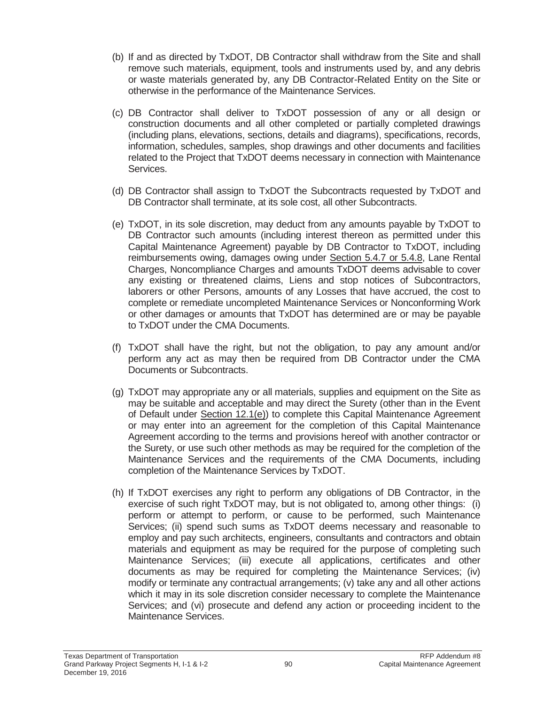- (b) If and as directed by TxDOT, DB Contractor shall withdraw from the Site and shall remove such materials, equipment, tools and instruments used by, and any debris or waste materials generated by, any DB Contractor-Related Entity on the Site or otherwise in the performance of the Maintenance Services.
- (c) DB Contractor shall deliver to TxDOT possession of any or all design or construction documents and all other completed or partially completed drawings (including plans, elevations, sections, details and diagrams), specifications, records, information, schedules, samples, shop drawings and other documents and facilities related to the Project that TxDOT deems necessary in connection with Maintenance Services.
- (d) DB Contractor shall assign to TxDOT the Subcontracts requested by TxDOT and DB Contractor shall terminate, at its sole cost, all other Subcontracts.
- (e) TxDOT, in its sole discretion, may deduct from any amounts payable by TxDOT to DB Contractor such amounts (including interest thereon as permitted under this Capital Maintenance Agreement) payable by DB Contractor to TxDOT, including reimbursements owing, damages owing under Section 5.4.7 or 5.4.8, Lane Rental Charges, Noncompliance Charges and amounts TxDOT deems advisable to cover any existing or threatened claims, Liens and stop notices of Subcontractors, laborers or other Persons, amounts of any Losses that have accrued, the cost to complete or remediate uncompleted Maintenance Services or Nonconforming Work or other damages or amounts that TxDOT has determined are or may be payable to TxDOT under the CMA Documents.
- (f) TxDOT shall have the right, but not the obligation, to pay any amount and/or perform any act as may then be required from DB Contractor under the CMA Documents or Subcontracts.
- (g) TxDOT may appropriate any or all materials, supplies and equipment on the Site as may be suitable and acceptable and may direct the Surety (other than in the Event of Default under Section 12.1(e)) to complete this Capital Maintenance Agreement or may enter into an agreement for the completion of this Capital Maintenance Agreement according to the terms and provisions hereof with another contractor or the Surety, or use such other methods as may be required for the completion of the Maintenance Services and the requirements of the CMA Documents, including completion of the Maintenance Services by TxDOT.
- (h) If TxDOT exercises any right to perform any obligations of DB Contractor, in the exercise of such right TxDOT may, but is not obligated to, among other things: (i) perform or attempt to perform, or cause to be performed, such Maintenance Services; (ii) spend such sums as TxDOT deems necessary and reasonable to employ and pay such architects, engineers, consultants and contractors and obtain materials and equipment as may be required for the purpose of completing such Maintenance Services; (iii) execute all applications, certificates and other documents as may be required for completing the Maintenance Services; (iv) modify or terminate any contractual arrangements; (v) take any and all other actions which it may in its sole discretion consider necessary to complete the Maintenance Services; and (vi) prosecute and defend any action or proceeding incident to the Maintenance Services.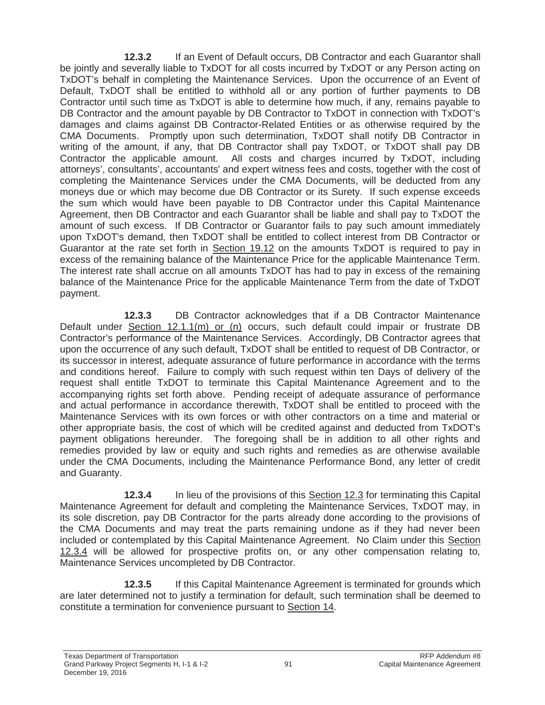**12.3.2** If an Event of Default occurs, DB Contractor and each Guarantor shall be jointly and severally liable to TxDOT for all costs incurred by TxDOT or any Person acting on TxDOT's behalf in completing the Maintenance Services. Upon the occurrence of an Event of Default, TxDOT shall be entitled to withhold all or any portion of further payments to DB Contractor until such time as TxDOT is able to determine how much, if any, remains payable to DB Contractor and the amount payable by DB Contractor to TxDOT in connection with TxDOT's damages and claims against DB Contractor-Related Entities or as otherwise required by the CMA Documents. Promptly upon such determination, TxDOT shall notify DB Contractor in writing of the amount, if any, that DB Contractor shall pay TxDOT, or TxDOT shall pay DB Contractor the applicable amount. All costs and charges incurred by TxDOT, including attorneys', consultants', accountants' and expert witness fees and costs, together with the cost of completing the Maintenance Services under the CMA Documents, will be deducted from any moneys due or which may become due DB Contractor or its Surety. If such expense exceeds the sum which would have been payable to DB Contractor under this Capital Maintenance Agreement, then DB Contractor and each Guarantor shall be liable and shall pay to TxDOT the amount of such excess. If DB Contractor or Guarantor fails to pay such amount immediately upon TxDOT's demand, then TxDOT shall be entitled to collect interest from DB Contractor or Guarantor at the rate set forth in Section 19.12 on the amounts TxDOT is required to pay in excess of the remaining balance of the Maintenance Price for the applicable Maintenance Term. The interest rate shall accrue on all amounts TxDOT has had to pay in excess of the remaining balance of the Maintenance Price for the applicable Maintenance Term from the date of TxDOT payment.

**12.3.3** DB Contractor acknowledges that if a DB Contractor Maintenance Default under Section 12.1.1(m) or (n) occurs, such default could impair or frustrate DB Contractor's performance of the Maintenance Services. Accordingly, DB Contractor agrees that upon the occurrence of any such default, TxDOT shall be entitled to request of DB Contractor, or its successor in interest, adequate assurance of future performance in accordance with the terms and conditions hereof. Failure to comply with such request within ten Days of delivery of the request shall entitle TxDOT to terminate this Capital Maintenance Agreement and to the accompanying rights set forth above. Pending receipt of adequate assurance of performance and actual performance in accordance therewith, TxDOT shall be entitled to proceed with the Maintenance Services with its own forces or with other contractors on a time and material or other appropriate basis, the cost of which will be credited against and deducted from TxDOT's payment obligations hereunder. The foregoing shall be in addition to all other rights and remedies provided by law or equity and such rights and remedies as are otherwise available under the CMA Documents, including the Maintenance Performance Bond, any letter of credit and Guaranty.

**12.3.4** In lieu of the provisions of this Section 12.3 for terminating this Capital Maintenance Agreement for default and completing the Maintenance Services, TxDOT may, in its sole discretion, pay DB Contractor for the parts already done according to the provisions of the CMA Documents and may treat the parts remaining undone as if they had never been included or contemplated by this Capital Maintenance Agreement. No Claim under this Section 12.3.4 will be allowed for prospective profits on, or any other compensation relating to, Maintenance Services uncompleted by DB Contractor.

**12.3.5** If this Capital Maintenance Agreement is terminated for grounds which are later determined not to justify a termination for default, such termination shall be deemed to constitute a termination for convenience pursuant to Section 14.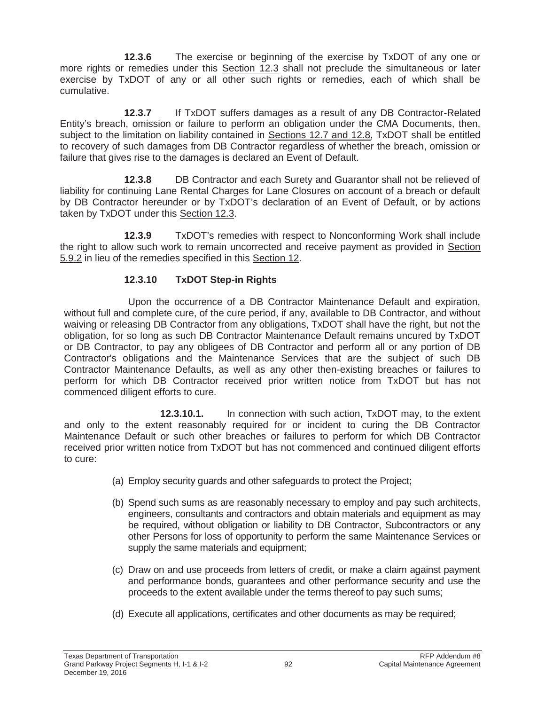**12.3.6** The exercise or beginning of the exercise by TxDOT of any one or more rights or remedies under this Section 12.3 shall not preclude the simultaneous or later exercise by TxDOT of any or all other such rights or remedies, each of which shall be cumulative.

**12.3.7** If TxDOT suffers damages as a result of any DB Contractor-Related Entity's breach, omission or failure to perform an obligation under the CMA Documents, then, subject to the limitation on liability contained in Sections 12.7 and 12.8, TxDOT shall be entitled to recovery of such damages from DB Contractor regardless of whether the breach, omission or failure that gives rise to the damages is declared an Event of Default.

**12.3.8** DB Contractor and each Surety and Guarantor shall not be relieved of liability for continuing Lane Rental Charges for Lane Closures on account of a breach or default by DB Contractor hereunder or by TxDOT's declaration of an Event of Default, or by actions taken by TxDOT under this Section 12.3.

**12.3.9** TxDOT's remedies with respect to Nonconforming Work shall include the right to allow such work to remain uncorrected and receive payment as provided in Section 5.9.2 in lieu of the remedies specified in this Section 12.

## **12.3.10 TxDOT Step-in Rights**

Upon the occurrence of a DB Contractor Maintenance Default and expiration, without full and complete cure, of the cure period, if any, available to DB Contractor, and without waiving or releasing DB Contractor from any obligations, TxDOT shall have the right, but not the obligation, for so long as such DB Contractor Maintenance Default remains uncured by TxDOT or DB Contractor, to pay any obligees of DB Contractor and perform all or any portion of DB Contractor's obligations and the Maintenance Services that are the subject of such DB Contractor Maintenance Defaults, as well as any other then-existing breaches or failures to perform for which DB Contractor received prior written notice from TxDOT but has not commenced diligent efforts to cure.

**12.3.10.1.** In connection with such action, TxDOT may, to the extent and only to the extent reasonably required for or incident to curing the DB Contractor Maintenance Default or such other breaches or failures to perform for which DB Contractor received prior written notice from TxDOT but has not commenced and continued diligent efforts to cure:

- (a) Employ security guards and other safeguards to protect the Project;
- (b) Spend such sums as are reasonably necessary to employ and pay such architects, engineers, consultants and contractors and obtain materials and equipment as may be required, without obligation or liability to DB Contractor, Subcontractors or any other Persons for loss of opportunity to perform the same Maintenance Services or supply the same materials and equipment;
- (c) Draw on and use proceeds from letters of credit, or make a claim against payment and performance bonds, guarantees and other performance security and use the proceeds to the extent available under the terms thereof to pay such sums;
- (d) Execute all applications, certificates and other documents as may be required;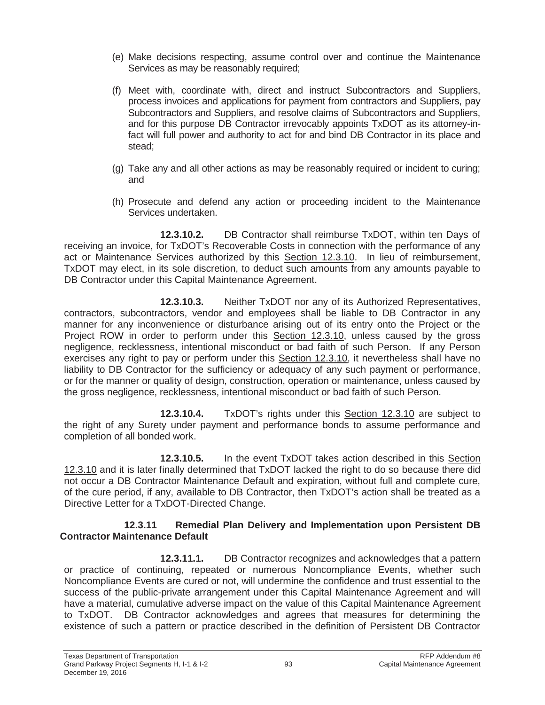- (e) Make decisions respecting, assume control over and continue the Maintenance Services as may be reasonably required;
- (f) Meet with, coordinate with, direct and instruct Subcontractors and Suppliers, process invoices and applications for payment from contractors and Suppliers, pay Subcontractors and Suppliers, and resolve claims of Subcontractors and Suppliers, and for this purpose DB Contractor irrevocably appoints TxDOT as its attorney-infact will full power and authority to act for and bind DB Contractor in its place and stead;
- (g) Take any and all other actions as may be reasonably required or incident to curing; and
- (h) Prosecute and defend any action or proceeding incident to the Maintenance Services undertaken.

**12.3.10.2.** DB Contractor shall reimburse TxDOT, within ten Days of receiving an invoice, for TxDOT's Recoverable Costs in connection with the performance of any act or Maintenance Services authorized by this Section 12.3.10. In lieu of reimbursement, TxDOT may elect, in its sole discretion, to deduct such amounts from any amounts payable to DB Contractor under this Capital Maintenance Agreement.

**12.3.10.3.** Neither TxDOT nor any of its Authorized Representatives, contractors, subcontractors, vendor and employees shall be liable to DB Contractor in any manner for any inconvenience or disturbance arising out of its entry onto the Project or the Project ROW in order to perform under this Section 12.3.10, unless caused by the gross negligence, recklessness, intentional misconduct or bad faith of such Person. If any Person exercises any right to pay or perform under this Section 12.3.10, it nevertheless shall have no liability to DB Contractor for the sufficiency or adequacy of any such payment or performance, or for the manner or quality of design, construction, operation or maintenance, unless caused by the gross negligence, recklessness, intentional misconduct or bad faith of such Person.

**12.3.10.4.** TxDOT's rights under this Section 12.3.10 are subject to the right of any Surety under payment and performance bonds to assume performance and completion of all bonded work.

**12.3.10.5.** In the event TxDOT takes action described in this Section 12.3.10 and it is later finally determined that TxDOT lacked the right to do so because there did not occur a DB Contractor Maintenance Default and expiration, without full and complete cure, of the cure period, if any, available to DB Contractor, then TxDOT's action shall be treated as a Directive Letter for a TxDOT-Directed Change.

#### **12.3.11 Remedial Plan Delivery and Implementation upon Persistent DB Contractor Maintenance Default**

**12.3.11.1.** DB Contractor recognizes and acknowledges that a pattern or practice of continuing, repeated or numerous Noncompliance Events, whether such Noncompliance Events are cured or not, will undermine the confidence and trust essential to the success of the public-private arrangement under this Capital Maintenance Agreement and will have a material, cumulative adverse impact on the value of this Capital Maintenance Agreement to TxDOT. DB Contractor acknowledges and agrees that measures for determining the existence of such a pattern or practice described in the definition of Persistent DB Contractor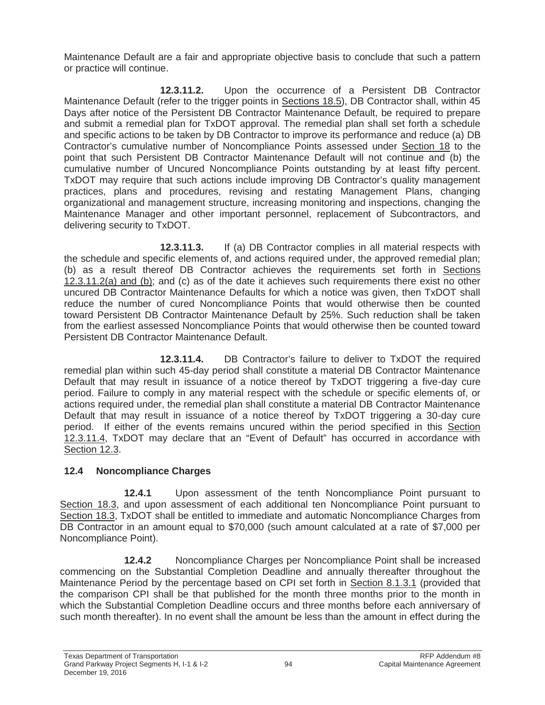Maintenance Default are a fair and appropriate objective basis to conclude that such a pattern or practice will continue.

**12.3.11.2.** Upon the occurrence of a Persistent DB Contractor Maintenance Default (refer to the trigger points in Sections 18.5), DB Contractor shall, within 45 Days after notice of the Persistent DB Contractor Maintenance Default, be required to prepare and submit a remedial plan for TxDOT approval. The remedial plan shall set forth a schedule and specific actions to be taken by DB Contractor to improve its performance and reduce (a) DB Contractor's cumulative number of Noncompliance Points assessed under Section 18 to the point that such Persistent DB Contractor Maintenance Default will not continue and (b) the cumulative number of Uncured Noncompliance Points outstanding by at least fifty percent. TxDOT may require that such actions include improving DB Contractor's quality management practices, plans and procedures, revising and restating Management Plans, changing organizational and management structure, increasing monitoring and inspections, changing the Maintenance Manager and other important personnel, replacement of Subcontractors, and delivering security to TxDOT.

**12.3.11.3.** If (a) DB Contractor complies in all material respects with the schedule and specific elements of, and actions required under, the approved remedial plan; (b) as a result thereof DB Contractor achieves the requirements set forth in Sections 12.3.11.2(a) and (b); and (c) as of the date it achieves such requirements there exist no other uncured DB Contractor Maintenance Defaults for which a notice was given, then TxDOT shall reduce the number of cured Noncompliance Points that would otherwise then be counted toward Persistent DB Contractor Maintenance Default by 25%. Such reduction shall be taken from the earliest assessed Noncompliance Points that would otherwise then be counted toward Persistent DB Contractor Maintenance Default.

**12.3.11.4.** DB Contractor's failure to deliver to TxDOT the required remedial plan within such 45-day period shall constitute a material DB Contractor Maintenance Default that may result in issuance of a notice thereof by TxDOT triggering a five-day cure period. Failure to comply in any material respect with the schedule or specific elements of, or actions required under, the remedial plan shall constitute a material DB Contractor Maintenance Default that may result in issuance of a notice thereof by TxDOT triggering a 30-day cure period. If either of the events remains uncured within the period specified in this Section 12.3.11.4, TxDOT may declare that an "Event of Default" has occurred in accordance with Section 12.3.

# **12.4 Noncompliance Charges**

**12.4.1** Upon assessment of the tenth Noncompliance Point pursuant to Section 18.3, and upon assessment of each additional ten Noncompliance Point pursuant to Section 18.3, TxDOT shall be entitled to immediate and automatic Noncompliance Charges from DB Contractor in an amount equal to \$70,000 (such amount calculated at a rate of \$7,000 per Noncompliance Point).

**12.4.2** Noncompliance Charges per Noncompliance Point shall be increased commencing on the Substantial Completion Deadline and annually thereafter throughout the Maintenance Period by the percentage based on CPI set forth in Section 8.1.3.1 (provided that the comparison CPI shall be that published for the month three months prior to the month in which the Substantial Completion Deadline occurs and three months before each anniversary of such month thereafter). In no event shall the amount be less than the amount in effect during the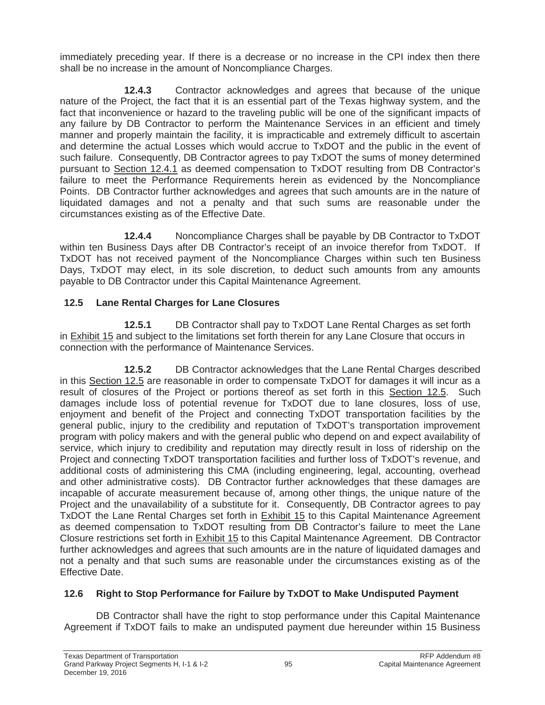immediately preceding year. If there is a decrease or no increase in the CPI index then there shall be no increase in the amount of Noncompliance Charges.

**12.4.3** Contractor acknowledges and agrees that because of the unique nature of the Project, the fact that it is an essential part of the Texas highway system, and the fact that inconvenience or hazard to the traveling public will be one of the significant impacts of any failure by DB Contractor to perform the Maintenance Services in an efficient and timely manner and properly maintain the facility, it is impracticable and extremely difficult to ascertain and determine the actual Losses which would accrue to TxDOT and the public in the event of such failure. Consequently, DB Contractor agrees to pay TxDOT the sums of money determined pursuant to Section 12.4.1 as deemed compensation to TxDOT resulting from DB Contractor's failure to meet the Performance Requirements herein as evidenced by the Noncompliance Points. DB Contractor further acknowledges and agrees that such amounts are in the nature of liquidated damages and not a penalty and that such sums are reasonable under the circumstances existing as of the Effective Date.

**12.4.4** Noncompliance Charges shall be payable by DB Contractor to TxDOT within ten Business Days after DB Contractor's receipt of an invoice therefor from TxDOT. If TxDOT has not received payment of the Noncompliance Charges within such ten Business Days, TxDOT may elect, in its sole discretion, to deduct such amounts from any amounts payable to DB Contractor under this Capital Maintenance Agreement.

# **12.5 Lane Rental Charges for Lane Closures**

**12.5.1** DB Contractor shall pay to TxDOT Lane Rental Charges as set forth in Exhibit 15 and subject to the limitations set forth therein for any Lane Closure that occurs in connection with the performance of Maintenance Services.

**12.5.2** DB Contractor acknowledges that the Lane Rental Charges described in this Section 12.5 are reasonable in order to compensate TxDOT for damages it will incur as a result of closures of the Project or portions thereof as set forth in this Section 12.5. Such damages include loss of potential revenue for TxDOT due to lane closures, loss of use, enjoyment and benefit of the Project and connecting TxDOT transportation facilities by the general public, injury to the credibility and reputation of TxDOT's transportation improvement program with policy makers and with the general public who depend on and expect availability of service, which injury to credibility and reputation may directly result in loss of ridership on the Project and connecting TxDOT transportation facilities and further loss of TxDOT's revenue, and additional costs of administering this CMA (including engineering, legal, accounting, overhead and other administrative costs). DB Contractor further acknowledges that these damages are incapable of accurate measurement because of, among other things, the unique nature of the Project and the unavailability of a substitute for it. Consequently, DB Contractor agrees to pay TxDOT the Lane Rental Charges set forth in Exhibit 15 to this Capital Maintenance Agreement as deemed compensation to TxDOT resulting from DB Contractor's failure to meet the Lane Closure restrictions set forth in **Exhibit 15** to this Capital Maintenance Agreement. DB Contractor further acknowledges and agrees that such amounts are in the nature of liquidated damages and not a penalty and that such sums are reasonable under the circumstances existing as of the Effective Date.

# **12.6 Right to Stop Performance for Failure by TxDOT to Make Undisputed Payment**

DB Contractor shall have the right to stop performance under this Capital Maintenance Agreement if TxDOT fails to make an undisputed payment due hereunder within 15 Business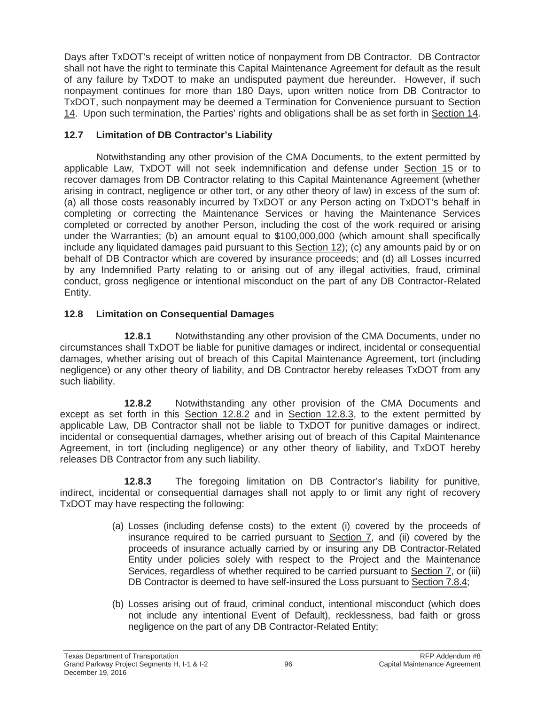Days after TxDOT's receipt of written notice of nonpayment from DB Contractor. DB Contractor shall not have the right to terminate this Capital Maintenance Agreement for default as the result of any failure by TxDOT to make an undisputed payment due hereunder. However, if such nonpayment continues for more than 180 Days, upon written notice from DB Contractor to TxDOT, such nonpayment may be deemed a Termination for Convenience pursuant to Section 14. Upon such termination, the Parties' rights and obligations shall be as set forth in Section 14.

# **12.7 Limitation of DB Contractor's Liability**

Notwithstanding any other provision of the CMA Documents, to the extent permitted by applicable Law, TxDOT will not seek indemnification and defense under Section 15 or to recover damages from DB Contractor relating to this Capital Maintenance Agreement (whether arising in contract, negligence or other tort, or any other theory of law) in excess of the sum of: (a) all those costs reasonably incurred by TxDOT or any Person acting on TxDOT's behalf in completing or correcting the Maintenance Services or having the Maintenance Services completed or corrected by another Person, including the cost of the work required or arising under the Warranties; (b) an amount equal to \$100,000,000 (which amount shall specifically include any liquidated damages paid pursuant to this Section 12); (c) any amounts paid by or on behalf of DB Contractor which are covered by insurance proceeds; and (d) all Losses incurred by any Indemnified Party relating to or arising out of any illegal activities, fraud, criminal conduct, gross negligence or intentional misconduct on the part of any DB Contractor-Related Entity.

# **12.8 Limitation on Consequential Damages**

**12.8.1** Notwithstanding any other provision of the CMA Documents, under no circumstances shall TxDOT be liable for punitive damages or indirect, incidental or consequential damages, whether arising out of breach of this Capital Maintenance Agreement, tort (including negligence) or any other theory of liability, and DB Contractor hereby releases TxDOT from any such liability.

**12.8.2** Notwithstanding any other provision of the CMA Documents and except as set forth in this Section 12.8.2 and in Section 12.8.3, to the extent permitted by applicable Law, DB Contractor shall not be liable to TxDOT for punitive damages or indirect, incidental or consequential damages, whether arising out of breach of this Capital Maintenance Agreement, in tort (including negligence) or any other theory of liability, and TxDOT hereby releases DB Contractor from any such liability.

**12.8.3** The foregoing limitation on DB Contractor's liability for punitive, indirect, incidental or consequential damages shall not apply to or limit any right of recovery TxDOT may have respecting the following:

- (a) Losses (including defense costs) to the extent (i) covered by the proceeds of insurance required to be carried pursuant to Section 7, and (ii) covered by the proceeds of insurance actually carried by or insuring any DB Contractor-Related Entity under policies solely with respect to the Project and the Maintenance Services, regardless of whether required to be carried pursuant to Section 7, or (iii) DB Contractor is deemed to have self-insured the Loss pursuant to Section 7.8.4;
- (b) Losses arising out of fraud, criminal conduct, intentional misconduct (which does not include any intentional Event of Default), recklessness, bad faith or gross negligence on the part of any DB Contractor-Related Entity;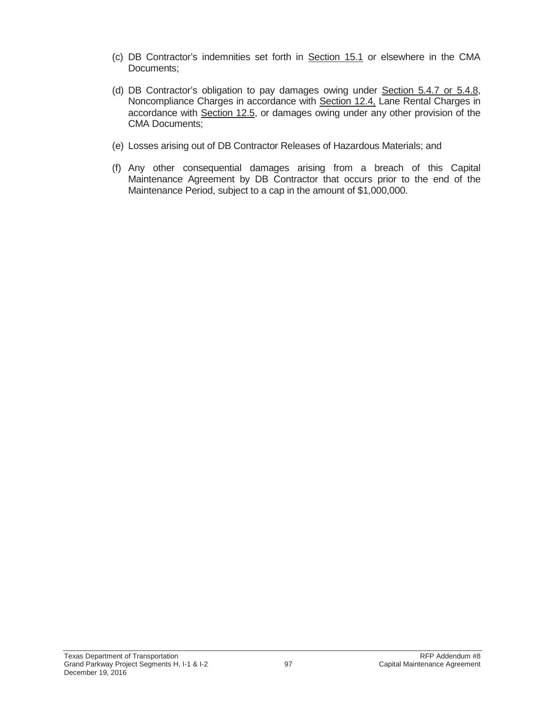- (c) DB Contractor's indemnities set forth in Section 15.1 or elsewhere in the CMA Documents;
- (d) DB Contractor's obligation to pay damages owing under Section 5.4.7 or 5.4.8, Noncompliance Charges in accordance with Section 12.4, Lane Rental Charges in accordance with Section 12.5, or damages owing under any other provision of the CMA Documents;
- (e) Losses arising out of DB Contractor Releases of Hazardous Materials; and
- (f) Any other consequential damages arising from a breach of this Capital Maintenance Agreement by DB Contractor that occurs prior to the end of the Maintenance Period, subject to a cap in the amount of \$1,000,000.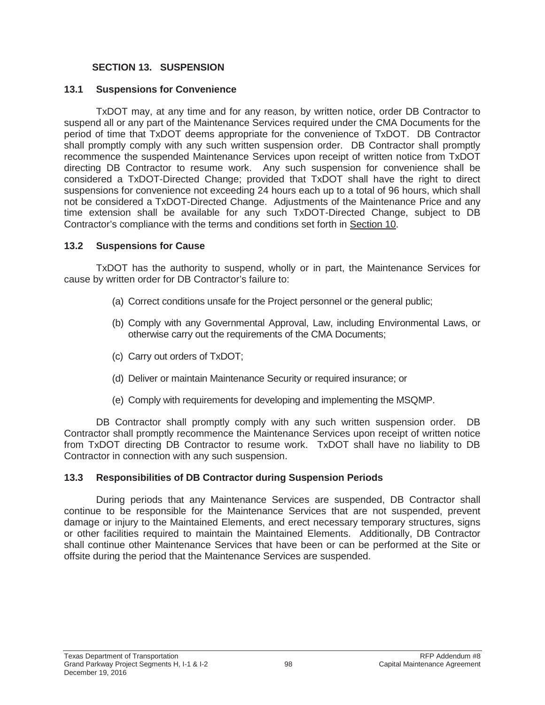### **SECTION 13. SUSPENSION**

### **13.1 Suspensions for Convenience**

TxDOT may, at any time and for any reason, by written notice, order DB Contractor to suspend all or any part of the Maintenance Services required under the CMA Documents for the period of time that TxDOT deems appropriate for the convenience of TxDOT. DB Contractor shall promptly comply with any such written suspension order. DB Contractor shall promptly recommence the suspended Maintenance Services upon receipt of written notice from TxDOT directing DB Contractor to resume work. Any such suspension for convenience shall be considered a TxDOT-Directed Change; provided that TxDOT shall have the right to direct suspensions for convenience not exceeding 24 hours each up to a total of 96 hours, which shall not be considered a TxDOT-Directed Change. Adjustments of the Maintenance Price and any time extension shall be available for any such TxDOT-Directed Change, subject to DB Contractor's compliance with the terms and conditions set forth in Section 10.

### **13.2 Suspensions for Cause**

TxDOT has the authority to suspend, wholly or in part, the Maintenance Services for cause by written order for DB Contractor's failure to:

- (a) Correct conditions unsafe for the Project personnel or the general public;
- (b) Comply with any Governmental Approval, Law, including Environmental Laws, or otherwise carry out the requirements of the CMA Documents;
- (c) Carry out orders of TxDOT;
- (d) Deliver or maintain Maintenance Security or required insurance; or
- (e) Comply with requirements for developing and implementing the MSQMP.

DB Contractor shall promptly comply with any such written suspension order. DB Contractor shall promptly recommence the Maintenance Services upon receipt of written notice from TxDOT directing DB Contractor to resume work. TxDOT shall have no liability to DB Contractor in connection with any such suspension.

### **13.3 Responsibilities of DB Contractor during Suspension Periods**

During periods that any Maintenance Services are suspended, DB Contractor shall continue to be responsible for the Maintenance Services that are not suspended, prevent damage or injury to the Maintained Elements, and erect necessary temporary structures, signs or other facilities required to maintain the Maintained Elements. Additionally, DB Contractor shall continue other Maintenance Services that have been or can be performed at the Site or offsite during the period that the Maintenance Services are suspended.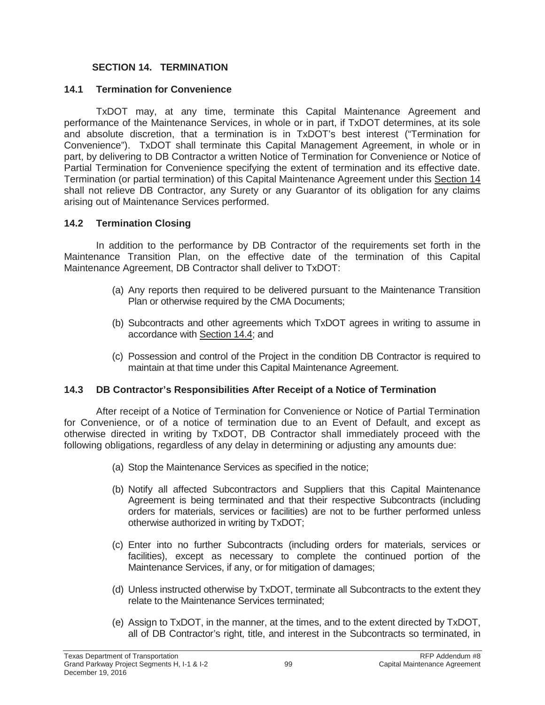### **SECTION 14. TERMINATION**

#### **14.1 Termination for Convenience**

TxDOT may, at any time, terminate this Capital Maintenance Agreement and performance of the Maintenance Services, in whole or in part, if TxDOT determines, at its sole and absolute discretion, that a termination is in TxDOT's best interest ("Termination for Convenience"). TxDOT shall terminate this Capital Management Agreement, in whole or in part, by delivering to DB Contractor a written Notice of Termination for Convenience or Notice of Partial Termination for Convenience specifying the extent of termination and its effective date. Termination (or partial termination) of this Capital Maintenance Agreement under this Section 14 shall not relieve DB Contractor, any Surety or any Guarantor of its obligation for any claims arising out of Maintenance Services performed.

### **14.2 Termination Closing**

In addition to the performance by DB Contractor of the requirements set forth in the Maintenance Transition Plan, on the effective date of the termination of this Capital Maintenance Agreement, DB Contractor shall deliver to TxDOT:

- (a) Any reports then required to be delivered pursuant to the Maintenance Transition Plan or otherwise required by the CMA Documents;
- (b) Subcontracts and other agreements which TxDOT agrees in writing to assume in accordance with Section 14.4; and
- (c) Possession and control of the Project in the condition DB Contractor is required to maintain at that time under this Capital Maintenance Agreement.

### **14.3 DB Contractor's Responsibilities After Receipt of a Notice of Termination**

After receipt of a Notice of Termination for Convenience or Notice of Partial Termination for Convenience, or of a notice of termination due to an Event of Default, and except as otherwise directed in writing by TxDOT, DB Contractor shall immediately proceed with the following obligations, regardless of any delay in determining or adjusting any amounts due:

- (a) Stop the Maintenance Services as specified in the notice;
- (b) Notify all affected Subcontractors and Suppliers that this Capital Maintenance Agreement is being terminated and that their respective Subcontracts (including orders for materials, services or facilities) are not to be further performed unless otherwise authorized in writing by TxDOT;
- (c) Enter into no further Subcontracts (including orders for materials, services or facilities), except as necessary to complete the continued portion of the Maintenance Services, if any, or for mitigation of damages;
- (d) Unless instructed otherwise by TxDOT, terminate all Subcontracts to the extent they relate to the Maintenance Services terminated;
- (e) Assign to TxDOT, in the manner, at the times, and to the extent directed by TxDOT, all of DB Contractor's right, title, and interest in the Subcontracts so terminated, in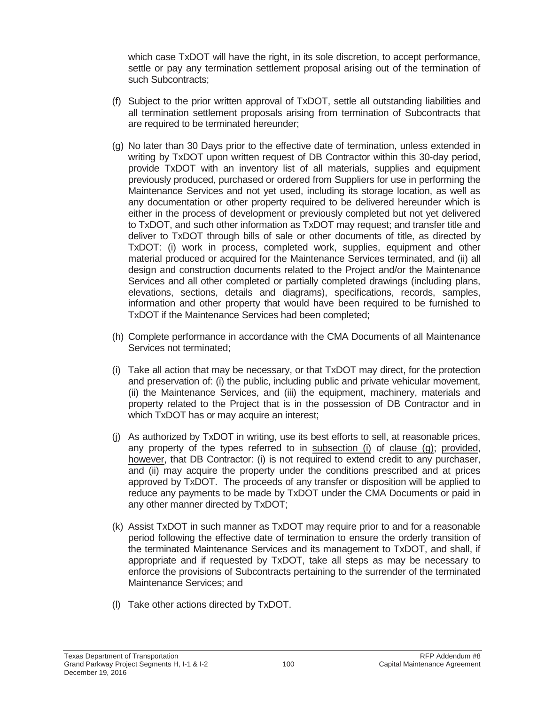which case TxDOT will have the right, in its sole discretion, to accept performance, settle or pay any termination settlement proposal arising out of the termination of such Subcontracts;

- (f) Subject to the prior written approval of TxDOT, settle all outstanding liabilities and all termination settlement proposals arising from termination of Subcontracts that are required to be terminated hereunder;
- (g) No later than 30 Days prior to the effective date of termination, unless extended in writing by TxDOT upon written request of DB Contractor within this 30-day period, provide TxDOT with an inventory list of all materials, supplies and equipment previously produced, purchased or ordered from Suppliers for use in performing the Maintenance Services and not yet used, including its storage location, as well as any documentation or other property required to be delivered hereunder which is either in the process of development or previously completed but not yet delivered to TxDOT, and such other information as TxDOT may request; and transfer title and deliver to TxDOT through bills of sale or other documents of title, as directed by TxDOT: (i) work in process, completed work, supplies, equipment and other material produced or acquired for the Maintenance Services terminated, and (ii) all design and construction documents related to the Project and/or the Maintenance Services and all other completed or partially completed drawings (including plans, elevations, sections, details and diagrams), specifications, records, samples, information and other property that would have been required to be furnished to TxDOT if the Maintenance Services had been completed;
- (h) Complete performance in accordance with the CMA Documents of all Maintenance Services not terminated;
- (i) Take all action that may be necessary, or that TxDOT may direct, for the protection and preservation of: (i) the public, including public and private vehicular movement, (ii) the Maintenance Services, and (iii) the equipment, machinery, materials and property related to the Project that is in the possession of DB Contractor and in which TxDOT has or may acquire an interest;
- (j) As authorized by TxDOT in writing, use its best efforts to sell, at reasonable prices, any property of the types referred to in subsection (i) of clause (g); provided, however, that DB Contractor: (i) is not required to extend credit to any purchaser, and (ii) may acquire the property under the conditions prescribed and at prices approved by TxDOT. The proceeds of any transfer or disposition will be applied to reduce any payments to be made by TxDOT under the CMA Documents or paid in any other manner directed by TxDOT;
- (k) Assist TxDOT in such manner as TxDOT may require prior to and for a reasonable period following the effective date of termination to ensure the orderly transition of the terminated Maintenance Services and its management to TxDOT, and shall, if appropriate and if requested by TxDOT, take all steps as may be necessary to enforce the provisions of Subcontracts pertaining to the surrender of the terminated Maintenance Services; and
- (l) Take other actions directed by TxDOT.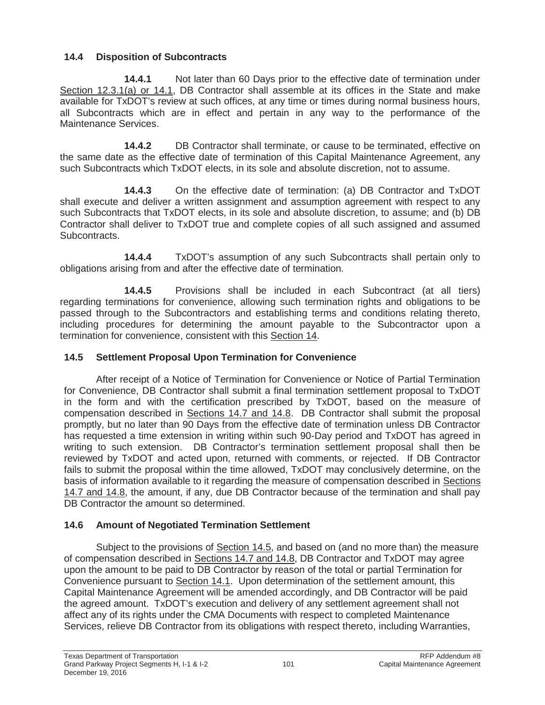# **14.4 Disposition of Subcontracts**

**14.4.1** Not later than 60 Days prior to the effective date of termination under Section 12.3.1(a) or 14.1, DB Contractor shall assemble at its offices in the State and make available for TxDOT's review at such offices, at any time or times during normal business hours, all Subcontracts which are in effect and pertain in any way to the performance of the Maintenance Services.

**14.4.2** DB Contractor shall terminate, or cause to be terminated, effective on the same date as the effective date of termination of this Capital Maintenance Agreement, any such Subcontracts which TxDOT elects, in its sole and absolute discretion, not to assume.

**14.4.3** On the effective date of termination: (a) DB Contractor and TxDOT shall execute and deliver a written assignment and assumption agreement with respect to any such Subcontracts that TxDOT elects, in its sole and absolute discretion, to assume; and (b) DB Contractor shall deliver to TxDOT true and complete copies of all such assigned and assumed Subcontracts.

**14.4.4** TxDOT's assumption of any such Subcontracts shall pertain only to obligations arising from and after the effective date of termination.

**14.4.5** Provisions shall be included in each Subcontract (at all tiers) regarding terminations for convenience, allowing such termination rights and obligations to be passed through to the Subcontractors and establishing terms and conditions relating thereto, including procedures for determining the amount payable to the Subcontractor upon a termination for convenience, consistent with this Section 14.

# **14.5 Settlement Proposal Upon Termination for Convenience**

After receipt of a Notice of Termination for Convenience or Notice of Partial Termination for Convenience, DB Contractor shall submit a final termination settlement proposal to TxDOT in the form and with the certification prescribed by TxDOT, based on the measure of compensation described in Sections 14.7 and 14.8. DB Contractor shall submit the proposal promptly, but no later than 90 Days from the effective date of termination unless DB Contractor has requested a time extension in writing within such 90-Day period and TxDOT has agreed in writing to such extension. DB Contractor's termination settlement proposal shall then be reviewed by TxDOT and acted upon, returned with comments, or rejected. If DB Contractor fails to submit the proposal within the time allowed, TxDOT may conclusively determine, on the basis of information available to it regarding the measure of compensation described in Sections 14.7 and 14.8, the amount, if any, due DB Contractor because of the termination and shall pay DB Contractor the amount so determined.

# **14.6 Amount of Negotiated Termination Settlement**

Subject to the provisions of Section 14.5, and based on (and no more than) the measure of compensation described in Sections 14.7 and 14.8, DB Contractor and TxDOT may agree upon the amount to be paid to DB Contractor by reason of the total or partial Termination for Convenience pursuant to Section 14.1. Upon determination of the settlement amount, this Capital Maintenance Agreement will be amended accordingly, and DB Contractor will be paid the agreed amount. TxDOT's execution and delivery of any settlement agreement shall not affect any of its rights under the CMA Documents with respect to completed Maintenance Services, relieve DB Contractor from its obligations with respect thereto, including Warranties,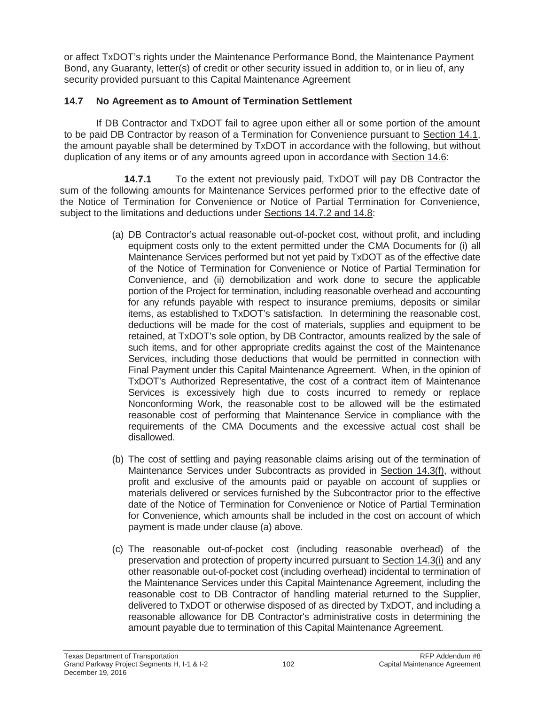or affect TxDOT's rights under the Maintenance Performance Bond, the Maintenance Payment Bond, any Guaranty, letter(s) of credit or other security issued in addition to, or in lieu of, any security provided pursuant to this Capital Maintenance Agreement

### **14.7 No Agreement as to Amount of Termination Settlement**

If DB Contractor and TxDOT fail to agree upon either all or some portion of the amount to be paid DB Contractor by reason of a Termination for Convenience pursuant to Section 14.1, the amount payable shall be determined by TxDOT in accordance with the following, but without duplication of any items or of any amounts agreed upon in accordance with Section 14.6:

**14.7.1** To the extent not previously paid, TxDOT will pay DB Contractor the sum of the following amounts for Maintenance Services performed prior to the effective date of the Notice of Termination for Convenience or Notice of Partial Termination for Convenience, subject to the limitations and deductions under Sections 14.7.2 and 14.8:

- (a) DB Contractor's actual reasonable out-of-pocket cost, without profit, and including equipment costs only to the extent permitted under the CMA Documents for (i) all Maintenance Services performed but not yet paid by TxDOT as of the effective date of the Notice of Termination for Convenience or Notice of Partial Termination for Convenience, and (ii) demobilization and work done to secure the applicable portion of the Project for termination, including reasonable overhead and accounting for any refunds payable with respect to insurance premiums, deposits or similar items, as established to TxDOT's satisfaction. In determining the reasonable cost, deductions will be made for the cost of materials, supplies and equipment to be retained, at TxDOT's sole option, by DB Contractor, amounts realized by the sale of such items, and for other appropriate credits against the cost of the Maintenance Services, including those deductions that would be permitted in connection with Final Payment under this Capital Maintenance Agreement. When, in the opinion of TxDOT's Authorized Representative, the cost of a contract item of Maintenance Services is excessively high due to costs incurred to remedy or replace Nonconforming Work, the reasonable cost to be allowed will be the estimated reasonable cost of performing that Maintenance Service in compliance with the requirements of the CMA Documents and the excessive actual cost shall be disallowed.
- (b) The cost of settling and paying reasonable claims arising out of the termination of Maintenance Services under Subcontracts as provided in Section 14.3(f), without profit and exclusive of the amounts paid or payable on account of supplies or materials delivered or services furnished by the Subcontractor prior to the effective date of the Notice of Termination for Convenience or Notice of Partial Termination for Convenience, which amounts shall be included in the cost on account of which payment is made under clause (a) above.
- (c) The reasonable out-of-pocket cost (including reasonable overhead) of the preservation and protection of property incurred pursuant to Section 14.3(i) and any other reasonable out-of-pocket cost (including overhead) incidental to termination of the Maintenance Services under this Capital Maintenance Agreement, including the reasonable cost to DB Contractor of handling material returned to the Supplier, delivered to TxDOT or otherwise disposed of as directed by TxDOT, and including a reasonable allowance for DB Contractor's administrative costs in determining the amount payable due to termination of this Capital Maintenance Agreement.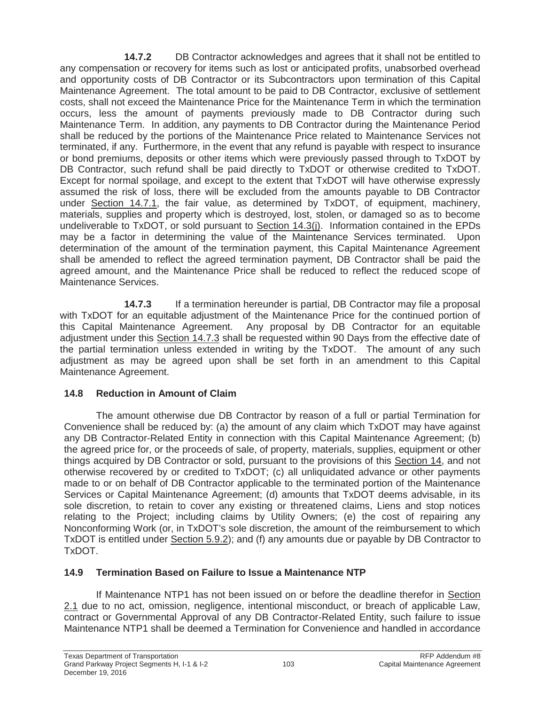**14.7.2** DB Contractor acknowledges and agrees that it shall not be entitled to any compensation or recovery for items such as lost or anticipated profits, unabsorbed overhead and opportunity costs of DB Contractor or its Subcontractors upon termination of this Capital Maintenance Agreement. The total amount to be paid to DB Contractor, exclusive of settlement costs, shall not exceed the Maintenance Price for the Maintenance Term in which the termination occurs, less the amount of payments previously made to DB Contractor during such Maintenance Term. In addition, any payments to DB Contractor during the Maintenance Period shall be reduced by the portions of the Maintenance Price related to Maintenance Services not terminated, if any. Furthermore, in the event that any refund is payable with respect to insurance or bond premiums, deposits or other items which were previously passed through to TxDOT by DB Contractor, such refund shall be paid directly to TxDOT or otherwise credited to TxDOT. Except for normal spoilage, and except to the extent that TxDOT will have otherwise expressly assumed the risk of loss, there will be excluded from the amounts payable to DB Contractor under Section 14.7.1, the fair value, as determined by TxDOT, of equipment, machinery, materials, supplies and property which is destroyed, lost, stolen, or damaged so as to become undeliverable to TxDOT, or sold pursuant to Section 14.3(j). Information contained in the EPDs may be a factor in determining the value of the Maintenance Services terminated. Upon determination of the amount of the termination payment, this Capital Maintenance Agreement shall be amended to reflect the agreed termination payment, DB Contractor shall be paid the agreed amount, and the Maintenance Price shall be reduced to reflect the reduced scope of Maintenance Services.

**14.7.3** If a termination hereunder is partial, DB Contractor may file a proposal with TxDOT for an equitable adjustment of the Maintenance Price for the continued portion of this Capital Maintenance Agreement. Any proposal by DB Contractor for an equitable adjustment under this Section 14.7.3 shall be requested within 90 Days from the effective date of the partial termination unless extended in writing by the TxDOT. The amount of any such adjustment as may be agreed upon shall be set forth in an amendment to this Capital Maintenance Agreement.

# **14.8 Reduction in Amount of Claim**

The amount otherwise due DB Contractor by reason of a full or partial Termination for Convenience shall be reduced by: (a) the amount of any claim which TxDOT may have against any DB Contractor-Related Entity in connection with this Capital Maintenance Agreement; (b) the agreed price for, or the proceeds of sale, of property, materials, supplies, equipment or other things acquired by DB Contractor or sold, pursuant to the provisions of this Section 14, and not otherwise recovered by or credited to TxDOT; (c) all unliquidated advance or other payments made to or on behalf of DB Contractor applicable to the terminated portion of the Maintenance Services or Capital Maintenance Agreement; (d) amounts that TxDOT deems advisable, in its sole discretion, to retain to cover any existing or threatened claims, Liens and stop notices relating to the Project; including claims by Utility Owners; (e) the cost of repairing any Nonconforming Work (or, in TxDOT's sole discretion, the amount of the reimbursement to which TxDOT is entitled under Section 5.9.2); and (f) any amounts due or payable by DB Contractor to TxDOT.

# **14.9 Termination Based on Failure to Issue a Maintenance NTP**

If Maintenance NTP1 has not been issued on or before the deadline therefor in Section 2.1 due to no act, omission, negligence, intentional misconduct, or breach of applicable Law, contract or Governmental Approval of any DB Contractor-Related Entity, such failure to issue Maintenance NTP1 shall be deemed a Termination for Convenience and handled in accordance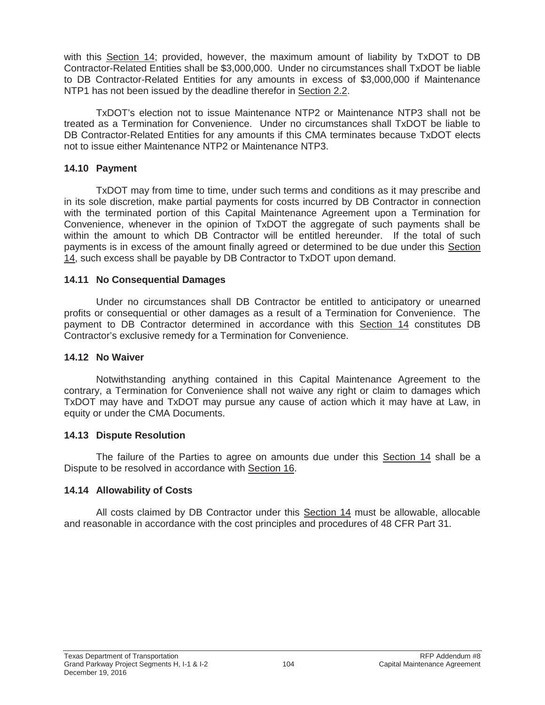with this Section 14; provided, however, the maximum amount of liability by TxDOT to DB Contractor-Related Entities shall be \$3,000,000. Under no circumstances shall TxDOT be liable to DB Contractor-Related Entities for any amounts in excess of \$3,000,000 if Maintenance NTP1 has not been issued by the deadline therefor in Section 2.2.

TxDOT's election not to issue Maintenance NTP2 or Maintenance NTP3 shall not be treated as a Termination for Convenience. Under no circumstances shall TxDOT be liable to DB Contractor-Related Entities for any amounts if this CMA terminates because TxDOT elects not to issue either Maintenance NTP2 or Maintenance NTP3.

#### **14.10 Payment**

TxDOT may from time to time, under such terms and conditions as it may prescribe and in its sole discretion, make partial payments for costs incurred by DB Contractor in connection with the terminated portion of this Capital Maintenance Agreement upon a Termination for Convenience, whenever in the opinion of TxDOT the aggregate of such payments shall be within the amount to which DB Contractor will be entitled hereunder. If the total of such payments is in excess of the amount finally agreed or determined to be due under this Section 14, such excess shall be payable by DB Contractor to TxDOT upon demand.

#### **14.11 No Consequential Damages**

Under no circumstances shall DB Contractor be entitled to anticipatory or unearned profits or consequential or other damages as a result of a Termination for Convenience. The payment to DB Contractor determined in accordance with this Section 14 constitutes DB Contractor's exclusive remedy for a Termination for Convenience.

#### **14.12 No Waiver**

Notwithstanding anything contained in this Capital Maintenance Agreement to the contrary, a Termination for Convenience shall not waive any right or claim to damages which TxDOT may have and TxDOT may pursue any cause of action which it may have at Law, in equity or under the CMA Documents.

### **14.13 Dispute Resolution**

The failure of the Parties to agree on amounts due under this Section 14 shall be a Dispute to be resolved in accordance with Section 16.

### **14.14 Allowability of Costs**

All costs claimed by DB Contractor under this Section 14 must be allowable, allocable and reasonable in accordance with the cost principles and procedures of 48 CFR Part 31.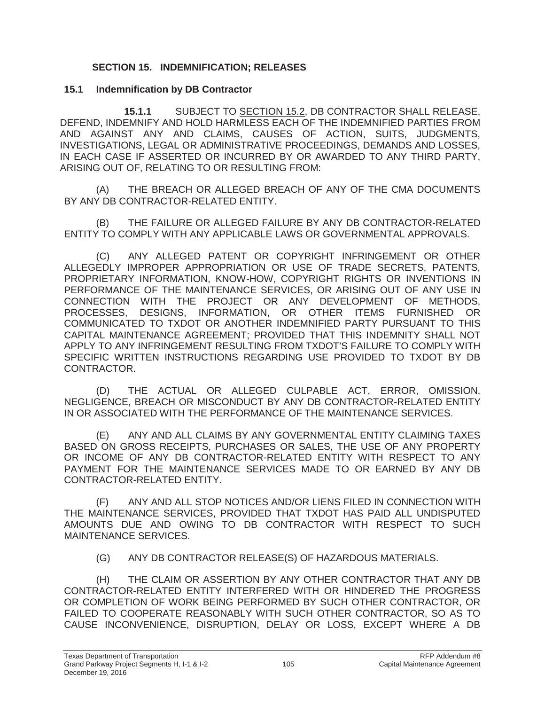### **SECTION 15. INDEMNIFICATION; RELEASES**

#### **15.1 Indemnification by DB Contractor**

**15.1.1** SUBJECT TO SECTION 15.2, DB CONTRACTOR SHALL RELEASE, DEFEND, INDEMNIFY AND HOLD HARMLESS EACH OF THE INDEMNIFIED PARTIES FROM AND AGAINST ANY AND CLAIMS, CAUSES OF ACTION, SUITS, JUDGMENTS, INVESTIGATIONS, LEGAL OR ADMINISTRATIVE PROCEEDINGS, DEMANDS AND LOSSES, IN EACH CASE IF ASSERTED OR INCURRED BY OR AWARDED TO ANY THIRD PARTY, ARISING OUT OF, RELATING TO OR RESULTING FROM:

(A) THE BREACH OR ALLEGED BREACH OF ANY OF THE CMA DOCUMENTS BY ANY DB CONTRACTOR-RELATED ENTITY.

(B) THE FAILURE OR ALLEGED FAILURE BY ANY DB CONTRACTOR-RELATED ENTITY TO COMPLY WITH ANY APPLICABLE LAWS OR GOVERNMENTAL APPROVALS.

(C) ANY ALLEGED PATENT OR COPYRIGHT INFRINGEMENT OR OTHER ALLEGEDLY IMPROPER APPROPRIATION OR USE OF TRADE SECRETS, PATENTS, PROPRIETARY INFORMATION, KNOW-HOW, COPYRIGHT RIGHTS OR INVENTIONS IN PERFORMANCE OF THE MAINTENANCE SERVICES, OR ARISING OUT OF ANY USE IN CONNECTION WITH THE PROJECT OR ANY DEVELOPMENT OF METHODS, PROCESSES, DESIGNS, INFORMATION, OR OTHER ITEMS FURNISHED OR COMMUNICATED TO TXDOT OR ANOTHER INDEMNIFIED PARTY PURSUANT TO THIS CAPITAL MAINTENANCE AGREEMENT; PROVIDED THAT THIS INDEMNITY SHALL NOT APPLY TO ANY INFRINGEMENT RESULTING FROM TXDOT'S FAILURE TO COMPLY WITH SPECIFIC WRITTEN INSTRUCTIONS REGARDING USE PROVIDED TO TXDOT BY DB CONTRACTOR.

(D) THE ACTUAL OR ALLEGED CULPABLE ACT, ERROR, OMISSION, NEGLIGENCE, BREACH OR MISCONDUCT BY ANY DB CONTRACTOR-RELATED ENTITY IN OR ASSOCIATED WITH THE PERFORMANCE OF THE MAINTENANCE SERVICES.

(E) ANY AND ALL CLAIMS BY ANY GOVERNMENTAL ENTITY CLAIMING TAXES BASED ON GROSS RECEIPTS, PURCHASES OR SALES, THE USE OF ANY PROPERTY OR INCOME OF ANY DB CONTRACTOR-RELATED ENTITY WITH RESPECT TO ANY PAYMENT FOR THE MAINTENANCE SERVICES MADE TO OR EARNED BY ANY DB CONTRACTOR-RELATED ENTITY.

(F) ANY AND ALL STOP NOTICES AND/OR LIENS FILED IN CONNECTION WITH THE MAINTENANCE SERVICES, PROVIDED THAT TXDOT HAS PAID ALL UNDISPUTED AMOUNTS DUE AND OWING TO DB CONTRACTOR WITH RESPECT TO SUCH MAINTENANCE SERVICES.

(G) ANY DB CONTRACTOR RELEASE(S) OF HAZARDOUS MATERIALS.

(H) THE CLAIM OR ASSERTION BY ANY OTHER CONTRACTOR THAT ANY DB CONTRACTOR-RELATED ENTITY INTERFERED WITH OR HINDERED THE PROGRESS OR COMPLETION OF WORK BEING PERFORMED BY SUCH OTHER CONTRACTOR, OR FAILED TO COOPERATE REASONABLY WITH SUCH OTHER CONTRACTOR, SO AS TO CAUSE INCONVENIENCE, DISRUPTION, DELAY OR LOSS, EXCEPT WHERE A DB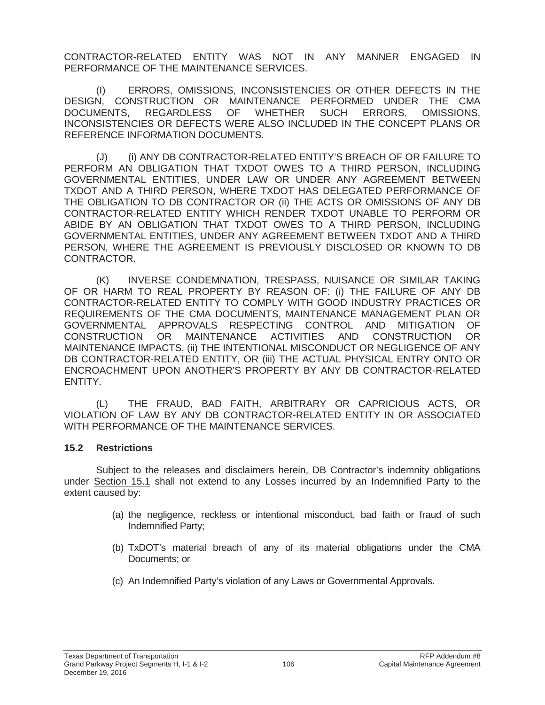CONTRACTOR-RELATED ENTITY WAS NOT IN ANY MANNER ENGAGED IN PERFORMANCE OF THE MAINTENANCE SERVICES.

(I) ERRORS, OMISSIONS, INCONSISTENCIES OR OTHER DEFECTS IN THE DESIGN, CONSTRUCTION OR MAINTENANCE PERFORMED UNDER THE CMA DOCUMENTS, REGARDLESS OF WHETHER SUCH ERRORS, OMISSIONS, INCONSISTENCIES OR DEFECTS WERE ALSO INCLUDED IN THE CONCEPT PLANS OR REFERENCE INFORMATION DOCUMENTS.

(J) (i) ANY DB CONTRACTOR-RELATED ENTITY'S BREACH OF OR FAILURE TO PERFORM AN OBLIGATION THAT TXDOT OWES TO A THIRD PERSON, INCLUDING GOVERNMENTAL ENTITIES, UNDER LAW OR UNDER ANY AGREEMENT BETWEEN TXDOT AND A THIRD PERSON, WHERE TXDOT HAS DELEGATED PERFORMANCE OF THE OBLIGATION TO DB CONTRACTOR OR (ii) THE ACTS OR OMISSIONS OF ANY DB CONTRACTOR-RELATED ENTITY WHICH RENDER TXDOT UNABLE TO PERFORM OR ABIDE BY AN OBLIGATION THAT TXDOT OWES TO A THIRD PERSON, INCLUDING GOVERNMENTAL ENTITIES, UNDER ANY AGREEMENT BETWEEN TXDOT AND A THIRD PERSON, WHERE THE AGREEMENT IS PREVIOUSLY DISCLOSED OR KNOWN TO DB CONTRACTOR.

(K) INVERSE CONDEMNATION, TRESPASS, NUISANCE OR SIMILAR TAKING OF OR HARM TO REAL PROPERTY BY REASON OF: (i) THE FAILURE OF ANY DB CONTRACTOR-RELATED ENTITY TO COMPLY WITH GOOD INDUSTRY PRACTICES OR REQUIREMENTS OF THE CMA DOCUMENTS, MAINTENANCE MANAGEMENT PLAN OR GOVERNMENTAL APPROVALS RESPECTING CONTROL AND MITIGATION OF CONSTRUCTION OR MAINTENANCE ACTIVITIES AND CONSTRUCTION OR MAINTENANCE IMPACTS, (ii) THE INTENTIONAL MISCONDUCT OR NEGLIGENCE OF ANY DB CONTRACTOR-RELATED ENTITY, OR (iii) THE ACTUAL PHYSICAL ENTRY ONTO OR ENCROACHMENT UPON ANOTHER'S PROPERTY BY ANY DB CONTRACTOR-RELATED ENTITY.

(L) THE FRAUD, BAD FAITH, ARBITRARY OR CAPRICIOUS ACTS, OR VIOLATION OF LAW BY ANY DB CONTRACTOR-RELATED ENTITY IN OR ASSOCIATED WITH PERFORMANCE OF THE MAINTENANCE SERVICES.

### **15.2 Restrictions**

Subject to the releases and disclaimers herein, DB Contractor's indemnity obligations under Section 15.1 shall not extend to any Losses incurred by an Indemnified Party to the extent caused by:

- (a) the negligence, reckless or intentional misconduct, bad faith or fraud of such Indemnified Party;
- (b) TxDOT's material breach of any of its material obligations under the CMA Documents; or
- (c) An Indemnified Party's violation of any Laws or Governmental Approvals.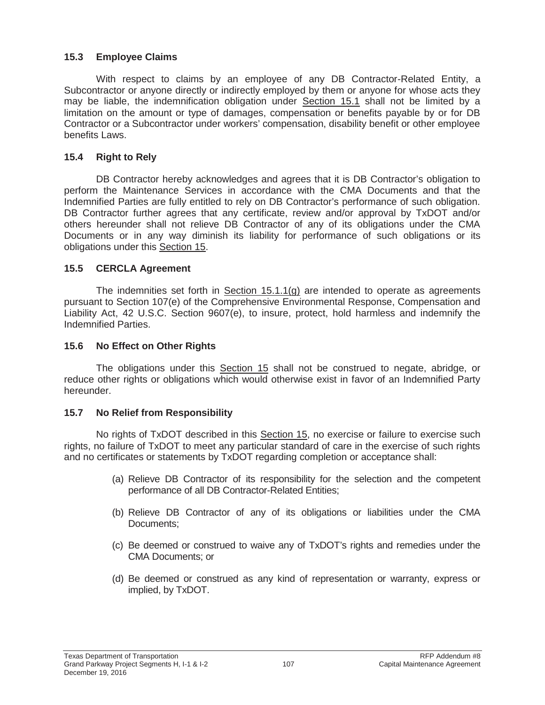### **15.3 Employee Claims**

With respect to claims by an employee of any DB Contractor-Related Entity, a Subcontractor or anyone directly or indirectly employed by them or anyone for whose acts they may be liable, the indemnification obligation under Section 15.1 shall not be limited by a limitation on the amount or type of damages, compensation or benefits payable by or for DB Contractor or a Subcontractor under workers' compensation, disability benefit or other employee benefits Laws.

### **15.4 Right to Rely**

DB Contractor hereby acknowledges and agrees that it is DB Contractor's obligation to perform the Maintenance Services in accordance with the CMA Documents and that the Indemnified Parties are fully entitled to rely on DB Contractor's performance of such obligation. DB Contractor further agrees that any certificate, review and/or approval by TxDOT and/or others hereunder shall not relieve DB Contractor of any of its obligations under the CMA Documents or in any way diminish its liability for performance of such obligations or its obligations under this Section 15.

### **15.5 CERCLA Agreement**

The indemnities set forth in Section  $15.1.1(q)$  are intended to operate as agreements pursuant to Section 107(e) of the Comprehensive Environmental Response, Compensation and Liability Act, 42 U.S.C. Section 9607(e), to insure, protect, hold harmless and indemnify the Indemnified Parties.

### **15.6 No Effect on Other Rights**

The obligations under this Section 15 shall not be construed to negate, abridge, or reduce other rights or obligations which would otherwise exist in favor of an Indemnified Party hereunder.

### **15.7 No Relief from Responsibility**

No rights of TxDOT described in this Section 15, no exercise or failure to exercise such rights, no failure of TxDOT to meet any particular standard of care in the exercise of such rights and no certificates or statements by TxDOT regarding completion or acceptance shall:

- (a) Relieve DB Contractor of its responsibility for the selection and the competent performance of all DB Contractor-Related Entities;
- (b) Relieve DB Contractor of any of its obligations or liabilities under the CMA Documents;
- (c) Be deemed or construed to waive any of TxDOT's rights and remedies under the CMA Documents; or
- (d) Be deemed or construed as any kind of representation or warranty, express or implied, by TxDOT.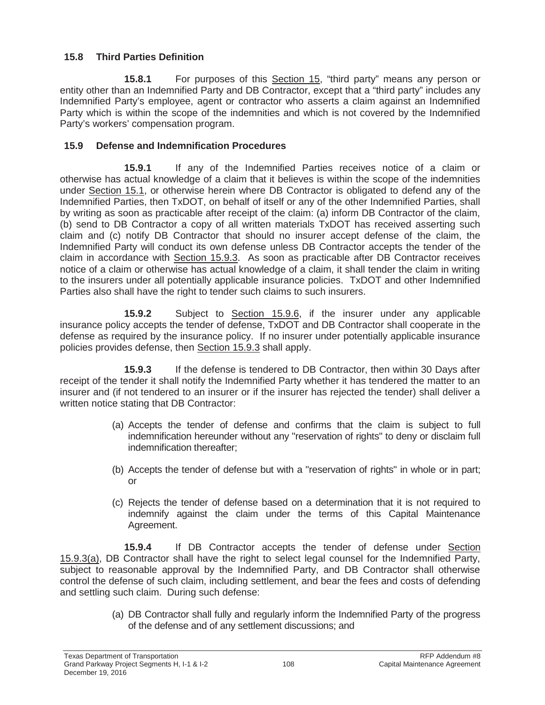# **15.8 Third Parties Definition**

**15.8.1** For purposes of this Section 15, "third party" means any person or entity other than an Indemnified Party and DB Contractor, except that a "third party" includes any Indemnified Party's employee, agent or contractor who asserts a claim against an Indemnified Party which is within the scope of the indemnities and which is not covered by the Indemnified Party's workers' compensation program.

# **15.9 Defense and Indemnification Procedures**

**15.9.1** If any of the Indemnified Parties receives notice of a claim or otherwise has actual knowledge of a claim that it believes is within the scope of the indemnities under Section 15.1, or otherwise herein where DB Contractor is obligated to defend any of the Indemnified Parties, then TxDOT, on behalf of itself or any of the other Indemnified Parties, shall by writing as soon as practicable after receipt of the claim: (a) inform DB Contractor of the claim, (b) send to DB Contractor a copy of all written materials TxDOT has received asserting such claim and (c) notify DB Contractor that should no insurer accept defense of the claim, the Indemnified Party will conduct its own defense unless DB Contractor accepts the tender of the claim in accordance with Section 15.9.3. As soon as practicable after DB Contractor receives notice of a claim or otherwise has actual knowledge of a claim, it shall tender the claim in writing to the insurers under all potentially applicable insurance policies. TxDOT and other Indemnified Parties also shall have the right to tender such claims to such insurers.

**15.9.2** Subject to Section 15.9.6, if the insurer under any applicable insurance policy accepts the tender of defense, TxDOT and DB Contractor shall cooperate in the defense as required by the insurance policy. If no insurer under potentially applicable insurance policies provides defense, then Section 15.9.3 shall apply.

**15.9.3** If the defense is tendered to DB Contractor, then within 30 Days after receipt of the tender it shall notify the Indemnified Party whether it has tendered the matter to an insurer and (if not tendered to an insurer or if the insurer has rejected the tender) shall deliver a written notice stating that DB Contractor:

- (a) Accepts the tender of defense and confirms that the claim is subject to full indemnification hereunder without any "reservation of rights" to deny or disclaim full indemnification thereafter;
- (b) Accepts the tender of defense but with a "reservation of rights" in whole or in part; or
- (c) Rejects the tender of defense based on a determination that it is not required to indemnify against the claim under the terms of this Capital Maintenance Agreement.

**15.9.4** If DB Contractor accepts the tender of defense under Section 15.9.3(a), DB Contractor shall have the right to select legal counsel for the Indemnified Party, subject to reasonable approval by the Indemnified Party, and DB Contractor shall otherwise control the defense of such claim, including settlement, and bear the fees and costs of defending and settling such claim. During such defense:

> (a) DB Contractor shall fully and regularly inform the Indemnified Party of the progress of the defense and of any settlement discussions; and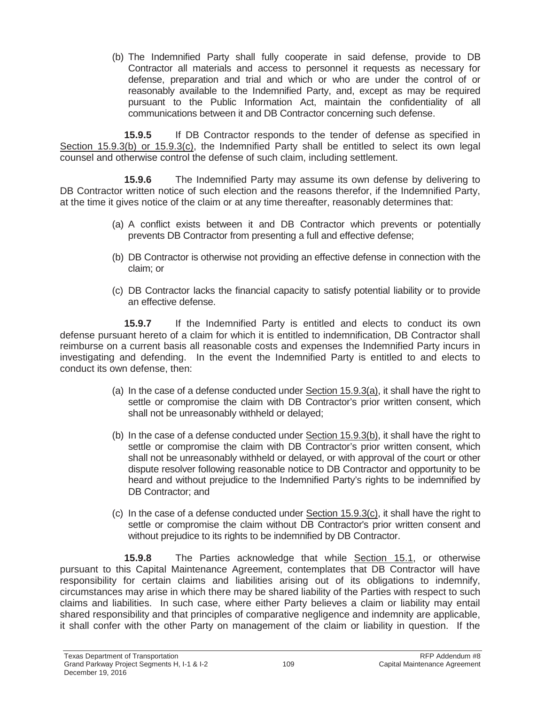(b) The Indemnified Party shall fully cooperate in said defense, provide to DB Contractor all materials and access to personnel it requests as necessary for defense, preparation and trial and which or who are under the control of or reasonably available to the Indemnified Party, and, except as may be required pursuant to the Public Information Act, maintain the confidentiality of all communications between it and DB Contractor concerning such defense.

**15.9.5** If DB Contractor responds to the tender of defense as specified in Section 15.9.3(b) or 15.9.3(c), the Indemnified Party shall be entitled to select its own legal counsel and otherwise control the defense of such claim, including settlement.

**15.9.6** The Indemnified Party may assume its own defense by delivering to DB Contractor written notice of such election and the reasons therefor, if the Indemnified Party, at the time it gives notice of the claim or at any time thereafter, reasonably determines that:

- (a) A conflict exists between it and DB Contractor which prevents or potentially prevents DB Contractor from presenting a full and effective defense;
- (b) DB Contractor is otherwise not providing an effective defense in connection with the claim; or
- (c) DB Contractor lacks the financial capacity to satisfy potential liability or to provide an effective defense.

**15.9.7** If the Indemnified Party is entitled and elects to conduct its own defense pursuant hereto of a claim for which it is entitled to indemnification, DB Contractor shall reimburse on a current basis all reasonable costs and expenses the Indemnified Party incurs in investigating and defending. In the event the Indemnified Party is entitled to and elects to conduct its own defense, then:

- (a) In the case of a defense conducted under  $Section 15.9.3(a)$ , it shall have the right to settle or compromise the claim with DB Contractor's prior written consent, which shall not be unreasonably withheld or delayed;
- (b) In the case of a defense conducted under Section 15.9.3(b), it shall have the right to settle or compromise the claim with DB Contractor's prior written consent, which shall not be unreasonably withheld or delayed, or with approval of the court or other dispute resolver following reasonable notice to DB Contractor and opportunity to be heard and without prejudice to the Indemnified Party's rights to be indemnified by DB Contractor; and
- (c) In the case of a defense conducted under Section 15.9.3(c), it shall have the right to settle or compromise the claim without DB Contractor's prior written consent and without prejudice to its rights to be indemnified by DB Contractor.

**15.9.8** The Parties acknowledge that while Section 15.1, or otherwise pursuant to this Capital Maintenance Agreement, contemplates that DB Contractor will have responsibility for certain claims and liabilities arising out of its obligations to indemnify, circumstances may arise in which there may be shared liability of the Parties with respect to such claims and liabilities. In such case, where either Party believes a claim or liability may entail shared responsibility and that principles of comparative negligence and indemnity are applicable, it shall confer with the other Party on management of the claim or liability in question. If the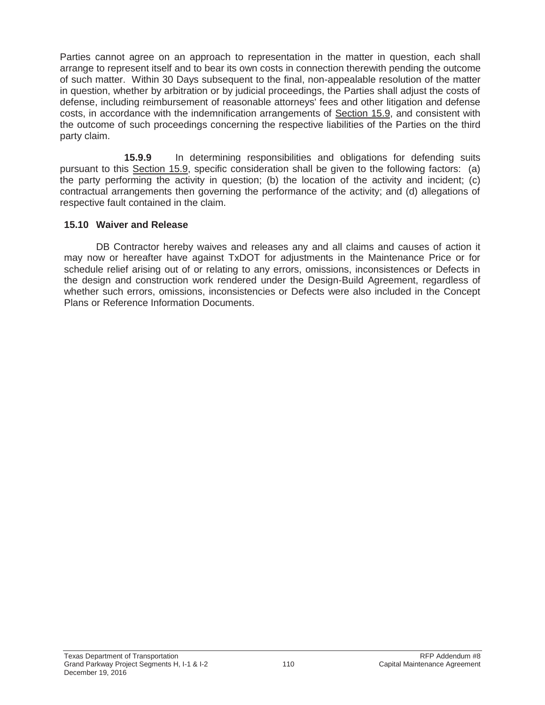Parties cannot agree on an approach to representation in the matter in question, each shall arrange to represent itself and to bear its own costs in connection therewith pending the outcome of such matter. Within 30 Days subsequent to the final, non-appealable resolution of the matter in question, whether by arbitration or by judicial proceedings, the Parties shall adjust the costs of defense, including reimbursement of reasonable attorneys' fees and other litigation and defense costs, in accordance with the indemnification arrangements of Section 15.9, and consistent with the outcome of such proceedings concerning the respective liabilities of the Parties on the third party claim.

**15.9.9** In determining responsibilities and obligations for defending suits pursuant to this Section 15.9, specific consideration shall be given to the following factors: (a) the party performing the activity in question; (b) the location of the activity and incident; (c) contractual arrangements then governing the performance of the activity; and (d) allegations of respective fault contained in the claim.

#### **15.10 Waiver and Release**

DB Contractor hereby waives and releases any and all claims and causes of action it may now or hereafter have against TxDOT for adjustments in the Maintenance Price or for schedule relief arising out of or relating to any errors, omissions, inconsistences or Defects in the design and construction work rendered under the Design-Build Agreement, regardless of whether such errors, omissions, inconsistencies or Defects were also included in the Concept Plans or Reference Information Documents.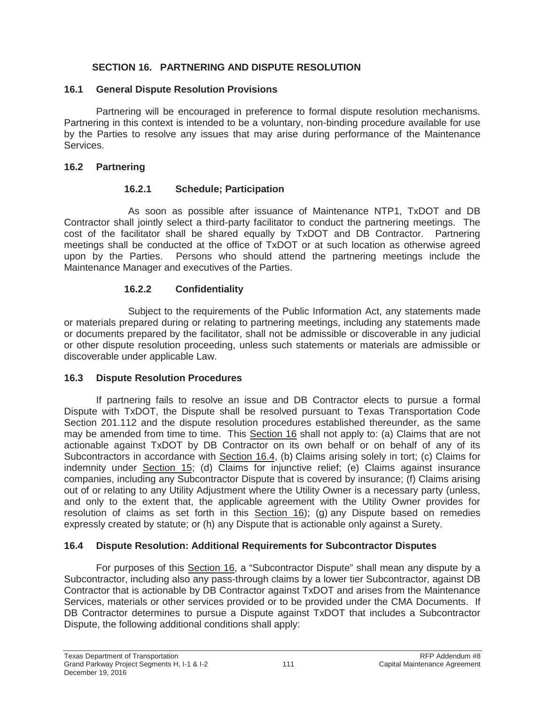### **SECTION 16. PARTNERING AND DISPUTE RESOLUTION**

#### **16.1 General Dispute Resolution Provisions**

Partnering will be encouraged in preference to formal dispute resolution mechanisms. Partnering in this context is intended to be a voluntary, non-binding procedure available for use by the Parties to resolve any issues that may arise during performance of the Maintenance Services.

#### **16.2 Partnering**

#### **16.2.1 Schedule; Participation**

As soon as possible after issuance of Maintenance NTP1, TxDOT and DB Contractor shall jointly select a third-party facilitator to conduct the partnering meetings. The cost of the facilitator shall be shared equally by TxDOT and DB Contractor. Partnering meetings shall be conducted at the office of TxDOT or at such location as otherwise agreed upon by the Parties. Persons who should attend the partnering meetings include the Maintenance Manager and executives of the Parties.

### **16.2.2 Confidentiality**

Subject to the requirements of the Public Information Act, any statements made or materials prepared during or relating to partnering meetings, including any statements made or documents prepared by the facilitator, shall not be admissible or discoverable in any judicial or other dispute resolution proceeding, unless such statements or materials are admissible or discoverable under applicable Law.

### **16.3 Dispute Resolution Procedures**

If partnering fails to resolve an issue and DB Contractor elects to pursue a formal Dispute with TxDOT, the Dispute shall be resolved pursuant to Texas Transportation Code Section 201.112 and the dispute resolution procedures established thereunder, as the same may be amended from time to time. This Section 16 shall not apply to: (a) Claims that are not actionable against TxDOT by DB Contractor on its own behalf or on behalf of any of its Subcontractors in accordance with Section 16.4, (b) Claims arising solely in tort; (c) Claims for indemnity under Section 15; (d) Claims for injunctive relief; (e) Claims against insurance companies, including any Subcontractor Dispute that is covered by insurance; (f) Claims arising out of or relating to any Utility Adjustment where the Utility Owner is a necessary party (unless, and only to the extent that, the applicable agreement with the Utility Owner provides for resolution of claims as set forth in this Section 16); (g) any Dispute based on remedies expressly created by statute; or (h) any Dispute that is actionable only against a Surety.

### **16.4 Dispute Resolution: Additional Requirements for Subcontractor Disputes**

For purposes of this Section 16, a "Subcontractor Dispute" shall mean any dispute by a Subcontractor, including also any pass-through claims by a lower tier Subcontractor, against DB Contractor that is actionable by DB Contractor against TxDOT and arises from the Maintenance Services, materials or other services provided or to be provided under the CMA Documents. If DB Contractor determines to pursue a Dispute against TxDOT that includes a Subcontractor Dispute, the following additional conditions shall apply: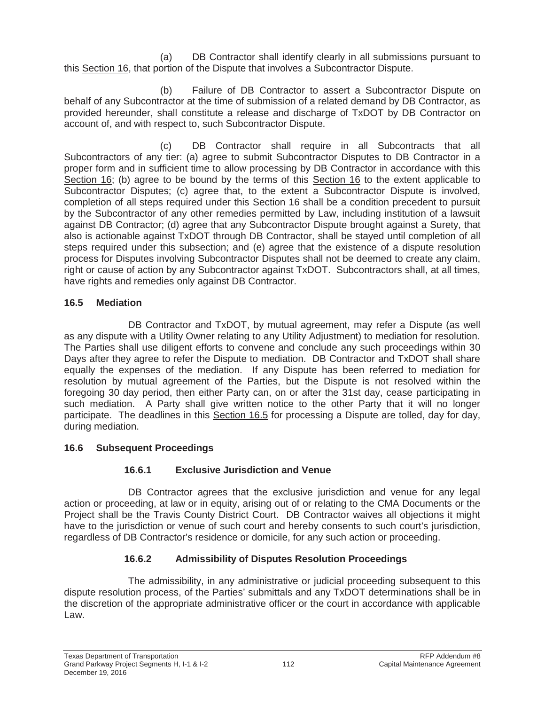(a) DB Contractor shall identify clearly in all submissions pursuant to this Section 16, that portion of the Dispute that involves a Subcontractor Dispute.

(b) Failure of DB Contractor to assert a Subcontractor Dispute on behalf of any Subcontractor at the time of submission of a related demand by DB Contractor, as provided hereunder, shall constitute a release and discharge of TxDOT by DB Contractor on account of, and with respect to, such Subcontractor Dispute.

(c) DB Contractor shall require in all Subcontracts that all Subcontractors of any tier: (a) agree to submit Subcontractor Disputes to DB Contractor in a proper form and in sufficient time to allow processing by DB Contractor in accordance with this Section 16; (b) agree to be bound by the terms of this Section 16 to the extent applicable to Subcontractor Disputes; (c) agree that, to the extent a Subcontractor Dispute is involved, completion of all steps required under this Section 16 shall be a condition precedent to pursuit by the Subcontractor of any other remedies permitted by Law, including institution of a lawsuit against DB Contractor; (d) agree that any Subcontractor Dispute brought against a Surety, that also is actionable against TxDOT through DB Contractor, shall be stayed until completion of all steps required under this subsection; and (e) agree that the existence of a dispute resolution process for Disputes involving Subcontractor Disputes shall not be deemed to create any claim, right or cause of action by any Subcontractor against TxDOT. Subcontractors shall, at all times, have rights and remedies only against DB Contractor.

# **16.5 Mediation**

DB Contractor and TxDOT, by mutual agreement, may refer a Dispute (as well as any dispute with a Utility Owner relating to any Utility Adjustment) to mediation for resolution. The Parties shall use diligent efforts to convene and conclude any such proceedings within 30 Days after they agree to refer the Dispute to mediation. DB Contractor and TxDOT shall share equally the expenses of the mediation. If any Dispute has been referred to mediation for resolution by mutual agreement of the Parties, but the Dispute is not resolved within the foregoing 30 day period, then either Party can, on or after the 31st day, cease participating in such mediation. A Party shall give written notice to the other Party that it will no longer participate. The deadlines in this Section 16.5 for processing a Dispute are tolled, day for day, during mediation.

# **16.6 Subsequent Proceedings**

# **16.6.1 Exclusive Jurisdiction and Venue**

DB Contractor agrees that the exclusive jurisdiction and venue for any legal action or proceeding, at law or in equity, arising out of or relating to the CMA Documents or the Project shall be the Travis County District Court. DB Contractor waives all objections it might have to the jurisdiction or venue of such court and hereby consents to such court's jurisdiction, regardless of DB Contractor's residence or domicile, for any such action or proceeding.

# **16.6.2 Admissibility of Disputes Resolution Proceedings**

The admissibility, in any administrative or judicial proceeding subsequent to this dispute resolution process, of the Parties' submittals and any TxDOT determinations shall be in the discretion of the appropriate administrative officer or the court in accordance with applicable Law.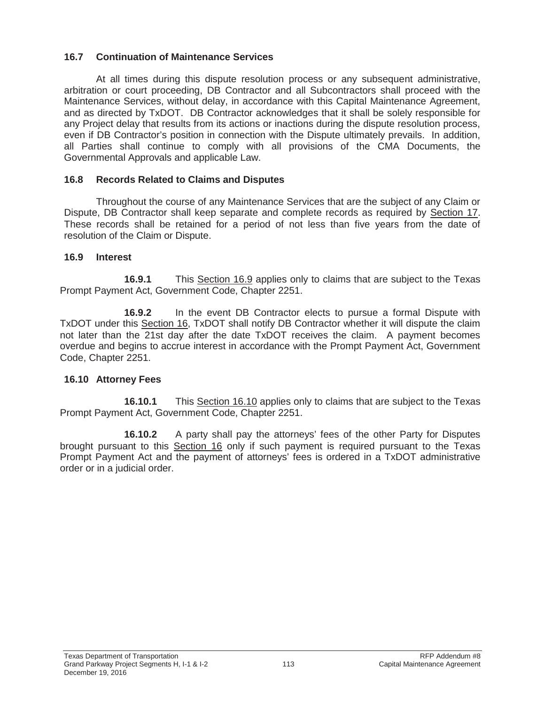### **16.7 Continuation of Maintenance Services**

At all times during this dispute resolution process or any subsequent administrative, arbitration or court proceeding, DB Contractor and all Subcontractors shall proceed with the Maintenance Services, without delay, in accordance with this Capital Maintenance Agreement, and as directed by TxDOT. DB Contractor acknowledges that it shall be solely responsible for any Project delay that results from its actions or inactions during the dispute resolution process, even if DB Contractor's position in connection with the Dispute ultimately prevails. In addition, all Parties shall continue to comply with all provisions of the CMA Documents, the Governmental Approvals and applicable Law.

### **16.8 Records Related to Claims and Disputes**

Throughout the course of any Maintenance Services that are the subject of any Claim or Dispute, DB Contractor shall keep separate and complete records as required by Section 17. These records shall be retained for a period of not less than five years from the date of resolution of the Claim or Dispute.

### **16.9 Interest**

**16.9.1** This Section 16.9 applies only to claims that are subject to the Texas Prompt Payment Act, Government Code, Chapter 2251.

**16.9.2** In the event DB Contractor elects to pursue a formal Dispute with TxDOT under this Section 16, TxDOT shall notify DB Contractor whether it will dispute the claim not later than the 21st day after the date TxDOT receives the claim. A payment becomes overdue and begins to accrue interest in accordance with the Prompt Payment Act, Government Code, Chapter 2251.

### **16.10 Attorney Fees**

**16.10.1** This Section 16.10 applies only to claims that are subject to the Texas Prompt Payment Act, Government Code, Chapter 2251.

**16.10.2** A party shall pay the attorneys' fees of the other Party for Disputes brought pursuant to this Section 16 only if such payment is required pursuant to the Texas Prompt Payment Act and the payment of attorneys' fees is ordered in a TxDOT administrative order or in a judicial order.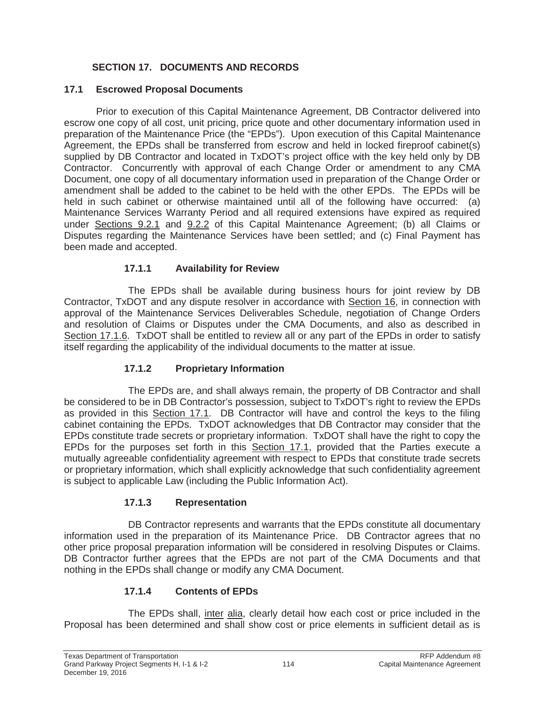# **SECTION 17. DOCUMENTS AND RECORDS**

#### **17.1 Escrowed Proposal Documents**

Prior to execution of this Capital Maintenance Agreement, DB Contractor delivered into escrow one copy of all cost, unit pricing, price quote and other documentary information used in preparation of the Maintenance Price (the "EPDs"). Upon execution of this Capital Maintenance Agreement, the EPDs shall be transferred from escrow and held in locked fireproof cabinet(s) supplied by DB Contractor and located in TxDOT's project office with the key held only by DB Contractor. Concurrently with approval of each Change Order or amendment to any CMA Document, one copy of all documentary information used in preparation of the Change Order or amendment shall be added to the cabinet to be held with the other EPDs. The EPDs will be held in such cabinet or otherwise maintained until all of the following have occurred: (a) Maintenance Services Warranty Period and all required extensions have expired as required under Sections 9.2.1 and 9.2.2 of this Capital Maintenance Agreement; (b) all Claims or Disputes regarding the Maintenance Services have been settled; and (c) Final Payment has been made and accepted.

### **17.1.1 Availability for Review**

The EPDs shall be available during business hours for joint review by DB Contractor, TxDOT and any dispute resolver in accordance with Section 16, in connection with approval of the Maintenance Services Deliverables Schedule, negotiation of Change Orders and resolution of Claims or Disputes under the CMA Documents, and also as described in Section 17.1.6. TxDOT shall be entitled to review all or any part of the EPDs in order to satisfy itself regarding the applicability of the individual documents to the matter at issue.

### **17.1.2 Proprietary Information**

The EPDs are, and shall always remain, the property of DB Contractor and shall be considered to be in DB Contractor's possession, subject to TxDOT's right to review the EPDs as provided in this Section 17.1. DB Contractor will have and control the keys to the filing cabinet containing the EPDs. TxDOT acknowledges that DB Contractor may consider that the EPDs constitute trade secrets or proprietary information. TxDOT shall have the right to copy the EPDs for the purposes set forth in this Section 17.1, provided that the Parties execute a mutually agreeable confidentiality agreement with respect to EPDs that constitute trade secrets or proprietary information, which shall explicitly acknowledge that such confidentiality agreement is subject to applicable Law (including the Public Information Act).

### **17.1.3 Representation**

DB Contractor represents and warrants that the EPDs constitute all documentary information used in the preparation of its Maintenance Price. DB Contractor agrees that no other price proposal preparation information will be considered in resolving Disputes or Claims. DB Contractor further agrees that the EPDs are not part of the CMA Documents and that nothing in the EPDs shall change or modify any CMA Document.

### **17.1.4 Contents of EPDs**

The EPDs shall, inter alia, clearly detail how each cost or price included in the Proposal has been determined and shall show cost or price elements in sufficient detail as is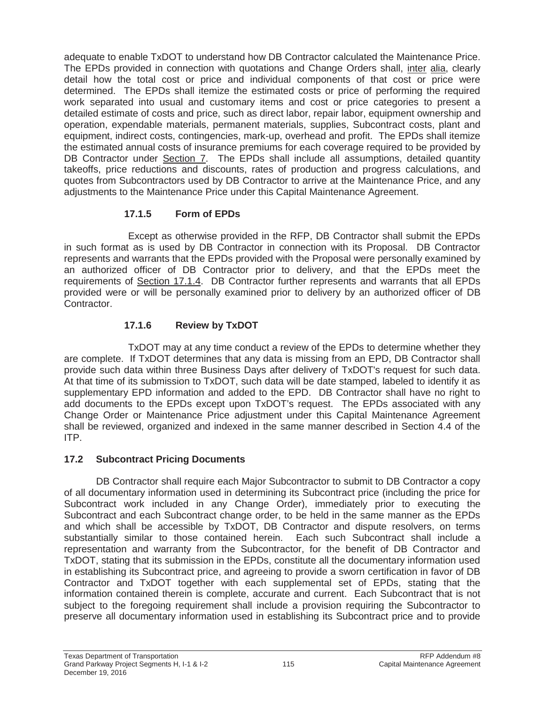adequate to enable TxDOT to understand how DB Contractor calculated the Maintenance Price. The EPDs provided in connection with quotations and Change Orders shall, inter alia, clearly detail how the total cost or price and individual components of that cost or price were determined. The EPDs shall itemize the estimated costs or price of performing the required work separated into usual and customary items and cost or price categories to present a detailed estimate of costs and price, such as direct labor, repair labor, equipment ownership and operation, expendable materials, permanent materials, supplies, Subcontract costs, plant and equipment, indirect costs, contingencies, mark-up, overhead and profit. The EPDs shall itemize the estimated annual costs of insurance premiums for each coverage required to be provided by DB Contractor under Section 7. The EPDs shall include all assumptions, detailed quantity takeoffs, price reductions and discounts, rates of production and progress calculations, and quotes from Subcontractors used by DB Contractor to arrive at the Maintenance Price, and any adjustments to the Maintenance Price under this Capital Maintenance Agreement.

# **17.1.5 Form of EPDs**

Except as otherwise provided in the RFP, DB Contractor shall submit the EPDs in such format as is used by DB Contractor in connection with its Proposal. DB Contractor represents and warrants that the EPDs provided with the Proposal were personally examined by an authorized officer of DB Contractor prior to delivery, and that the EPDs meet the requirements of Section 17.1.4. DB Contractor further represents and warrants that all EPDs provided were or will be personally examined prior to delivery by an authorized officer of DB Contractor.

# **17.1.6 Review by TxDOT**

TxDOT may at any time conduct a review of the EPDs to determine whether they are complete. If TxDOT determines that any data is missing from an EPD, DB Contractor shall provide such data within three Business Days after delivery of TxDOT's request for such data. At that time of its submission to TxDOT, such data will be date stamped, labeled to identify it as supplementary EPD information and added to the EPD. DB Contractor shall have no right to add documents to the EPDs except upon TxDOT's request. The EPDs associated with any Change Order or Maintenance Price adjustment under this Capital Maintenance Agreement shall be reviewed, organized and indexed in the same manner described in Section 4.4 of the ITP.

# **17.2 Subcontract Pricing Documents**

DB Contractor shall require each Major Subcontractor to submit to DB Contractor a copy of all documentary information used in determining its Subcontract price (including the price for Subcontract work included in any Change Order), immediately prior to executing the Subcontract and each Subcontract change order, to be held in the same manner as the EPDs and which shall be accessible by TxDOT, DB Contractor and dispute resolvers, on terms substantially similar to those contained herein. Each such Subcontract shall include a representation and warranty from the Subcontractor, for the benefit of DB Contractor and TxDOT, stating that its submission in the EPDs, constitute all the documentary information used in establishing its Subcontract price, and agreeing to provide a sworn certification in favor of DB Contractor and TxDOT together with each supplemental set of EPDs, stating that the information contained therein is complete, accurate and current. Each Subcontract that is not subject to the foregoing requirement shall include a provision requiring the Subcontractor to preserve all documentary information used in establishing its Subcontract price and to provide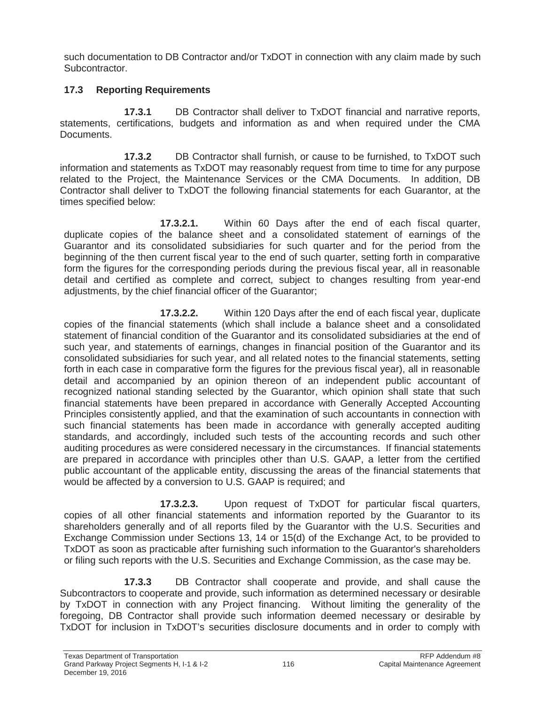such documentation to DB Contractor and/or TxDOT in connection with any claim made by such Subcontractor.

# **17.3 Reporting Requirements**

**17.3.1** DB Contractor shall deliver to TxDOT financial and narrative reports, statements, certifications, budgets and information as and when required under the CMA Documents.

**17.3.2** DB Contractor shall furnish, or cause to be furnished, to TxDOT such information and statements as TxDOT may reasonably request from time to time for any purpose related to the Project, the Maintenance Services or the CMA Documents. In addition, DB Contractor shall deliver to TxDOT the following financial statements for each Guarantor, at the times specified below:

**17.3.2.1.** Within 60 Days after the end of each fiscal quarter, duplicate copies of the balance sheet and a consolidated statement of earnings of the Guarantor and its consolidated subsidiaries for such quarter and for the period from the beginning of the then current fiscal year to the end of such quarter, setting forth in comparative form the figures for the corresponding periods during the previous fiscal year, all in reasonable detail and certified as complete and correct, subject to changes resulting from year-end adjustments, by the chief financial officer of the Guarantor;

**17.3.2.2.** Within 120 Days after the end of each fiscal year, duplicate copies of the financial statements (which shall include a balance sheet and a consolidated statement of financial condition of the Guarantor and its consolidated subsidiaries at the end of such year, and statements of earnings, changes in financial position of the Guarantor and its consolidated subsidiaries for such year, and all related notes to the financial statements, setting forth in each case in comparative form the figures for the previous fiscal year), all in reasonable detail and accompanied by an opinion thereon of an independent public accountant of recognized national standing selected by the Guarantor, which opinion shall state that such financial statements have been prepared in accordance with Generally Accepted Accounting Principles consistently applied, and that the examination of such accountants in connection with such financial statements has been made in accordance with generally accepted auditing standards, and accordingly, included such tests of the accounting records and such other auditing procedures as were considered necessary in the circumstances. If financial statements are prepared in accordance with principles other than U.S. GAAP, a letter from the certified public accountant of the applicable entity, discussing the areas of the financial statements that would be affected by a conversion to U.S. GAAP is required; and

**17.3.2.3.** Upon request of TxDOT for particular fiscal quarters, copies of all other financial statements and information reported by the Guarantor to its shareholders generally and of all reports filed by the Guarantor with the U.S. Securities and Exchange Commission under Sections 13, 14 or 15(d) of the Exchange Act, to be provided to TxDOT as soon as practicable after furnishing such information to the Guarantor's shareholders or filing such reports with the U.S. Securities and Exchange Commission, as the case may be.

**17.3.3** DB Contractor shall cooperate and provide, and shall cause the Subcontractors to cooperate and provide, such information as determined necessary or desirable by TxDOT in connection with any Project financing. Without limiting the generality of the foregoing, DB Contractor shall provide such information deemed necessary or desirable by TxDOT for inclusion in TxDOT's securities disclosure documents and in order to comply with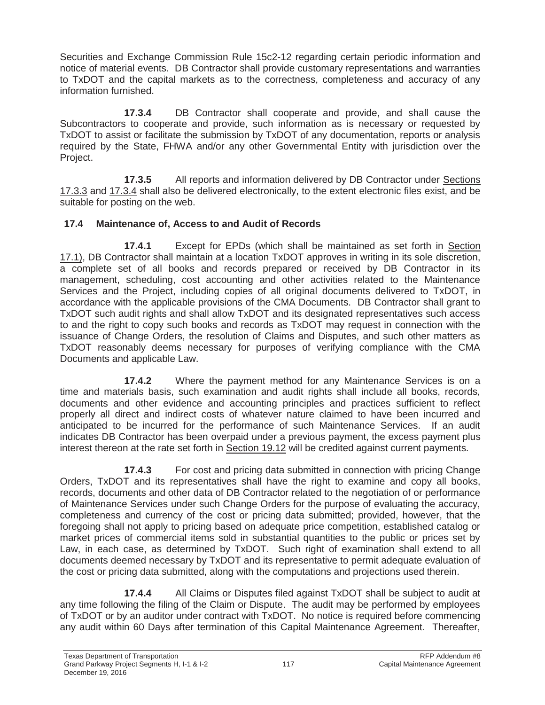Securities and Exchange Commission Rule 15c2-12 regarding certain periodic information and notice of material events. DB Contractor shall provide customary representations and warranties to TxDOT and the capital markets as to the correctness, completeness and accuracy of any information furnished.

**17.3.4** DB Contractor shall cooperate and provide, and shall cause the Subcontractors to cooperate and provide, such information as is necessary or requested by TxDOT to assist or facilitate the submission by TxDOT of any documentation, reports or analysis required by the State, FHWA and/or any other Governmental Entity with jurisdiction over the Project.

**17.3.5** All reports and information delivered by DB Contractor under Sections 17.3.3 and 17.3.4 shall also be delivered electronically, to the extent electronic files exist, and be suitable for posting on the web.

### **17.4 Maintenance of, Access to and Audit of Records**

**17.4.1** Except for EPDs (which shall be maintained as set forth in Section 17.1), DB Contractor shall maintain at a location TxDOT approves in writing in its sole discretion, a complete set of all books and records prepared or received by DB Contractor in its management, scheduling, cost accounting and other activities related to the Maintenance Services and the Project, including copies of all original documents delivered to TxDOT, in accordance with the applicable provisions of the CMA Documents. DB Contractor shall grant to TxDOT such audit rights and shall allow TxDOT and its designated representatives such access to and the right to copy such books and records as TxDOT may request in connection with the issuance of Change Orders, the resolution of Claims and Disputes, and such other matters as TxDOT reasonably deems necessary for purposes of verifying compliance with the CMA Documents and applicable Law.

**17.4.2** Where the payment method for any Maintenance Services is on a time and materials basis, such examination and audit rights shall include all books, records, documents and other evidence and accounting principles and practices sufficient to reflect properly all direct and indirect costs of whatever nature claimed to have been incurred and anticipated to be incurred for the performance of such Maintenance Services. If an audit indicates DB Contractor has been overpaid under a previous payment, the excess payment plus interest thereon at the rate set forth in Section 19.12 will be credited against current payments.

**17.4.3** For cost and pricing data submitted in connection with pricing Change Orders, TxDOT and its representatives shall have the right to examine and copy all books, records, documents and other data of DB Contractor related to the negotiation of or performance of Maintenance Services under such Change Orders for the purpose of evaluating the accuracy, completeness and currency of the cost or pricing data submitted; provided, however, that the foregoing shall not apply to pricing based on adequate price competition, established catalog or market prices of commercial items sold in substantial quantities to the public or prices set by Law, in each case, as determined by TxDOT. Such right of examination shall extend to all documents deemed necessary by TxDOT and its representative to permit adequate evaluation of the cost or pricing data submitted, along with the computations and projections used therein.

**17.4.4** All Claims or Disputes filed against TxDOT shall be subject to audit at any time following the filing of the Claim or Dispute. The audit may be performed by employees of TxDOT or by an auditor under contract with TxDOT. No notice is required before commencing any audit within 60 Days after termination of this Capital Maintenance Agreement. Thereafter,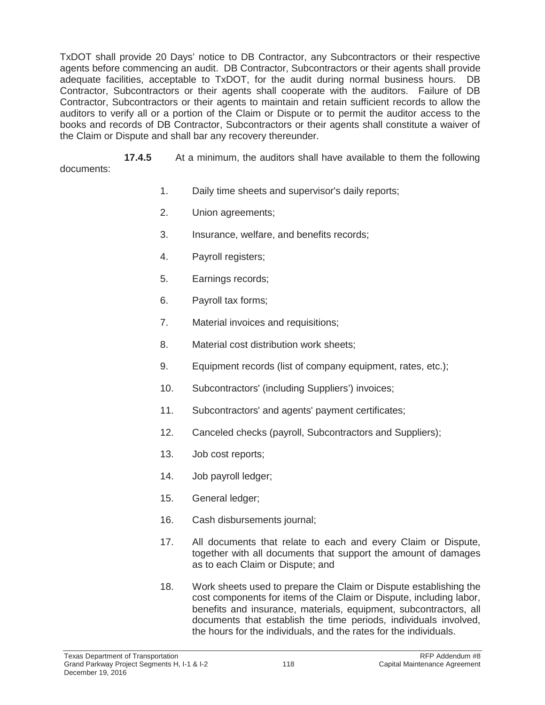TxDOT shall provide 20 Days' notice to DB Contractor, any Subcontractors or their respective agents before commencing an audit. DB Contractor, Subcontractors or their agents shall provide adequate facilities, acceptable to TxDOT, for the audit during normal business hours. DB Contractor, Subcontractors or their agents shall cooperate with the auditors. Failure of DB Contractor, Subcontractors or their agents to maintain and retain sufficient records to allow the auditors to verify all or a portion of the Claim or Dispute or to permit the auditor access to the books and records of DB Contractor, Subcontractors or their agents shall constitute a waiver of the Claim or Dispute and shall bar any recovery thereunder.

**17.4.5** At a minimum, the auditors shall have available to them the following documents:

- 1. Daily time sheets and supervisor's daily reports;
- 2. Union agreements;
- 3. Insurance, welfare, and benefits records;
- 4. Payroll registers;
- 5. Earnings records;
- 6. Payroll tax forms;
- 7. Material invoices and requisitions;
- 8. Material cost distribution work sheets;
- 9. Equipment records (list of company equipment, rates, etc.);
- 10. Subcontractors' (including Suppliers') invoices;
- 11. Subcontractors' and agents' payment certificates;
- 12. Canceled checks (payroll, Subcontractors and Suppliers);
- 13. Job cost reports;
- 14. Job payroll ledger;
- 15. General ledger;
- 16. Cash disbursements journal;
- 17. All documents that relate to each and every Claim or Dispute, together with all documents that support the amount of damages as to each Claim or Dispute; and
- 18. Work sheets used to prepare the Claim or Dispute establishing the cost components for items of the Claim or Dispute, including labor, benefits and insurance, materials, equipment, subcontractors, all documents that establish the time periods, individuals involved, the hours for the individuals, and the rates for the individuals.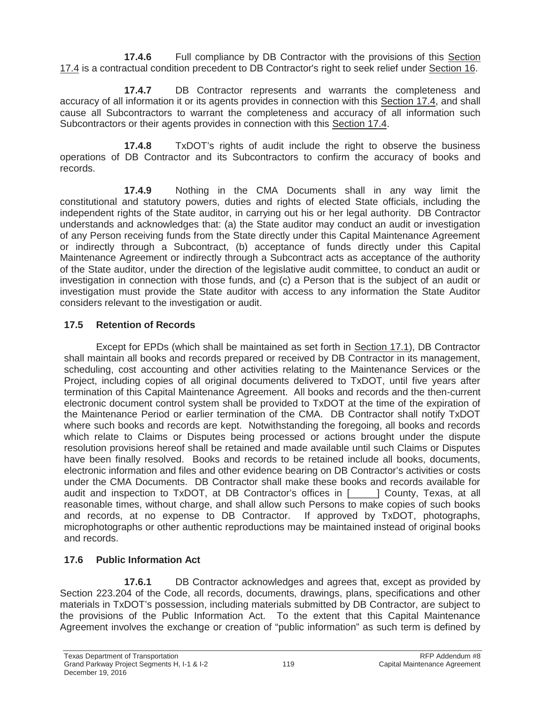**17.4.6** Full compliance by DB Contractor with the provisions of this Section 17.4 is a contractual condition precedent to DB Contractor's right to seek relief under Section 16.

**17.4.7** DB Contractor represents and warrants the completeness and accuracy of all information it or its agents provides in connection with this Section 17.4, and shall cause all Subcontractors to warrant the completeness and accuracy of all information such Subcontractors or their agents provides in connection with this Section 17.4.

**17.4.8** TxDOT's rights of audit include the right to observe the business operations of DB Contractor and its Subcontractors to confirm the accuracy of books and records.

**17.4.9** Nothing in the CMA Documents shall in any way limit the constitutional and statutory powers, duties and rights of elected State officials, including the independent rights of the State auditor, in carrying out his or her legal authority. DB Contractor understands and acknowledges that: (a) the State auditor may conduct an audit or investigation of any Person receiving funds from the State directly under this Capital Maintenance Agreement or indirectly through a Subcontract, (b) acceptance of funds directly under this Capital Maintenance Agreement or indirectly through a Subcontract acts as acceptance of the authority of the State auditor, under the direction of the legislative audit committee, to conduct an audit or investigation in connection with those funds, and (c) a Person that is the subject of an audit or investigation must provide the State auditor with access to any information the State Auditor considers relevant to the investigation or audit.

# **17.5 Retention of Records**

Except for EPDs (which shall be maintained as set forth in Section 17.1), DB Contractor shall maintain all books and records prepared or received by DB Contractor in its management, scheduling, cost accounting and other activities relating to the Maintenance Services or the Project, including copies of all original documents delivered to TxDOT, until five years after termination of this Capital Maintenance Agreement. All books and records and the then-current electronic document control system shall be provided to TxDOT at the time of the expiration of the Maintenance Period or earlier termination of the CMA. DB Contractor shall notify TxDOT where such books and records are kept. Notwithstanding the foregoing, all books and records which relate to Claims or Disputes being processed or actions brought under the dispute resolution provisions hereof shall be retained and made available until such Claims or Disputes have been finally resolved. Books and records to be retained include all books, documents, electronic information and files and other evidence bearing on DB Contractor's activities or costs under the CMA Documents. DB Contractor shall make these books and records available for audit and inspection to TxDOT, at DB Contractor's offices in [\_\_\_\_\_] County, Texas, at all reasonable times, without charge, and shall allow such Persons to make copies of such books and records, at no expense to DB Contractor. If approved by TxDOT, photographs, microphotographs or other authentic reproductions may be maintained instead of original books and records.

# **17.6 Public Information Act**

**17.6.1** DB Contractor acknowledges and agrees that, except as provided by Section 223.204 of the Code, all records, documents, drawings, plans, specifications and other materials in TxDOT's possession, including materials submitted by DB Contractor, are subject to the provisions of the Public Information Act. To the extent that this Capital Maintenance Agreement involves the exchange or creation of "public information" as such term is defined by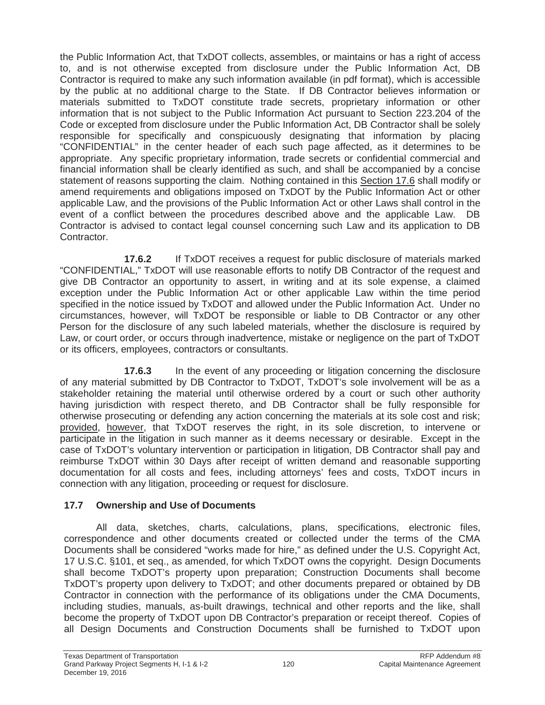the Public Information Act, that TxDOT collects, assembles, or maintains or has a right of access to, and is not otherwise excepted from disclosure under the Public Information Act, DB Contractor is required to make any such information available (in pdf format), which is accessible by the public at no additional charge to the State. If DB Contractor believes information or materials submitted to TxDOT constitute trade secrets, proprietary information or other information that is not subject to the Public Information Act pursuant to Section 223.204 of the Code or excepted from disclosure under the Public Information Act, DB Contractor shall be solely responsible for specifically and conspicuously designating that information by placing "CONFIDENTIAL" in the center header of each such page affected, as it determines to be appropriate. Any specific proprietary information, trade secrets or confidential commercial and financial information shall be clearly identified as such, and shall be accompanied by a concise statement of reasons supporting the claim. Nothing contained in this Section 17.6 shall modify or amend requirements and obligations imposed on TxDOT by the Public Information Act or other applicable Law, and the provisions of the Public Information Act or other Laws shall control in the event of a conflict between the procedures described above and the applicable Law. DB Contractor is advised to contact legal counsel concerning such Law and its application to DB Contractor.

**17.6.2** If TxDOT receives a request for public disclosure of materials marked "CONFIDENTIAL," TxDOT will use reasonable efforts to notify DB Contractor of the request and give DB Contractor an opportunity to assert, in writing and at its sole expense, a claimed exception under the Public Information Act or other applicable Law within the time period specified in the notice issued by TxDOT and allowed under the Public Information Act. Under no circumstances, however, will TxDOT be responsible or liable to DB Contractor or any other Person for the disclosure of any such labeled materials, whether the disclosure is required by Law, or court order, or occurs through inadvertence, mistake or negligence on the part of TxDOT or its officers, employees, contractors or consultants.

**17.6.3** In the event of any proceeding or litigation concerning the disclosure of any material submitted by DB Contractor to TxDOT, TxDOT's sole involvement will be as a stakeholder retaining the material until otherwise ordered by a court or such other authority having jurisdiction with respect thereto, and DB Contractor shall be fully responsible for otherwise prosecuting or defending any action concerning the materials at its sole cost and risk; provided, however, that TxDOT reserves the right, in its sole discretion, to intervene or participate in the litigation in such manner as it deems necessary or desirable. Except in the case of TxDOT's voluntary intervention or participation in litigation, DB Contractor shall pay and reimburse TxDOT within 30 Days after receipt of written demand and reasonable supporting documentation for all costs and fees, including attorneys' fees and costs, TxDOT incurs in connection with any litigation, proceeding or request for disclosure.

# **17.7 Ownership and Use of Documents**

All data, sketches, charts, calculations, plans, specifications, electronic files, correspondence and other documents created or collected under the terms of the CMA Documents shall be considered "works made for hire," as defined under the U.S. Copyright Act, 17 U.S.C. §101, et seq., as amended, for which TxDOT owns the copyright. Design Documents shall become TxDOT's property upon preparation; Construction Documents shall become TxDOT's property upon delivery to TxDOT; and other documents prepared or obtained by DB Contractor in connection with the performance of its obligations under the CMA Documents, including studies, manuals, as-built drawings, technical and other reports and the like, shall become the property of TxDOT upon DB Contractor's preparation or receipt thereof. Copies of all Design Documents and Construction Documents shall be furnished to TxDOT upon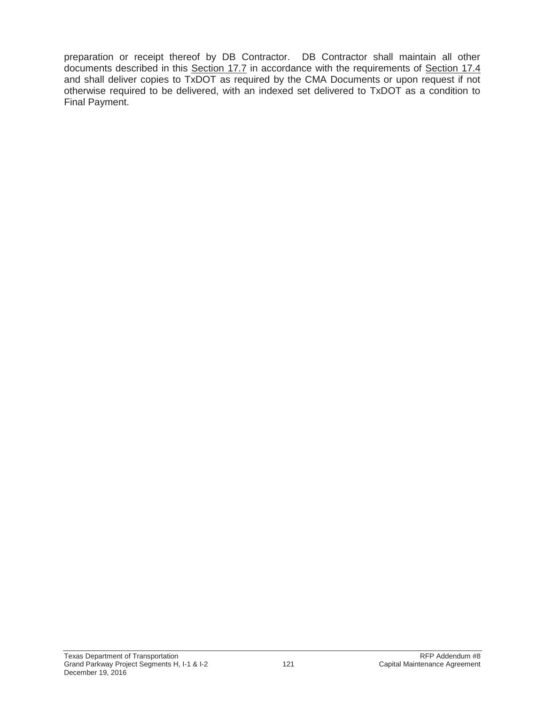preparation or receipt thereof by DB Contractor. DB Contractor shall maintain all other documents described in this Section 17.7 in accordance with the requirements of Section 17.4 and shall deliver copies to TxDOT as required by the CMA Documents or upon request if not otherwise required to be delivered, with an indexed set delivered to TxDOT as a condition to Final Payment.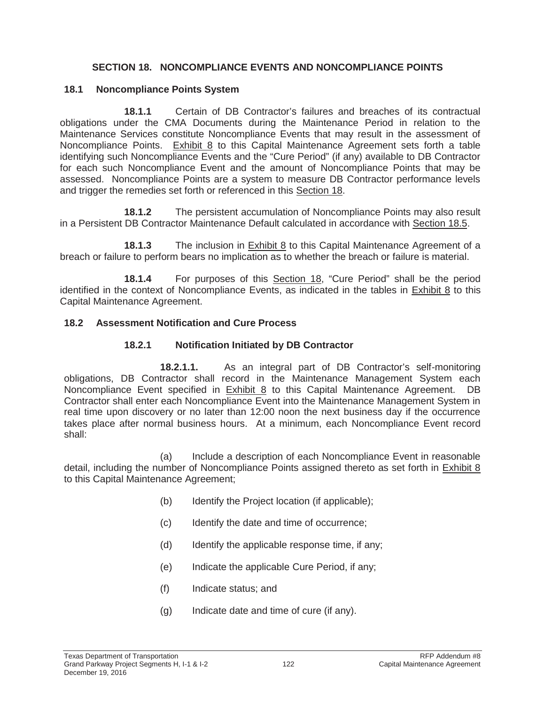#### **SECTION 18. NONCOMPLIANCE EVENTS AND NONCOMPLIANCE POINTS**

#### **18.1 Noncompliance Points System**

**18.1.1** Certain of DB Contractor's failures and breaches of its contractual obligations under the CMA Documents during the Maintenance Period in relation to the Maintenance Services constitute Noncompliance Events that may result in the assessment of Noncompliance Points. Exhibit 8 to this Capital Maintenance Agreement sets forth a table identifying such Noncompliance Events and the "Cure Period" (if any) available to DB Contractor for each such Noncompliance Event and the amount of Noncompliance Points that may be assessed. Noncompliance Points are a system to measure DB Contractor performance levels and trigger the remedies set forth or referenced in this Section 18.

**18.1.2** The persistent accumulation of Noncompliance Points may also result in a Persistent DB Contractor Maintenance Default calculated in accordance with Section 18.5.

**18.1.3** The inclusion in Exhibit 8 to this Capital Maintenance Agreement of a breach or failure to perform bears no implication as to whether the breach or failure is material.

**18.1.4** For purposes of this Section 18, "Cure Period" shall be the period identified in the context of Noncompliance Events, as indicated in the tables in Exhibit 8 to this Capital Maintenance Agreement.

#### **18.2 Assessment Notification and Cure Process**

#### **18.2.1 Notification Initiated by DB Contractor**

**18.2.1.1.** As an integral part of DB Contractor's self-monitoring obligations, DB Contractor shall record in the Maintenance Management System each Noncompliance Event specified in Exhibit 8 to this Capital Maintenance Agreement. DB Contractor shall enter each Noncompliance Event into the Maintenance Management System in real time upon discovery or no later than 12:00 noon the next business day if the occurrence takes place after normal business hours. At a minimum, each Noncompliance Event record shall:

(a) Include a description of each Noncompliance Event in reasonable detail, including the number of Noncompliance Points assigned thereto as set forth in Exhibit 8 to this Capital Maintenance Agreement;

- (b) Identify the Project location (if applicable);
- (c) Identify the date and time of occurrence;
- (d) Identify the applicable response time, if any;
- (e) Indicate the applicable Cure Period, if any;
- (f) Indicate status; and
- (g) Indicate date and time of cure (if any).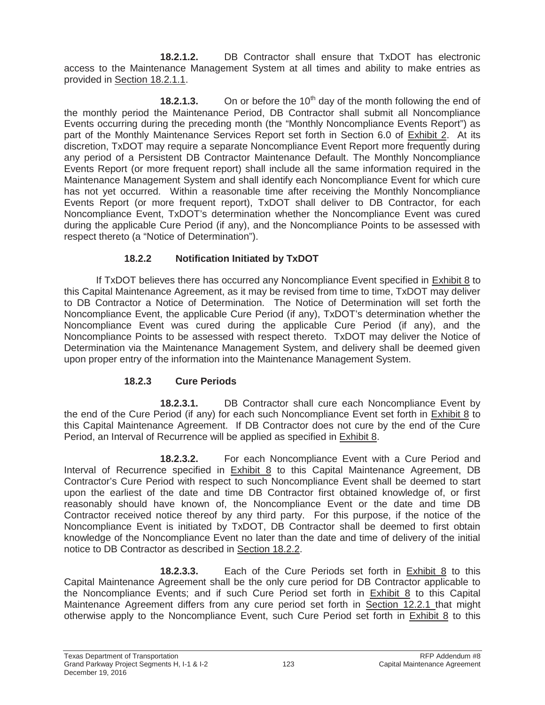**18.2.1.2.** DB Contractor shall ensure that TxDOT has electronic access to the Maintenance Management System at all times and ability to make entries as provided in Section 18.2.1.1.

**18.2.1.3.** On or before the 10<sup>th</sup> day of the month following the end of the monthly period the Maintenance Period, DB Contractor shall submit all Noncompliance Events occurring during the preceding month (the "Monthly Noncompliance Events Report") as part of the Monthly Maintenance Services Report set forth in Section 6.0 of Exhibit 2. At its discretion, TxDOT may require a separate Noncompliance Event Report more frequently during any period of a Persistent DB Contractor Maintenance Default. The Monthly Noncompliance Events Report (or more frequent report) shall include all the same information required in the Maintenance Management System and shall identify each Noncompliance Event for which cure has not yet occurred. Within a reasonable time after receiving the Monthly Noncompliance Events Report (or more frequent report), TxDOT shall deliver to DB Contractor, for each Noncompliance Event, TxDOT's determination whether the Noncompliance Event was cured during the applicable Cure Period (if any), and the Noncompliance Points to be assessed with respect thereto (a "Notice of Determination").

# **18.2.2 Notification Initiated by TxDOT**

If TxDOT believes there has occurred any Noncompliance Event specified in Exhibit 8 to this Capital Maintenance Agreement, as it may be revised from time to time, TxDOT may deliver to DB Contractor a Notice of Determination. The Notice of Determination will set forth the Noncompliance Event, the applicable Cure Period (if any), TxDOT's determination whether the Noncompliance Event was cured during the applicable Cure Period (if any), and the Noncompliance Points to be assessed with respect thereto. TxDOT may deliver the Notice of Determination via the Maintenance Management System, and delivery shall be deemed given upon proper entry of the information into the Maintenance Management System.

# **18.2.3 Cure Periods**

**18.2.3.1.** DB Contractor shall cure each Noncompliance Event by the end of the Cure Period (if any) for each such Noncompliance Event set forth in Exhibit 8 to this Capital Maintenance Agreement. If DB Contractor does not cure by the end of the Cure Period, an Interval of Recurrence will be applied as specified in Exhibit 8.

**18.2.3.2.** For each Noncompliance Event with a Cure Period and Interval of Recurrence specified in Exhibit 8 to this Capital Maintenance Agreement, DB Contractor's Cure Period with respect to such Noncompliance Event shall be deemed to start upon the earliest of the date and time DB Contractor first obtained knowledge of, or first reasonably should have known of, the Noncompliance Event or the date and time DB Contractor received notice thereof by any third party. For this purpose, if the notice of the Noncompliance Event is initiated by TxDOT, DB Contractor shall be deemed to first obtain knowledge of the Noncompliance Event no later than the date and time of delivery of the initial notice to DB Contractor as described in Section 18.2.2.

**18.2.3.3.** Each of the Cure Periods set forth in Exhibit 8 to this Capital Maintenance Agreement shall be the only cure period for DB Contractor applicable to the Noncompliance Events; and if such Cure Period set forth in Exhibit 8 to this Capital Maintenance Agreement differs from any cure period set forth in Section 12.2.1 that might otherwise apply to the Noncompliance Event, such Cure Period set forth in Exhibit 8 to this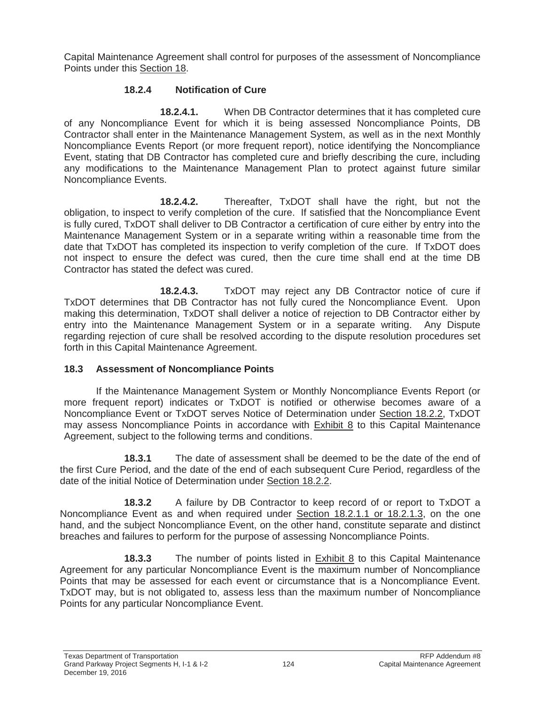Capital Maintenance Agreement shall control for purposes of the assessment of Noncompliance Points under this Section 18.

### **18.2.4 Notification of Cure**

**18.2.4.1.** When DB Contractor determines that it has completed cure of any Noncompliance Event for which it is being assessed Noncompliance Points, DB Contractor shall enter in the Maintenance Management System, as well as in the next Monthly Noncompliance Events Report (or more frequent report), notice identifying the Noncompliance Event, stating that DB Contractor has completed cure and briefly describing the cure, including any modifications to the Maintenance Management Plan to protect against future similar Noncompliance Events.

**18.2.4.2.** Thereafter, TxDOT shall have the right, but not the obligation, to inspect to verify completion of the cure. If satisfied that the Noncompliance Event is fully cured, TxDOT shall deliver to DB Contractor a certification of cure either by entry into the Maintenance Management System or in a separate writing within a reasonable time from the date that TxDOT has completed its inspection to verify completion of the cure. If TxDOT does not inspect to ensure the defect was cured, then the cure time shall end at the time DB Contractor has stated the defect was cured.

**18.2.4.3.** TxDOT may reject any DB Contractor notice of cure if TxDOT determines that DB Contractor has not fully cured the Noncompliance Event. Upon making this determination, TxDOT shall deliver a notice of rejection to DB Contractor either by entry into the Maintenance Management System or in a separate writing. Any Dispute regarding rejection of cure shall be resolved according to the dispute resolution procedures set forth in this Capital Maintenance Agreement.

### **18.3 Assessment of Noncompliance Points**

If the Maintenance Management System or Monthly Noncompliance Events Report (or more frequent report) indicates or TxDOT is notified or otherwise becomes aware of a Noncompliance Event or TxDOT serves Notice of Determination under Section 18.2.2, TxDOT may assess Noncompliance Points in accordance with Exhibit 8 to this Capital Maintenance Agreement, subject to the following terms and conditions.

**18.3.1** The date of assessment shall be deemed to be the date of the end of the first Cure Period, and the date of the end of each subsequent Cure Period, regardless of the date of the initial Notice of Determination under Section 18.2.2.

**18.3.2** A failure by DB Contractor to keep record of or report to TxDOT a Noncompliance Event as and when required under Section 18.2.1.1 or 18.2.1.3, on the one hand, and the subject Noncompliance Event, on the other hand, constitute separate and distinct breaches and failures to perform for the purpose of assessing Noncompliance Points.

**18.3.3** The number of points listed in Exhibit 8 to this Capital Maintenance Agreement for any particular Noncompliance Event is the maximum number of Noncompliance Points that may be assessed for each event or circumstance that is a Noncompliance Event. TxDOT may, but is not obligated to, assess less than the maximum number of Noncompliance Points for any particular Noncompliance Event.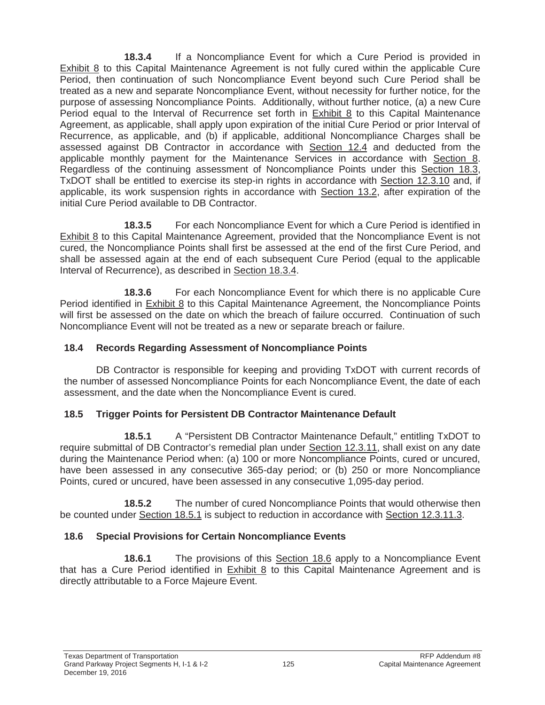**18.3.4** If a Noncompliance Event for which a Cure Period is provided in Exhibit 8 to this Capital Maintenance Agreement is not fully cured within the applicable Cure Period, then continuation of such Noncompliance Event beyond such Cure Period shall be treated as a new and separate Noncompliance Event, without necessity for further notice, for the purpose of assessing Noncompliance Points. Additionally, without further notice, (a) a new Cure Period equal to the Interval of Recurrence set forth in Exhibit 8 to this Capital Maintenance Agreement, as applicable, shall apply upon expiration of the initial Cure Period or prior Interval of Recurrence, as applicable, and (b) if applicable, additional Noncompliance Charges shall be assessed against DB Contractor in accordance with Section 12.4 and deducted from the applicable monthly payment for the Maintenance Services in accordance with Section 8. Regardless of the continuing assessment of Noncompliance Points under this Section 18.3, TxDOT shall be entitled to exercise its step-in rights in accordance with Section 12.3.10 and, if applicable, its work suspension rights in accordance with Section 13.2, after expiration of the initial Cure Period available to DB Contractor.

**18.3.5** For each Noncompliance Event for which a Cure Period is identified in Exhibit 8 to this Capital Maintenance Agreement, provided that the Noncompliance Event is not cured, the Noncompliance Points shall first be assessed at the end of the first Cure Period, and shall be assessed again at the end of each subsequent Cure Period (equal to the applicable Interval of Recurrence), as described in Section 18.3.4.

**18.3.6** For each Noncompliance Event for which there is no applicable Cure Period identified in **Exhibit 8** to this Capital Maintenance Agreement, the Noncompliance Points will first be assessed on the date on which the breach of failure occurred. Continuation of such Noncompliance Event will not be treated as a new or separate breach or failure.

### **18.4 Records Regarding Assessment of Noncompliance Points**

DB Contractor is responsible for keeping and providing TxDOT with current records of the number of assessed Noncompliance Points for each Noncompliance Event, the date of each assessment, and the date when the Noncompliance Event is cured.

# **18.5 Trigger Points for Persistent DB Contractor Maintenance Default**

**18.5.1** A "Persistent DB Contractor Maintenance Default," entitling TxDOT to require submittal of DB Contractor's remedial plan under Section 12.3.11, shall exist on any date during the Maintenance Period when: (a) 100 or more Noncompliance Points, cured or uncured, have been assessed in any consecutive 365-day period; or (b) 250 or more Noncompliance Points, cured or uncured, have been assessed in any consecutive 1,095-day period.

**18.5.2** The number of cured Noncompliance Points that would otherwise then be counted under Section 18.5.1 is subject to reduction in accordance with Section 12.3.11.3.

# **18.6 Special Provisions for Certain Noncompliance Events**

**18.6.1** The provisions of this Section 18.6 apply to a Noncompliance Event that has a Cure Period identified in Exhibit 8 to this Capital Maintenance Agreement and is directly attributable to a Force Majeure Event.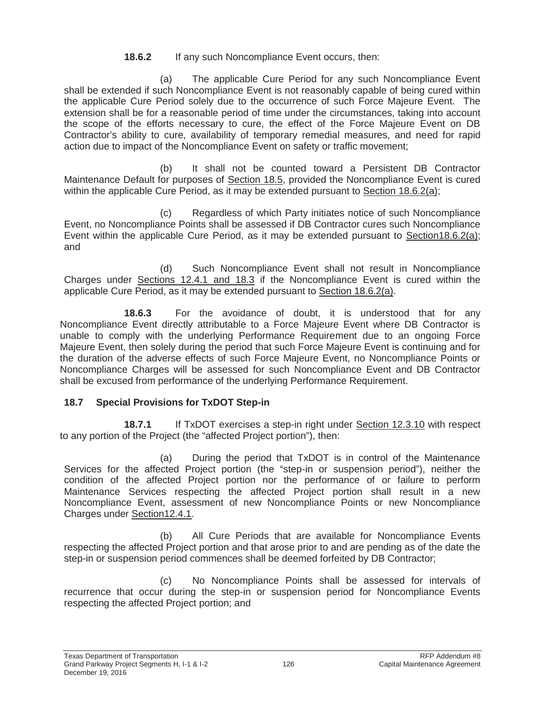### **18.6.2** If any such Noncompliance Event occurs, then:

(a) The applicable Cure Period for any such Noncompliance Event shall be extended if such Noncompliance Event is not reasonably capable of being cured within the applicable Cure Period solely due to the occurrence of such Force Majeure Event. The extension shall be for a reasonable period of time under the circumstances, taking into account the scope of the efforts necessary to cure, the effect of the Force Majeure Event on DB Contractor's ability to cure, availability of temporary remedial measures, and need for rapid action due to impact of the Noncompliance Event on safety or traffic movement;

(b) It shall not be counted toward a Persistent DB Contractor Maintenance Default for purposes of Section 18.5, provided the Noncompliance Event is cured within the applicable Cure Period, as it may be extended pursuant to Section 18.6.2(a);

(c) Regardless of which Party initiates notice of such Noncompliance Event, no Noncompliance Points shall be assessed if DB Contractor cures such Noncompliance Event within the applicable Cure Period, as it may be extended pursuant to Section18.6.2(a); and

(d) Such Noncompliance Event shall not result in Noncompliance Charges under Sections 12.4.1 and 18.3 if the Noncompliance Event is cured within the applicable Cure Period, as it may be extended pursuant to Section 18.6.2(a).

**18.6.3** For the avoidance of doubt, it is understood that for any Noncompliance Event directly attributable to a Force Majeure Event where DB Contractor is unable to comply with the underlying Performance Requirement due to an ongoing Force Majeure Event, then solely during the period that such Force Majeure Event is continuing and for the duration of the adverse effects of such Force Majeure Event, no Noncompliance Points or Noncompliance Charges will be assessed for such Noncompliance Event and DB Contractor shall be excused from performance of the underlying Performance Requirement.

# **18.7 Special Provisions for TxDOT Step-in**

**18.7.1** If TxDOT exercises a step-in right under Section 12.3.10 with respect to any portion of the Project (the "affected Project portion"), then:

(a) During the period that TxDOT is in control of the Maintenance Services for the affected Project portion (the "step-in or suspension period"), neither the condition of the affected Project portion nor the performance of or failure to perform Maintenance Services respecting the affected Project portion shall result in a new Noncompliance Event, assessment of new Noncompliance Points or new Noncompliance Charges under Section12.4.1.

(b) All Cure Periods that are available for Noncompliance Events respecting the affected Project portion and that arose prior to and are pending as of the date the step-in or suspension period commences shall be deemed forfeited by DB Contractor;

(c) No Noncompliance Points shall be assessed for intervals of recurrence that occur during the step-in or suspension period for Noncompliance Events respecting the affected Project portion; and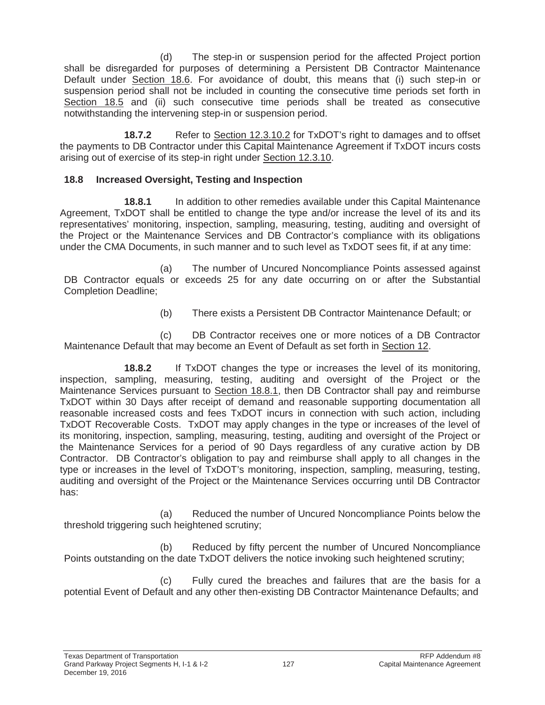(d) The step-in or suspension period for the affected Project portion shall be disregarded for purposes of determining a Persistent DB Contractor Maintenance Default under Section 18.6. For avoidance of doubt, this means that (i) such step-in or suspension period shall not be included in counting the consecutive time periods set forth in Section 18.5 and (ii) such consecutive time periods shall be treated as consecutive notwithstanding the intervening step-in or suspension period.

**18.7.2** • Refer to Section 12.3.10.2 for TxDOT's right to damages and to offset the payments to DB Contractor under this Capital Maintenance Agreement if TxDOT incurs costs arising out of exercise of its step-in right under Section 12.3.10.

### **18.8 Increased Oversight, Testing and Inspection**

**18.8.1** In addition to other remedies available under this Capital Maintenance Agreement, TxDOT shall be entitled to change the type and/or increase the level of its and its representatives' monitoring, inspection, sampling, measuring, testing, auditing and oversight of the Project or the Maintenance Services and DB Contractor's compliance with its obligations under the CMA Documents, in such manner and to such level as TxDOT sees fit, if at any time:

(a) The number of Uncured Noncompliance Points assessed against DB Contractor equals or exceeds 25 for any date occurring on or after the Substantial Completion Deadline;

(b) There exists a Persistent DB Contractor Maintenance Default; or

(c) DB Contractor receives one or more notices of a DB Contractor Maintenance Default that may become an Event of Default as set forth in Section 12.

**18.8.2** If TxDOT changes the type or increases the level of its monitoring, inspection, sampling, measuring, testing, auditing and oversight of the Project or the Maintenance Services pursuant to Section 18.8.1, then DB Contractor shall pay and reimburse TxDOT within 30 Days after receipt of demand and reasonable supporting documentation all reasonable increased costs and fees TxDOT incurs in connection with such action, including TxDOT Recoverable Costs. TxDOT may apply changes in the type or increases of the level of its monitoring, inspection, sampling, measuring, testing, auditing and oversight of the Project or the Maintenance Services for a period of 90 Days regardless of any curative action by DB Contractor. DB Contractor's obligation to pay and reimburse shall apply to all changes in the type or increases in the level of TxDOT's monitoring, inspection, sampling, measuring, testing, auditing and oversight of the Project or the Maintenance Services occurring until DB Contractor has:

(a) Reduced the number of Uncured Noncompliance Points below the threshold triggering such heightened scrutiny;

(b) Reduced by fifty percent the number of Uncured Noncompliance Points outstanding on the date TxDOT delivers the notice invoking such heightened scrutiny;

(c) Fully cured the breaches and failures that are the basis for a potential Event of Default and any other then-existing DB Contractor Maintenance Defaults; and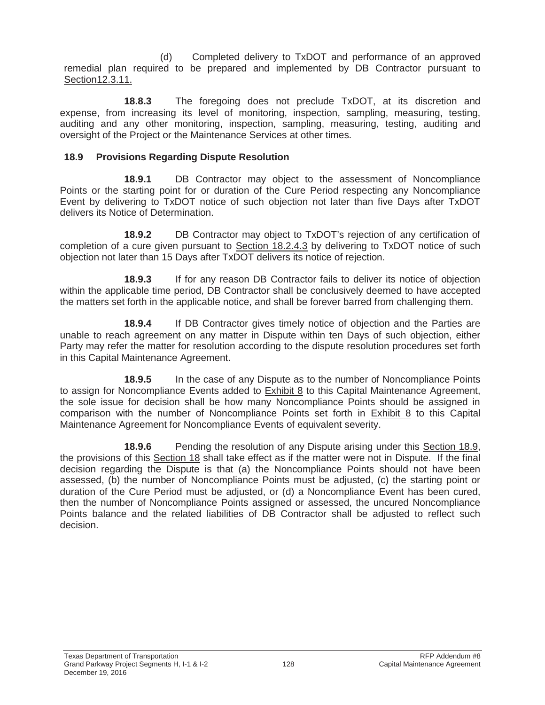(d) Completed delivery to TxDOT and performance of an approved remedial plan required to be prepared and implemented by DB Contractor pursuant to Section12.3.11.

**18.8.3** The foregoing does not preclude TxDOT, at its discretion and expense, from increasing its level of monitoring, inspection, sampling, measuring, testing, auditing and any other monitoring, inspection, sampling, measuring, testing, auditing and oversight of the Project or the Maintenance Services at other times.

### **18.9 Provisions Regarding Dispute Resolution**

**18.9.1** DB Contractor may object to the assessment of Noncompliance Points or the starting point for or duration of the Cure Period respecting any Noncompliance Event by delivering to TxDOT notice of such objection not later than five Days after TxDOT delivers its Notice of Determination.

**18.9.2** DB Contractor may object to TxDOT's rejection of any certification of completion of a cure given pursuant to Section 18.2.4.3 by delivering to TxDOT notice of such objection not later than 15 Days after TxDOT delivers its notice of rejection.

**18.9.3** If for any reason DB Contractor fails to deliver its notice of objection within the applicable time period, DB Contractor shall be conclusively deemed to have accepted the matters set forth in the applicable notice, and shall be forever barred from challenging them.

**18.9.4** If DB Contractor gives timely notice of objection and the Parties are unable to reach agreement on any matter in Dispute within ten Days of such objection, either Party may refer the matter for resolution according to the dispute resolution procedures set forth in this Capital Maintenance Agreement.

**18.9.5** In the case of any Dispute as to the number of Noncompliance Points to assign for Noncompliance Events added to **Exhibit 8** to this Capital Maintenance Agreement, the sole issue for decision shall be how many Noncompliance Points should be assigned in comparison with the number of Noncompliance Points set forth in Exhibit 8 to this Capital Maintenance Agreement for Noncompliance Events of equivalent severity.

**18.9.6** Pending the resolution of any Dispute arising under this Section 18.9, the provisions of this Section 18 shall take effect as if the matter were not in Dispute. If the final decision regarding the Dispute is that (a) the Noncompliance Points should not have been assessed, (b) the number of Noncompliance Points must be adjusted, (c) the starting point or duration of the Cure Period must be adjusted, or (d) a Noncompliance Event has been cured, then the number of Noncompliance Points assigned or assessed, the uncured Noncompliance Points balance and the related liabilities of DB Contractor shall be adjusted to reflect such decision.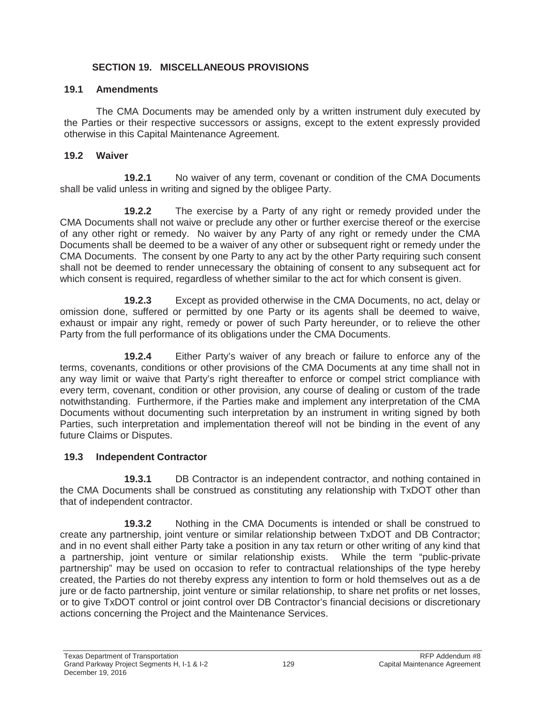### **SECTION 19. MISCELLANEOUS PROVISIONS**

### **19.1 Amendments**

The CMA Documents may be amended only by a written instrument duly executed by the Parties or their respective successors or assigns, except to the extent expressly provided otherwise in this Capital Maintenance Agreement.

### **19.2 Waiver**

**19.2.1** No waiver of any term, covenant or condition of the CMA Documents shall be valid unless in writing and signed by the obligee Party.

**19.2.2** The exercise by a Party of any right or remedy provided under the CMA Documents shall not waive or preclude any other or further exercise thereof or the exercise of any other right or remedy. No waiver by any Party of any right or remedy under the CMA Documents shall be deemed to be a waiver of any other or subsequent right or remedy under the CMA Documents. The consent by one Party to any act by the other Party requiring such consent shall not be deemed to render unnecessary the obtaining of consent to any subsequent act for which consent is required, regardless of whether similar to the act for which consent is given.

**19.2.3** Except as provided otherwise in the CMA Documents, no act, delay or omission done, suffered or permitted by one Party or its agents shall be deemed to waive, exhaust or impair any right, remedy or power of such Party hereunder, or to relieve the other Party from the full performance of its obligations under the CMA Documents.

**19.2.4** Either Party's waiver of any breach or failure to enforce any of the terms, covenants, conditions or other provisions of the CMA Documents at any time shall not in any way limit or waive that Party's right thereafter to enforce or compel strict compliance with every term, covenant, condition or other provision, any course of dealing or custom of the trade notwithstanding. Furthermore, if the Parties make and implement any interpretation of the CMA Documents without documenting such interpretation by an instrument in writing signed by both Parties, such interpretation and implementation thereof will not be binding in the event of any future Claims or Disputes.

# **19.3 Independent Contractor**

**19.3.1 DB Contractor is an independent contractor, and nothing contained in** the CMA Documents shall be construed as constituting any relationship with TxDOT other than that of independent contractor.

**19.3.2** Nothing in the CMA Documents is intended or shall be construed to create any partnership, joint venture or similar relationship between TxDOT and DB Contractor; and in no event shall either Party take a position in any tax return or other writing of any kind that a partnership, joint venture or similar relationship exists. While the term "public-private partnership" may be used on occasion to refer to contractual relationships of the type hereby created, the Parties do not thereby express any intention to form or hold themselves out as a de jure or de facto partnership, joint venture or similar relationship, to share net profits or net losses, or to give TxDOT control or joint control over DB Contractor's financial decisions or discretionary actions concerning the Project and the Maintenance Services.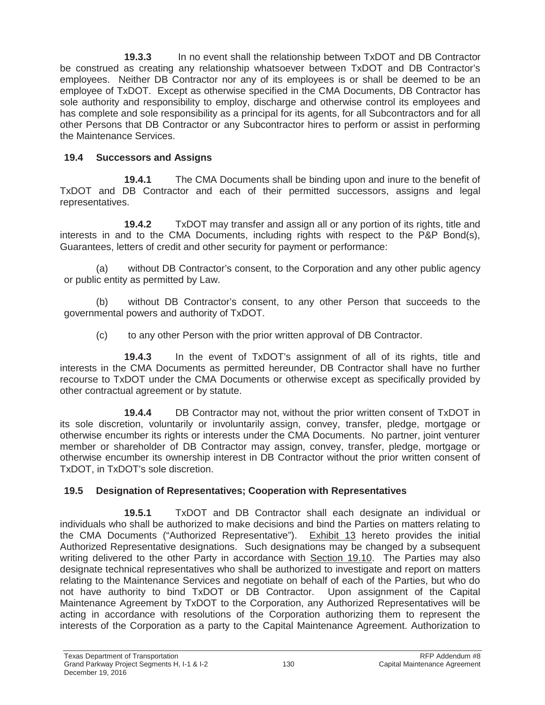**19.3.3** In no event shall the relationship between TxDOT and DB Contractor be construed as creating any relationship whatsoever between TxDOT and DB Contractor's employees. Neither DB Contractor nor any of its employees is or shall be deemed to be an employee of TxDOT. Except as otherwise specified in the CMA Documents, DB Contractor has sole authority and responsibility to employ, discharge and otherwise control its employees and has complete and sole responsibility as a principal for its agents, for all Subcontractors and for all other Persons that DB Contractor or any Subcontractor hires to perform or assist in performing the Maintenance Services.

# **19.4 Successors and Assigns**

**19.4.1** The CMA Documents shall be binding upon and inure to the benefit of TxDOT and DB Contractor and each of their permitted successors, assigns and legal representatives.

**19.4.2** TxDOT may transfer and assign all or any portion of its rights, title and interests in and to the CMA Documents, including rights with respect to the P&P Bond(s), Guarantees, letters of credit and other security for payment or performance:

(a) without DB Contractor's consent, to the Corporation and any other public agency or public entity as permitted by Law.

(b) without DB Contractor's consent, to any other Person that succeeds to the governmental powers and authority of TxDOT.

(c) to any other Person with the prior written approval of DB Contractor.

**19.4.3** In the event of TxDOT's assignment of all of its rights, title and interests in the CMA Documents as permitted hereunder, DB Contractor shall have no further recourse to TxDOT under the CMA Documents or otherwise except as specifically provided by other contractual agreement or by statute.

**19.4.4** DB Contractor may not, without the prior written consent of TxDOT in its sole discretion, voluntarily or involuntarily assign, convey, transfer, pledge, mortgage or otherwise encumber its rights or interests under the CMA Documents. No partner, joint venturer member or shareholder of DB Contractor may assign, convey, transfer, pledge, mortgage or otherwise encumber its ownership interest in DB Contractor without the prior written consent of TxDOT, in TxDOT's sole discretion.

# **19.5 Designation of Representatives; Cooperation with Representatives**

**19.5.1** TxDOT and DB Contractor shall each designate an individual or individuals who shall be authorized to make decisions and bind the Parties on matters relating to the CMA Documents ("Authorized Representative"). Exhibit 13 hereto provides the initial Authorized Representative designations. Such designations may be changed by a subsequent writing delivered to the other Party in accordance with Section 19.10. The Parties may also designate technical representatives who shall be authorized to investigate and report on matters relating to the Maintenance Services and negotiate on behalf of each of the Parties, but who do not have authority to bind TxDOT or DB Contractor. Upon assignment of the Capital Maintenance Agreement by TxDOT to the Corporation, any Authorized Representatives will be acting in accordance with resolutions of the Corporation authorizing them to represent the interests of the Corporation as a party to the Capital Maintenance Agreement. Authorization to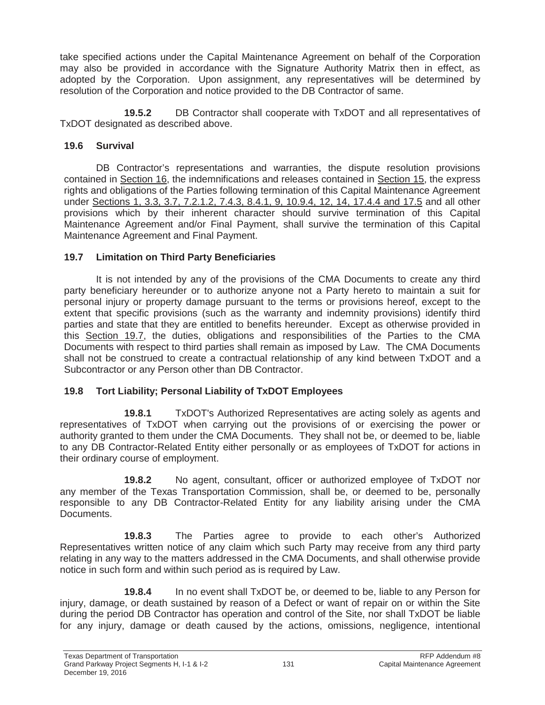take specified actions under the Capital Maintenance Agreement on behalf of the Corporation may also be provided in accordance with the Signature Authority Matrix then in effect, as adopted by the Corporation. Upon assignment, any representatives will be determined by resolution of the Corporation and notice provided to the DB Contractor of same.

**19.5.2** DB Contractor shall cooperate with TxDOT and all representatives of TxDOT designated as described above.

### **19.6 Survival**

DB Contractor's representations and warranties, the dispute resolution provisions contained in Section 16, the indemnifications and releases contained in Section 15, the express rights and obligations of the Parties following termination of this Capital Maintenance Agreement under Sections 1, 3.3, 3.7, 7.2.1.2, 7.4.3, 8.4.1, 9, 10.9.4, 12, 14, 17.4.4 and 17.5 and all other provisions which by their inherent character should survive termination of this Capital Maintenance Agreement and/or Final Payment, shall survive the termination of this Capital Maintenance Agreement and Final Payment.

### **19.7 Limitation on Third Party Beneficiaries**

It is not intended by any of the provisions of the CMA Documents to create any third party beneficiary hereunder or to authorize anyone not a Party hereto to maintain a suit for personal injury or property damage pursuant to the terms or provisions hereof, except to the extent that specific provisions (such as the warranty and indemnity provisions) identify third parties and state that they are entitled to benefits hereunder. Except as otherwise provided in this Section 19.7, the duties, obligations and responsibilities of the Parties to the CMA Documents with respect to third parties shall remain as imposed by Law. The CMA Documents shall not be construed to create a contractual relationship of any kind between TxDOT and a Subcontractor or any Person other than DB Contractor.

# **19.8 Tort Liability; Personal Liability of TxDOT Employees**

**19.8.1** TxDOT's Authorized Representatives are acting solely as agents and representatives of TxDOT when carrying out the provisions of or exercising the power or authority granted to them under the CMA Documents. They shall not be, or deemed to be, liable to any DB Contractor-Related Entity either personally or as employees of TxDOT for actions in their ordinary course of employment.

**19.8.2** No agent, consultant, officer or authorized employee of TxDOT nor any member of the Texas Transportation Commission, shall be, or deemed to be, personally responsible to any DB Contractor-Related Entity for any liability arising under the CMA Documents.

**19.8.3** The Parties agree to provide to each other's Authorized Representatives written notice of any claim which such Party may receive from any third party relating in any way to the matters addressed in the CMA Documents, and shall otherwise provide notice in such form and within such period as is required by Law.

**19.8.4** In no event shall TxDOT be, or deemed to be, liable to any Person for injury, damage, or death sustained by reason of a Defect or want of repair on or within the Site during the period DB Contractor has operation and control of the Site, nor shall TxDOT be liable for any injury, damage or death caused by the actions, omissions, negligence, intentional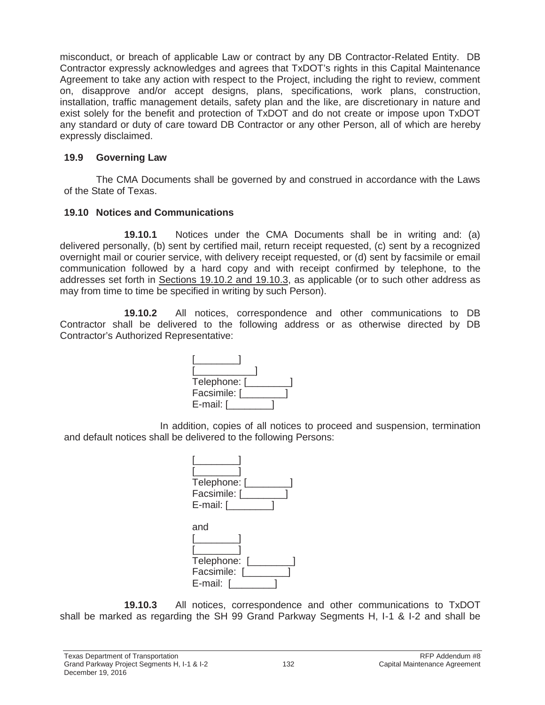misconduct, or breach of applicable Law or contract by any DB Contractor-Related Entity. DB Contractor expressly acknowledges and agrees that TxDOT's rights in this Capital Maintenance Agreement to take any action with respect to the Project, including the right to review, comment on, disapprove and/or accept designs, plans, specifications, work plans, construction, installation, traffic management details, safety plan and the like, are discretionary in nature and exist solely for the benefit and protection of TxDOT and do not create or impose upon TxDOT any standard or duty of care toward DB Contractor or any other Person, all of which are hereby expressly disclaimed.

#### **19.9 Governing Law**

The CMA Documents shall be governed by and construed in accordance with the Laws of the State of Texas.

### **19.10 Notices and Communications**

**19.10.1** Notices under the CMA Documents shall be in writing and: (a) delivered personally, (b) sent by certified mail, return receipt requested, (c) sent by a recognized overnight mail or courier service, with delivery receipt requested, or (d) sent by facsimile or email communication followed by a hard copy and with receipt confirmed by telephone, to the addresses set forth in Sections 19.10.2 and 19.10.3, as applicable (or to such other address as may from time to time be specified in writing by such Person).

**19.10.2** All notices, correspondence and other communications to DB Contractor shall be delivered to the following address or as otherwise directed by DB Contractor's Authorized Representative:

| Telephone: [ |  |
|--------------|--|
| Facsimile: [ |  |
| E-mail: [    |  |

In addition, copies of all notices to proceed and suspension, termination and default notices shall be delivered to the following Persons:



**19.10.3** All notices, correspondence and other communications to TxDOT shall be marked as regarding the SH 99 Grand Parkway Segments H, I-1 & I-2 and shall be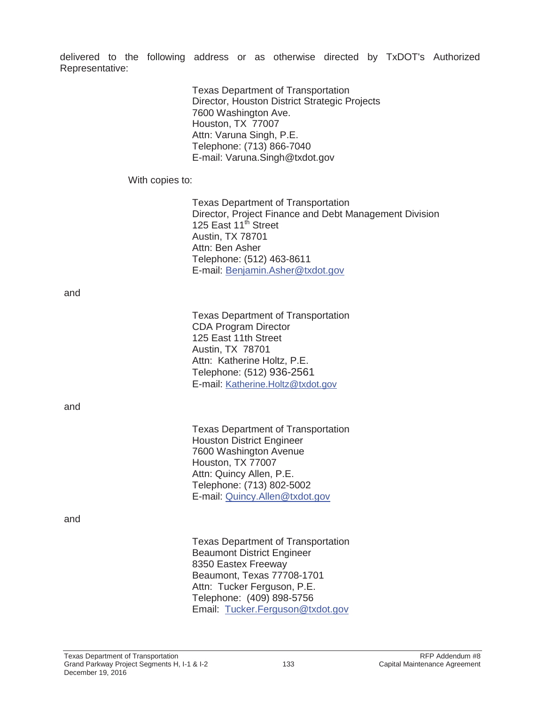delivered to the following address or as otherwise directed by TxDOT's Authorized Representative:

|                 | <b>Texas Department of Transportation</b><br>Director, Houston District Strategic Projects<br>7600 Washington Ave.<br>Houston, TX 77007<br>Attn: Varuna Singh, P.E.<br>Telephone: (713) 866-7040<br>E-mail: Varuna.Singh@txdot.gov                     |
|-----------------|--------------------------------------------------------------------------------------------------------------------------------------------------------------------------------------------------------------------------------------------------------|
| With copies to: |                                                                                                                                                                                                                                                        |
|                 | <b>Texas Department of Transportation</b><br>Director, Project Finance and Debt Management Division<br>125 East 11 <sup>th</sup> Street<br><b>Austin, TX 78701</b><br>Attn: Ben Asher<br>Telephone: (512) 463-8611<br>E-mail: Benjamin.Asher@txdot.gov |
| and             |                                                                                                                                                                                                                                                        |
|                 | <b>Texas Department of Transportation</b><br><b>CDA Program Director</b><br>125 East 11th Street<br>Austin, TX 78701<br>Attn: Katherine Holtz, P.E.<br>Telephone: (512) 936-2561<br>E-mail: Katherine.Holtz@txdot.gov                                  |
| and             |                                                                                                                                                                                                                                                        |
|                 | <b>Texas Department of Transportation</b><br><b>Houston District Engineer</b><br>7600 Washington Avenue<br>Houston, TX 77007<br>Attn: Quincy Allen, P.E.<br>Telephone: (713) 802-5002<br>E-mail: Quincy.Allen@txdot.gov                                |
| and             |                                                                                                                                                                                                                                                        |
|                 | <b>Texas Department of Transportation</b><br><b>Beaumont District Engineer</b><br>8350 Eastex Freeway<br>Beaumont, Texas 77708-1701<br>Attn: Tucker Ferguson, P.E.<br>Telephone: (409) 898-5756                                                        |

Email: Tucker.Ferguson@txdot.gov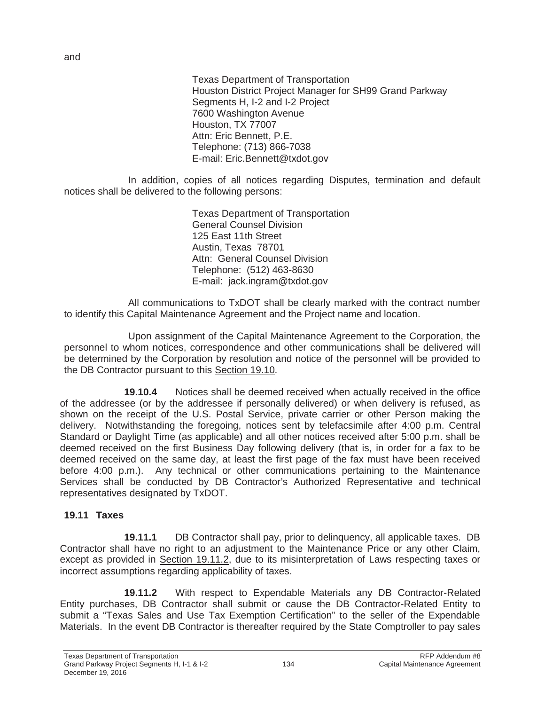Texas Department of Transportation Houston District Project Manager for SH99 Grand Parkway Segments H, I-2 and I-2 Project 7600 Washington Avenue Houston, TX 77007 Attn: Eric Bennett, P.E. Telephone: (713) 866-7038 E-mail: Eric.Bennett@txdot.gov

In addition, copies of all notices regarding Disputes, termination and default notices shall be delivered to the following persons:

> Texas Department of Transportation General Counsel Division 125 East 11th Street Austin, Texas 78701 Attn: General Counsel Division Telephone: (512) 463-8630 E-mail: jack.ingram@txdot.gov

All communications to TxDOT shall be clearly marked with the contract number to identify this Capital Maintenance Agreement and the Project name and location.

Upon assignment of the Capital Maintenance Agreement to the Corporation, the personnel to whom notices, correspondence and other communications shall be delivered will be determined by the Corporation by resolution and notice of the personnel will be provided to the DB Contractor pursuant to this Section 19.10.

**19.10.4** Notices shall be deemed received when actually received in the office of the addressee (or by the addressee if personally delivered) or when delivery is refused, as shown on the receipt of the U.S. Postal Service, private carrier or other Person making the delivery. Notwithstanding the foregoing, notices sent by telefacsimile after 4:00 p.m. Central Standard or Daylight Time (as applicable) and all other notices received after 5:00 p.m. shall be deemed received on the first Business Day following delivery (that is, in order for a fax to be deemed received on the same day, at least the first page of the fax must have been received before 4:00 p.m.). Any technical or other communications pertaining to the Maintenance Services shall be conducted by DB Contractor's Authorized Representative and technical representatives designated by TxDOT.

#### **19.11 Taxes**

**19.11.1** DB Contractor shall pay, prior to delinquency, all applicable taxes. DB Contractor shall have no right to an adjustment to the Maintenance Price or any other Claim, except as provided in Section 19.11.2, due to its misinterpretation of Laws respecting taxes or incorrect assumptions regarding applicability of taxes.

**19.11.2** With respect to Expendable Materials any DB Contractor-Related Entity purchases, DB Contractor shall submit or cause the DB Contractor-Related Entity to submit a "Texas Sales and Use Tax Exemption Certification" to the seller of the Expendable Materials. In the event DB Contractor is thereafter required by the State Comptroller to pay sales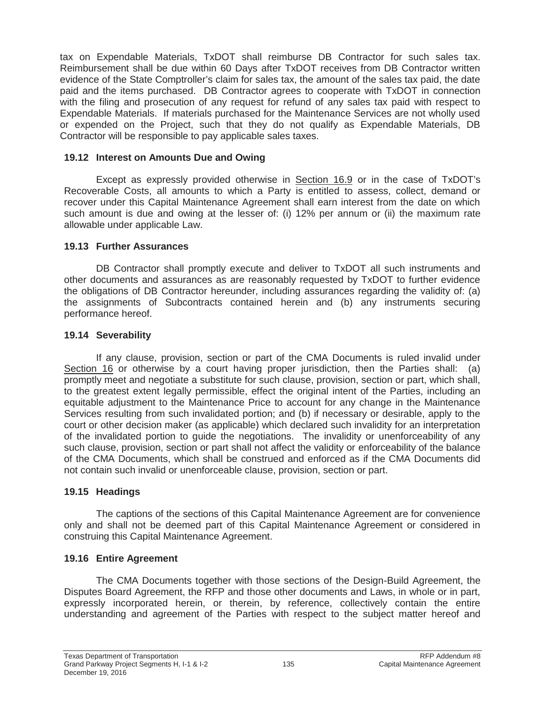tax on Expendable Materials, TxDOT shall reimburse DB Contractor for such sales tax. Reimbursement shall be due within 60 Days after TxDOT receives from DB Contractor written evidence of the State Comptroller's claim for sales tax, the amount of the sales tax paid, the date paid and the items purchased. DB Contractor agrees to cooperate with TxDOT in connection with the filing and prosecution of any request for refund of any sales tax paid with respect to Expendable Materials. If materials purchased for the Maintenance Services are not wholly used or expended on the Project, such that they do not qualify as Expendable Materials, DB Contractor will be responsible to pay applicable sales taxes.

#### **19.12 Interest on Amounts Due and Owing**

Except as expressly provided otherwise in Section 16.9 or in the case of TxDOT's Recoverable Costs, all amounts to which a Party is entitled to assess, collect, demand or recover under this Capital Maintenance Agreement shall earn interest from the date on which such amount is due and owing at the lesser of: (i) 12% per annum or (ii) the maximum rate allowable under applicable Law.

#### **19.13 Further Assurances**

DB Contractor shall promptly execute and deliver to TxDOT all such instruments and other documents and assurances as are reasonably requested by TxDOT to further evidence the obligations of DB Contractor hereunder, including assurances regarding the validity of: (a) the assignments of Subcontracts contained herein and (b) any instruments securing performance hereof.

### **19.14 Severability**

If any clause, provision, section or part of the CMA Documents is ruled invalid under Section 16 or otherwise by a court having proper jurisdiction, then the Parties shall: (a) promptly meet and negotiate a substitute for such clause, provision, section or part, which shall, to the greatest extent legally permissible, effect the original intent of the Parties, including an equitable adjustment to the Maintenance Price to account for any change in the Maintenance Services resulting from such invalidated portion; and (b) if necessary or desirable, apply to the court or other decision maker (as applicable) which declared such invalidity for an interpretation of the invalidated portion to guide the negotiations. The invalidity or unenforceability of any such clause, provision, section or part shall not affect the validity or enforceability of the balance of the CMA Documents, which shall be construed and enforced as if the CMA Documents did not contain such invalid or unenforceable clause, provision, section or part.

### **19.15 Headings**

The captions of the sections of this Capital Maintenance Agreement are for convenience only and shall not be deemed part of this Capital Maintenance Agreement or considered in construing this Capital Maintenance Agreement.

### **19.16 Entire Agreement**

The CMA Documents together with those sections of the Design-Build Agreement, the Disputes Board Agreement, the RFP and those other documents and Laws, in whole or in part, expressly incorporated herein, or therein, by reference, collectively contain the entire understanding and agreement of the Parties with respect to the subject matter hereof and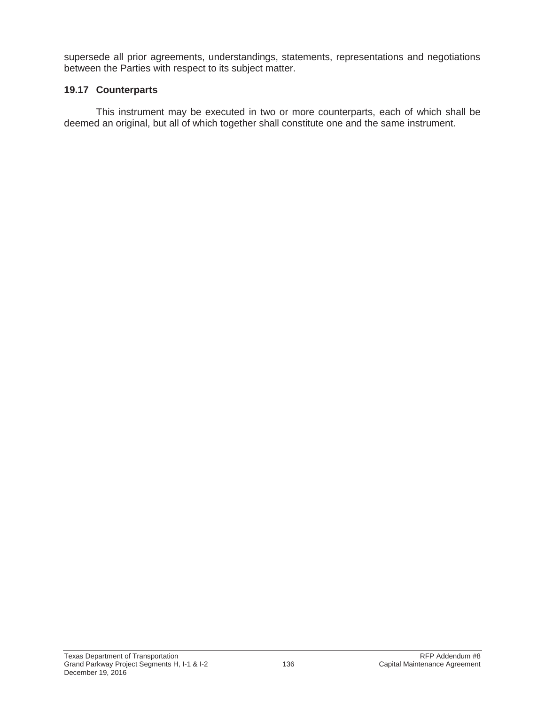supersede all prior agreements, understandings, statements, representations and negotiations between the Parties with respect to its subject matter.

### **19.17 Counterparts**

This instrument may be executed in two or more counterparts, each of which shall be deemed an original, but all of which together shall constitute one and the same instrument.